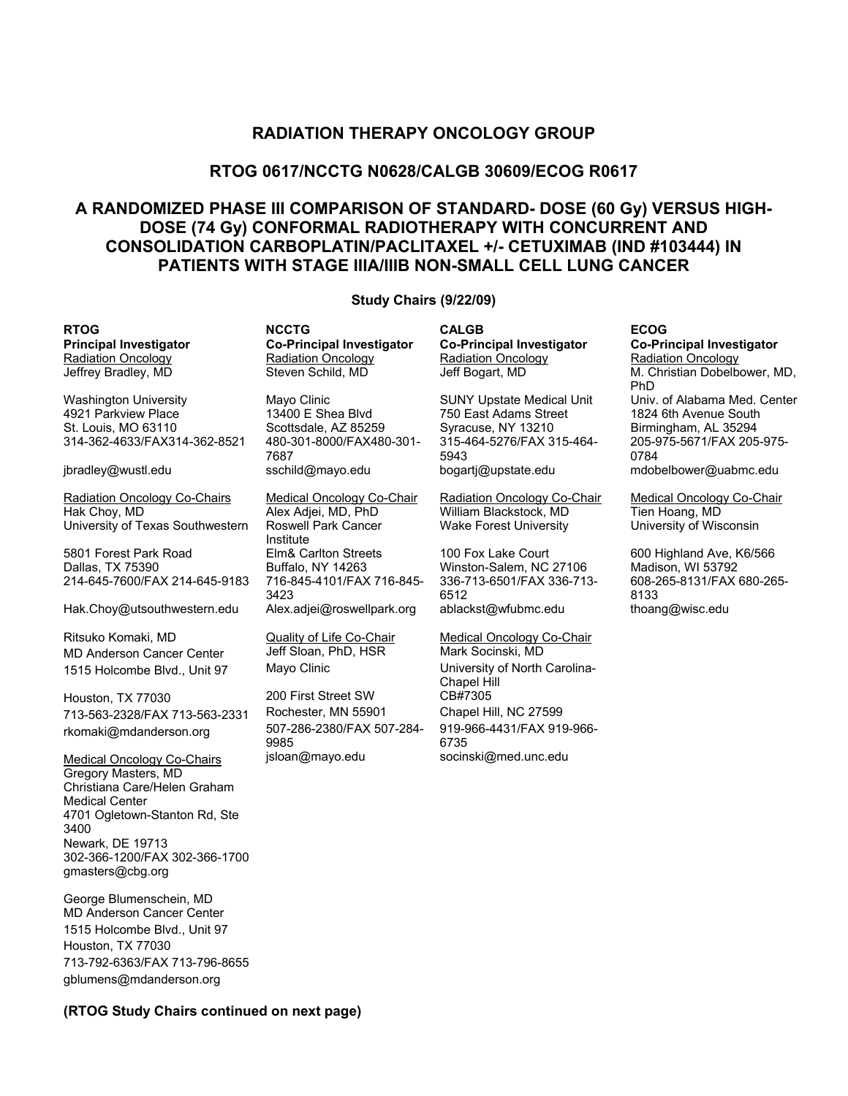## **RADIATION THERAPY ONCOLOGY GROUP**

### **RTOG 0617/NCCTG N0628/CALGB 30609/ECOG R0617**

## **A RANDOMIZED PHASE III COMPARISON OF STANDARD- DOSE (60 Gy) VERSUS HIGH-DOSE (74 Gy) CONFORMAL RADIOTHERAPY WITH CONCURRENT AND CONSOLIDATION CARBOPLATIN/PACLITAXEL +/- CETUXIMAB (IND #103444) IN PATIENTS WITH STAGE IIIA/IIIB NON-SMALL CELL LUNG CANCER**

#### **Study Chairs (9/22/09)**

Washington University **Mayo Clinic** Mayo Clinic SUNY Upstate Medical Unit Univ. of Alabama Med. Center Venter<br>Althraphy of Alabama Med. Center 1824 6th Avenue South 1824 6th Avenue South St. Louis, MO 63110 Scottsdale, AZ 85259 Syracuse, NY 13210 Birmingham, AL 35294 314-362-4633/FAX314-362-8521 480-301-8000/FAX480-301-

Radiation Oncology Co-Chairs Medical Oncology Co-Chair Radiation Oncology Co-Chair Medical Oncology Co-Chair<br>Hak Choy, MD Tien Hoang, MD Alex Adjei, MD, PhD William Blackstock, MD Tien Hoang, MD University of Texas Southwestern Roswell Park Cancer

5801 Forest Park Road Elm& Carlton Streets 100 Fox Lake Court 600 Highland Ave, K6/566 Dallas, TX 75390 Buffalo, NY 14263 Winston-Salem, NC 27106 Madison, WI 53792 214-645-7600/FAX 214-645-9183

Hak.Choy@utsouthwestern.edu

Ritsuko Komaki, MD **Quality of Life Co-Chair** Medical Oncology Co-Chair MD Anderson Cancer Center Jeff Sloan, PhD, HSR Mark Socinski, MD 1515 Holcombe Blvd., Unit 97 Mayo Clinic University of North Carolina-

713-563-2328/FAX 713-563-2331 Rochester, MN 55901 Chapel Hill, NC 27599 rkomaki@mdanderson.org

Medical Oncology Co-Chairs Gregory Masters, MD Christiana Care/Helen Graham Medical Center 4701 Ogletown-Stanton Rd, Ste 3400 Newark, DE 19713 302-366-1200/FAX 302-366-1700 [gmasters@cbg.org](mailto:gmasters@cbg.org) 

George Blumenschein, MD MD Anderson Cancer Center 1515 Holcombe Blvd., Unit 97 Houston, TX 77030 713-792-6363/FAX 713-796-8655 [gblumens@mdanderson.org](mailto:gblumens@mdanderson.org) 

**RTOG NCCTG CALGB ECOG** 

7687

Institute 3423<br>Alex.adjei@roswellpark.org

Houston, TX 77030 200 First Street SW CB#7305 9985<br>jsloan@mayo.edu

**Principal Investigator Co-Principal Investigator Co-Principal Investigator Co-Principal Investigator Radiation Oncology Radiation Oncology <b>Radiation Oncology** Radiation Oncology **Radiation Oncology Co-Principal Investi** Radiation Oncology

750 East Adams Street 315-464-5276/FAX 315-464- 5943 [jbradley@wustl.edu](mailto:jbradley@wustl.edu) [sschild@mayo.edu](mailto:sschild@mayo.edu) [bogartj@upstate.edu](mailto:bogartj@upstate.edu) [mdobelbower@uabmc.edu](mailto:mdobelbower@uabmc.edu) 

> William Blackstock, MD Wake Forest University **University Or University Or Wisconsin**

336-713-6501/FAX 336-713- 6512<br>ablackst@wfubmc.edu

Chapel Hill 919-966-4431/FAX 919-966- 6735<br>socinski@med.unc.edu

Jeffrey Bradley, MD Steven Schild, MD Jeff Bogart, MD M. Christian Dobelbower, MD, PhD 205-975-5671/FAX 205-975- 0784

608-265-8131/FAX 680-265- 8133<br>thoang@wisc.edu

#### **(RTOG Study Chairs continued on next page)**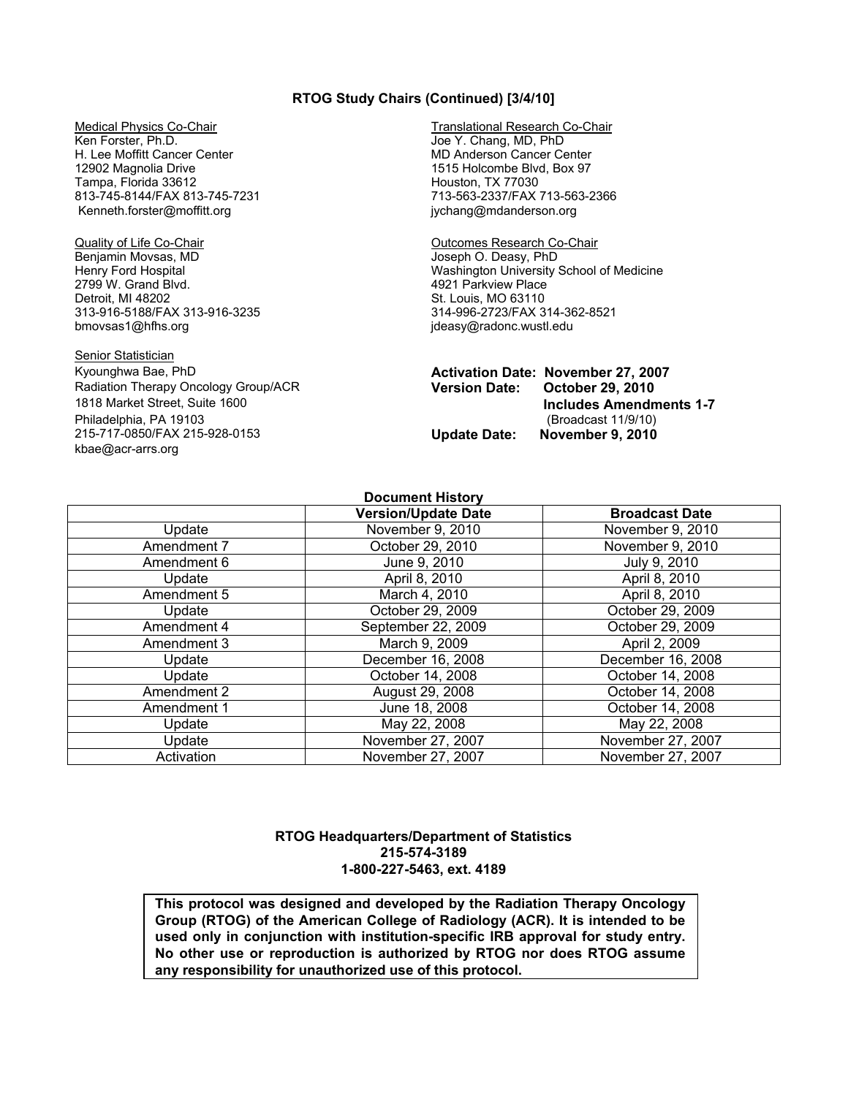#### **RTOG Study Chairs (Continued) [3/4/10]**

Ken Forster, Ph.D.<br>
H. Lee Moffitt Cancer Center **Access 1999** MD Anderson Cancer Center Center Control of the MD Anderson Cancer Ce 12902 Magnolia Drive 1515 Holcombe Blvd, Box 97 Tampa, Florida 33612 Houston, TX 77030 Kenneth[.forster@moffitt.org](mailto:forster@moffitt.org) in the state of the state of the state of the state of the state of the state of the state of the state of the state of the state of the state of the state of the state of the state of the state

Quality of Life Co-Chair Outcomes Research Co-Chair Detroit, MI 48202<br>313-916-5188/FAX 313-916-3235 St. Louis, MO 63110 [bmovsas1@hfhs.org](mailto:bmovsas1@hfhs.org) in the state of the state of the state of the state of the state of the state of the state of the state of the state of the state of the state of the state of the state of the state of the state of the st

**Senior Statistician** Philadelphia, PA 19103 [kbae@acr-arrs.org](mailto:kbae@acr-arrs.org) 

# Medical Physics Co-Chair **Medical Physics Co-Chair Translational Research Co-Chair** MD Anderson Cancer Center 813-745-8144/FAX 813-745-7231 713-563-2337/FAX 713-563-2366

Joseph O. Deasy, PhD Henry Ford Hospital National Accord Medicine<br>
2799 W. Grand Blvd. National Washington University School of Medicine<br>
4921 Parkview Place 4921 Parkview Place 314-996-2723/FAX 314-362-8521

Kyounghwa Bae, PhD<br>
Radiation Therapy Oncology Group/ACR **Activation Date: October 29, 2010**<br> **Version Date: October 29, 2010** Radiation Therapy Oncology Group/ACR **Version Date: October 29, 2010 Includes Amendments 1-7**<br>(Broadcast 11/9/10) 215-717-0850/FAX 215-928-0153 **Update Date: November 9, 2010**

## **Document History**

|             | <b>Version/Update Date</b>   | <b>Broadcast Date</b> |
|-------------|------------------------------|-----------------------|
| Update      | November 9, 2010             | November 9, 2010      |
| Amendment 7 | October 29, 2010             | November 9, 2010      |
| Amendment 6 | June 9, 2010                 | July 9, 2010          |
| Update      | April 8, 2010                | April 8, 2010         |
| Amendment 5 | March 4, 2010                | April 8, 2010         |
| Update      | October 29, 2009             | October 29, 2009      |
| Amendment 4 | September 22, 2009           | October 29, 2009      |
| Amendment 3 | March 9, 2009                | April 2, 2009         |
| Update      | December 16, 2008            | December 16, 2008     |
| Update      | October 14, 2008             | October 14, 2008      |
| Amendment 2 | August 29, 2008              | October 14, 2008      |
| Amendment 1 | June 18, 2008                | October 14, 2008      |
| Update      | May 22, 2008<br>May 22, 2008 |                       |
| Update      | November 27, 2007            | November 27, 2007     |
| Activation  | November 27, 2007            | November 27, 2007     |

### **RTOG Headquarters/Department of Statistics 215-574-3189 1-800-227-5463, ext. 4189**

**This protocol was designed and developed by the Radiation Therapy Oncology Group (RTOG) of the American College of Radiology (ACR). It is intended to be used only in conjunction with institution-specific IRB approval for study entry. No other use or reproduction is authorized by RTOG nor does RTOG assume any responsibility for unauthorized use of this protocol.**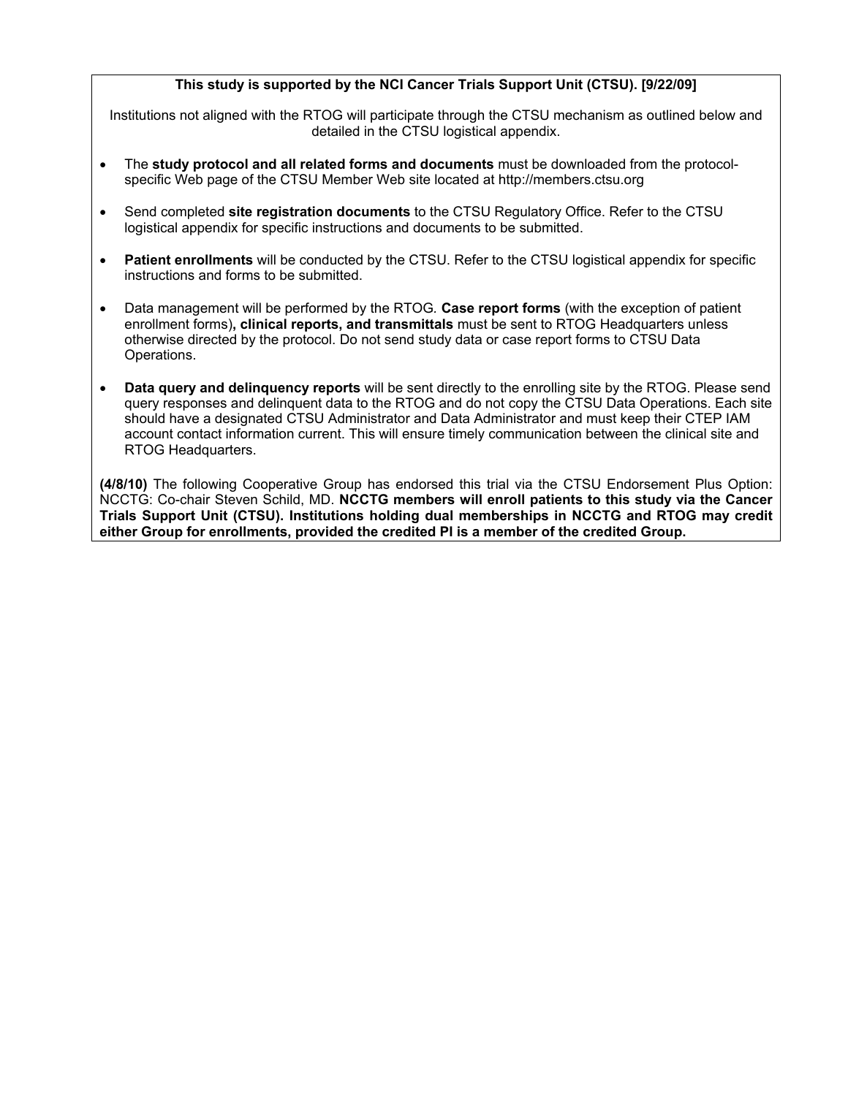## **This study is supported by the NCI Cancer Trials Support Unit (CTSU). [9/22/09]**

Institutions not aligned with the RTOG will participate through the CTSU mechanism as outlined below and detailed in the CTSU logistical appendix.

- The **study protocol and all related forms and documents** must be downloaded from the protocolspecific Web page of the CTSU Member Web site located at<http://members.ctsu.org>
- Send completed **site registration documents** to the CTSU Regulatory Office. Refer to the CTSU logistical appendix for specific instructions and documents to be submitted.
- **Patient enrollments** will be conducted by the CTSU. Refer to the CTSU logistical appendix for specific instructions and forms to be submitted.
- Data management will be performed by the RTOG*.* **Case report forms** (with the exception of patient enrollment forms)**, clinical reports, and transmittals** must be sent to RTOG Headquarters unless otherwise directed by the protocol. Do not send study data or case report forms to CTSU Data Operations.
- **Data query and delinquency reports** will be sent directly to the enrolling site by the RTOG. Please send query responses and delinquent data to the RTOG and do not copy the CTSU Data Operations. Each site should have a designated CTSU Administrator and Data Administrator and must keep their CTEP IAM account contact information current. This will ensure timely communication between the clinical site and RTOG Headquarters.

**(4/8/10)** The following Cooperative Group has endorsed this trial via the CTSU Endorsement Plus Option: NCCTG: Co-chair Steven Schild, MD. **NCCTG members will enroll patients to this study via the Cancer Trials Support Unit (CTSU). Institutions holding dual memberships in NCCTG and RTOG may credit either Group for enrollments, provided the credited PI is a member of the credited Group.**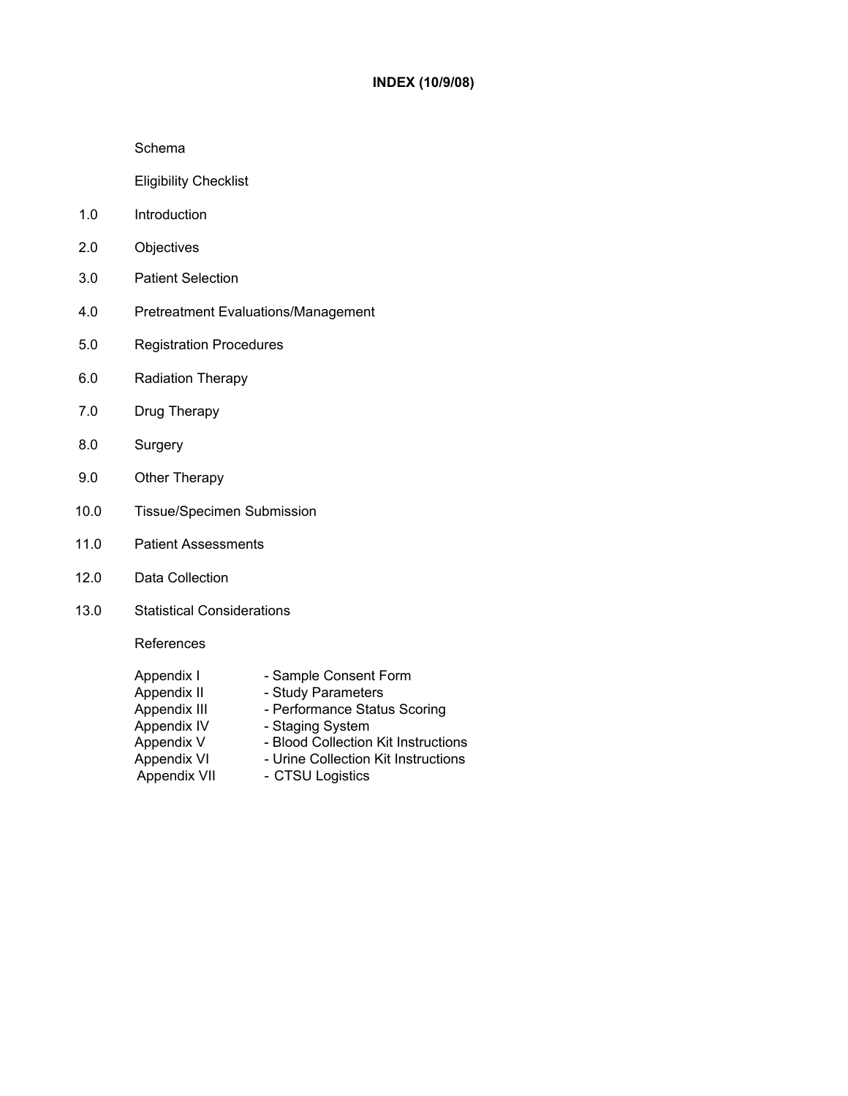#### **INDEX (10/9/08)**

#### Schema

Eligibility Checklist

- 1.0 Introduction
- 2.0 Objectives
- 3.0 Patient Selection
- 4.0 Pretreatment Evaluations/Management
- 5.0 Registration Procedures
- 6.0 Radiation Therapy
- 7.0 Drug Therapy
- 8.0 Surgery
- 9.0 Other Therapy
- 10.0 Tissue/Specimen Submission
- 11.0 Patient Assessments
- 12.0 Data Collection
- 13.0 Statistical Considerations

References

| - Sample Consent Form               |
|-------------------------------------|
| - Study Parameters                  |
| - Performance Status Scoring        |
| - Staging System                    |
| - Blood Collection Kit Instructions |
| - Urine Collection Kit Instructions |
| - CTSU Logistics                    |
|                                     |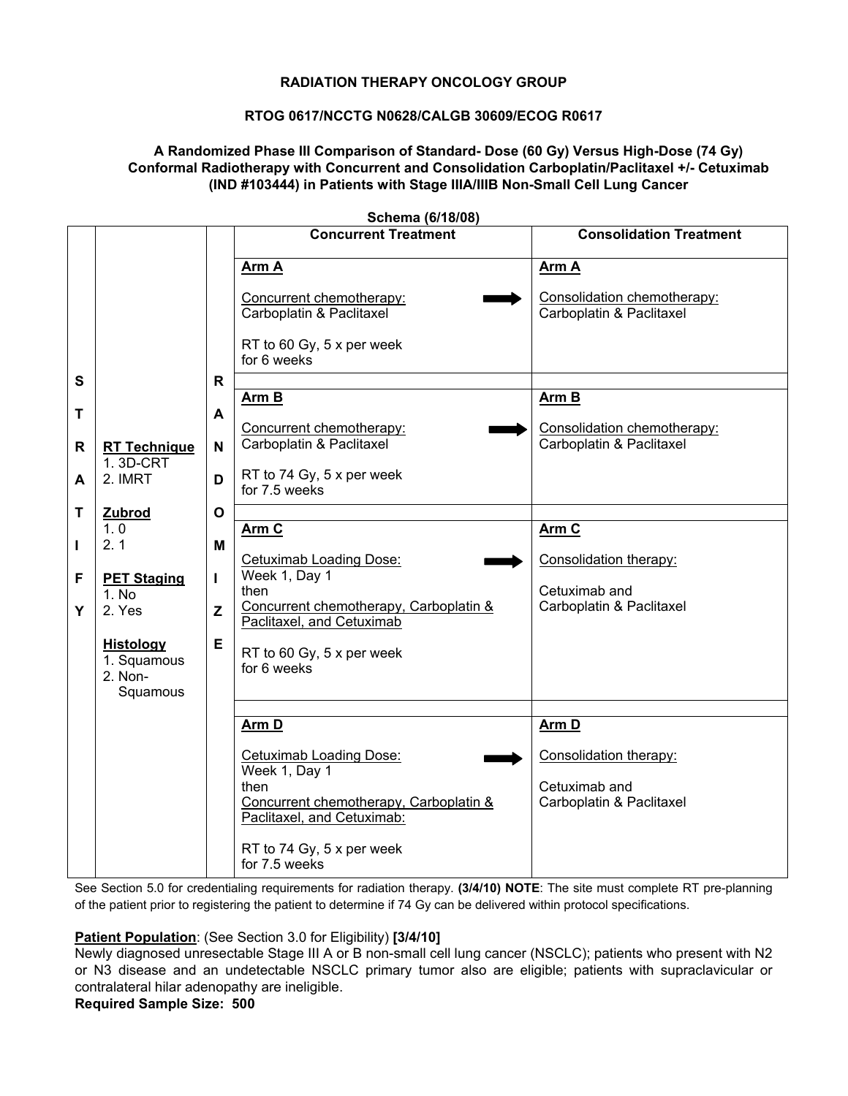#### **RADIATION THERAPY ONCOLOGY GROUP**

#### **RTOG 0617/NCCTG N0628/CALGB 30609/ECOG R0617**

## **A Randomized Phase III Comparison of Standard- Dose (60 Gy) Versus High-Dose (74 Gy) Conformal Radiotherapy with Concurrent and Consolidation Carboplatin/Paclitaxel +/- Cetuximab (IND #103444) in Patients with Stage IIIA/IIIB Non-Small Cell Lung Cancer**

|              | Schema (6/18/08)                                       |    |                                                                              |                                                         |  |  |  |
|--------------|--------------------------------------------------------|----|------------------------------------------------------------------------------|---------------------------------------------------------|--|--|--|
|              |                                                        |    | <b>Concurrent Treatment</b>                                                  | <b>Consolidation Treatment</b>                          |  |  |  |
|              |                                                        |    | Arm A<br>Concurrent chemotherapy:                                            | Arm A<br>Consolidation chemotherapy:                    |  |  |  |
|              |                                                        |    | Carboplatin & Paclitaxel<br>RT to 60 Gy, 5 x per week<br>for 6 weeks         | Carboplatin & Paclitaxel                                |  |  |  |
| S            |                                                        | R  |                                                                              |                                                         |  |  |  |
| T            |                                                        | A  | Arm B                                                                        | Arm B                                                   |  |  |  |
| R            | <b>RT Technique</b><br>1.3D-CRT                        | N  | Concurrent chemotherapy:<br>Carboplatin & Paclitaxel                         | Consolidation chemotherapy:<br>Carboplatin & Paclitaxel |  |  |  |
| A            | 2. IMRT                                                | D  | RT to 74 Gy, 5 x per week<br>for 7.5 weeks                                   |                                                         |  |  |  |
| Т            | <b>Zubrod</b>                                          | O  |                                                                              |                                                         |  |  |  |
|              | 1.0<br>2.1                                             |    | Arm C                                                                        | Arm C                                                   |  |  |  |
| $\mathbf{I}$ |                                                        | м  | <b>Cetuximab Loading Dose:</b><br>Week 1, Day 1                              | Consolidation therapy:                                  |  |  |  |
| F            | <b>PET Staging</b><br>1. No                            | т  | then                                                                         | Cetuximab and                                           |  |  |  |
| Y            | 2. Yes                                                 | Z  | Concurrent chemotherapy, Carboplatin &<br>Paclitaxel, and Cetuximab          | Carboplatin & Paclitaxel                                |  |  |  |
|              | <b>Histology</b><br>1. Squamous<br>2. Non-<br>Squamous | E. | RT to 60 Gy, 5 x per week<br>for 6 weeks                                     |                                                         |  |  |  |
|              |                                                        |    |                                                                              |                                                         |  |  |  |
|              |                                                        |    | Arm D                                                                        | <b>Arm D</b>                                            |  |  |  |
|              |                                                        |    | <b>Cetuximab Loading Dose:</b><br>Week 1, Day 1                              | Consolidation therapy:                                  |  |  |  |
|              |                                                        |    | then<br>Concurrent chemotherapy, Carboplatin &<br>Paclitaxel, and Cetuximab: | Cetuximab and<br>Carboplatin & Paclitaxel               |  |  |  |
|              |                                                        |    | RT to 74 Gy, 5 x per week<br>for 7.5 weeks                                   |                                                         |  |  |  |

See Section 5.0 for credentialing requirements for radiation therapy. **(3/4/10) NOTE**: The site must complete RT pre-planning of the patient prior to registering the patient to determine if 74 Gy can be delivered within protocol specifications.

## **Patient Population**: (See Section 3.0 for Eligibility) **[3/4/10]**

Newly diagnosed unresectable Stage III A or B non-small cell lung cancer (NSCLC); patients who present with N2 or N3 disease and an undetectable NSCLC primary tumor also are eligible; patients with supraclavicular or contralateral hilar adenopathy are ineligible.

## **Required Sample Size: 500**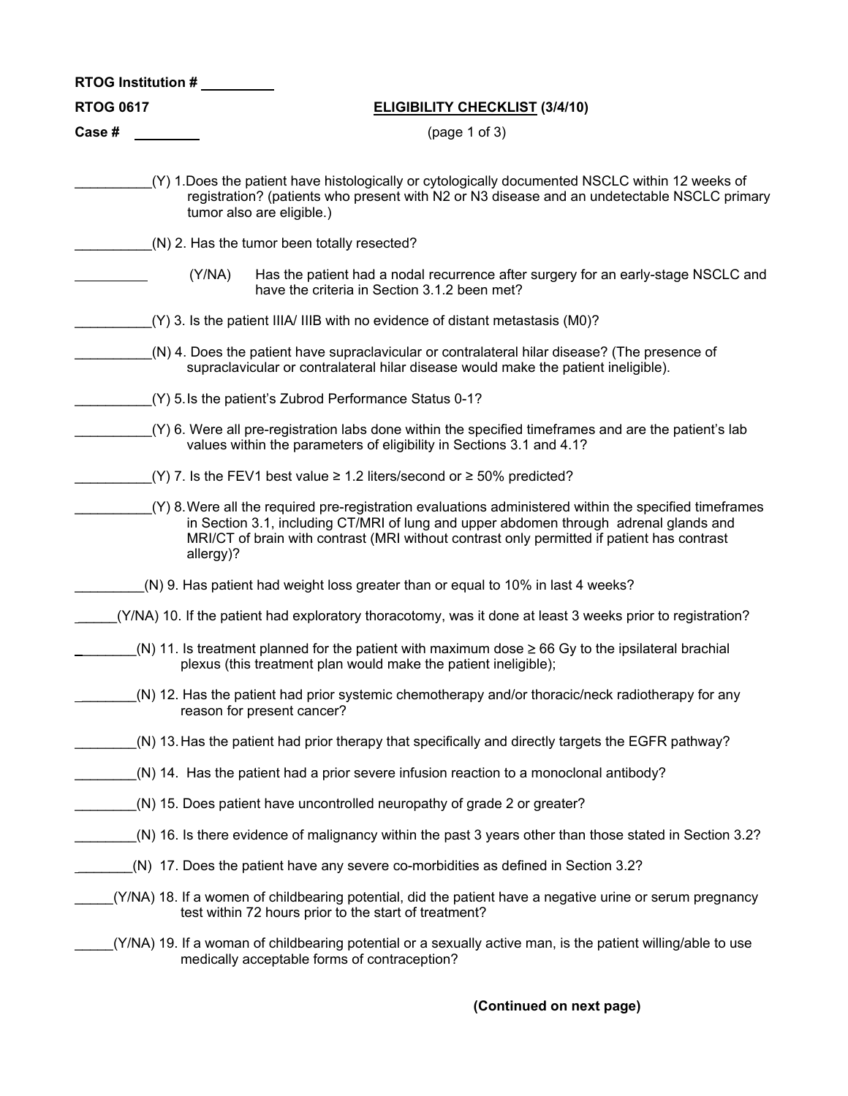| <b>RTOG Institution #</b> |                                                                                                                                                                                                                                                                                                            |  |  |  |  |  |
|---------------------------|------------------------------------------------------------------------------------------------------------------------------------------------------------------------------------------------------------------------------------------------------------------------------------------------------------|--|--|--|--|--|
| <b>RTOG 0617</b>          | <b>ELIGIBILITY CHECKLIST (3/4/10)</b>                                                                                                                                                                                                                                                                      |  |  |  |  |  |
| Case#                     | (page 1 of 3)                                                                                                                                                                                                                                                                                              |  |  |  |  |  |
|                           | (Y) 1.Does the patient have histologically or cytologically documented NSCLC within 12 weeks of<br>registration? (patients who present with N2 or N3 disease and an undetectable NSCLC primary<br>tumor also are eligible.)                                                                                |  |  |  |  |  |
|                           | (N) 2. Has the tumor been totally resected?                                                                                                                                                                                                                                                                |  |  |  |  |  |
|                           | (Y/NA)<br>Has the patient had a nodal recurrence after surgery for an early-stage NSCLC and<br>have the criteria in Section 3.1.2 been met?                                                                                                                                                                |  |  |  |  |  |
|                           | $(Y)$ 3. Is the patient IIIA/IIIB with no evidence of distant metastasis (M0)?                                                                                                                                                                                                                             |  |  |  |  |  |
|                           | (N) 4. Does the patient have supraclavicular or contralateral hilar disease? (The presence of<br>supraclavicular or contralateral hilar disease would make the patient ineligible).                                                                                                                        |  |  |  |  |  |
|                           | (Y) 5. Is the patient's Zubrod Performance Status 0-1?                                                                                                                                                                                                                                                     |  |  |  |  |  |
|                           | (Y) 6. Were all pre-registration labs done within the specified timeframes and are the patient's lab<br>values within the parameters of eligibility in Sections 3.1 and 4.1?                                                                                                                               |  |  |  |  |  |
|                           | (Y) 7. Is the FEV1 best value $\geq$ 1.2 liters/second or $\geq$ 50% predicted?                                                                                                                                                                                                                            |  |  |  |  |  |
|                           | (Y) 8. Were all the required pre-registration evaluations administered within the specified timeframes<br>in Section 3.1, including CT/MRI of lung and upper abdomen through adrenal glands and<br>MRI/CT of brain with contrast (MRI without contrast only permitted if patient has contrast<br>allergy)? |  |  |  |  |  |
|                           | (N) 9. Has patient had weight loss greater than or equal to 10% in last 4 weeks?                                                                                                                                                                                                                           |  |  |  |  |  |
|                           | (Y/NA) 10. If the patient had exploratory thoracotomy, was it done at least 3 weeks prior to registration?                                                                                                                                                                                                 |  |  |  |  |  |
|                           | (N) 11. Is treatment planned for the patient with maximum dose $\geq 66$ Gy to the ipsilateral brachial<br>plexus (this treatment plan would make the patient ineligible);                                                                                                                                 |  |  |  |  |  |
|                           | (N) 12. Has the patient had prior systemic chemotherapy and/or thoracic/neck radiotherapy for any<br>reason for present cancer?                                                                                                                                                                            |  |  |  |  |  |
|                           | (N) 13. Has the patient had prior therapy that specifically and directly targets the EGFR pathway?                                                                                                                                                                                                         |  |  |  |  |  |
|                           | (N) 14. Has the patient had a prior severe infusion reaction to a monoclonal antibody?                                                                                                                                                                                                                     |  |  |  |  |  |
|                           | (N) 15. Does patient have uncontrolled neuropathy of grade 2 or greater?                                                                                                                                                                                                                                   |  |  |  |  |  |
|                           | (N) 16. Is there evidence of malignancy within the past 3 years other than those stated in Section 3.2?                                                                                                                                                                                                    |  |  |  |  |  |
|                           | (N) 17. Does the patient have any severe co-morbidities as defined in Section 3.2?                                                                                                                                                                                                                         |  |  |  |  |  |
|                           | (Y/NA) 18. If a women of childbearing potential, did the patient have a negative urine or serum pregnancy<br>test within 72 hours prior to the start of treatment?                                                                                                                                         |  |  |  |  |  |
|                           | (Y/NA) 19. If a woman of childbearing potential or a sexually active man, is the patient willing/able to use<br>medically acceptable forms of contraception?                                                                                                                                               |  |  |  |  |  |

**(Continued on next page)**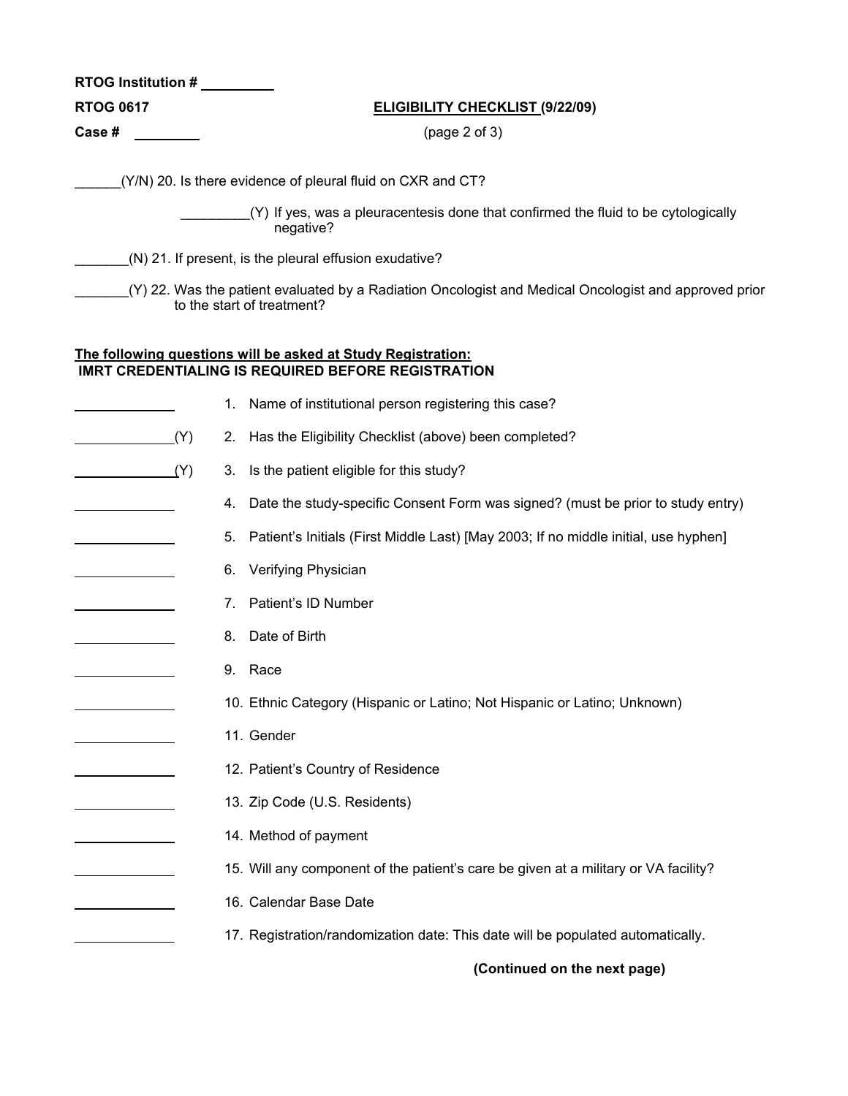| RTOG Institution #                                          |                                                                                                 |    |                                                                                                                                     |  |  |  |  |  |  |
|-------------------------------------------------------------|-------------------------------------------------------------------------------------------------|----|-------------------------------------------------------------------------------------------------------------------------------------|--|--|--|--|--|--|
| <b>RTOG 0617</b>                                            | <b>ELIGIBILITY CHECKLIST (9/22/09)</b>                                                          |    |                                                                                                                                     |  |  |  |  |  |  |
| Case #                                                      | (page 2 of 3)                                                                                   |    |                                                                                                                                     |  |  |  |  |  |  |
| (Y/N) 20. Is there evidence of pleural fluid on CXR and CT? |                                                                                                 |    |                                                                                                                                     |  |  |  |  |  |  |
|                                                             | (Y) If yes, was a pleuracentesis done that confirmed the fluid to be cytologically<br>negative? |    |                                                                                                                                     |  |  |  |  |  |  |
|                                                             |                                                                                                 |    | $(N)$ 21. If present, is the pleural effusion exudative?                                                                            |  |  |  |  |  |  |
|                                                             |                                                                                                 |    | (Y) 22. Was the patient evaluated by a Radiation Oncologist and Medical Oncologist and approved prior<br>to the start of treatment? |  |  |  |  |  |  |
|                                                             |                                                                                                 |    | The following questions will be asked at Study Registration:<br><b>IMRT CREDENTIALING IS REQUIRED BEFORE REGISTRATION</b>           |  |  |  |  |  |  |
|                                                             |                                                                                                 | 1. | Name of institutional person registering this case?                                                                                 |  |  |  |  |  |  |
|                                                             | (Y)                                                                                             | 2. | Has the Eligibility Checklist (above) been completed?                                                                               |  |  |  |  |  |  |
| (Y)                                                         |                                                                                                 | 3. | Is the patient eligible for this study?                                                                                             |  |  |  |  |  |  |
|                                                             |                                                                                                 | 4. | Date the study-specific Consent Form was signed? (must be prior to study entry)                                                     |  |  |  |  |  |  |
|                                                             |                                                                                                 | 5. | Patient's Initials (First Middle Last) [May 2003; If no middle initial, use hyphen]                                                 |  |  |  |  |  |  |
| <u> Alban Maria San A</u>                                   |                                                                                                 | 6. | Verifying Physician                                                                                                                 |  |  |  |  |  |  |
|                                                             |                                                                                                 | 7. | Patient's ID Number                                                                                                                 |  |  |  |  |  |  |
|                                                             |                                                                                                 | 8. | Date of Birth                                                                                                                       |  |  |  |  |  |  |
|                                                             |                                                                                                 | 9. | Race                                                                                                                                |  |  |  |  |  |  |
|                                                             |                                                                                                 |    | 10. Ethnic Category (Hispanic or Latino; Not Hispanic or Latino; Unknown)                                                           |  |  |  |  |  |  |
|                                                             |                                                                                                 |    | 11. Gender                                                                                                                          |  |  |  |  |  |  |
|                                                             |                                                                                                 |    | 12. Patient's Country of Residence                                                                                                  |  |  |  |  |  |  |
|                                                             |                                                                                                 |    | 13. Zip Code (U.S. Residents)                                                                                                       |  |  |  |  |  |  |
|                                                             |                                                                                                 |    | 14. Method of payment                                                                                                               |  |  |  |  |  |  |
|                                                             |                                                                                                 |    | 15. Will any component of the patient's care be given at a military or VA facility?                                                 |  |  |  |  |  |  |
|                                                             |                                                                                                 |    | 16. Calendar Base Date                                                                                                              |  |  |  |  |  |  |
|                                                             |                                                                                                 |    | 17. Registration/randomization date: This date will be populated automatically.                                                     |  |  |  |  |  |  |

 **(Continued on the next page)**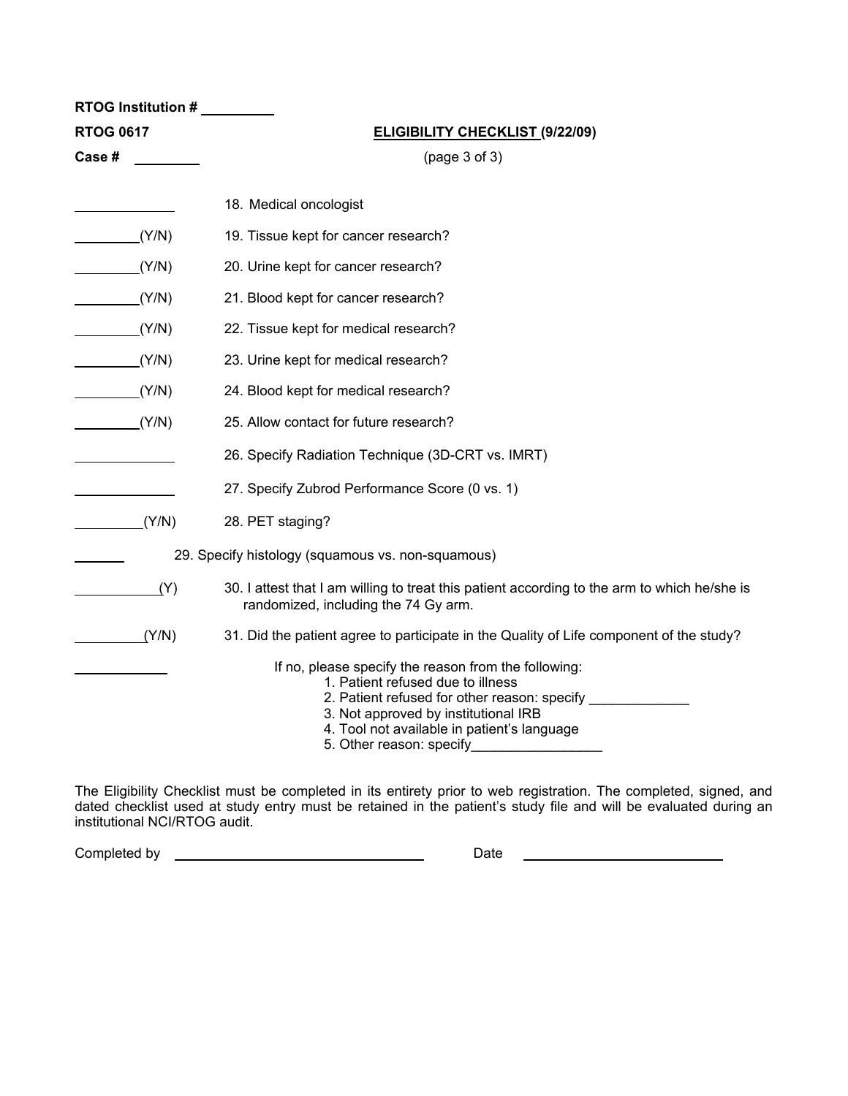| <b>RTOG 0617</b> | <b>ELIGIBILITY CHECKLIST (9/22/09)</b>                                                                                                                                                                                                          |
|------------------|-------------------------------------------------------------------------------------------------------------------------------------------------------------------------------------------------------------------------------------------------|
| Case #           | (page 3 of 3)                                                                                                                                                                                                                                   |
|                  | 18. Medical oncologist                                                                                                                                                                                                                          |
| (Y/N)            | 19. Tissue kept for cancer research?                                                                                                                                                                                                            |
| (Y/N)            | 20. Urine kept for cancer research?                                                                                                                                                                                                             |
| (Y/N)            | 21. Blood kept for cancer research?                                                                                                                                                                                                             |
| (Y/N)            | 22. Tissue kept for medical research?                                                                                                                                                                                                           |
| (Y/N)            | 23. Urine kept for medical research?                                                                                                                                                                                                            |
| (Y/N)            | 24. Blood kept for medical research?                                                                                                                                                                                                            |
| (Y/N)            | 25. Allow contact for future research?                                                                                                                                                                                                          |
|                  | 26. Specify Radiation Technique (3D-CRT vs. IMRT)                                                                                                                                                                                               |
|                  | 27. Specify Zubrod Performance Score (0 vs. 1)                                                                                                                                                                                                  |
| (Y/N)            | 28. PET staging?                                                                                                                                                                                                                                |
|                  | 29. Specify histology (squamous vs. non-squamous)                                                                                                                                                                                               |
|                  | (Y)<br>30. I attest that I am willing to treat this patient according to the arm to which he/she is<br>randomized, including the 74 Gy arm.                                                                                                     |
| (Y/N)            | 31. Did the patient agree to participate in the Quality of Life component of the study?                                                                                                                                                         |
|                  | If no, please specify the reason from the following:<br>1. Patient refused due to illness<br>2. Patient refused for other reason: specify ______________<br>3. Not approved by institutional IRB<br>4. Tool not available in patient's language |

The Eligibility Checklist must be completed in its entirety prior to web registration. The completed, signed, and dated checklist used at study entry must be retained in the patient's study file and will be evaluated during an institutional NCI/RTOG audit.

Completed by Date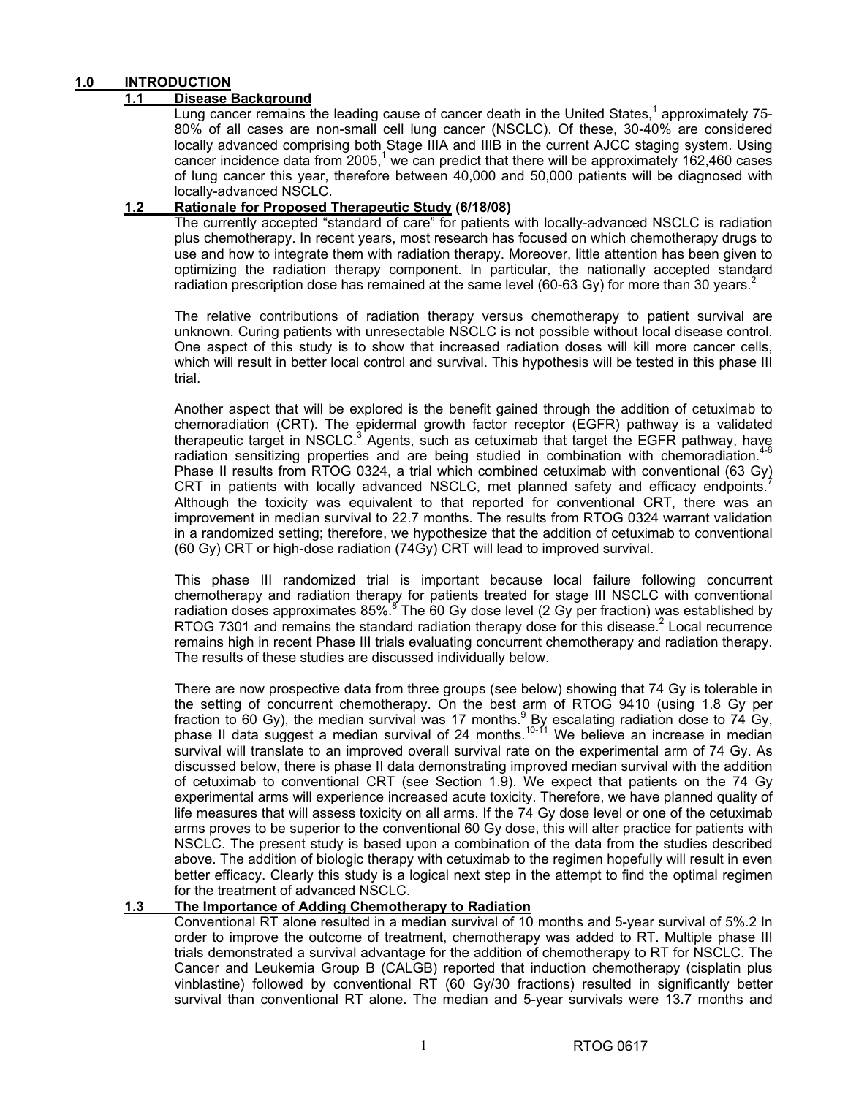#### **1.0 INTRODUCTION**

#### **1.1 Disease Background**

Lung cancer remains the leading cause of cancer death in the United States, $<sup>1</sup>$  approximately 75-</sup> 80% of all cases are non-small cell lung cancer (NSCLC). Of these, 30-40% are considered locally advanced comprising both Stage IIIA and IIIB in the current AJCC staging system. Using cancer incidence data from  $2005$ ,<sup>1</sup> we can predict that there will be approximately 162,460 cases of lung cancer this year, therefore between 40,000 and 50,000 patients will be diagnosed with locally-advanced NSCLC.

#### **1.2 Rationale for Proposed Therapeutic Study (6/18/08)**

 The currently accepted "standard of care" for patients with locally-advanced NSCLC is radiation plus chemotherapy. In recent years, most research has focused on which chemotherapy drugs to use and how to integrate them with radiation therapy. Moreover, little attention has been given to optimizing the radiation therapy component. In particular, the nationally accepted standard radiation prescription dose has remained at the same level (60-63 Gy) for more than 30 years.<sup>2</sup>

 The relative contributions of radiation therapy versus chemotherapy to patient survival are unknown. Curing patients with unresectable NSCLC is not possible without local disease control. One aspect of this study is to show that increased radiation doses will kill more cancer cells, which will result in better local control and survival. This hypothesis will be tested in this phase III trial.

 Another aspect that will be explored is the benefit gained through the addition of cetuximab to chemoradiation (CRT). The epidermal growth factor receptor (EGFR) pathway is a validated therapeutic target in NSCLC.<sup>3</sup> Agents, such as cetuximab that target the EGFR pathway, have radiation sensitizing properties and are being studied in combination with chemoradiation.<sup>4-6</sup> Phase II results from RTOG 0324, a trial which combined cetuximab with conventional (63 Gy) CRT in patients with locally advanced NSCLC, met planned safety and efficacy endpoints.<sup>4</sup> Although the toxicity was equivalent to that reported for conventional CRT, there was an improvement in median survival to 22.7 months. The results from RTOG 0324 warrant validation in a randomized setting; therefore, we hypothesize that the addition of cetuximab to conventional (60 Gy) CRT or high-dose radiation (74Gy) CRT will lead to improved survival.

 This phase III randomized trial is important because local failure following concurrent chemotherapy and radiation therapy for patients treated for stage III NSCLC with conventional radiation doses approximates 85%.<sup>8</sup> The 60 Gy dose level (2 Gy per fraction) was established by RTOG 7301 and remains the standard radiation therapy dose for this disease.<sup>2</sup> Local recurrence remains high in recent Phase III trials evaluating concurrent chemotherapy and radiation therapy. The results of these studies are discussed individually below.

 There are now prospective data from three groups (see below) showing that 74 Gy is tolerable in the setting of concurrent chemotherapy. On the best arm of RTOG 9410 (using 1.8 Gy per fraction to 60 Gy), the median survival was 17 months. By escalating radiation dose to 74 Gy, phase II data suggest a median survival of 24 months.<sup>10-11</sup> We believe an increase in median survival will translate to an improved overall survival rate on the experimental arm of 74 Gy. As discussed below, there is phase II data demonstrating improved median survival with the addition of cetuximab to conventional CRT (see Section 1.9). We expect that patients on the 74 Gy experimental arms will experience increased acute toxicity. Therefore, we have planned quality of life measures that will assess toxicity on all arms. If the 74 Gy dose level or one of the cetuximab arms proves to be superior to the conventional 60 Gy dose, this will alter practice for patients with NSCLC. The present study is based upon a combination of the data from the studies described above. The addition of biologic therapy with cetuximab to the regimen hopefully will result in even better efficacy. Clearly this study is a logical next step in the attempt to find the optimal regimen for the treatment of advanced NSCLC.

## **1.3 The Importance of Adding Chemotherapy to Radiation**

 Conventional RT alone resulted in a median survival of 10 months and 5-year survival of 5%.2 In order to improve the outcome of treatment, chemotherapy was added to RT. Multiple phase III trials demonstrated a survival advantage for the addition of chemotherapy to RT for NSCLC. The Cancer and Leukemia Group B (CALGB) reported that induction chemotherapy (cisplatin plus vinblastine) followed by conventional RT (60 Gy/30 fractions) resulted in significantly better survival than conventional RT alone. The median and 5-year survivals were 13.7 months and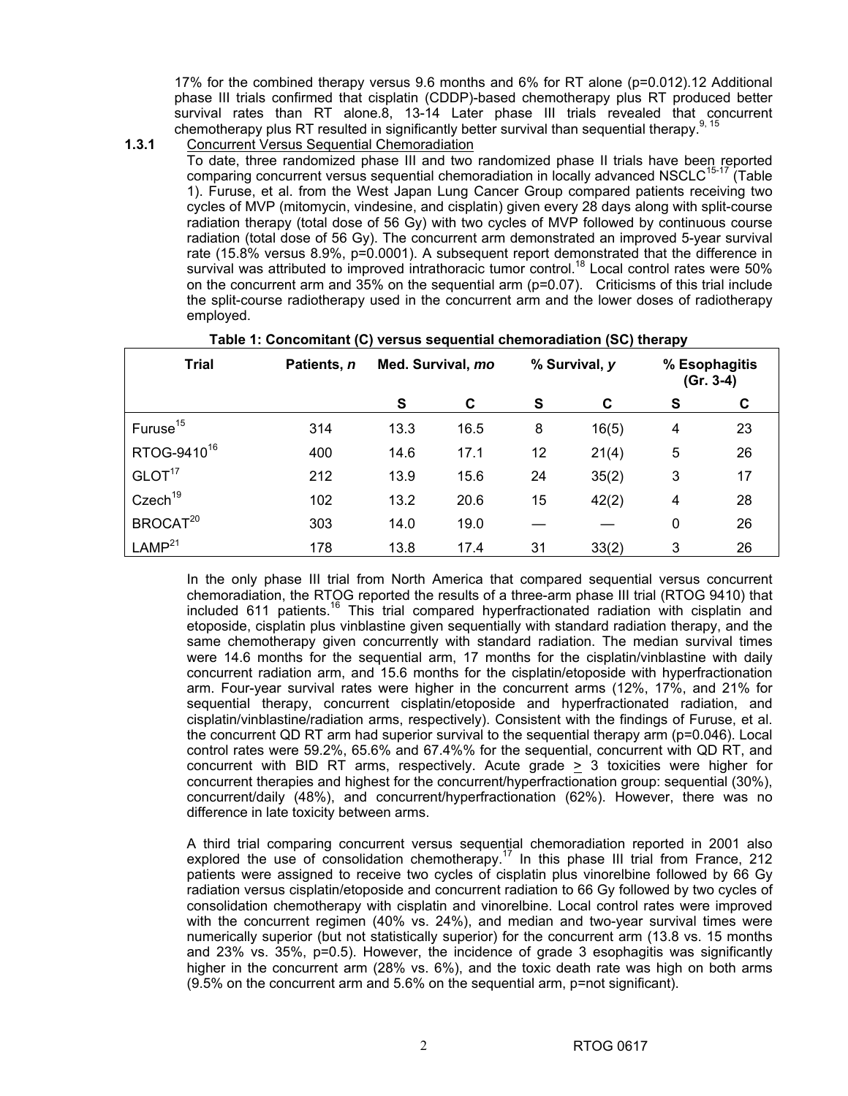17% for the combined therapy versus 9.6 months and 6% for RT alone (p=0.012).12 Additional phase III trials confirmed that cisplatin (CDDP)-based chemotherapy plus RT produced better survival rates than RT alone.8, 13-14 Later phase III trials revealed that concurrent chemotherapy plus RT resulted in significantly better survival than sequential therapy.<sup>9</sup>

**1.3.1** Concurrent Versus Sequential Chemoradiation

 To date, three randomized phase III and two randomized phase II trials have been reported comparing concurrent versus sequential chemoradiation in locally advanced NSCLC<sup>15-17</sup> (Table 1). Furuse, et al. from the West Japan Lung Cancer Group compared patients receiving two cycles of MVP (mitomycin, vindesine, and cisplatin) given every 28 days along with split-course radiation therapy (total dose of 56 Gy) with two cycles of MVP followed by continuous course radiation (total dose of 56 Gy). The concurrent arm demonstrated an improved 5-year survival rate (15.8% versus 8.9%, p=0.0001). A subsequent report demonstrated that the difference in survival was attributed to improved intrathoracic tumor control.<sup>18</sup> Local control rates were 50% on the concurrent arm and 35% on the sequential arm  $(p=0.07)$ . Criticisms of this trial include the split-course radiotherapy used in the concurrent arm and the lower doses of radiotherapy employed.

| <b>Trial</b>            | Patients, n | Med. Survival, mo |      | % Survival, y |       | % Esophagitis<br>$(Gr. 3-4)$ |    |
|-------------------------|-------------|-------------------|------|---------------|-------|------------------------------|----|
|                         |             | S                 | C    | S             | C     | S                            | C  |
| Furuse <sup>15</sup>    | 314         | 13.3              | 16.5 | 8             | 16(5) | 4                            | 23 |
| RTOG-9410 <sup>16</sup> | 400         | 14.6              | 17.1 | 12            | 21(4) | 5                            | 26 |
| GLOT <sup>17</sup>      | 212         | 13.9              | 15.6 | 24            | 35(2) | 3                            | 17 |
| $C$ zech $^{19}$        | 102         | 13.2              | 20.6 | 15            | 42(2) | 4                            | 28 |
| BROCAT <sup>20</sup>    | 303         | 14.0              | 19.0 |               |       | 0                            | 26 |
| LAMP <sup>21</sup>      | 178         | 13.8              | 17.4 | 31            | 33(2) | 3                            | 26 |

#### **Table 1: Concomitant (C) versus sequential chemoradiation (SC) therapy**

 In the only phase III trial from North America that compared sequential versus concurrent chemoradiation, the RTOG reported the results of a three-arm phase III trial (RTOG 9410) that included 611 patients.<sup>16</sup> This trial compared hyperfractionated radiation with cisplatin and etoposide, cisplatin plus vinblastine given sequentially with standard radiation therapy, and the same chemotherapy given concurrently with standard radiation. The median survival times were 14.6 months for the sequential arm, 17 months for the cisplatin/vinblastine with daily concurrent radiation arm, and 15.6 months for the cisplatin/etoposide with hyperfractionation arm. Four-year survival rates were higher in the concurrent arms (12%, 17%, and 21% for sequential therapy, concurrent cisplatin/etoposide and hyperfractionated radiation, and cisplatin/vinblastine/radiation arms, respectively). Consistent with the findings of Furuse, et al. the concurrent QD RT arm had superior survival to the sequential therapy arm (p=0.046). Local control rates were 59.2%, 65.6% and 67.4%% for the sequential, concurrent with QD RT, and concurrent with BID RT arms, respectively. Acute grade > 3 toxicities were higher for concurrent therapies and highest for the concurrent/hyperfractionation group: sequential (30%), concurrent/daily (48%), and concurrent/hyperfractionation (62%). However, there was no difference in late toxicity between arms.

 A third trial comparing concurrent versus sequential chemoradiation reported in 2001 also explored the use of consolidation chemotherapy.<sup>17</sup> In this phase III trial from France, 212 patients were assigned to receive two cycles of cisplatin plus vinorelbine followed by 66 Gy radiation versus cisplatin/etoposide and concurrent radiation to 66 Gy followed by two cycles of consolidation chemotherapy with cisplatin and vinorelbine. Local control rates were improved with the concurrent regimen (40% vs. 24%), and median and two-year survival times were numerically superior (but not statistically superior) for the concurrent arm (13.8 vs. 15 months and 23% vs. 35%, p=0.5). However, the incidence of grade 3 esophagitis was significantly higher in the concurrent arm (28% vs. 6%), and the toxic death rate was high on both arms (9.5% on the concurrent arm and 5.6% on the sequential arm, p=not significant).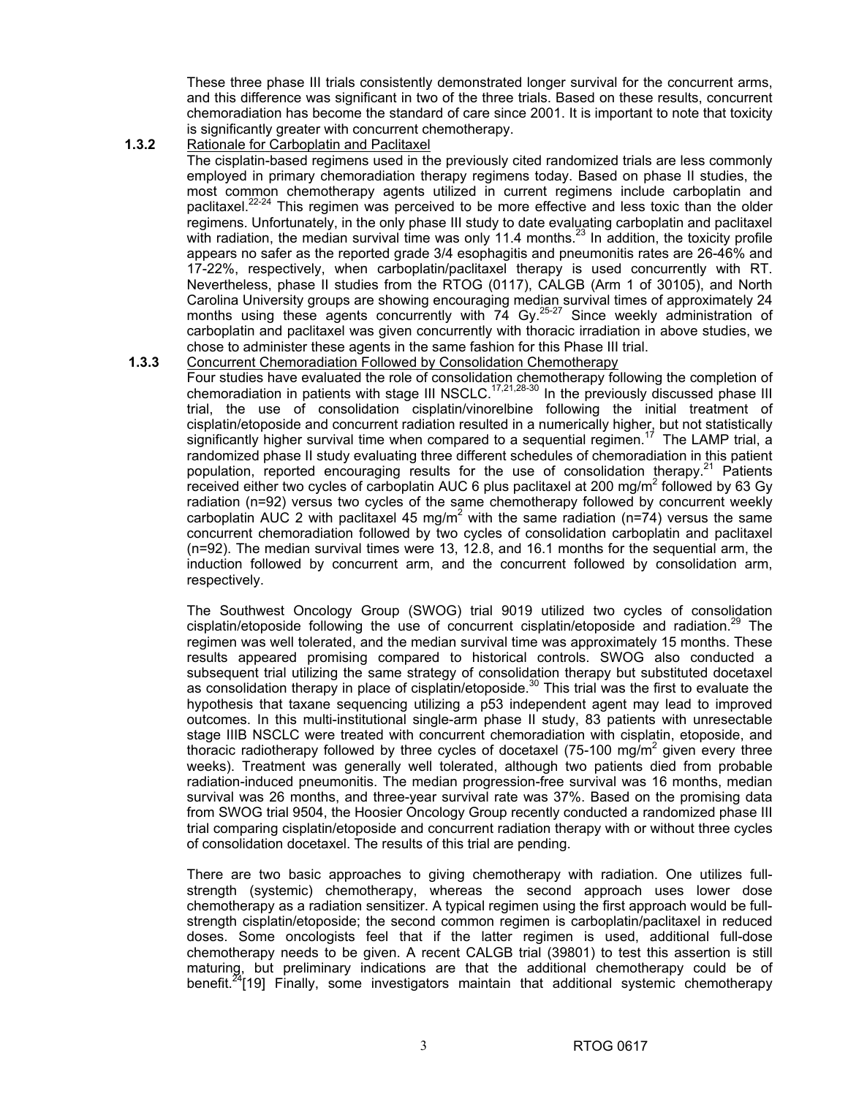These three phase III trials consistently demonstrated longer survival for the concurrent arms, and this difference was significant in two of the three trials. Based on these results, concurrent chemoradiation has become the standard of care since 2001. It is important to note that toxicity is significantly greater with concurrent chemotherapy.

## **1.3.2** Rationale for Carboplatin and Paclitaxel

 The cisplatin-based regimens used in the previously cited randomized trials are less commonly employed in primary chemoradiation therapy regimens today. Based on phase II studies, the most common chemotherapy agents utilized in current regimens include carboplatin and paclitaxel.<sup>22-24</sup> This regimen was perceived to be more effective and less toxic than the older regimens. Unfortunately, in the only phase III study to date evaluating carboplatin and paclitaxel with radiation, the median survival time was only 11.4 months.<sup>23</sup> In addition, the toxicity profile appears no safer as the reported grade 3/4 esophagitis and pneumonitis rates are 26-46% and 17-22%, respectively, when carboplatin/paclitaxel therapy is used concurrently with RT. Nevertheless, phase II studies from the RTOG (0117), CALGB (Arm 1 of 30105), and North Carolina University groups are showing encouraging median survival times of approximately 24 months using these agents concurrently with  $74$  Gy.<sup>25-27</sup> Since weekly administration of carboplatin and paclitaxel was given concurrently with thoracic irradiation in above studies, we chose to administer these agents in the same fashion for this Phase III trial.

## **1.3.3** Concurrent Chemoradiation Followed by Consolidation Chemotherapy

 Four studies have evaluated the role of consolidation chemotherapy following the completion of chemoradiation in patients with stage III NSCLC.<sup>17,21,28-30</sup> In the previously discussed phase III trial, the use of consolidation cisplatin/vinorelbine following the initial treatment of cisplatin/etoposide and concurrent radiation resulted in a numerically higher, but not statistically significantly higher survival time when compared to a sequential regimen.<sup>17</sup> The LAMP trial, a randomized phase II study evaluating three different schedules of chemoradiation in this patient population, reported encouraging results for the use of consolidation therapy.<sup>21</sup> Patients received either two cycles of carboplatin AUC 6 plus paclitaxel at 200 mg/m<sup>2</sup> followed by 63 Gy radiation (n=92) versus two cycles of the same chemotherapy followed by concurrent weekly carboplatin AUC 2 with paclitaxel 45 mg/m<sup>2</sup> with the same radiation (n=74) versus the same concurrent chemoradiation followed by two cycles of consolidation carboplatin and paclitaxel (n=92). The median survival times were 13, 12.8, and 16.1 months for the sequential arm, the induction followed by concurrent arm, and the concurrent followed by consolidation arm, respectively.

 The Southwest Oncology Group (SWOG) trial 9019 utilized two cycles of consolidation cisplatin/etoposide following the use of concurrent cisplatin/etoposide and radiation.<sup>29</sup> The regimen was well tolerated, and the median survival time was approximately 15 months. These results appeared promising compared to historical controls. SWOG also conducted a subsequent trial utilizing the same strategy of consolidation therapy but substituted docetaxel as consolidation therapy in place of cisplatin/etoposide.<sup>30</sup> This trial was the first to evaluate the hypothesis that taxane sequencing utilizing a p53 independent agent may lead to improved outcomes. In this multi-institutional single-arm phase II study, 83 patients with unresectable stage IIIB NSCLC were treated with concurrent chemoradiation with cisplatin, etoposide, and thoracic radiotherapy followed by three cycles of docetaxel (75-100 mg/m<sup>2</sup> given every three weeks). Treatment was generally well tolerated, although two patients died from probable radiation-induced pneumonitis. The median progression-free survival was 16 months, median survival was 26 months, and three-year survival rate was 37%. Based on the promising data from SWOG trial 9504, the Hoosier Oncology Group recently conducted a randomized phase III trial comparing cisplatin/etoposide and concurrent radiation therapy with or without three cycles of consolidation docetaxel. The results of this trial are pending.

 There are two basic approaches to giving chemotherapy with radiation. One utilizes fullstrength (systemic) chemotherapy, whereas the second approach uses lower dose chemotherapy as a radiation sensitizer. A typical regimen using the first approach would be fullstrength cisplatin/etoposide; the second common regimen is carboplatin/paclitaxel in reduced doses. Some oncologists feel that if the latter regimen is used, additional full-dose chemotherapy needs to be given. A recent CALGB trial (39801) to test this assertion is still maturing, but preliminary indications are that the additional chemotherapy could be of benefit.<sup>24</sup>[19] Finally, some investigators maintain that additional systemic chemotherapy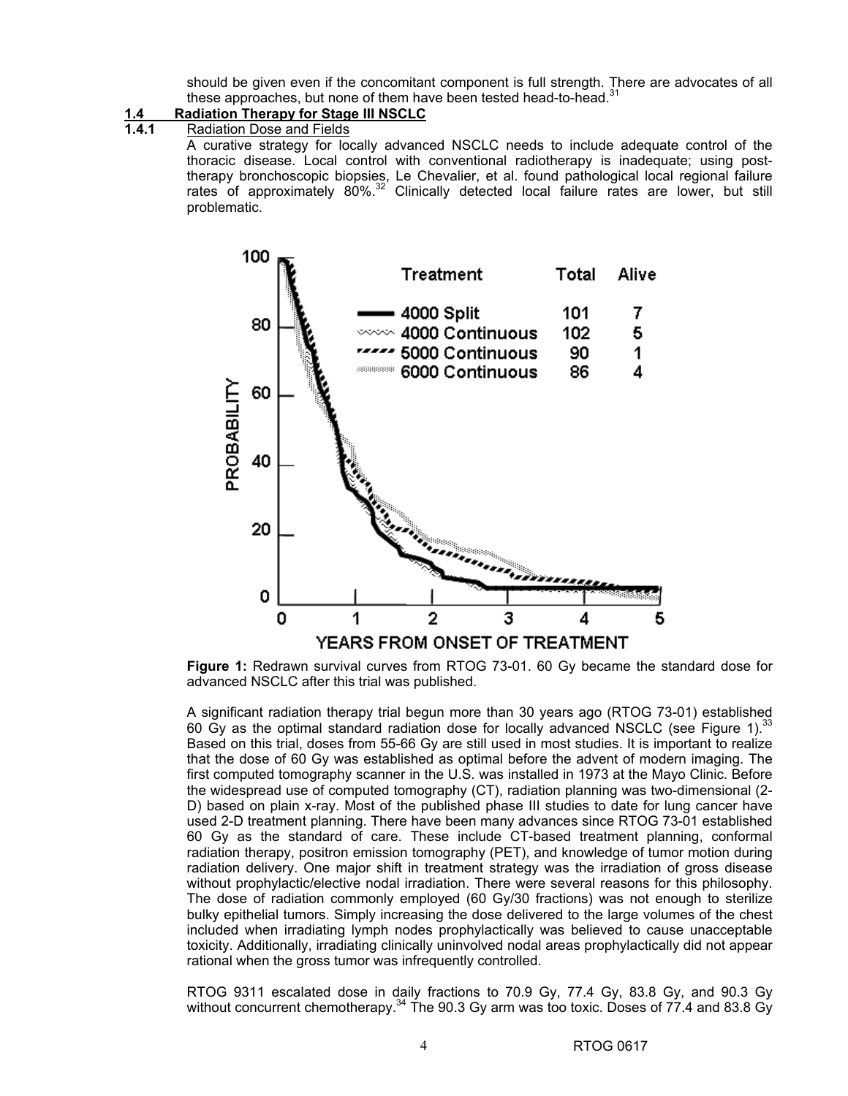should be given even if the concomitant component is full strength. There are advocates of all these approaches, but none of them have been tested head-to-head. $3$ 

## **1.4 Radiation Therapy for Stage III NSCLC**

#### **1.4.1** Radiation Dose and Fields

 A curative strategy for locally advanced NSCLC needs to include adequate control of the thoracic disease. Local control with conventional radiotherapy is inadequate; using posttherapy bronchoscopic biopsies, Le Chevalier, et al. found pathological local regional failure rates of approximately  $80\%$ <sup>32</sup> Clinically detected local failure rates are lower, but still problematic.



 **Figure 1:** Redrawn survival curves from RTOG 73-01. 60 Gy became the standard dose for advanced NSCLC after this trial was published.

 A significant radiation therapy trial begun more than 30 years ago (RTOG 73-01) established 60 Gy as the optimal standard radiation dose for locally advanced NSCLC (see Figure 1).<sup>33</sup> Based on this trial, doses from 55-66 Gy are still used in most studies. It is important to realize that the dose of 60 Gy was established as optimal before the advent of modern imaging. The first computed tomography scanner in the U.S. was installed in 1973 at the Mayo Clinic. Before the widespread use of computed tomography (CT), radiation planning was two-dimensional (2- D) based on plain x-ray. Most of the published phase III studies to date for lung cancer have used 2-D treatment planning. There have been many advances since RTOG 73-01 established 60 Gy as the standard of care. These include CT-based treatment planning, conformal radiation therapy, positron emission tomography (PET), and knowledge of tumor motion during radiation delivery. One major shift in treatment strategy was the irradiation of gross disease without prophylactic/elective nodal irradiation. There were several reasons for this philosophy. The dose of radiation commonly employed (60 Gy/30 fractions) was not enough to sterilize bulky epithelial tumors. Simply increasing the dose delivered to the large volumes of the chest included when irradiating lymph nodes prophylactically was believed to cause unacceptable toxicity. Additionally, irradiating clinically uninvolved nodal areas prophylactically did not appear rational when the gross tumor was infrequently controlled.

 RTOG 9311 escalated dose in daily fractions to 70.9 Gy, 77.4 Gy, 83.8 Gy, and 90.3 Gy without concurrent chemotherapy.<sup>34</sup> The 90.3 Gy arm was too toxic. Doses of 77.4 and 83.8 Gy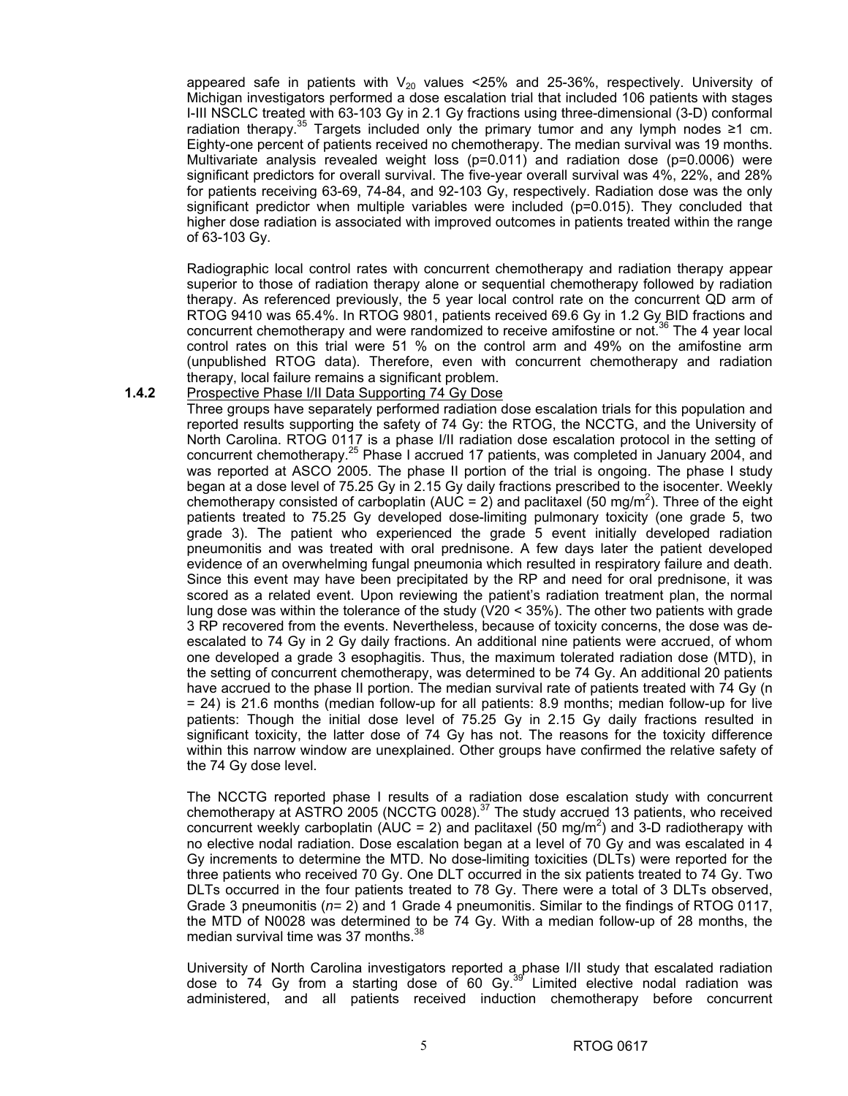appeared safe in patients with  $V_{20}$  values <25% and 25-36%, respectively. University of Michigan investigators performed a dose escalation trial that included 106 patients with stages I-III NSCLC treated with 63-103 Gy in 2.1 Gy fractions using three-dimensional (3-D) conformal radiation therapy.<sup>35</sup> Targets included only the primary tumor and any lymph nodes ≥1 cm. Eighty-one percent of patients received no chemotherapy. The median survival was 19 months. Multivariate analysis revealed weight loss (p=0.011) and radiation dose (p=0.0006) were significant predictors for overall survival. The five-year overall survival was 4%, 22%, and 28% for patients receiving 63-69, 74-84, and 92-103 Gy, respectively. Radiation dose was the only significant predictor when multiple variables were included (p=0.015). They concluded that higher dose radiation is associated with improved outcomes in patients treated within the range of 63-103 Gy.

 Radiographic local control rates with concurrent chemotherapy and radiation therapy appear superior to those of radiation therapy alone or sequential chemotherapy followed by radiation therapy. As referenced previously, the 5 year local control rate on the concurrent QD arm of RTOG 9410 was 65.4%. In RTOG 9801, patients received 69.6 Gy in 1.2 Gy BID fractions and concurrent chemotherapy and were randomized to receive amifostine or not.<sup>36</sup> The 4 year local control rates on this trial were 51 % on the control arm and 49% on the amifostine arm (unpublished RTOG data). Therefore, even with concurrent chemotherapy and radiation therapy, local failure remains a significant problem.

#### **1.4.2** Prospective Phase I/II Data Supporting 74 Gy Dose

 Three groups have separately performed radiation dose escalation trials for this population and reported results supporting the safety of 74 Gy: the RTOG, the NCCTG, and the University of North Carolina. RTOG 0117 is a phase I/II radiation dose escalation protocol in the setting of concurrent chemotherapy.<sup>25</sup> Phase I accrued 17 patients, was completed in January 2004, and was reported at ASCO 2005. The phase II portion of the trial is ongoing. The phase I study began at a dose level of 75.25 Gy in 2.15 Gy daily fractions prescribed to the isocenter. Weekly chemotherapy consisted of carboplatin (AUC = 2) and paclitaxel (50 mg/m<sup>2</sup>). Three of the eight patients treated to 75.25 Gy developed dose-limiting pulmonary toxicity (one grade 5, two grade 3). The patient who experienced the grade 5 event initially developed radiation pneumonitis and was treated with oral prednisone. A few days later the patient developed evidence of an overwhelming fungal pneumonia which resulted in respiratory failure and death. Since this event may have been precipitated by the RP and need for oral prednisone, it was scored as a related event. Upon reviewing the patient's radiation treatment plan, the normal lung dose was within the tolerance of the study (V20 < 35%). The other two patients with grade 3 RP recovered from the events. Nevertheless, because of toxicity concerns, the dose was deescalated to 74 Gy in 2 Gy daily fractions. An additional nine patients were accrued, of whom one developed a grade 3 esophagitis. Thus, the maximum tolerated radiation dose (MTD), in the setting of concurrent chemotherapy, was determined to be 74 Gy. An additional 20 patients have accrued to the phase II portion. The median survival rate of patients treated with 74 Gy (n = 24) is 21.6 months (median follow-up for all patients: 8.9 months; median follow-up for live patients: Though the initial dose level of 75.25 Gy in 2.15 Gy daily fractions resulted in significant toxicity, the latter dose of 74 Gy has not. The reasons for the toxicity difference within this narrow window are unexplained. Other groups have confirmed the relative safety of the 74 Gy dose level.

 The NCCTG reported phase I results of a radiation dose escalation study with concurrent chemotherapy at ASTRO 2005 (NCCTG 0028). $^{37}$  The study accrued 13 patients, who received concurrent weekly carboplatin ( $AUC = 2$ ) and paclitaxel (50 mg/m<sup>2</sup>) and 3-D radiotherapy with no elective nodal radiation. Dose escalation began at a level of 70 Gy and was escalated in 4 Gy increments to determine the MTD. No dose-limiting toxicities (DLTs) were reported for the three patients who received 70 Gy. One DLT occurred in the six patients treated to 74 Gy. Two DLTs occurred in the four patients treated to 78 Gy. There were a total of 3 DLTs observed, Grade 3 pneumonitis (*n=* 2) and 1 Grade 4 pneumonitis. Similar to the findings of RTOG 0117, the MTD of N0028 was determined to be 74 Gy. With a median follow-up of 28 months, the median survival time was 37 months.<sup>3</sup>

 University of North Carolina investigators reported a phase I/II study that escalated radiation dose to 74 Gy from a starting dose of 60 Gy.39 Limited elective nodal radiation was administered, and all patients received induction chemotherapy before concurrent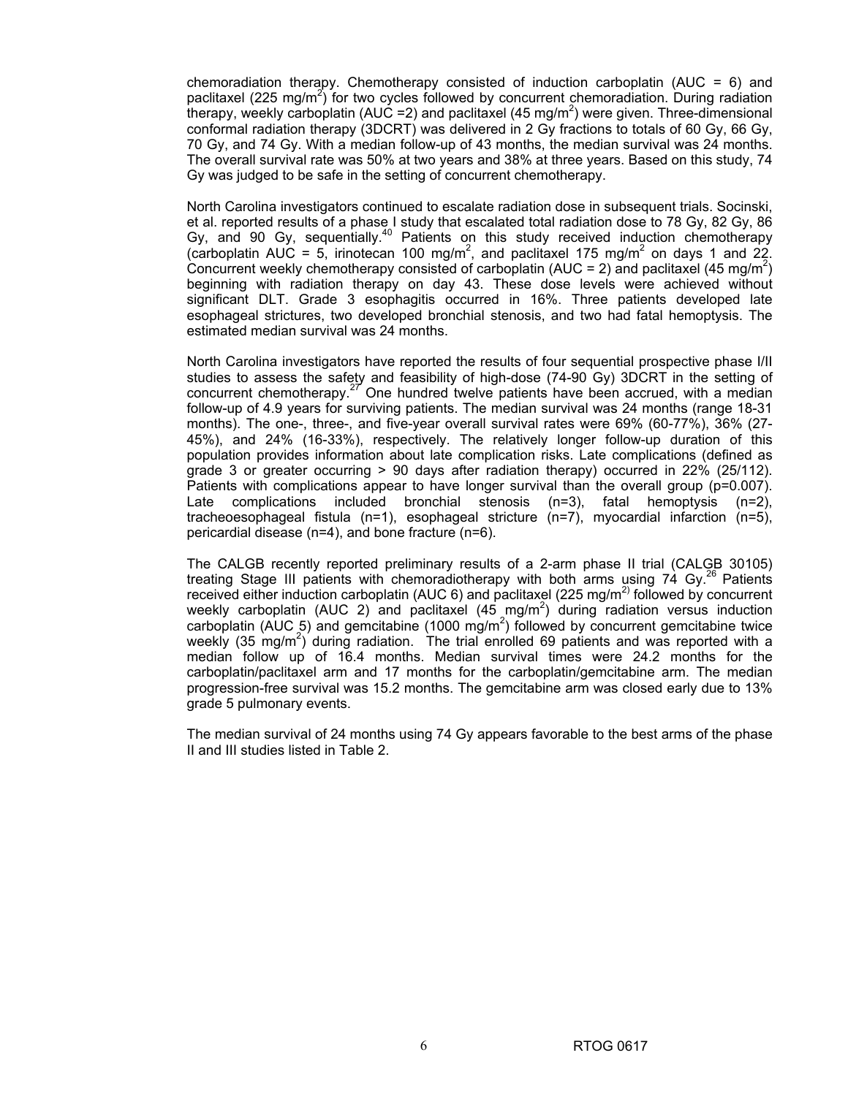chemoradiation therapy. Chemotherapy consisted of induction carboplatin ( $AUC = 6$ ) and paclitaxel (225 mg/m<sup>2</sup>) for two cycles followed by concurrent chemoradiation. During radiation therapy, weekly carboplatin (AUC = 2) and paclitaxel (45 mg/m<sup>2</sup>) were given. Three-dimensional conformal radiation therapy (3DCRT) was delivered in 2 Gy fractions to totals of 60 Gy, 66 Gy, 70 Gy, and 74 Gy. With a median follow-up of 43 months, the median survival was 24 months. The overall survival rate was 50% at two years and 38% at three years. Based on this study, 74 Gy was judged to be safe in the setting of concurrent chemotherapy.

 North Carolina investigators continued to escalate radiation dose in subsequent trials. Socinski, et al. reported results of a phase I study that escalated total radiation dose to 78 Gy, 82 Gy, 86 Gy, and 90 Gy, sequentially.<sup>40</sup> Patients on this study received induction chemotherapy (carboplatin AUC = 5, irinotecan 100 mg/m<sup>2</sup>, and paclitaxel 175 mg/m<sup>2</sup> on days 1 and 22. Concurrent weekly chemotherapy consisted of carboplatin (AUC = 2) and paclitaxel (45 mg/m<sup>2</sup>) beginning with radiation therapy on day 43. These dose levels were achieved without significant DLT. Grade 3 esophagitis occurred in 16%. Three patients developed late esophageal strictures, two developed bronchial stenosis, and two had fatal hemoptysis. The estimated median survival was 24 months.

 North Carolina investigators have reported the results of four sequential prospective phase I/II studies to assess the safety and feasibility of high-dose (74-90 Gy) 3DCRT in the setting of concurrent chemotherapy.<sup>27</sup> One hundred twelve patients have been accrued, with a median follow-up of 4.9 years for surviving patients. The median survival was 24 months (range 18-31 months). The one-, three-, and five-year overall survival rates were 69% (60-77%), 36% (27- 45%), and 24% (16-33%), respectively. The relatively longer follow-up duration of this population provides information about late complication risks. Late complications (defined as grade 3 or greater occurring  $> 90$  days after radiation therapy) occurred in 22% (25/112). Patients with complications appear to have longer survival than the overall group (p=0.007). Late complications included bronchial stenosis (n=3), fatal hemoptysis (n=2), tracheoesophageal fistula (n=1), esophageal stricture (n=7), myocardial infarction (n=5), pericardial disease (n=4), and bone fracture (n=6).

 The CALGB recently reported preliminary results of a 2-arm phase II trial (CALGB 30105) treating Stage III patients with chemoradiotherapy with both arms using  $74$  Gy.<sup>26</sup> Patients received either induction carboplatin (AUC 6) and paclitaxel (225 mg/m<sup>2)</sup> followed by concurrent weekly carboplatin (AUC 2) and paclitaxel (45 mg/m<sup>2</sup>) during radiation versus induction carboplatin (AUC 5) and gemcitabine (1000 mg/m<sup>2</sup>) followed by concurrent gemcitabine twice weekly (35 mg/m<sup>2</sup>) during radiation. The trial enrolled 69 patients and was reported with a median follow up of 16.4 months. Median survival times were 24.2 months for the carboplatin/paclitaxel arm and 17 months for the carboplatin/gemcitabine arm. The median progression-free survival was 15.2 months. The gemcitabine arm was closed early due to 13% grade 5 pulmonary events.

 The median survival of 24 months using 74 Gy appears favorable to the best arms of the phase II and III studies listed in Table 2.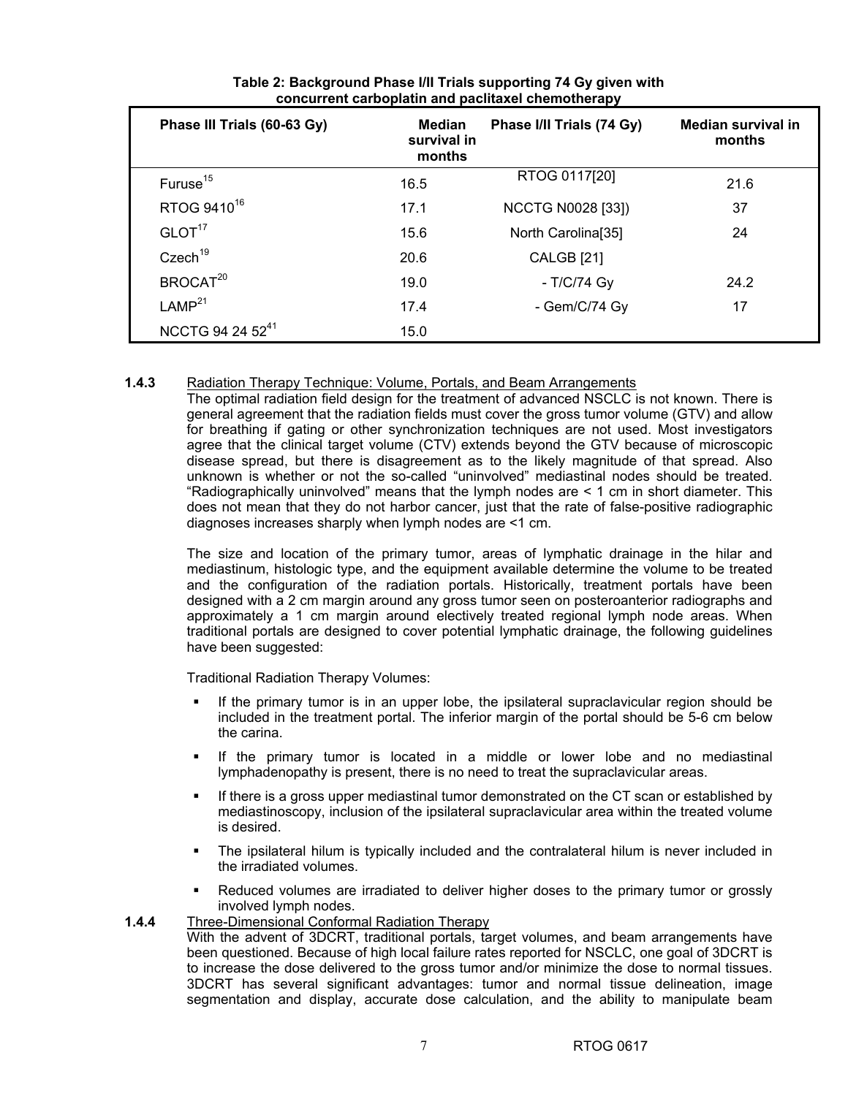| Phase III Trials (60-63 Gy)  | <b>Median</b><br>survival in<br>months | Phase I/II Trials (74 Gy) | <b>Median survival in</b><br>months |
|------------------------------|----------------------------------------|---------------------------|-------------------------------------|
| Furuse <sup>15</sup>         | 16.5                                   | RTOG 0117[20]             | 21.6                                |
| RTOG 9410 <sup>16</sup>      | 17.1                                   | <b>NCCTG N0028 [33])</b>  | 37                                  |
| GLOT <sup>17</sup>           | 15.6                                   | North Carolina[35]        | 24                                  |
| Czech <sup>19</sup>          | 20.6                                   | <b>CALGB</b> [21]         |                                     |
| BROCAT <sup>20</sup>         | 19.0                                   | - T/C/74 Gy               | 24.2                                |
| LAMP <sup>21</sup>           | 17.4                                   | - Gem/C/74 Gy             | 17                                  |
| NCCTG 94 24 52 <sup>41</sup> | 15.0                                   |                           |                                     |

#### **Table 2: Background Phase I/II Trials supporting 74 Gy given with concurrent carboplatin and paclitaxel chemotherapy**

## **1.4.3** Radiation Therapy Technique: Volume, Portals, and Beam Arrangements

 The optimal radiation field design for the treatment of advanced NSCLC is not known. There is general agreement that the radiation fields must cover the gross tumor volume (GTV) and allow for breathing if gating or other synchronization techniques are not used. Most investigators agree that the clinical target volume (CTV) extends beyond the GTV because of microscopic disease spread, but there is disagreement as to the likely magnitude of that spread. Also unknown is whether or not the so-called "uninvolved" mediastinal nodes should be treated. "Radiographically uninvolved" means that the lymph nodes are < 1 cm in short diameter. This does not mean that they do not harbor cancer, just that the rate of false-positive radiographic diagnoses increases sharply when lymph nodes are <1 cm.

 The size and location of the primary tumor, areas of lymphatic drainage in the hilar and mediastinum, histologic type, and the equipment available determine the volume to be treated and the configuration of the radiation portals. Historically, treatment portals have been designed with a 2 cm margin around any gross tumor seen on posteroanterior radiographs and approximately a 1 cm margin around electively treated regional lymph node areas. When traditional portals are designed to cover potential lymphatic drainage, the following guidelines have been suggested:

Traditional Radiation Therapy Volumes:

- If the primary tumor is in an upper lobe, the ipsilateral supraclavicular region should be included in the treatment portal. The inferior margin of the portal should be 5-6 cm below the carina.
- If the primary tumor is located in a middle or lower lobe and no mediastinal lymphadenopathy is present, there is no need to treat the supraclavicular areas.
- If there is a gross upper mediastinal tumor demonstrated on the CT scan or established by mediastinoscopy, inclusion of the ipsilateral supraclavicular area within the treated volume is desired.
- The ipsilateral hilum is typically included and the contralateral hilum is never included in the irradiated volumes.
- Reduced volumes are irradiated to deliver higher doses to the primary tumor or grossly involved lymph nodes.

## **1.4.4** Three-Dimensional Conformal Radiation Therapy

 With the advent of 3DCRT, traditional portals, target volumes, and beam arrangements have been questioned. Because of high local failure rates reported for NSCLC, one goal of 3DCRT is to increase the dose delivered to the gross tumor and/or minimize the dose to normal tissues. 3DCRT has several significant advantages: tumor and normal tissue delineation, image segmentation and display, accurate dose calculation, and the ability to manipulate beam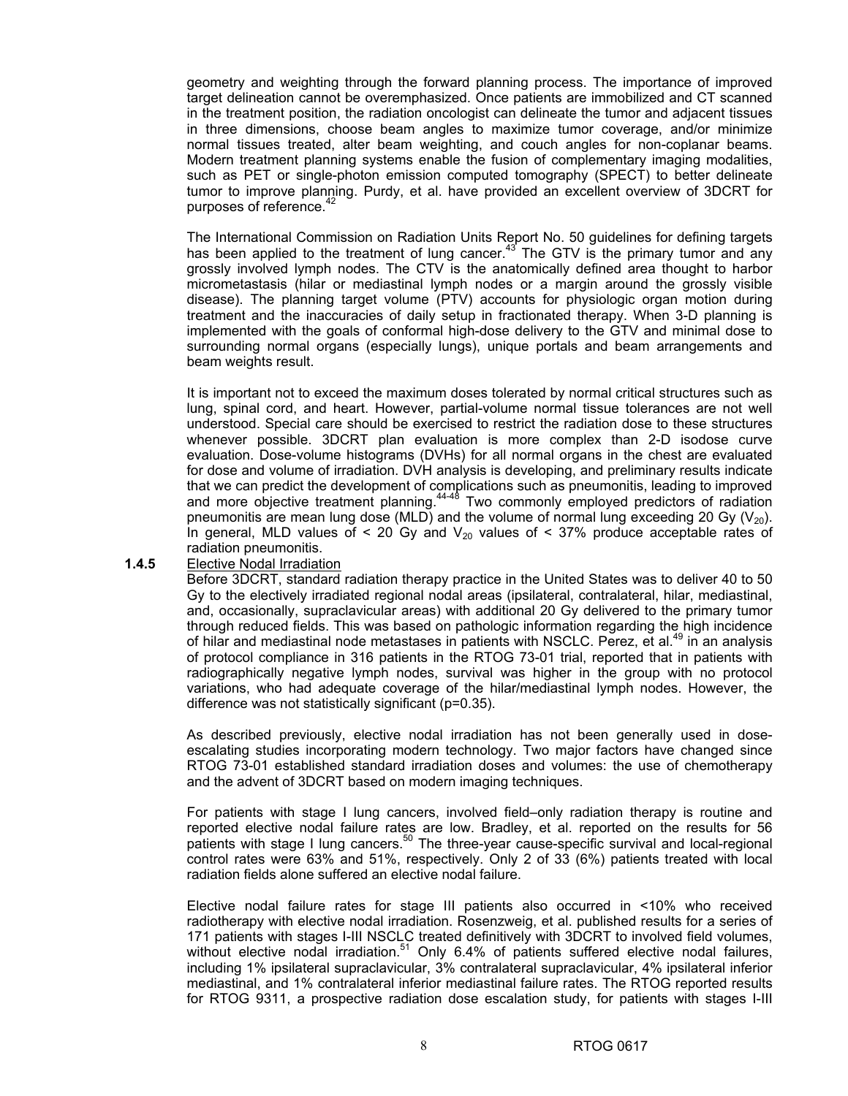geometry and weighting through the forward planning process. The importance of improved target delineation cannot be overemphasized. Once patients are immobilized and CT scanned in the treatment position, the radiation oncologist can delineate the tumor and adjacent tissues in three dimensions, choose beam angles to maximize tumor coverage, and/or minimize normal tissues treated, alter beam weighting, and couch angles for non-coplanar beams. Modern treatment planning systems enable the fusion of complementary imaging modalities, such as PET or single-photon emission computed tomography (SPECT) to better delineate tumor to improve planning. Purdy, et al. have provided an excellent overview of 3DCRT for purposes of reference.<sup>42</sup>

 The International Commission on Radiation Units Report No. 50 guidelines for defining targets has been applied to the treatment of lung cancer.<sup>43</sup> The GTV is the primary tumor and any grossly involved lymph nodes. The CTV is the anatomically defined area thought to harbor micrometastasis (hilar or mediastinal lymph nodes or a margin around the grossly visible disease). The planning target volume (PTV) accounts for physiologic organ motion during treatment and the inaccuracies of daily setup in fractionated therapy. When 3-D planning is implemented with the goals of conformal high-dose delivery to the GTV and minimal dose to surrounding normal organs (especially lungs), unique portals and beam arrangements and beam weights result.

 It is important not to exceed the maximum doses tolerated by normal critical structures such as lung, spinal cord, and heart. However, partial-volume normal tissue tolerances are not well understood. Special care should be exercised to restrict the radiation dose to these structures whenever possible. 3DCRT plan evaluation is more complex than 2-D isodose curve evaluation. Dose-volume histograms (DVHs) for all normal organs in the chest are evaluated for dose and volume of irradiation. DVH analysis is developing, and preliminary results indicate that we can predict the development of complications such as pneumonitis, leading to improved and more objective treatment planning.<sup>44-48</sup> Two commonly employed predictors of radiation pneumonitis are mean lung dose (MLD) and the volume of normal lung exceeding 20 Gy ( $V_{20}$ ). In general, MLD values of  $\leq$  20 Gy and V<sub>20</sub> values of  $\leq$  37% produce acceptable rates of radiation pneumonitis.

#### **1.4.5** Elective Nodal Irradiation

 Before 3DCRT, standard radiation therapy practice in the United States was to deliver 40 to 50 Gy to the electively irradiated regional nodal areas (ipsilateral, contralateral, hilar, mediastinal, and, occasionally, supraclavicular areas) with additional 20 Gy delivered to the primary tumor through reduced fields. This was based on pathologic information regarding the high incidence of hilar and mediastinal node metastases in patients with NSCLC. Perez, et al.<sup>49</sup> in an analysis of protocol compliance in 316 patients in the RTOG 73-01 trial, reported that in patients with radiographically negative lymph nodes, survival was higher in the group with no protocol variations, who had adequate coverage of the hilar/mediastinal lymph nodes. However, the difference was not statistically significant (p=0.35).

 As described previously, elective nodal irradiation has not been generally used in doseescalating studies incorporating modern technology. Two major factors have changed since RTOG 73-01 established standard irradiation doses and volumes: the use of chemotherapy and the advent of 3DCRT based on modern imaging techniques.

 For patients with stage I lung cancers, involved field–only radiation therapy is routine and reported elective nodal failure rates are low. Bradley, et al. reported on the results for 56 patients with stage I lung cancers.<sup>50</sup> The three-year cause-specific survival and local-regional control rates were 63% and 51%, respectively. Only 2 of 33 (6%) patients treated with local radiation fields alone suffered an elective nodal failure.

 Elective nodal failure rates for stage III patients also occurred in <10% who received radiotherapy with elective nodal irradiation. Rosenzweig, et al. published results for a series of 171 patients with stages I-III NSCLC treated definitively with 3DCRT to involved field volumes, without elective nodal irradiation.<sup>51</sup> Only 6.4% of patients suffered elective nodal failures, including 1% ipsilateral supraclavicular, 3% contralateral supraclavicular, 4% ipsilateral inferior mediastinal, and 1% contralateral inferior mediastinal failure rates. The RTOG reported results for RTOG 9311, a prospective radiation dose escalation study, for patients with stages I-III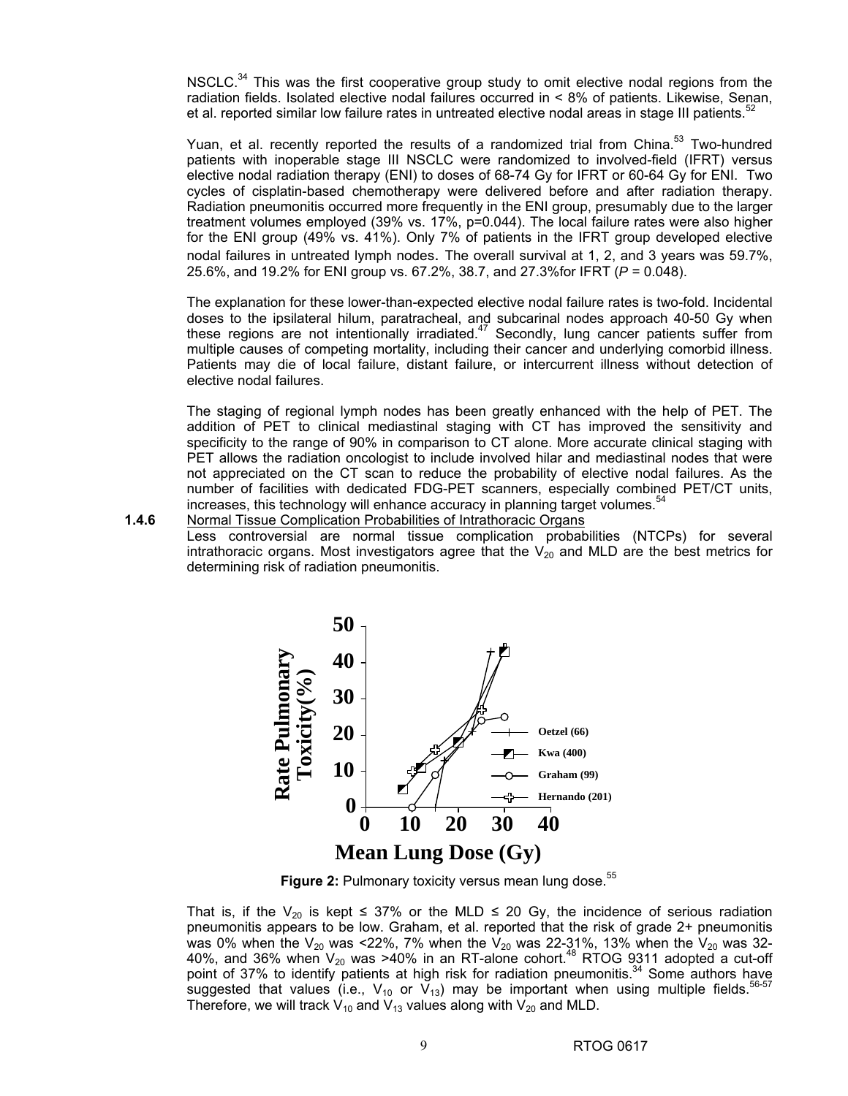NSCLC.<sup>34</sup> This was the first cooperative group study to omit elective nodal regions from the radiation fields. Isolated elective nodal failures occurred in < 8% of patients. Likewise, Senan, et al. reported similar low failure rates in untreated elective nodal areas in stage III patients.<sup>5</sup>

Yuan, et al. recently reported the results of a randomized trial from China.<sup>53</sup> Two-hundred patients with inoperable stage III NSCLC were randomized to involved-field (IFRT) versus elective nodal radiation therapy (ENI) to doses of 68-74 Gy for IFRT or 60-64 Gy for ENI. Two cycles of cisplatin-based chemotherapy were delivered before and after radiation therapy. Radiation pneumonitis occurred more frequently in the ENI group, presumably due to the larger treatment volumes employed (39% vs. 17%, p=0.044). The local failure rates were also higher for the ENI group (49% vs. 41%). Only 7% of patients in the IFRT group developed elective nodal failures in untreated lymph nodes. The overall survival at 1, 2, and 3 years was 59.7%, 25.6%, and 19.2% for ENI group vs. 67.2%, 38.7, and 27.3%for IFRT (*P* = 0.048).

 The explanation for these lower-than-expected elective nodal failure rates is two-fold. Incidental doses to the ipsilateral hilum, paratracheal, and subcarinal nodes approach 40-50 Gy when these regions are not intentionally irradiated.<sup>47</sup> Secondly, lung cancer patients suffer from multiple causes of competing mortality, including their cancer and underlying comorbid illness. Patients may die of local failure, distant failure, or intercurrent illness without detection of elective nodal failures.

 The staging of regional lymph nodes has been greatly enhanced with the help of PET. The addition of PET to clinical mediastinal staging with CT has improved the sensitivity and specificity to the range of 90% in comparison to CT alone. More accurate clinical staging with PET allows the radiation oncologist to include involved hilar and mediastinal nodes that were not appreciated on the CT scan to reduce the probability of elective nodal failures. As the number of facilities with dedicated FDG-PET scanners, especially combined PET/CT units, increases, this technology will enhance accuracy in planning target volumes.<sup>5</sup>

#### **1.4.6** Normal Tissue Complication Probabilities of Intrathoracic Organs

 Less controversial are normal tissue complication probabilities (NTCPs) for several intrathoracic organs. Most investigators agree that the  $V_{20}$  and MLD are the best metrics for determining risk of radiation pneumonitis.



**Figure 2:** Pulmonary toxicity versus mean lung dose.<sup>55</sup>

That is, if the V<sub>20</sub> is kept ≤ 37% or the MLD ≤ 20 Gy, the incidence of serious radiation pneumonitis appears to be low. Graham, et al. reported that the risk of grade 2+ pneumonitis was 0% when the V<sub>20</sub> was <22%, 7% when the V<sub>20</sub> was 22-31%, 13% when the V<sub>20</sub> was 32-40%, and 36% when  $V_{20}$  was >40% in an RT-alone cohort.<sup>48</sup> RTOG 9311 adopted a cut-off point of 37% to identify patients at high risk for radiation pneumonitis.<sup>34</sup> Some authors have suggested that values (i.e.,  $V_{10}$  or  $V_{13}$ ) may be important when using multiple fields.<sup>56-5</sup> Therefore, we will track  $V_{10}$  and  $V_{13}$  values along with  $V_{20}$  and MLD.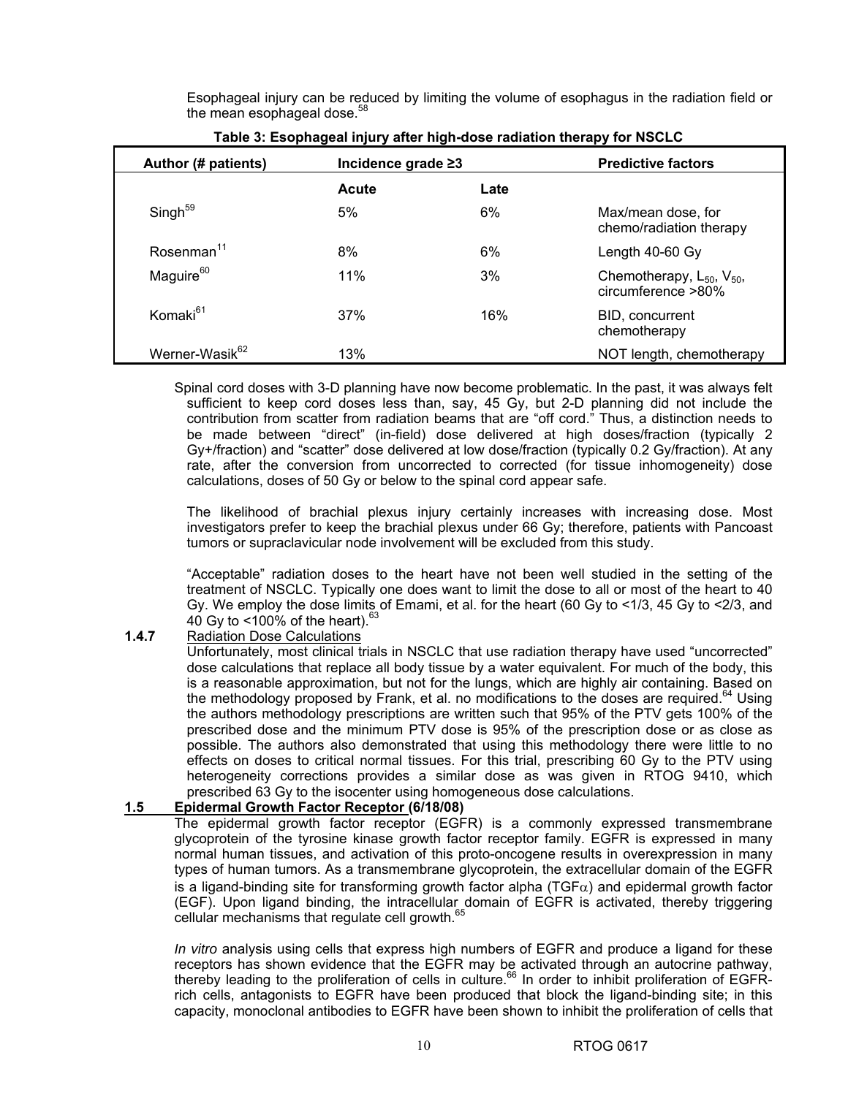Esophageal injury can be reduced by limiting the volume of esophagus in the radiation field or the mean esophageal dose.<sup>58</sup>

| Author (# patients)        | Incidence grade ≥3 |      | <b>Predictive factors</b>                                 |
|----------------------------|--------------------|------|-----------------------------------------------------------|
|                            | Acute              | Late |                                                           |
| Singh <sup>59</sup>        | 5%                 | 6%   | Max/mean dose, for<br>chemo/radiation therapy             |
| Rosenman $11$              | 8%                 | 6%   | Length $40-60$ Gy                                         |
| Maguire <sup>60</sup>      | 11%                | 3%   | Chemotherapy, $L_{50}$ , $V_{50}$ ,<br>circumference >80% |
| Komaki <sup>61</sup>       | 37%                | 16%  | BID, concurrent<br>chemotherapy                           |
| Werner-Wasik <sup>62</sup> | 13%                |      | NOT length, chemotherapy                                  |

## **Table 3: Esophageal injury after high-dose radiation therapy for NSCLC**

Spinal cord doses with 3-D planning have now become problematic. In the past, it was always felt sufficient to keep cord doses less than, say, 45 Gy, but 2-D planning did not include the contribution from scatter from radiation beams that are "off cord." Thus, a distinction needs to be made between "direct" (in-field) dose delivered at high doses/fraction (typically 2 Gy+/fraction) and "scatter" dose delivered at low dose/fraction (typically 0.2 Gy/fraction). At any rate, after the conversion from uncorrected to corrected (for tissue inhomogeneity) dose calculations, doses of 50 Gy or below to the spinal cord appear safe.

 The likelihood of brachial plexus injury certainly increases with increasing dose. Most investigators prefer to keep the brachial plexus under 66 Gy; therefore, patients with Pancoast tumors or supraclavicular node involvement will be excluded from this study.

 "Acceptable" radiation doses to the heart have not been well studied in the setting of the treatment of NSCLC. Typically one does want to limit the dose to all or most of the heart to 40 Gy. We employ the dose limits of Emami, et al. for the heart (60 Gy to  $\leq$ 1/3, 45 Gy to  $\leq$ 2/3, and 40 Gy to  $<$ 100% of the heart).  $63$ 

## 1.4.7 **Radiation Dose Calculations**

 Unfortunately, most clinical trials in NSCLC that use radiation therapy have used "uncorrected" dose calculations that replace all body tissue by a water equivalent. For much of the body, this is a reasonable approximation, but not for the lungs, which are highly air containing. Based on the methodology proposed by Frank, et al. no modifications to the doses are required.<sup>64</sup> Using the authors methodology prescriptions are written such that 95% of the PTV gets 100% of the prescribed dose and the minimum PTV dose is 95% of the prescription dose or as close as possible. The authors also demonstrated that using this methodology there were little to no effects on doses to critical normal tissues. For this trial, prescribing 60 Gy to the PTV using heterogeneity corrections provides a similar dose as was given in RTOG 9410, which prescribed 63 Gy to the isocenter using homogeneous dose calculations.

## **1.5 Epidermal Growth Factor Receptor (6/18/08)**

 The epidermal growth factor receptor (EGFR) is a commonly expressed transmembrane glycoprotein of the tyrosine kinase growth factor receptor family. EGFR is expressed in many normal human tissues, and activation of this proto-oncogene results in overexpression in many types of human tumors. As a transmembrane glycoprotein, the extracellular domain of the EGFR is a ligand-binding site for transforming growth factor alpha ( $TGF\alpha$ ) and epidermal growth factor (EGF). Upon ligand binding, the intracellular domain of EGFR is activated, thereby triggering cellular mechanisms that regulate cell growth.<sup>65</sup>

*In vitro* analysis using cells that express high numbers of EGFR and produce a ligand for these receptors has shown evidence that the EGFR may be activated through an autocrine pathway, thereby leading to the proliferation of cells in culture.<sup>66</sup> In order to inhibit proliferation of EGFRrich cells, antagonists to EGFR have been produced that block the ligand-binding site; in this capacity, monoclonal antibodies to EGFR have been shown to inhibit the proliferation of cells that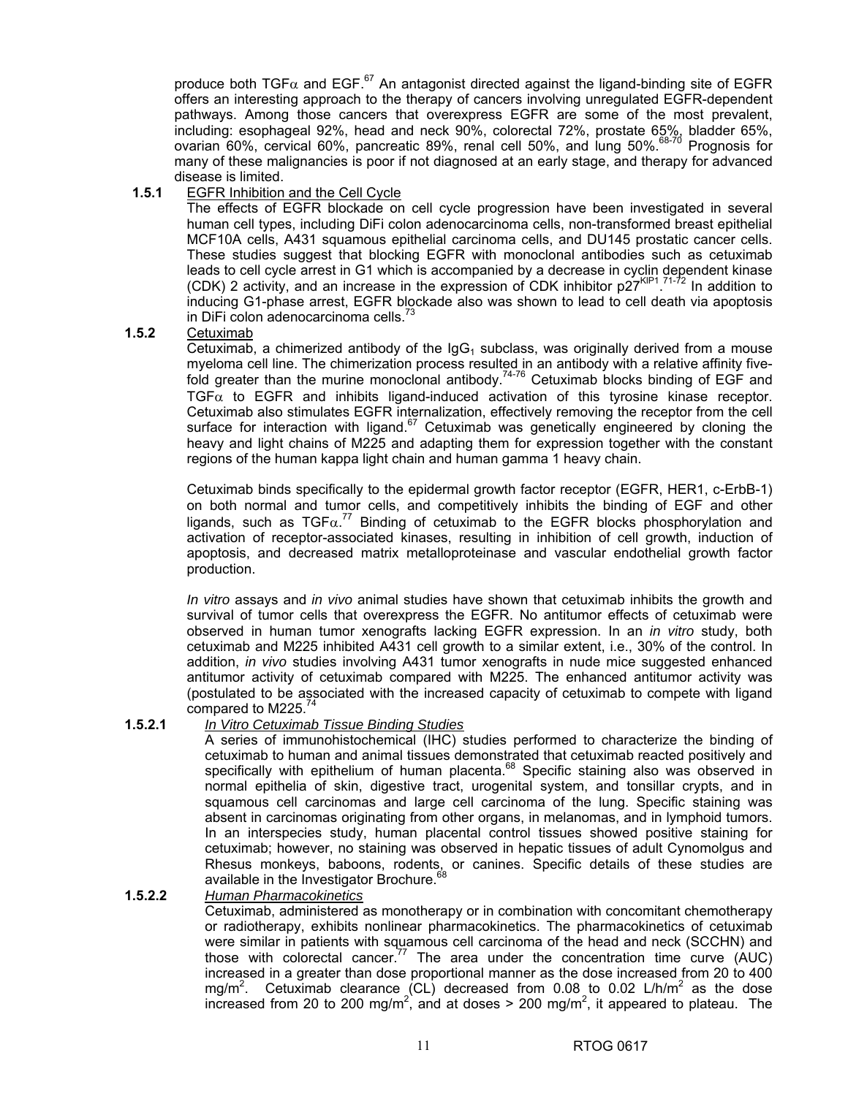produce both TGF $\alpha$  and EGF.<sup>67</sup> An antagonist directed against the ligand-binding site of EGFR offers an interesting approach to the therapy of cancers involving unregulated EGFR-dependent pathways. Among those cancers that overexpress EGFR are some of the most prevalent, including: esophageal 92%, head and neck 90%, colorectal 72%, prostate 65%, bladder 65%, ovarian 60%, cervical 60%, pancreatic 89%, renal cell 50%, and lung 50%.<sup>68-70</sup> Prognosis for many of these malignancies is poor if not diagnosed at an early stage, and therapy for advanced disease is limited.

#### **1.5.1** EGFR Inhibition and the Cell Cycle

 The effects of EGFR blockade on cell cycle progression have been investigated in several human cell types, including DiFi colon adenocarcinoma cells, non-transformed breast epithelial MCF10A cells, A431 squamous epithelial carcinoma cells, and DU145 prostatic cancer cells. These studies suggest that blocking EGFR with monoclonal antibodies such as cetuximab leads to cell cycle arrest in G1 which is accompanied by a decrease in cyclin dependent kinase (CDK) 2 activity, and an increase in the expression of CDK inhibitor  $p27^{KIP1.71-72}$  In addition to inducing G1-phase arrest, EGFR blockade also was shown to lead to cell death via apoptosis in DiFi colon adenocarcinoma cells. $73$ 

#### **1.5.2** Cetuximab

Cetuximab, a chimerized antibody of the  $\lg G_1$  subclass, was originally derived from a mouse myeloma cell line. The chimerization process resulted in an antibody with a relative affinity fivefold greater than the murine monoclonal antibody.<sup>74-76</sup> Cetuximab blocks binding of EGF and TGF $\alpha$  to EGFR and inhibits ligand-induced activation of this tyrosine kinase receptor. Cetuximab also stimulates EGFR internalization, effectively removing the receptor from the cell surface for interaction with ligand.<sup>67</sup> Cetuximab was genetically engineered by cloning the heavy and light chains of M225 and adapting them for expression together with the constant regions of the human kappa light chain and human gamma 1 heavy chain.

 Cetuximab binds specifically to the epidermal growth factor receptor (EGFR, HER1, c-ErbB-1) on both normal and tumor cells, and competitively inhibits the binding of EGF and other ligands, such as TGF $\alpha$ <sup>77</sup> Binding of cetuximab to the EGFR blocks phosphorylation and activation of receptor-associated kinases, resulting in inhibition of cell growth, induction of apoptosis, and decreased matrix metalloproteinase and vascular endothelial growth factor production.

*In vitro* assays and *in vivo* animal studies have shown that cetuximab inhibits the growth and survival of tumor cells that overexpress the EGFR. No antitumor effects of cetuximab were observed in human tumor xenografts lacking EGFR expression. In an *in vitro* study, both cetuximab and M225 inhibited A431 cell growth to a similar extent, i.e., 30% of the control. In addition, *in vivo* studies involving A431 tumor xenografts in nude mice suggested enhanced antitumor activity of cetuximab compared with M225. The enhanced antitumor activity was (postulated to be associated with the increased capacity of cetuximab to compete with ligand compared to M225.<sup>74</sup>

#### **1.5.2.1** *In Vitro Cetuximab Tissue Binding Studies*

 A series of immunohistochemical (IHC) studies performed to characterize the binding of cetuximab to human and animal tissues demonstrated that cetuximab reacted positively and specifically with epithelium of human placenta.<sup>68</sup> Specific staining also was observed in normal epithelia of skin, digestive tract, urogenital system, and tonsillar crypts, and in squamous cell carcinomas and large cell carcinoma of the lung. Specific staining was absent in carcinomas originating from other organs, in melanomas, and in lymphoid tumors. In an interspecies study, human placental control tissues showed positive staining for cetuximab; however, no staining was observed in hepatic tissues of adult Cynomolgus and Rhesus monkeys, baboons, rodents, or canines. Specific details of these studies are available in the Investigator Brochure.<sup>68</sup>

## **1.5.2.2** *Human Pharmacokinetics*

 Cetuximab, administered as monotherapy or in combination with concomitant chemotherapy or radiotherapy, exhibits nonlinear pharmacokinetics. The pharmacokinetics of cetuximab were similar in patients with squamous cell carcinoma of the head and neck (SCCHN) and those with colorectal cancer.<sup>77</sup> The area under the concentration time curve  $(AUC)$ increased in a greater than dose proportional manner as the dose increased from 20 to 400 mg/m<sup>2</sup>. Cetuximab clearance (CL) decreased from 0.08 to 0.02 L/h/m<sup>2</sup> as the dose increased from 20 to 200 mg/m<sup>2</sup>, and at doses > 200 mg/m<sup>2</sup>, it appeared to plateau. The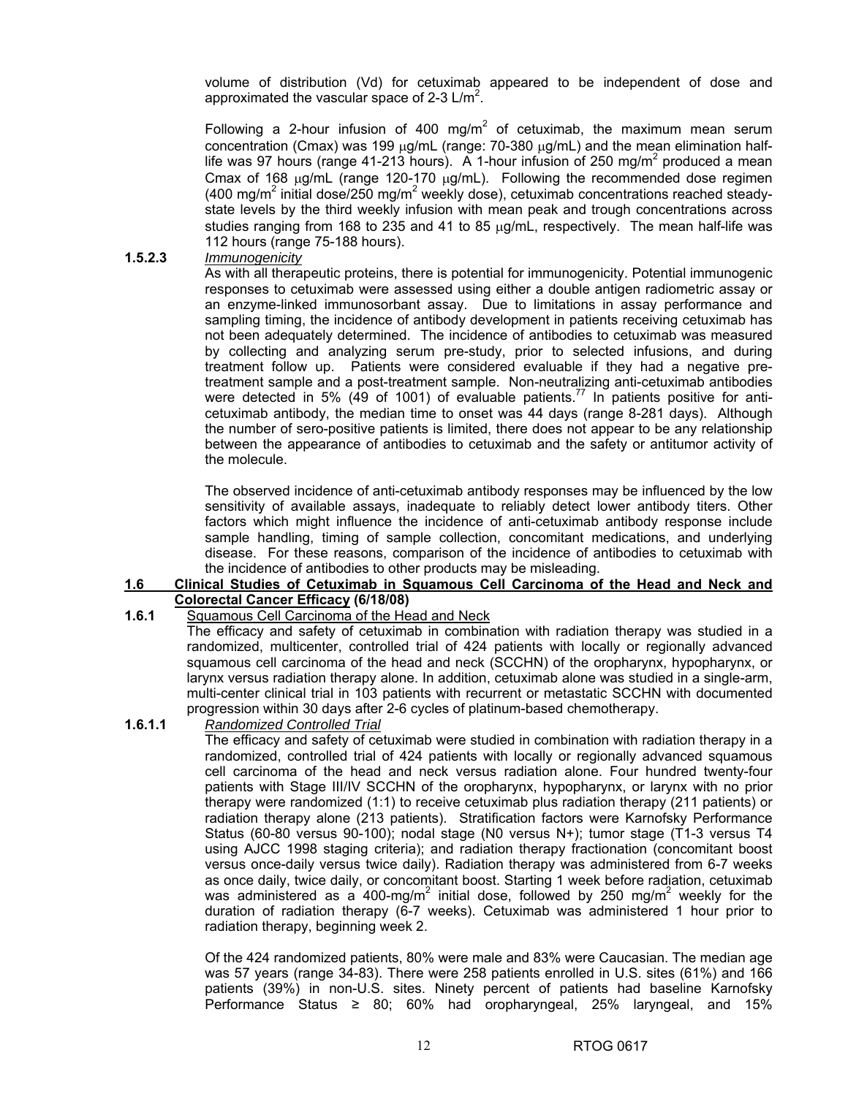volume of distribution (Vd) for cetuximab appeared to be independent of dose and approximated the vascular space of 2-3  $L/m^2$ .

Following a 2-hour infusion of 400 mg/m<sup>2</sup> of cetuximab, the maximum mean serum concentration (Cmax) was 199 μg/mL (range: 70-380 μg/mL) and the mean elimination halflife was 97 hours (range 41-213 hours). A 1-hour infusion of 250 mg/m<sup>2</sup> produced a mean Cmax of 168 μg/mL (range 120-170 μg/mL). Following the recommended dose regimen (400 mg/m<sup>2</sup> initial dose/250 mg/m<sup>2</sup> weekly dose), cetuximab concentrations reached steadystate levels by the third weekly infusion with mean peak and trough concentrations across studies ranging from 168 to 235 and 41 to 85  $\mu$ g/mL, respectively. The mean half-life was 112 hours (range 75-188 hours).

#### **1.5.2.3** *Immunogenicity*

 As with all therapeutic proteins, there is potential for immunogenicity. Potential immunogenic responses to cetuximab were assessed using either a double antigen radiometric assay or an enzyme-linked immunosorbant assay. Due to limitations in assay performance and sampling timing, the incidence of antibody development in patients receiving cetuximab has not been adequately determined. The incidence of antibodies to cetuximab was measured by collecting and analyzing serum pre-study, prior to selected infusions, and during treatment follow up. Patients were considered evaluable if they had a negative pretreatment sample and a post-treatment sample. Non-neutralizing anti-cetuximab antibodies were detected in 5% (49 of 1001) of evaluable patients.<sup>77</sup> In patients positive for anticetuximab antibody, the median time to onset was 44 days (range 8-281 days). Although the number of sero-positive patients is limited, there does not appear to be any relationship between the appearance of antibodies to cetuximab and the safety or antitumor activity of the molecule.

 The observed incidence of anti-cetuximab antibody responses may be influenced by the low sensitivity of available assays, inadequate to reliably detect lower antibody titers. Other factors which might influence the incidence of anti-cetuximab antibody response include sample handling, timing of sample collection, concomitant medications, and underlying disease. For these reasons, comparison of the incidence of antibodies to cetuximab with the incidence of antibodies to other products may be misleading.

#### **1.6 Clinical Studies of Cetuximab in Squamous Cell Carcinoma of the Head and Neck and Colorectal Cancer Efficacy (6/18/08)**

## **1.6.1** Squamous Cell Carcinoma of the Head and Neck

 The efficacy and safety of cetuximab in combination with radiation therapy was studied in a randomized, multicenter, controlled trial of 424 patients with locally or regionally advanced squamous cell carcinoma of the head and neck (SCCHN) of the oropharynx, hypopharynx, or larynx versus radiation therapy alone. In addition, cetuximab alone was studied in a single-arm, multi-center clinical trial in 103 patients with recurrent or metastatic SCCHN with documented progression within 30 days after 2-6 cycles of platinum-based chemotherapy.

#### **1.6.1.1** *Randomized Controlled Trial*

 The efficacy and safety of cetuximab were studied in combination with radiation therapy in a randomized, controlled trial of 424 patients with locally or regionally advanced squamous cell carcinoma of the head and neck versus radiation alone. Four hundred twenty-four patients with Stage III/IV SCCHN of the oropharynx, hypopharynx, or larynx with no prior therapy were randomized (1:1) to receive cetuximab plus radiation therapy (211 patients) or radiation therapy alone (213 patients). Stratification factors were Karnofsky Performance Status (60-80 versus 90-100); nodal stage (N0 versus N+); tumor stage (T1-3 versus T4 using AJCC 1998 staging criteria); and radiation therapy fractionation (concomitant boost versus once-daily versus twice daily). Radiation therapy was administered from 6-7 weeks as once daily, twice daily, or concomitant boost. Starting 1 week before radiation, cetuximab was administered as a 400-mg/m<sup>2</sup> initial dose, followed by 250 mg/m<sup>2</sup> weekly for the duration of radiation therapy (6-7 weeks). Cetuximab was administered 1 hour prior to radiation therapy, beginning week 2.

 Of the 424 randomized patients, 80% were male and 83% were Caucasian. The median age was 57 years (range 34-83). There were 258 patients enrolled in U.S. sites (61%) and 166 patients (39%) in non-U.S. sites. Ninety percent of patients had baseline Karnofsky Performance Status ≥ 80; 60% had oropharyngeal, 25% laryngeal, and 15%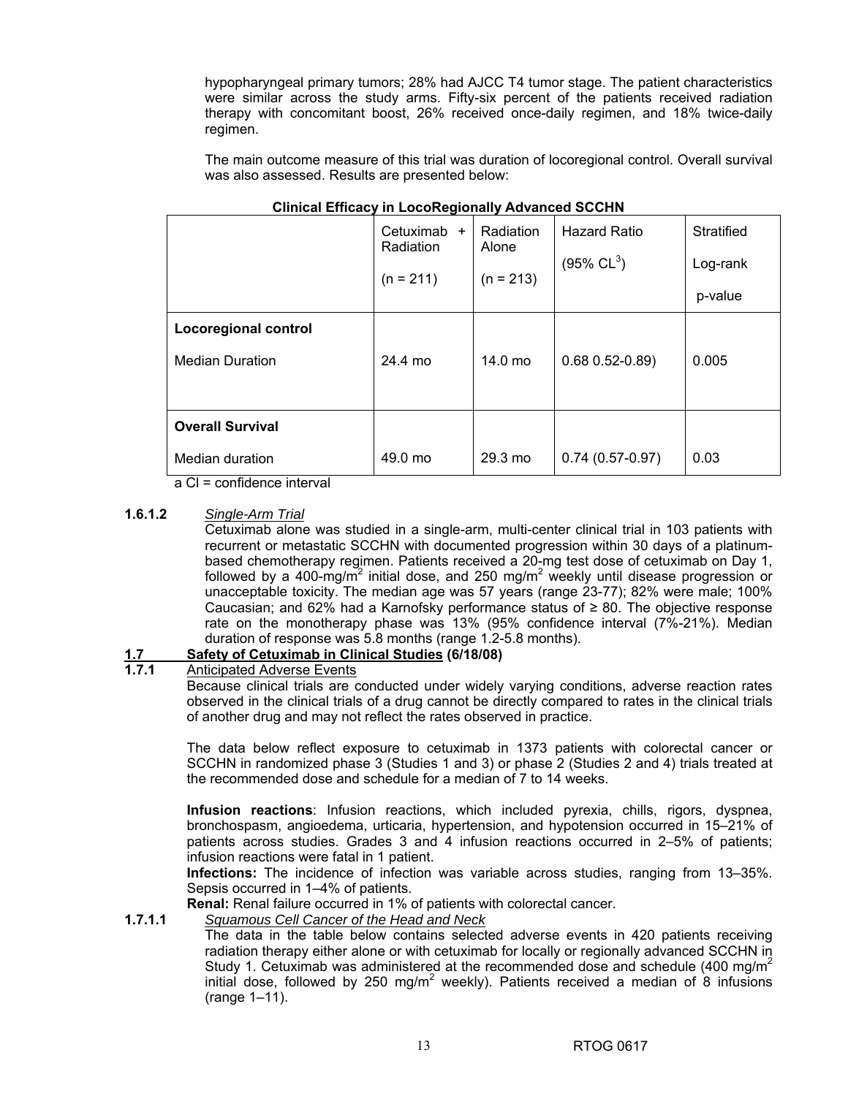hypopharyngeal primary tumors; 28% had AJCC T4 tumor stage. The patient characteristics were similar across the study arms. Fifty-six percent of the patients received radiation therapy with concomitant boost, 26% received once-daily regimen, and 18% twice-daily regimen.

 The main outcome measure of this trial was duration of locoregional control. Overall survival was also assessed. Results are presented below:

|                                                       | Cetuximab +<br>Radiation<br>$(n = 211)$ | Radiation<br>Alone<br>$(n = 213)$ | <b>Hazard Ratio</b><br>$(95\% \, CL^3)$ | Stratified<br>Log-rank<br>p-value |
|-------------------------------------------------------|-----------------------------------------|-----------------------------------|-----------------------------------------|-----------------------------------|
| <b>Locoregional control</b><br><b>Median Duration</b> | $24.4 \text{ mo}$                       | $14.0 \text{ mo}$                 | $0.68 0.52 - 0.89$                      | 0.005                             |
| <b>Overall Survival</b><br>Median duration            | 49.0 mo                                 | $29.3 \text{ mo}$                 | $0.74(0.57-0.97)$                       | 0.03                              |

#### **Clinical Efficacy in LocoRegionally Advanced SCCHN**

a Cl = confidence interval

#### **1.6.1.2** *Single-Arm Trial*

Cetuximab alone was studied in a single-arm, multi-center clinical trial in 103 patients with recurrent or metastatic SCCHN with documented progression within 30 days of a platinumbased chemotherapy regimen. Patients received a 20-mg test dose of cetuximab on Day 1, followed by a 400-mg/m<sup>2</sup> initial dose, and 250 mg/m<sup>2</sup> weekly until disease progression or unacceptable toxicity. The median age was 57 years (range 23-77); 82% were male; 100% Caucasian; and 62% had a Karnofsky performance status of ≥ 80. The objective response rate on the monotherapy phase was 13% (95% confidence interval (7%-21%). Median duration of response was 5.8 months (range 1.2-5.8 months).

## **1.7 Safety of Cetuximab in Clinical Studies (6/18/08)**

### **1.7.1** Anticipated Adverse Events

Because clinical trials are conducted under widely varying conditions, adverse reaction rates observed in the clinical trials of a drug cannot be directly compared to rates in the clinical trials of another drug and may not reflect the rates observed in practice.

 The data below reflect exposure to cetuximab in 1373 patients with colorectal cancer or SCCHN in randomized phase 3 (Studies 1 and 3) or phase 2 (Studies 2 and 4) trials treated at the recommended dose and schedule for a median of 7 to 14 weeks.

**Infusion reactions**: Infusion reactions, which included pyrexia, chills, rigors, dyspnea, bronchospasm, angioedema, urticaria, hypertension, and hypotension occurred in 15–21% of patients across studies. Grades 3 and 4 infusion reactions occurred in 2–5% of patients; infusion reactions were fatal in 1 patient.

 **Infections:** The incidence of infection was variable across studies, ranging from 13–35%. Sepsis occurred in 1–4% of patients.

 **Renal:** Renal failure occurred in 1% of patients with colorectal cancer.

**1.7.1.1** *Squamous Cell Cancer of the Head and Neck*

The data in the table below contains selected adverse events in 420 patients receiving radiation therapy either alone or with cetuximab for locally or regionally advanced SCCHN in Study 1. Cetuximab was administered at the recommended dose and schedule (400 mg/m<sup>2</sup> initial dose, followed by 250 mg/m<sup>2</sup> weekly). Patients received a median of 8 infusions (range 1–11).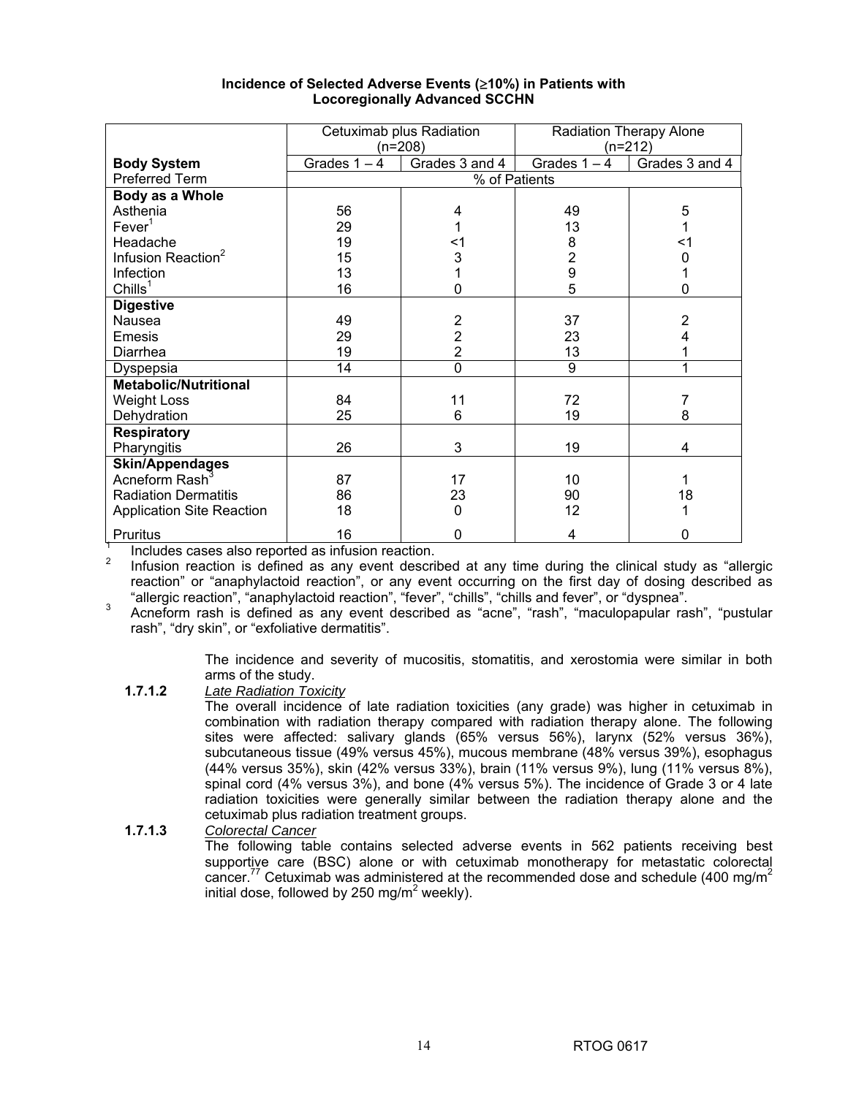|                                  | Cetuximab plus Radiation<br>$(n=208)$ |                |                | Radiation Therapy Alone |
|----------------------------------|---------------------------------------|----------------|----------------|-------------------------|
|                                  |                                       |                |                | $(n=212)$               |
| <b>Body System</b>               | Grades $1 - 4$                        | Grades 3 and 4 | Grades $1 - 4$ | Grades 3 and 4          |
| <b>Preferred Term</b>            |                                       | % of Patients  |                |                         |
| Body as a Whole                  |                                       |                |                |                         |
| Asthenia                         | 56                                    | 4              | 49             | 5                       |
| Fever <sup>1</sup>               | 29                                    |                | 13             |                         |
| Headache                         | 19                                    | $<$ 1          | 8              | <1                      |
| Infusion Reaction <sup>2</sup>   | 15                                    | 3              | $\overline{c}$ | 0                       |
| Infection                        | 13                                    |                | 9              |                         |
| Chills <sup>1</sup>              | 16                                    | 0              | 5              | 0                       |
| <b>Digestive</b>                 |                                       |                |                |                         |
| Nausea                           | 49                                    | 2              | 37             | 2                       |
| <b>Emesis</b>                    | 29                                    | $\overline{2}$ | 23             | 4                       |
| Diarrhea                         | 19                                    | $\overline{2}$ | 13             |                         |
| Dyspepsia                        | 14                                    | $\overline{0}$ | 9              |                         |
| <b>Metabolic/Nutritional</b>     |                                       |                |                |                         |
| <b>Weight Loss</b>               | 84                                    | 11             | 72             | 7                       |
| Dehydration                      | 25                                    | 6              | 19             | 8                       |
| <b>Respiratory</b>               |                                       |                |                |                         |
| Pharyngitis                      | 26                                    | 3              | 19             | 4                       |
| <b>Skin/Appendages</b>           |                                       |                |                |                         |
| Acneform Rash <sup>3</sup>       | 87                                    | 17             | 10             |                         |
| <b>Radiation Dermatitis</b>      | 86                                    | 23             | 90             | 18                      |
| <b>Application Site Reaction</b> | 18                                    | 0              | 12             |                         |
| Pruritus                         | 16                                    | 0              | 4              | 0                       |

## **Incidence of Selected Adverse Events (**≥**10%) in Patients with Locoregionally Advanced SCCHN**

1 Includes cases also reported as infusion reaction.

2 Infusion reaction is defined as any event described at any time during the clinical study as "allergic reaction" or "anaphylactoid reaction", or any event occurring on the first day of dosing described as "allergic reaction", "anaphylactoid reaction", "fever", "chills", "chills and fever", or "dyspnea". 3

 Acneform rash is defined as any event described as "acne", "rash", "maculopapular rash", "pustular rash", "dry skin", or "exfoliative dermatitis".

> The incidence and severity of mucositis, stomatitis, and xerostomia were similar in both arms of the study.

**1.7.1.2** *Late Radiation Toxicity*

 The overall incidence of late radiation toxicities (any grade) was higher in cetuximab in combination with radiation therapy compared with radiation therapy alone. The following sites were affected: salivary glands (65% versus 56%), larynx (52% versus 36%), subcutaneous tissue (49% versus 45%), mucous membrane (48% versus 39%), esophagus (44% versus 35%), skin (42% versus 33%), brain (11% versus 9%), lung (11% versus 8%), spinal cord (4% versus 3%), and bone (4% versus 5%). The incidence of Grade 3 or 4 late radiation toxicities were generally similar between the radiation therapy alone and the cetuximab plus radiation treatment groups.

**1.7.1.3** *Colorectal Cancer* The following table contains selected adverse events in 562 patients receiving best supportive care (BSC) alone or with cetuximab monotherapy for metastatic colorectal cancer.<sup>77</sup> Cetuximab was administered at the recommended dose and schedule (400 mg/m<sup>2</sup> initial dose, followed by 250 mg/m<sup>2</sup> weekly).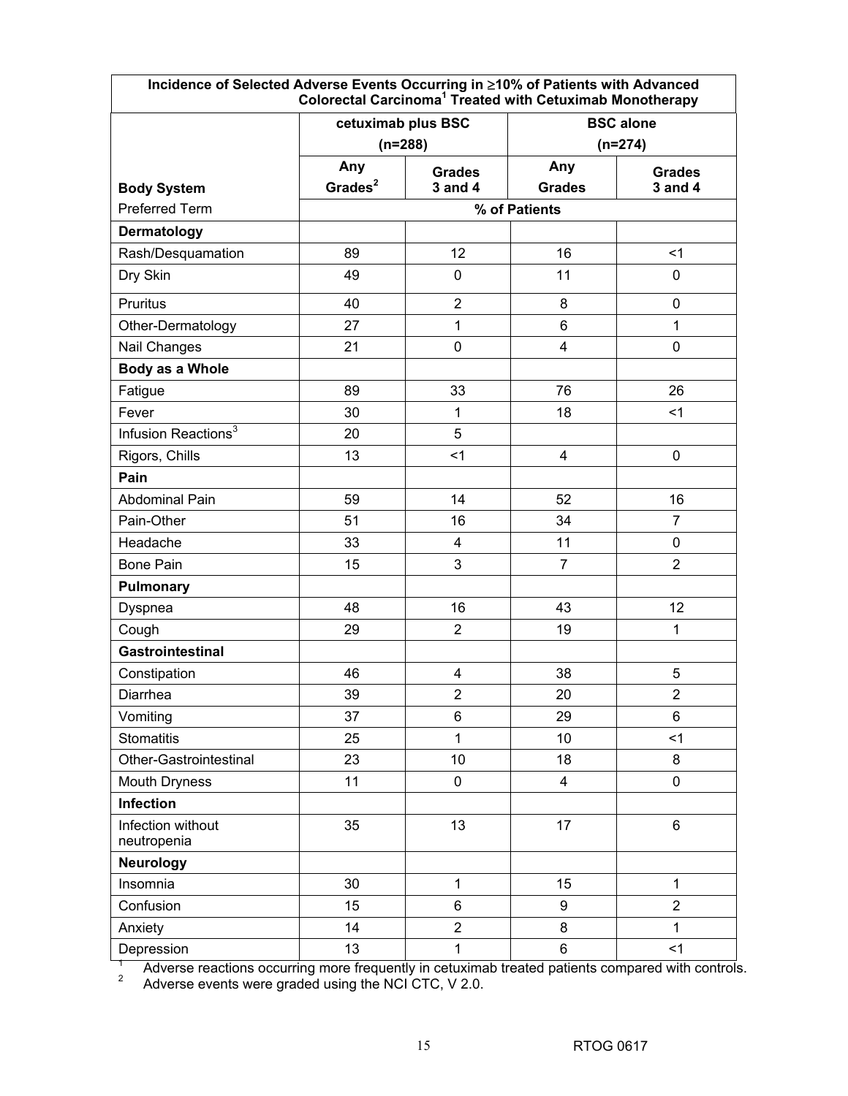| Incidence of Selected Adverse Events Occurring in ≥10% of Patients with Advanced<br>Colorectal Carcinoma <sup>1</sup> Treated with Cetuximab Monotherapy |                    |                         |                         |                |  |
|----------------------------------------------------------------------------------------------------------------------------------------------------------|--------------------|-------------------------|-------------------------|----------------|--|
|                                                                                                                                                          | cetuximab plus BSC |                         | <b>BSC</b> alone        |                |  |
|                                                                                                                                                          | $(n=288)$          |                         |                         | $(n=274)$      |  |
|                                                                                                                                                          | Any                | <b>Grades</b>           | Any                     | <b>Grades</b>  |  |
| <b>Body System</b>                                                                                                                                       | Grades $2$         | 3 and 4                 | <b>Grades</b>           | $3$ and $4$    |  |
| <b>Preferred Term</b>                                                                                                                                    |                    |                         | % of Patients           |                |  |
| Dermatology                                                                                                                                              |                    |                         |                         |                |  |
| Rash/Desquamation                                                                                                                                        | 89                 | 12                      | 16                      | $<$ 1          |  |
| Dry Skin                                                                                                                                                 | 49                 | $\mathbf 0$             | 11                      | 0              |  |
| Pruritus                                                                                                                                                 | 40                 | $\overline{2}$          | 8                       | $\mathbf 0$    |  |
| Other-Dermatology                                                                                                                                        | 27                 | 1                       | 6                       | 1              |  |
| Nail Changes                                                                                                                                             | 21                 | $\mathbf 0$             | 4                       | $\mathbf 0$    |  |
| Body as a Whole                                                                                                                                          |                    |                         |                         |                |  |
| Fatigue                                                                                                                                                  | 89                 | 33                      | 76                      | 26             |  |
| Fever                                                                                                                                                    | 30                 | 1                       | 18                      | $<$ 1          |  |
| Infusion Reactions <sup>3</sup>                                                                                                                          | 20                 | 5                       |                         |                |  |
| Rigors, Chills                                                                                                                                           | 13                 | $<$ 1                   | $\overline{\mathbf{4}}$ | $\mathbf 0$    |  |
| Pain                                                                                                                                                     |                    |                         |                         |                |  |
| <b>Abdominal Pain</b>                                                                                                                                    | 59                 | 14                      | 52                      | 16             |  |
| Pain-Other                                                                                                                                               | 51                 | 16                      | 34                      | $\overline{7}$ |  |
| Headache                                                                                                                                                 | 33                 | 4                       | 11                      | $\mathbf 0$    |  |
| <b>Bone Pain</b>                                                                                                                                         | 15                 | 3                       | $\overline{7}$          | $\overline{2}$ |  |
| <b>Pulmonary</b>                                                                                                                                         |                    |                         |                         |                |  |
| Dyspnea                                                                                                                                                  | 48                 | 16                      | 43                      | 12             |  |
| Cough                                                                                                                                                    | 29                 | $\overline{2}$          | 19                      | 1              |  |
| Gastrointestinal                                                                                                                                         |                    |                         |                         |                |  |
| Constipation                                                                                                                                             | 46                 | 4                       | 38                      | 5              |  |
| Diarrhea                                                                                                                                                 | 39                 | $\overline{\mathbf{c}}$ | 20                      | $\overline{c}$ |  |
| Vomiting                                                                                                                                                 | 37                 | 6                       | 29                      | 6              |  |
| <b>Stomatitis</b>                                                                                                                                        | 25                 | 1                       | 10                      | $\leq$ 1       |  |
| Other-Gastrointestinal                                                                                                                                   | 23                 | 10                      | 18                      | 8              |  |
| <b>Mouth Dryness</b>                                                                                                                                     | 11                 | $\mathbf 0$             | 4                       | $\mathbf 0$    |  |
| Infection                                                                                                                                                |                    |                         |                         |                |  |
| Infection without<br>neutropenia                                                                                                                         | 35                 | 13                      | 17                      | 6              |  |
| Neurology                                                                                                                                                |                    |                         |                         |                |  |
| Insomnia                                                                                                                                                 | 30                 | $\mathbf 1$             | 15                      | 1              |  |
| Confusion                                                                                                                                                | 15                 | $6\phantom{1}$          | 9                       | $\overline{2}$ |  |
| Anxiety                                                                                                                                                  | 14                 | $\overline{2}$          | 8                       | 1              |  |
| Depression                                                                                                                                               | 13                 | $\mathbf{1}$            | 6                       | $<$ 1          |  |

1  $^{\text{1}}$  Adverse reactions occurring more frequently in cetuximab treated patients compared with controls.<br><sup>2</sup> Adverse events were graded using the NCI CTC, V 2.0.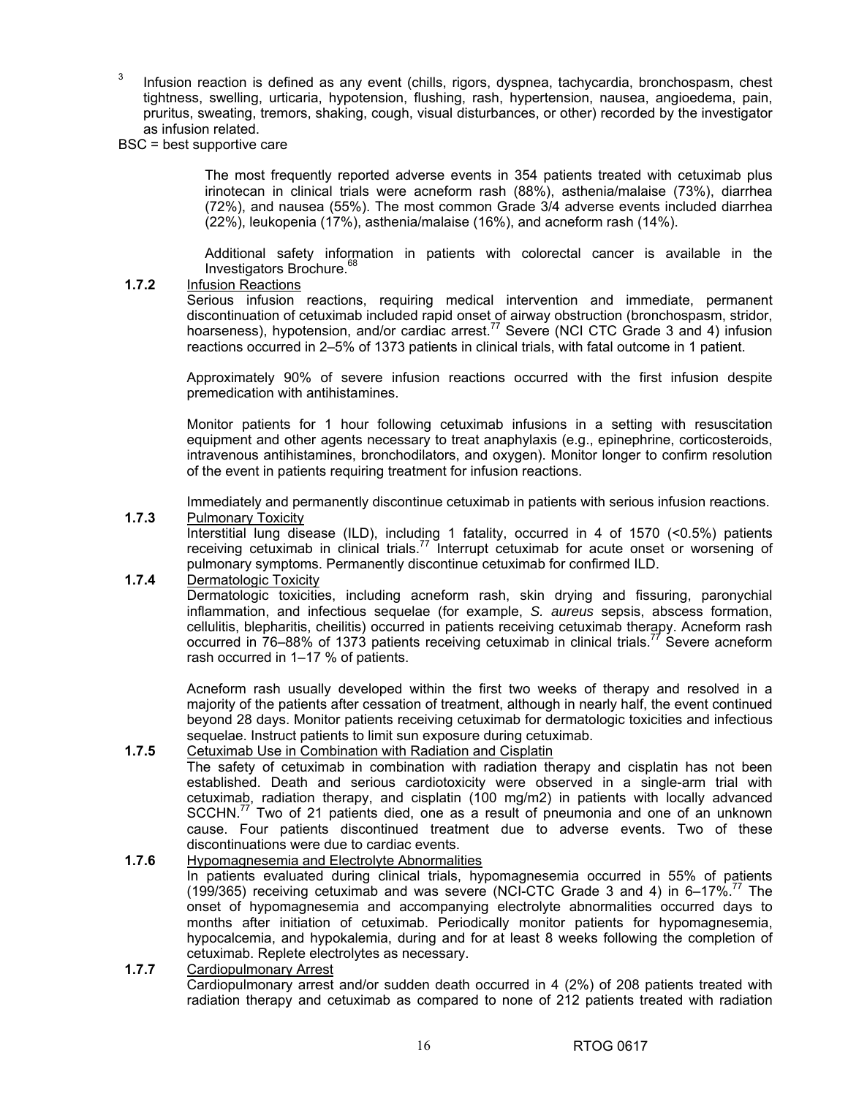- 3 Infusion reaction is defined as any event (chills, rigors, dyspnea, tachycardia, bronchospasm, chest tightness, swelling, urticaria, hypotension, flushing, rash, hypertension, nausea, angioedema, pain, pruritus, sweating, tremors, shaking, cough, visual disturbances, or other) recorded by the investigator as infusion related.
- BSC = best supportive care

The most frequently reported adverse events in 354 patients treated with cetuximab plus irinotecan in clinical trials were acneform rash (88%), asthenia/malaise (73%), diarrhea (72%), and nausea (55%). The most common Grade 3/4 adverse events included diarrhea (22%), leukopenia (17%), asthenia/malaise (16%), and acneform rash (14%).

 Additional safety information in patients with colorectal cancer is available in the Investigators Brochure.<sup>68</sup>

**1.7.2** Infusion Reactions

 Serious infusion reactions, requiring medical intervention and immediate, permanent discontinuation of cetuximab included rapid onset of airway obstruction (bronchospasm, stridor, hoarseness), hypotension, and/or cardiac arrest.<sup>77</sup> Severe (NCI CTC Grade 3 and 4) infusion reactions occurred in 2–5% of 1373 patients in clinical trials, with fatal outcome in 1 patient.

 Approximately 90% of severe infusion reactions occurred with the first infusion despite premedication with antihistamines.

 Monitor patients for 1 hour following cetuximab infusions in a setting with resuscitation equipment and other agents necessary to treat anaphylaxis (e.g., epinephrine, corticosteroids, intravenous antihistamines, bronchodilators, and oxygen). Monitor longer to confirm resolution of the event in patients requiring treatment for infusion reactions.

Immediately and permanently discontinue cetuximab in patients with serious infusion reactions.

#### **1.7.3** Pulmonary Toxicity

 Interstitial lung disease (ILD), including 1 fatality, occurred in 4 of 1570 (<0.5%) patients receiving cetuximab in clinical trials.<sup>77</sup> Interrupt cetuximab for acute onset or worsening of pulmonary symptoms. Permanently discontinue cetuximab for confirmed ILD.

**1.7.4** Dermatologic Toxicity

 Dermatologic toxicities, including acneform rash, skin drying and fissuring, paronychial inflammation, and infectious sequelae (for example, *S. aureus* sepsis, abscess formation, cellulitis, blepharitis, cheilitis) occurred in patients receiving cetuximab therapy. Acneform rash occurred in 76–88% of 1373 patients receiving cetuximab in clinical trials.<sup>77</sup> Severe acneform rash occurred in 1–17 % of patients.

 Acneform rash usually developed within the first two weeks of therapy and resolved in a majority of the patients after cessation of treatment, although in nearly half, the event continued beyond 28 days. Monitor patients receiving cetuximab for dermatologic toxicities and infectious sequelae. Instruct patients to limit sun exposure during cetuximab.

## **1.7.5** Cetuximab Use in Combination with Radiation and Cisplatin

 The safety of cetuximab in combination with radiation therapy and cisplatin has not been established. Death and serious cardiotoxicity were observed in a single-arm trial with cetuximab, radiation therapy, and cisplatin (100 mg/m2) in patients with locally advanced SCCHN.<sup>77</sup> Two of 21 patients died, one as a result of pneumonia and one of an unknown cause. Four patients discontinued treatment due to adverse events. Two of these discontinuations were due to cardiac events.

#### **1.7.6** Hypomagnesemia and Electrolyte Abnormalities

 In patients evaluated during clinical trials, hypomagnesemia occurred in 55% of patients (199/365) receiving cetuximab and was severe (NCI-CTC Grade 3 and 4) in  $6-17\%$ .<sup>77</sup> The onset of hypomagnesemia and accompanying electrolyte abnormalities occurred days to months after initiation of cetuximab. Periodically monitor patients for hypomagnesemia, hypocalcemia, and hypokalemia, during and for at least 8 weeks following the completion of cetuximab. Replete electrolytes as necessary.

#### **1.7.7** Cardiopulmonary Arrest

 Cardiopulmonary arrest and/or sudden death occurred in 4 (2%) of 208 patients treated with radiation therapy and cetuximab as compared to none of 212 patients treated with radiation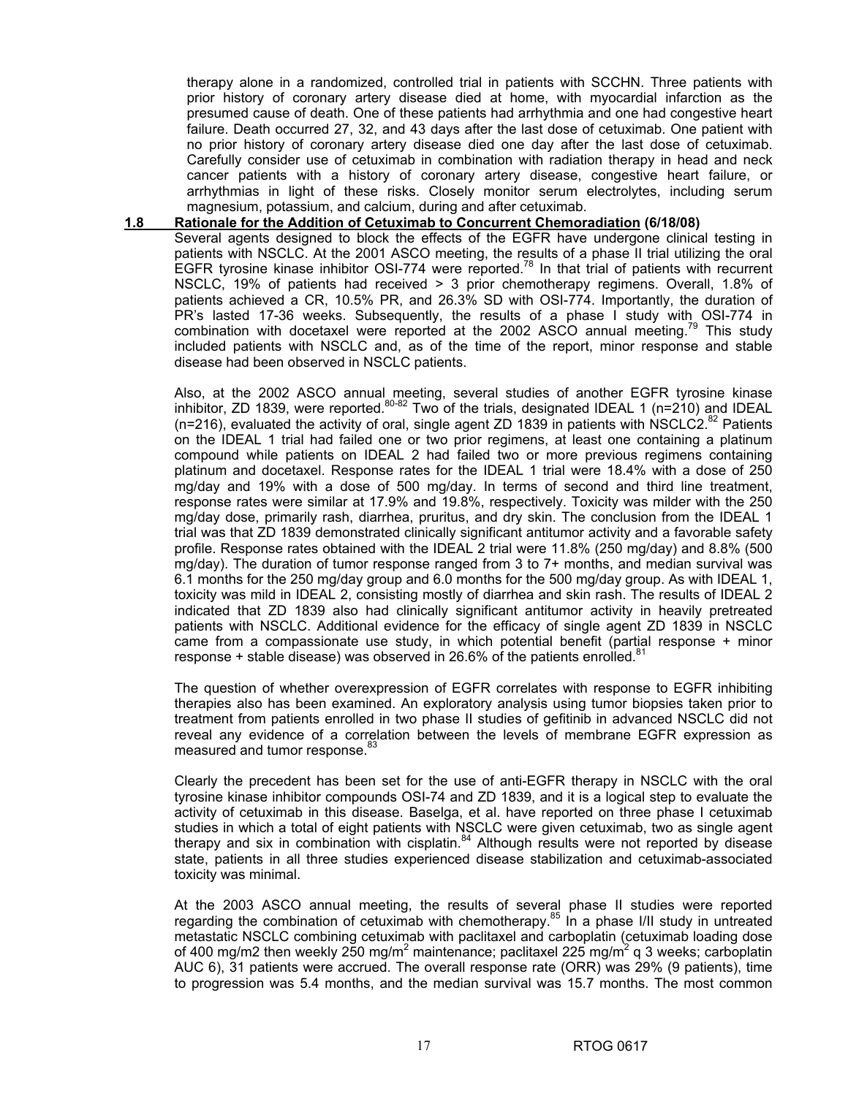therapy alone in a randomized, controlled trial in patients with SCCHN. Three patients with prior history of coronary artery disease died at home, with myocardial infarction as the presumed cause of death. One of these patients had arrhythmia and one had congestive heart failure. Death occurred 27, 32, and 43 days after the last dose of cetuximab. One patient with no prior history of coronary artery disease died one day after the last dose of cetuximab. Carefully consider use of cetuximab in combination with radiation therapy in head and neck cancer patients with a history of coronary artery disease, congestive heart failure, or arrhythmias in light of these risks. Closely monitor serum electrolytes, including serum magnesium, potassium, and calcium, during and after cetuximab.

#### **1.8 Rationale for the Addition of Cetuximab to Concurrent Chemoradiation (6/18/08)**

 Several agents designed to block the effects of the EGFR have undergone clinical testing in patients with NSCLC. At the 2001 ASCO meeting, the results of a phase II trial utilizing the oral EGFR tyrosine kinase inhibitor OSI-774 were reported.<sup>78</sup> In that trial of patients with recurrent NSCLC, 19% of patients had received > 3 prior chemotherapy regimens. Overall, 1.8% of patients achieved a CR, 10.5% PR, and 26.3% SD with OSI-774. Importantly, the duration of PR's lasted 17-36 weeks. Subsequently, the results of a phase I study with OSI-774 in combination with docetaxel were reported at the 2002 ASCO annual meeting.<sup>79</sup> This study included patients with NSCLC and, as of the time of the report, minor response and stable disease had been observed in NSCLC patients.

 Also, at the 2002 ASCO annual meeting, several studies of another EGFR tyrosine kinase inhibitor, ZD 1839, were reported.<sup>80-82</sup> Two of the trials, designated IDEAL 1 (n=210) and IDEAL (n=216), evaluated the activity of oral, single agent ZD 1839 in patients with NSCLC2. $^{82}$  Patients on the IDEAL 1 trial had failed one or two prior regimens, at least one containing a platinum compound while patients on IDEAL 2 had failed two or more previous regimens containing platinum and docetaxel. Response rates for the IDEAL 1 trial were 18.4% with a dose of 250 mg/day and 19% with a dose of 500 mg/day. In terms of second and third line treatment, response rates were similar at 17.9% and 19.8%, respectively. Toxicity was milder with the 250 mg/day dose, primarily rash, diarrhea, pruritus, and dry skin. The conclusion from the IDEAL 1 trial was that ZD 1839 demonstrated clinically significant antitumor activity and a favorable safety profile. Response rates obtained with the IDEAL 2 trial were 11.8% (250 mg/day) and 8.8% (500 mg/day). The duration of tumor response ranged from 3 to 7+ months, and median survival was 6.1 months for the 250 mg/day group and 6.0 months for the 500 mg/day group. As with IDEAL 1, toxicity was mild in IDEAL 2, consisting mostly of diarrhea and skin rash. The results of IDEAL 2 indicated that ZD 1839 also had clinically significant antitumor activity in heavily pretreated patients with NSCLC. Additional evidence for the efficacy of single agent ZD 1839 in NSCLC came from a compassionate use study, in which potential benefit (partial response + minor response  $+$  stable disease) was observed in 26.6% of the patients enrolled.<sup>81</sup>

 The question of whether overexpression of EGFR correlates with response to EGFR inhibiting therapies also has been examined. An exploratory analysis using tumor biopsies taken prior to treatment from patients enrolled in two phase II studies of gefitinib in advanced NSCLC did not reveal any evidence of a correlation between the levels of membrane EGFR expression as measured and tumor response.<sup>83</sup>

 Clearly the precedent has been set for the use of anti-EGFR therapy in NSCLC with the oral tyrosine kinase inhibitor compounds OSI-74 and ZD 1839, and it is a logical step to evaluate the activity of cetuximab in this disease. Baselga, et al. have reported on three phase I cetuximab studies in which a total of eight patients with NSCLC were given cetuximab, two as single agent therapy and six in combination with cisplatin.<sup>84</sup> Although results were not reported by disease state, patients in all three studies experienced disease stabilization and cetuximab-associated toxicity was minimal.

 At the 2003 ASCO annual meeting, the results of several phase II studies were reported regarding the combination of cetuximab with chemotherapy.<sup>85</sup> In a phase I/II study in untreated metastatic NSCLC combining cetuximab with paclitaxel and carboplatin (cetuximab loading dose of 400 mg/m2 then weekly 250 mg/m<sup>2</sup> maintenance; paclitaxel 225 mg/m<sup>2</sup> q 3 weeks; carboplatin AUC 6), 31 patients were accrued. The overall response rate (ORR) was 29% (9 patients), time to progression was 5.4 months, and the median survival was 15.7 months. The most common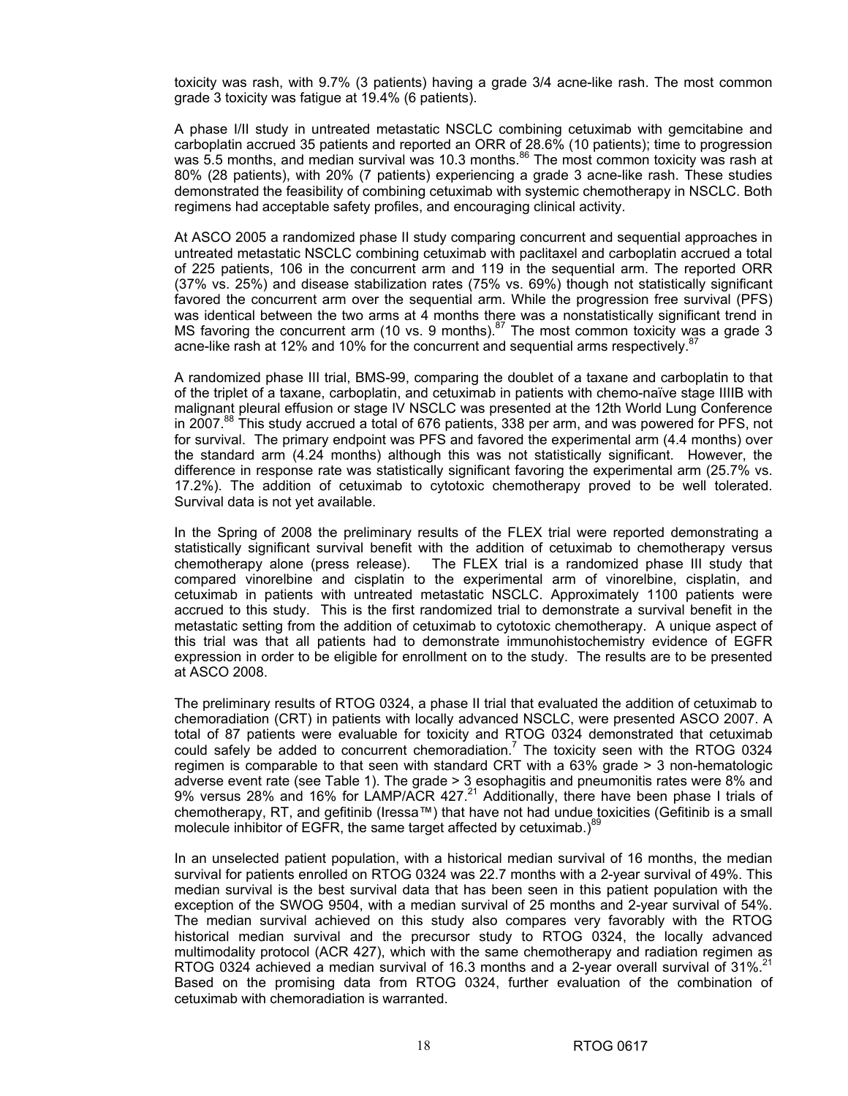toxicity was rash, with 9.7% (3 patients) having a grade 3/4 acne-like rash. The most common grade 3 toxicity was fatigue at 19.4% (6 patients).

 A phase I/II study in untreated metastatic NSCLC combining cetuximab with gemcitabine and carboplatin accrued 35 patients and reported an ORR of 28.6% (10 patients); time to progression was 5.5 months, and median survival was 10.3 months.<sup>86</sup> The most common toxicity was rash at 80% (28 patients), with 20% (7 patients) experiencing a grade 3 acne-like rash. These studies demonstrated the feasibility of combining cetuximab with systemic chemotherapy in NSCLC. Both regimens had acceptable safety profiles, and encouraging clinical activity.

 At ASCO 2005 a randomized phase II study comparing concurrent and sequential approaches in untreated metastatic NSCLC combining cetuximab with paclitaxel and carboplatin accrued a total of 225 patients, 106 in the concurrent arm and 119 in the sequential arm. The reported ORR (37% vs. 25%) and disease stabilization rates (75% vs. 69%) though not statistically significant favored the concurrent arm over the sequential arm. While the progression free survival (PFS) was identical between the two arms at 4 months there was a nonstatistically significant trend in MS favoring the concurrent arm (10 vs. 9 months).<sup>87</sup> The most common toxicity was a grade 3 acne-like rash at 12% and 10% for the concurrent and sequential arms respectively.<sup>87</sup>

 A randomized phase III trial, BMS-99, comparing the doublet of a taxane and carboplatin to that of the triplet of a taxane, carboplatin, and cetuximab in patients with chemo-naïve stage IIIIB with malignant pleural effusion or stage IV NSCLC was presented at the 12th World Lung Conference in 2007.<sup>88</sup> This study accrued a total of 676 patients, 338 per arm, and was powered for PFS, not for survival. The primary endpoint was PFS and favored the experimental arm (4.4 months) over the standard arm (4.24 months) although this was not statistically significant. However, the difference in response rate was statistically significant favoring the experimental arm (25.7% vs. 17.2%). The addition of cetuximab to cytotoxic chemotherapy proved to be well tolerated. Survival data is not yet available.

 In the Spring of 2008 the preliminary results of the FLEX trial were reported demonstrating a statistically significant survival benefit with the addition of cetuximab to chemotherapy versus chemotherapy alone (press release). The FLEX trial is a randomized phase III study that compared vinorelbine and cisplatin to the experimental arm of vinorelbine, cisplatin, and cetuximab in patients with untreated metastatic NSCLC. Approximately 1100 patients were accrued to this study. This is the first randomized trial to demonstrate a survival benefit in the metastatic setting from the addition of cetuximab to cytotoxic chemotherapy. A unique aspect of this trial was that all patients had to demonstrate immunohistochemistry evidence of EGFR expression in order to be eligible for enrollment on to the study. The results are to be presented at ASCO 2008.

 The preliminary results of RTOG 0324, a phase II trial that evaluated the addition of cetuximab to chemoradiation (CRT) in patients with locally advanced NSCLC, were presented ASCO 2007. A total of 87 patients were evaluable for toxicity and RTOG 0324 demonstrated that cetuximab could safely be added to concurrent chemoradiation.<sup>7</sup> The toxicity seen with the RTOG 0324 regimen is comparable to that seen with standard CRT with a 63% grade > 3 non-hematologic adverse event rate (see Table 1). The grade > 3 esophagitis and pneumonitis rates were 8% and 9% versus 28% and 16% for LAMP/ACR 427.<sup>21</sup> Additionally, there have been phase I trials of chemotherapy, RT, and gefitinib (Iressa™) that have not had undue toxicities (Gefitinib is a small molecule inhibitor of EGFR, the same target affected by cetuximab.)<sup>89</sup>

 In an unselected patient population, with a historical median survival of 16 months, the median survival for patients enrolled on RTOG 0324 was 22.7 months with a 2-year survival of 49%. This median survival is the best survival data that has been seen in this patient population with the exception of the SWOG 9504, with a median survival of 25 months and 2-year survival of 54%. The median survival achieved on this study also compares very favorably with the RTOG historical median survival and the precursor study to RTOG 0324, the locally advanced multimodality protocol (ACR 427), which with the same chemotherapy and radiation regimen as RTOG 0324 achieved a median survival of 16.3 months and a 2-year overall survival of 31%. Based on the promising data from RTOG 0324, further evaluation of the combination of cetuximab with chemoradiation is warranted.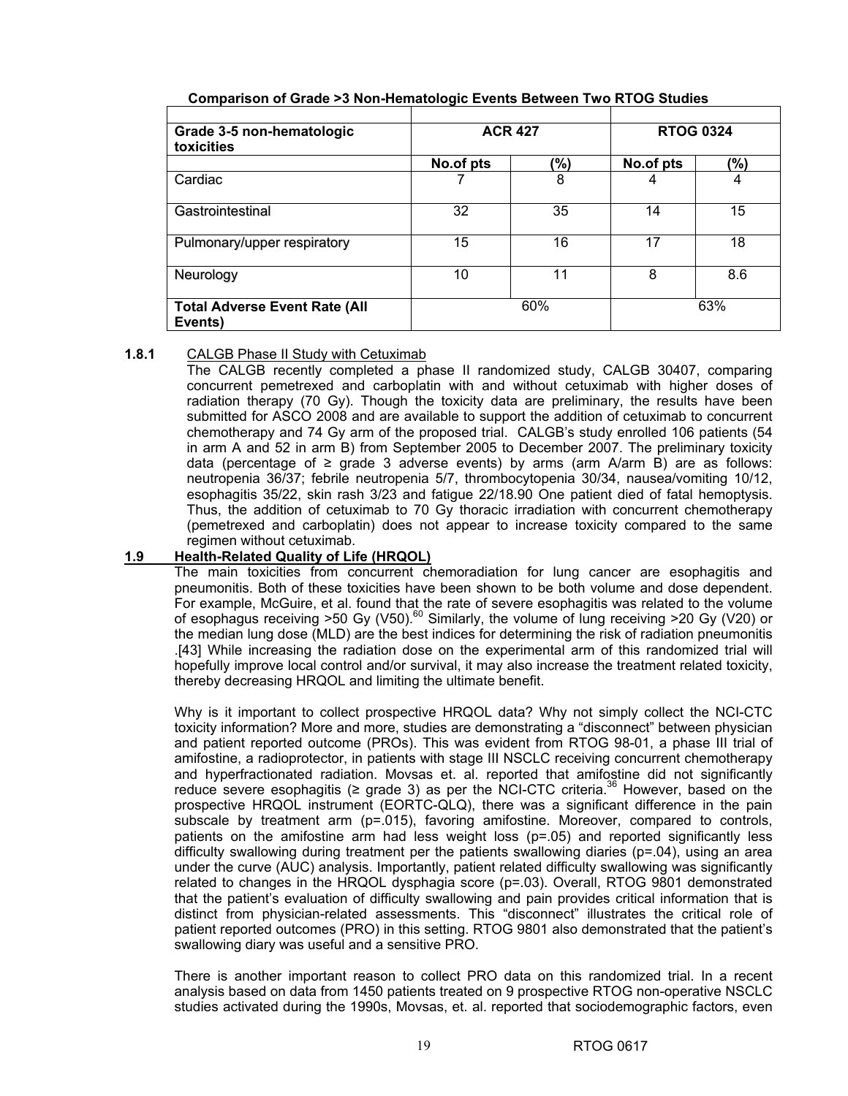| Grade 3-5 non-hematologic<br>toxicities         | <b>ACR 427</b> |     | <b>RTOG 0324</b> |     |
|-------------------------------------------------|----------------|-----|------------------|-----|
|                                                 | No.of pts      | (%) | No.of pts        | (%) |
| Cardiac                                         |                | 8   |                  | 4   |
| Gastrointestinal                                | 32             | 35  | 14               | 15  |
| Pulmonary/upper respiratory                     | 15             | 16  | 17               | 18  |
| Neurology                                       | 10             | 11  | 8                | 8.6 |
| <b>Total Adverse Event Rate (All</b><br>Events) | 60%            |     | 63%              |     |

## **Comparison of Grade >3 Non-Hematologic Events Between Two RTOG Studies**

## **1.8.1** CALGB Phase II Study with Cetuximab

 The CALGB recently completed a phase II randomized study, CALGB 30407, comparing concurrent pemetrexed and carboplatin with and without cetuximab with higher doses of radiation therapy (70 Gy). Though the toxicity data are preliminary, the results have been submitted for ASCO 2008 and are available to support the addition of cetuximab to concurrent chemotherapy and 74 Gy arm of the proposed trial. CALGB's study enrolled 106 patients (54 in arm A and 52 in arm B) from September 2005 to December 2007. The preliminary toxicity data (percentage of ≥ grade 3 adverse events) by arms (arm A/arm B) are as follows: neutropenia 36/37; febrile neutropenia 5/7, thrombocytopenia 30/34, nausea/vomiting 10/12, esophagitis 35/22, skin rash 3/23 and fatigue 22/18.90 One patient died of fatal hemoptysis. Thus, the addition of cetuximab to 70 Gy thoracic irradiation with concurrent chemotherapy (pemetrexed and carboplatin) does not appear to increase toxicity compared to the same regimen without cetuximab.

## **1.9 Health-Related Quality of Life (HRQOL)**

 The main toxicities from concurrent chemoradiation for lung cancer are esophagitis and pneumonitis. Both of these toxicities have been shown to be both volume and dose dependent. For example, McGuire, et al. found that the rate of severe esophagitis was related to the volume of esophagus receiving >50 Gy (V50).<sup>60</sup> Similarly, the volume of lung receiving >20 Gy (V20) or the median lung dose (MLD) are the best indices for determining the risk of radiation pneumonitis .[43] While increasing the radiation dose on the experimental arm of this randomized trial will hopefully improve local control and/or survival, it may also increase the treatment related toxicity, thereby decreasing HRQOL and limiting the ultimate benefit.

 Why is it important to collect prospective HRQOL data? Why not simply collect the NCI-CTC toxicity information? More and more, studies are demonstrating a "disconnect" between physician and patient reported outcome (PROs). This was evident from RTOG 98-01, a phase III trial of amifostine, a radioprotector, in patients with stage III NSCLC receiving concurrent chemotherapy and hyperfractionated radiation. Movsas et. al. reported that amifostine did not significantly reduce severe esophagitis (≥ grade 3) as per the NCI-CTC criteria.36 However, based on the prospective HRQOL instrument (EORTC-QLQ), there was a significant difference in the pain subscale by treatment arm (p=.015), favoring amifostine. Moreover, compared to controls, patients on the amifostine arm had less weight loss (p=.05) and reported significantly less difficulty swallowing during treatment per the patients swallowing diaries ( $p=04$ ), using an area under the curve (AUC) analysis. Importantly, patient related difficulty swallowing was significantly related to changes in the HRQOL dysphagia score (p=.03). Overall, RTOG 9801 demonstrated that the patient's evaluation of difficulty swallowing and pain provides critical information that is distinct from physician-related assessments. This "disconnect" illustrates the critical role of patient reported outcomes (PRO) in this setting. RTOG 9801 also demonstrated that the patient's swallowing diary was useful and a sensitive PRO.

 There is another important reason to collect PRO data on this randomized trial. In a recent analysis based on data from 1450 patients treated on 9 prospective RTOG non-operative NSCLC studies activated during the 1990s, Movsas, et. al. reported that sociodemographic factors, even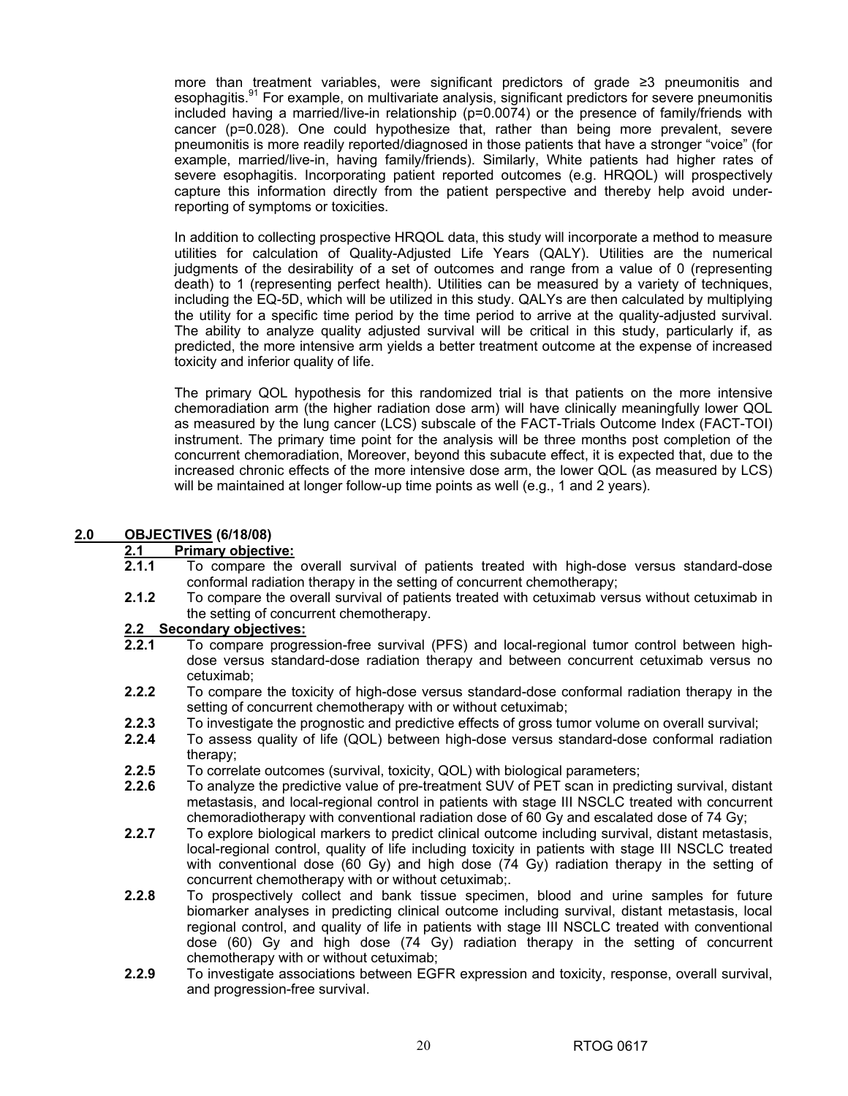more than treatment variables, were significant predictors of grade ≥3 pneumonitis and esophagitis.<sup>91</sup> For example, on multivariate analysis, significant predictors for severe pneumonitis included having a married/live-in relationship (p=0.0074) or the presence of family/friends with cancer (p=0.028). One could hypothesize that, rather than being more prevalent, severe pneumonitis is more readily reported/diagnosed in those patients that have a stronger "voice" (for example, married/live-in, having family/friends). Similarly, White patients had higher rates of severe esophagitis. Incorporating patient reported outcomes (e.g. HRQOL) will prospectively capture this information directly from the patient perspective and thereby help avoid underreporting of symptoms or toxicities.

 In addition to collecting prospective HRQOL data, this study will incorporate a method to measure utilities for calculation of Quality-Adjusted Life Years (QALY). Utilities are the numerical judgments of the desirability of a set of outcomes and range from a value of 0 (representing death) to 1 (representing perfect health). Utilities can be measured by a variety of techniques, including the EQ-5D, which will be utilized in this study. QALYs are then calculated by multiplying the utility for a specific time period by the time period to arrive at the quality-adjusted survival. The ability to analyze quality adjusted survival will be critical in this study, particularly if, as predicted, the more intensive arm yields a better treatment outcome at the expense of increased toxicity and inferior quality of life.

 The primary QOL hypothesis for this randomized trial is that patients on the more intensive chemoradiation arm (the higher radiation dose arm) will have clinically meaningfully lower QOL as measured by the lung cancer (LCS) subscale of the FACT-Trials Outcome Index (FACT-TOI) instrument. The primary time point for the analysis will be three months post completion of the concurrent chemoradiation, Moreover, beyond this subacute effect, it is expected that, due to the increased chronic effects of the more intensive dose arm, the lower QOL (as measured by LCS) will be maintained at longer follow-up time points as well (e.g., 1 and 2 years).

#### **2.0 OBJECTIVES (6/18/08)**

#### **2.1 Primary objective:**

- **2.1.1** To compare the overall survival of patients treated with high-dose versus standard-dose conformal radiation therapy in the setting of concurrent chemotherapy;
- **2.1.2** To compare the overall survival of patients treated with cetuximab versus without cetuximab in the setting of concurrent chemotherapy.

#### **2.2 Secondary objectives:**

- **2.2.1** To compare progression-free survival (PFS) and local-regional tumor control between highdose versus standard-dose radiation therapy and between concurrent cetuximab versus no cetuximab;
- **2.2.2** To compare the toxicity of high-dose versus standard-dose conformal radiation therapy in the setting of concurrent chemotherapy with or without cetuximab;
- **2.2.3** To investigate the prognostic and predictive effects of gross tumor volume on overall survival;
- **2.2.4** To assess quality of life (QOL) between high-dose versus standard-dose conformal radiation therapy;
- **2.2.5** To correlate outcomes (survival, toxicity, QOL) with biological parameters;
- **2.2.6** To analyze the predictive value of pre-treatment SUV of PET scan in predicting survival, distant metastasis, and local-regional control in patients with stage III NSCLC treated with concurrent chemoradiotherapy with conventional radiation dose of 60 Gy and escalated dose of 74 Gy;
- **2.2.7** To explore biological markers to predict clinical outcome including survival, distant metastasis, local-regional control, quality of life including toxicity in patients with stage III NSCLC treated with conventional dose (60 Gy) and high dose (74 Gy) radiation therapy in the setting of concurrent chemotherapy with or without cetuximab;.
- **2.2.8** To prospectively collect and bank tissue specimen, blood and urine samples for future biomarker analyses in predicting clinical outcome including survival, distant metastasis, local regional control, and quality of life in patients with stage III NSCLC treated with conventional dose (60) Gy and high dose (74 Gy) radiation therapy in the setting of concurrent chemotherapy with or without cetuximab;
- **2.2.9** To investigate associations between EGFR expression and toxicity, response, overall survival, and progression-free survival.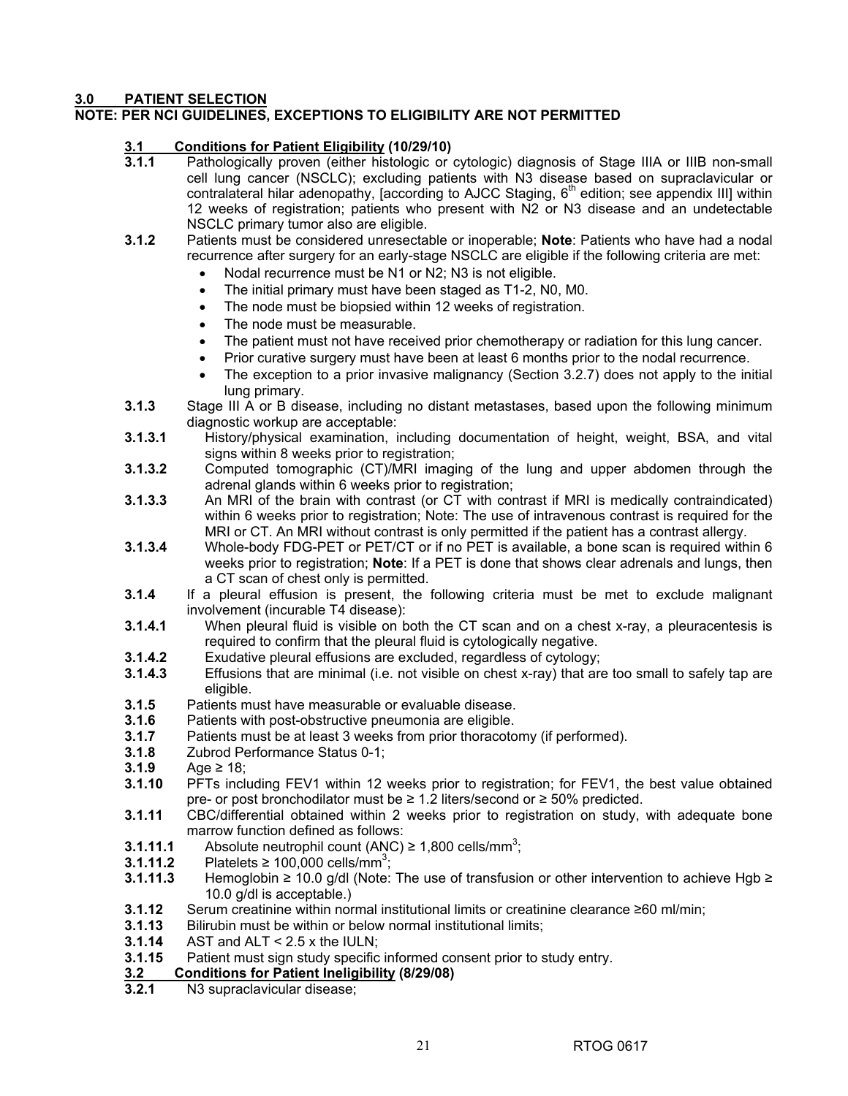## **3.0 PATIENT SELECTION**

## **NOTE: PER NCI GUIDELINES, EXCEPTIONS TO ELIGIBILITY ARE NOT PERMITTED**

## **3.1 Conditions for Patient Eligibility (10/29/10)**

- **3.1.1** Pathologically proven (either histologic or cytologic) diagnosis of Stage IIIA or IIIB non-small cell lung cancer (NSCLC); excluding patients with N3 disease based on supraclavicular or contralateral hilar adenopathy, [according to AJCC Staging,  $6<sup>th</sup>$  edition; see appendix III] within 12 weeks of registration; patients who present with N2 or N3 disease and an undetectable NSCLC primary tumor also are eligible.
- **3.1.2** Patients must be considered unresectable or inoperable; **Note**: Patients who have had a nodal recurrence after surgery for an early-stage NSCLC are eligible if the following criteria are met:
	- Nodal recurrence must be N1 or N2; N3 is not eligible.
	- The initial primary must have been staged as T1-2, N0, M0.
	- The node must be biopsied within 12 weeks of registration.
	- The node must be measurable.
	- The patient must not have received prior chemotherapy or radiation for this lung cancer.
	- Prior curative surgery must have been at least 6 months prior to the nodal recurrence.
	- The exception to a prior invasive malignancy (Section 3.2.7) does not apply to the initial lung primary.
- **3.1.3** Stage III A or B disease, including no distant metastases, based upon the following minimum diagnostic workup are acceptable:
- **3.1.3.1** History/physical examination, including documentation of height, weight, BSA, and vital signs within 8 weeks prior to registration;
- **3.1.3.2** Computed tomographic (CT)/MRI imaging of the lung and upper abdomen through the adrenal glands within 6 weeks prior to registration;
- **3.1.3.3** An MRI of the brain with contrast (or CT with contrast if MRI is medically contraindicated) within 6 weeks prior to registration; Note: The use of intravenous contrast is required for the MRI or CT. An MRI without contrast is only permitted if the patient has a contrast allergy.
- **3.1.3.4** Whole-body FDG-PET or PET/CT or if no PET is available, a bone scan is required within 6 weeks prior to registration; **Note**: If a PET is done that shows clear adrenals and lungs, then a CT scan of chest only is permitted.
- **3.1.4** If a pleural effusion is present, the following criteria must be met to exclude malignant involvement (incurable T4 disease):
- **3.1.4.1** When pleural fluid is visible on both the CT scan and on a chest x-ray, a pleuracentesis is required to confirm that the pleural fluid is cytologically negative.
- **3.1.4.2** Exudative pleural effusions are excluded, regardless of cytology;
- **3.1.4.3** Effusions that are minimal (i.e. not visible on chest x-ray) that are too small to safely tap are eligible.
- **3.1.5** Patients must have measurable or evaluable disease.
- **3.1.6** Patients with post-obstructive pneumonia are eligible.
- **3.1.7** Patients must be at least 3 weeks from prior thoracotomy (if performed).
- **3.1.8** Zubrod Performance Status 0-1;
- **3.1.9** Age ≥ 18;<br>**3.1.10** PFTs inclu
- **3.1.10** PFTs including FEV1 within 12 weeks prior to registration; for FEV1, the best value obtained pre- or post bronchodilator must be ≥ 1.2 liters/second or ≥ 50% predicted.
- **3.1.11** CBC/differential obtained within 2 weeks prior to registration on study, with adequate bone marrow function defined as follows:
- **3.1.11.1** Absolute neutrophil count  $(ANC) \ge 1,800$  cells/mm<sup>3</sup>;
- **3.1.11.2** Platelets ≥ 100,000 cells/mm<sup>3</sup>;
- **3.1.11.3** Hemoglobin ≥ 10.0 g/dl (Note: The use of transfusion or other intervention to achieve Hgb ≥ 10.0 g/dl is acceptable.)
- **3.1.12** Serum creatinine within normal institutional limits or creatinine clearance ≥60 ml/min;
- **3.1.13** Bilirubin must be within or below normal institutional limits;
- **3.1.14** AST and ALT < 2.5 x the IULN;
- **3.1.15** Patient must sign study specific informed consent prior to study entry.

## **3.2 Conditions for Patient Ineligibility (8/29/08)**

**3.2.1** N3 supraclavicular disease;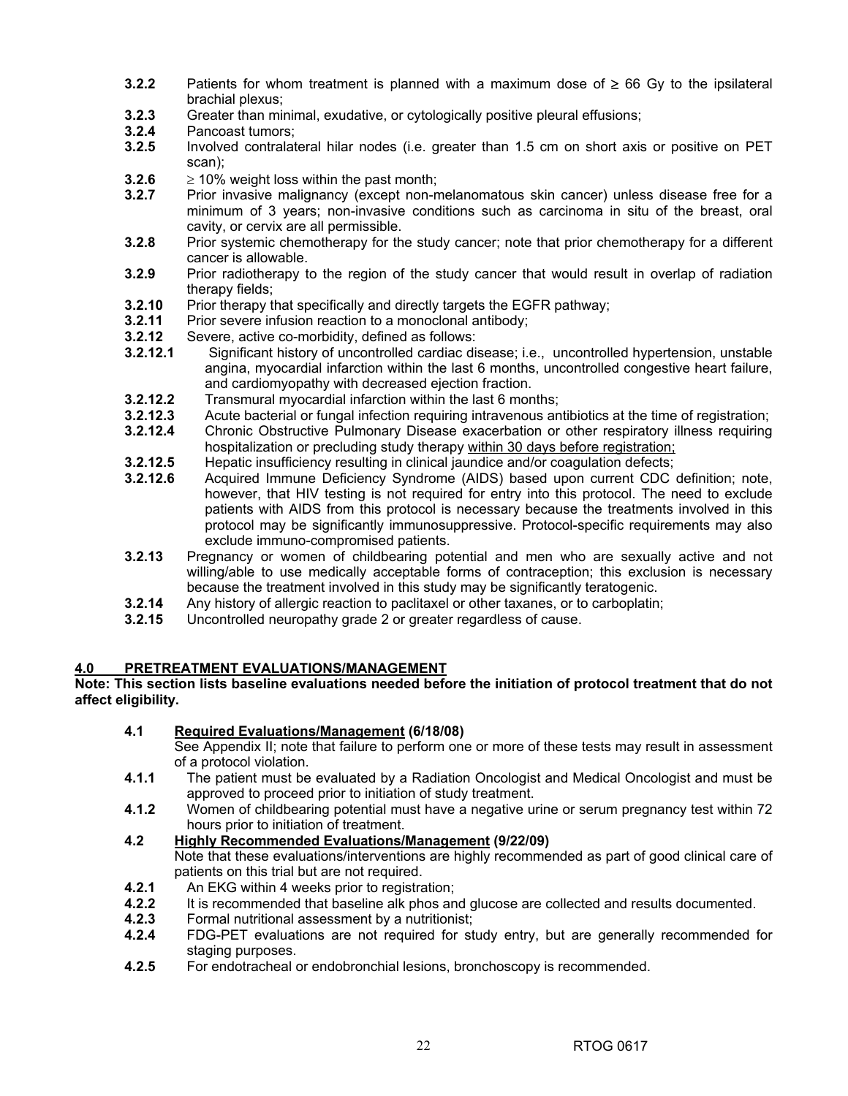- **3.2.2** Patients for whom treatment is planned with a maximum dose of ≥ 66 Gy to the ipsilateral brachial plexus;
- **3.2.3** Greater than minimal, exudative, or cytologically positive pleural effusions;<br>**3.2.4** Pancoast tumors:
- **3.2.4** Pancoast tumors;
- **3.2.5** Involved contralateral hilar nodes (i.e. greater than 1.5 cm on short axis or positive on PET scan);
- **3.2.6** ≥ 10% weight loss within the past month;
- **3.2.7** Prior invasive malignancy (except non-melanomatous skin cancer) unless disease free for a minimum of 3 years; non-invasive conditions such as carcinoma in situ of the breast, oral cavity, or cervix are all permissible.
- **3.2.8** Prior systemic chemotherapy for the study cancer; note that prior chemotherapy for a different cancer is allowable.
- **3.2.9** Prior radiotherapy to the region of the study cancer that would result in overlap of radiation therapy fields;
- **3.2.10** Prior therapy that specifically and directly targets the EGFR pathway;<br>**3.2.11** Prior severe infusion reaction to a monoclonal antibody:
- Prior severe infusion reaction to a monoclonal antibody;
- **3.2.12** Severe, active co-morbidity, defined as follows:
- **3.2.12.1** Significant history of uncontrolled cardiac disease; i.e., uncontrolled hypertension, unstable angina, myocardial infarction within the last 6 months, uncontrolled congestive heart failure, and cardiomyopathy with decreased ejection fraction.
- **3.2.12.2** Transmural myocardial infarction within the last 6 months;
- **3.2.12.3** Acute bacterial or fungal infection requiring intravenous antibiotics at the time of registration;
- **3.2.12.4** Chronic Obstructive Pulmonary Disease exacerbation or other respiratory illness requiring hospitalization or precluding study therapy within 30 days before registration;
- **3.2.12.5** Hepatic insufficiency resulting in clinical jaundice and/or coagulation defects;
- **3.2.12.6** Acquired Immune Deficiency Syndrome (AIDS) based upon current CDC definition; note, however, that HIV testing is not required for entry into this protocol. The need to exclude patients with AIDS from this protocol is necessary because the treatments involved in this protocol may be significantly immunosuppressive. Protocol-specific requirements may also exclude immuno-compromised patients.
- **3.2.13** Pregnancy or women of childbearing potential and men who are sexually active and not willing/able to use medically acceptable forms of contraception; this exclusion is necessary because the treatment involved in this study may be significantly teratogenic.
- **3.2.14** Any history of allergic reaction to paclitaxel or other taxanes, or to carboplatin;
- **3.2.15** Uncontrolled neuropathy grade 2 or greater regardless of cause.

## **4.0 PRETREATMENT EVALUATIONS/MANAGEMENT**

#### **Note: This section lists baseline evaluations needed before the initiation of protocol treatment that do not affect eligibility.**

**4.1 Required Evaluations/Management (6/18/08)** 

See Appendix II; note that failure to perform one or more of these tests may result in assessment of a protocol violation.

- **4.1.1** The patient must be evaluated by a Radiation Oncologist and Medical Oncologist and must be approved to proceed prior to initiation of study treatment.
- **4.1.2** Women of childbearing potential must have a negative urine or serum pregnancy test within 72 hours prior to initiation of treatment.

**4.2 Highly Recommended Evaluations/Management (9/22/09)**  Note that these evaluations/interventions are highly recommended as part of good clinical care of patients on this trial but are not required.

- **4.2.1** An EKG within 4 weeks prior to registration;
- **4.2.2** It is recommended that baseline alk phos and glucose are collected and results documented.
- **4.2.3** Formal nutritional assessment by a nutritionist;
- **4.2.4** FDG-PET evaluations are not required for study entry, but are generally recommended for staging purposes.
- **4.2.5** For endotracheal or endobronchial lesions, bronchoscopy is recommended.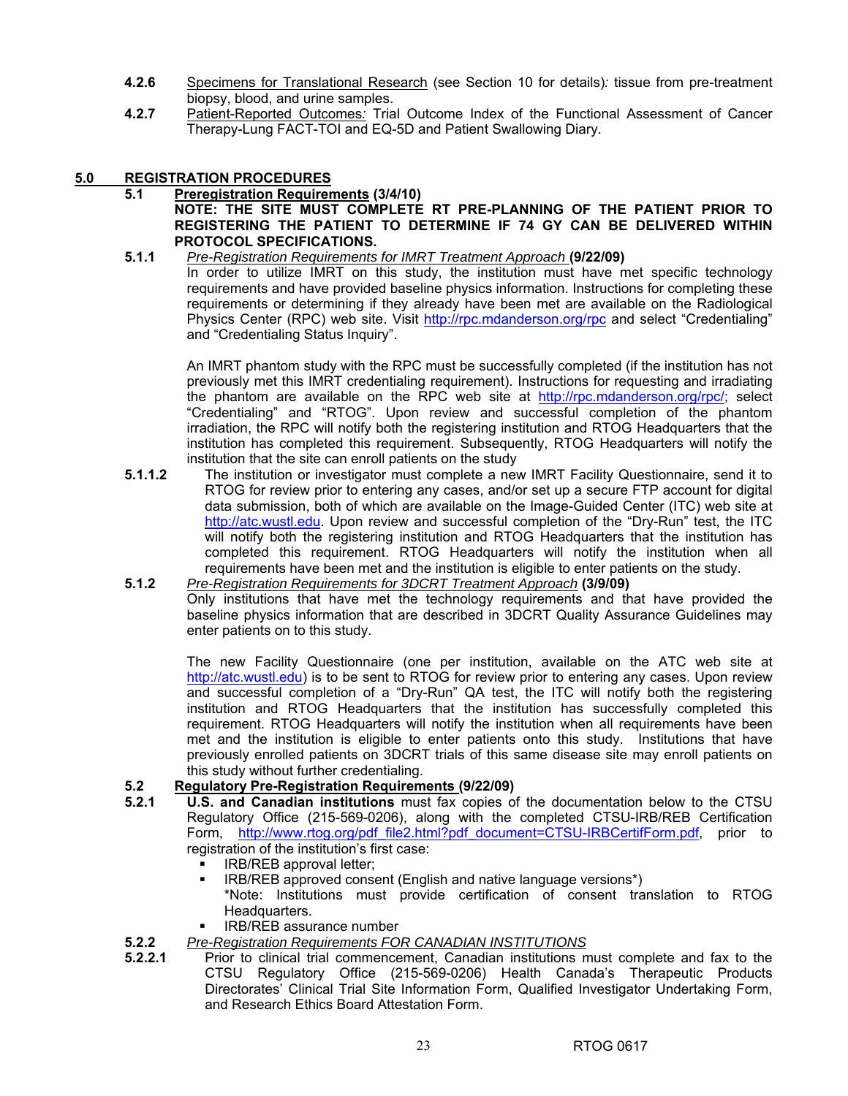- **4.2.6** Specimens for Translational Research (see Section 10 for details)*:* tissue from pre-treatment biopsy, blood, and urine samples.
- **4.2.7** Patient-Reported Outcomes*:* Trial Outcome Index of the Functional Assessment of Cancer Therapy-Lung FACT-TOI and EQ-5D and Patient Swallowing Diary.

#### **5.0 REGISTRATION PROCEDURES**

- **5.1 Preregistration Requirements (3/4/10) NOTE: THE SITE MUST COMPLETE RT PRE-PLANNING OF THE PATIENT PRIOR TO REGISTERING THE PATIENT TO DETERMINE IF 74 GY CAN BE DELIVERED WITHIN PROTOCOL SPECIFICATIONS.**
- **5.1.1** *Pre-Registration Requirements for IMRT Treatment Approach* **(9/22/09)**  In order to utilize IMRT on this study, the institution must have met specific technology requirements and have provided baseline physics information. Instructions for completing these requirements or determining if they already have been met are available on the Radiological Physics Center (RPC) web site. Visit [http://rpc.mdanderson.org/rpc an](http://rpc.mdanderson.org/rpc)d select "Credentialing" and "Credentialing Status Inquiry".

An IMRT phantom study with the RPC must be successfully completed (if the institution has not previously met this IMRT credentialing requirement). Instructions for requesting and irradiating the phantom are available on the RPC web site at <http://rpc.mdanderson.org/rpc>/; select "Credentialing" and "RTOG". Upon review and successful completion of the phantom irradiation, the RPC will notify both the registering institution and RTOG Headquarters that the institution has completed this requirement. Subsequently, RTOG Headquarters will notify the institution that the site can enroll patients on the study

- **5.1.1.2** The institution or investigator must complete a new IMRT Facility Questionnaire, send it to RTOG for review prior to entering any cases, and/or set up a secure FTP account for digital data submission, both of which are available on the Image-Guided Center (ITC) web site at [http://atc.wustl.edu.](http://atc.wustl.edu) Upon review and successful completion of the "Dry-Run" test, the ITC will notify both the registering institution and RTOG Headquarters that the institution has completed this requirement. RTOG Headquarters will notify the institution when all requirements have been met and the institution is eligible to enter patients on the study.
- **5.1.2** *Pre-Registration Requirements for 3DCRT Treatment Approach* **(3/9/09)**  Only institutions that have met the technology requirements and that have provided the baseline physics information that are described in 3DCRT Quality Assurance Guidelines may enter patients on to this study.

The new Facility Questionnaire (one per institution, available on the ATC web site at [http://atc.wustl.edu\)](http://atc.wustl.edu) is to be sent to RTOG for review prior to entering any cases. Upon review and successful completion of a "Dry-Run" QA test, the ITC will notify both the registering institution and RTOG Headquarters that the institution has successfully completed this requirement. RTOG Headquarters will notify the institution when all requirements have been met and the institution is eligible to enter patients onto this study. Institutions that have previously enrolled patients on 3DCRT trials of this same disease site may enroll patients on this study without further credentialing.

## **5.2 Regulatory Pre-Registration Requirements (9/22/09)**

- **5.2.1 U.S. and Canadian institutions** must fax copies of the documentation below to the CTSU Regulatory Office (215-569-0206), along with the completed CTSU-IRB/REB Certification Form, [http://www.rtog.org/pdf\\_file2.html?pdf\\_document=CTSU-IRBCertifForm.pdf,](http://www.rtog.org/pdf_file2.html?pdf_document=CTSU-IRBCertifForm.pdf) prior to registration of the institution's first case:
	- IRB/REB approval letter;
	- **IRB/REB approved consent (English and native language versions\*)** \*Note: Institutions must provide certification of consent translation to RTOG Headquarters.
	- IRB/REB assurance number
- **5.2.2** *Pre-Registration Requirements FOR CANADIAN INSTITUTIONS*
- **5.2.2.1** Prior to clinical trial commencement, Canadian institutions must complete and fax to the CTSU Regulatory Office (215-569-0206) Health Canada's Therapeutic Products Directorates' Clinical Trial Site Information Form, Qualified Investigator Undertaking Form, and Research Ethics Board Attestation Form.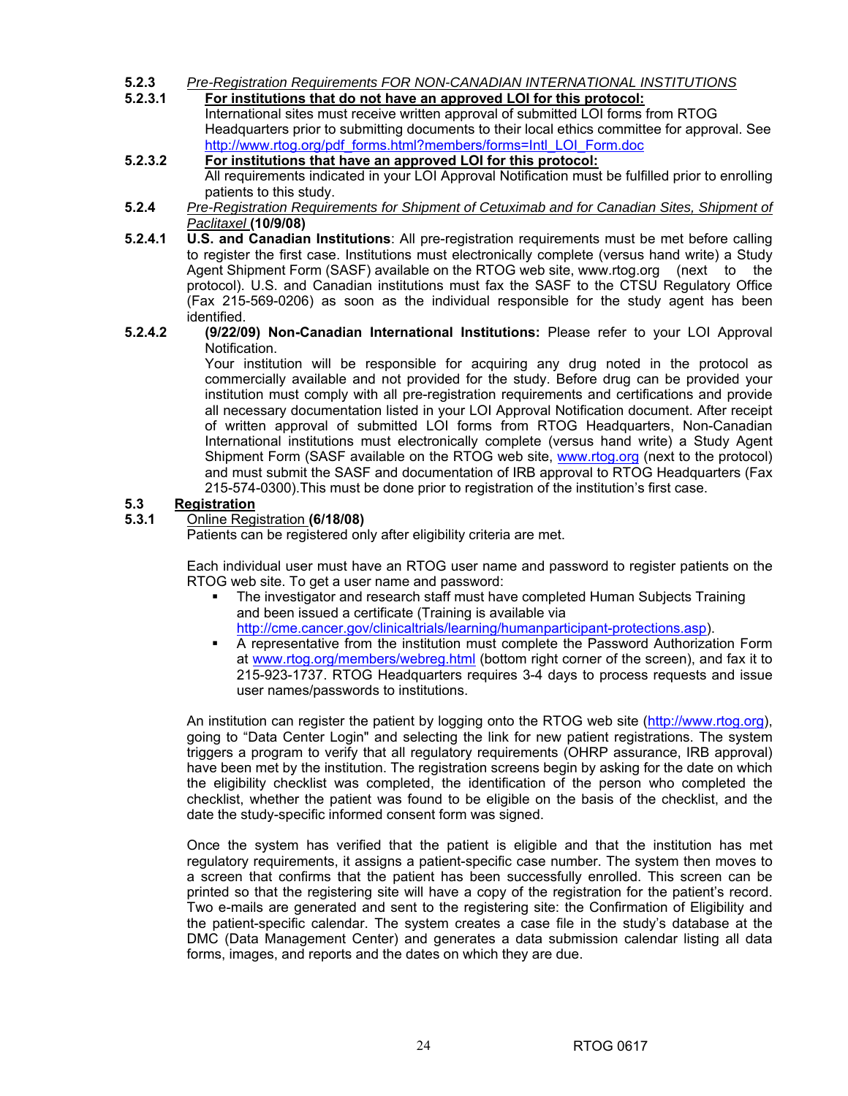- **5.2.3** *Pre-Registration Requirements FOR NON-CANADIAN INTERNATIONAL INSTITUTIONS*
- **5.2.3.1 For institutions that do not have an approved LOI for this protocol:** International sites must receive written approval of submitted LOI forms from RTOG Headquarters prior to submitting documents to their local ethics committee for approval. See [http://www.rtog.org/pdf\\_forms.html?members/forms=Intl\\_LOI\\_Form.doc](http://www.rtog.org/pdf_forms.html?members/forms=Intl_LOI_Form.doc)
- **5.2.3.2 For institutions that have an approved LOI for this protocol:** All requirements indicated in your LOI Approval Notification must be fulfilled prior to enrolling patients to this study.
- **5.2.4** *Pre-Registration Requirements for Shipment of Cetuximab and for Canadian Sites, Shipment of Paclitaxel* **(10/9/08)**
- **5.2.4.1 U.S. and Canadian Institutions**: All pre-registration requirements must be met before calling to register the first case. Institutions must electronically complete (versus hand write) a Study Agent Shipment Form (SASF) available on the RTOG web site, [www.rtog.org](http://www.rtog.org) (next to the protocol). U.S. and Canadian institutions must fax the SASF to the CTSU Regulatory Office (Fax 215-569-0206) as soon as the individual responsible for the study agent has been identified.
- **5.2.4.2 (9/22/09) Non-Canadian International Institutions:** Please refer to your LOI Approval Notification.

 Your institution will be responsible for acquiring any drug noted in the protocol as commercially available and not provided for the study. Before drug can be provided your institution must comply with all pre-registration requirements and certifications and provide all necessary documentation listed in your LOI Approval Notification document. After receipt of written approval of submitted LOI forms from RTOG Headquarters, Non-Canadian International institutions must electronically complete (versus hand write) a Study Agent Shipment Form (SASF available on the RTOG web site, [www.rtog.org \(n](http://www.rtog.org)ext to the protocol) and must submit the SASF and documentation of IRB approval to RTOG Headquarters (Fax 215-574-0300).This must be done prior to registration of the institution's first case.

#### **5.3 Registration**

#### **5.3.1** Online Registration **(6/18/08)**

Patients can be registered only after eligibility criteria are met.

Each individual user must have an RTOG user name and password to register patients on the RTOG web site. To get a user name and password:

- The investigator and research staff must have completed Human Subjects Training and been issued a certificate (Training is available via <http://cme.cancer.gov/clinicaltrials/learning/humanparticipant-protections.asp>).
- A representative from the institution must complete the Password Authorization Form at [www.rtog.org/members/webreg.html \(b](http://www.rtog.org/members/webreg.html)ottom right corner of the screen), and fax it to 215-923-1737. RTOG Headquarters requires 3-4 days to process requests and issue user names/passwords to institutions.

An institution can register the patient by logging onto the RTOG web site (http://www.rtog.org), going to "Data Center Login" and selecting the link for new patient registrations. The system triggers a program to verify that all regulatory requirements (OHRP assurance, IRB approval) have been met by the institution. The registration screens begin by asking for the date on which the eligibility checklist was completed, the identification of the person who completed the checklist, whether the patient was found to be eligible on the basis of the checklist, and the date the study-specific informed consent form was signed.

Once the system has verified that the patient is eligible and that the institution has met regulatory requirements, it assigns a patient-specific case number. The system then moves to a screen that confirms that the patient has been successfully enrolled. This screen can be printed so that the registering site will have a copy of the registration for the patient's record. Two e-mails are generated and sent to the registering site: the Confirmation of Eligibility and the patient-specific calendar. The system creates a case file in the study's database at the DMC (Data Management Center) and generates a data submission calendar listing all data forms, images, and reports and the dates on which they are due.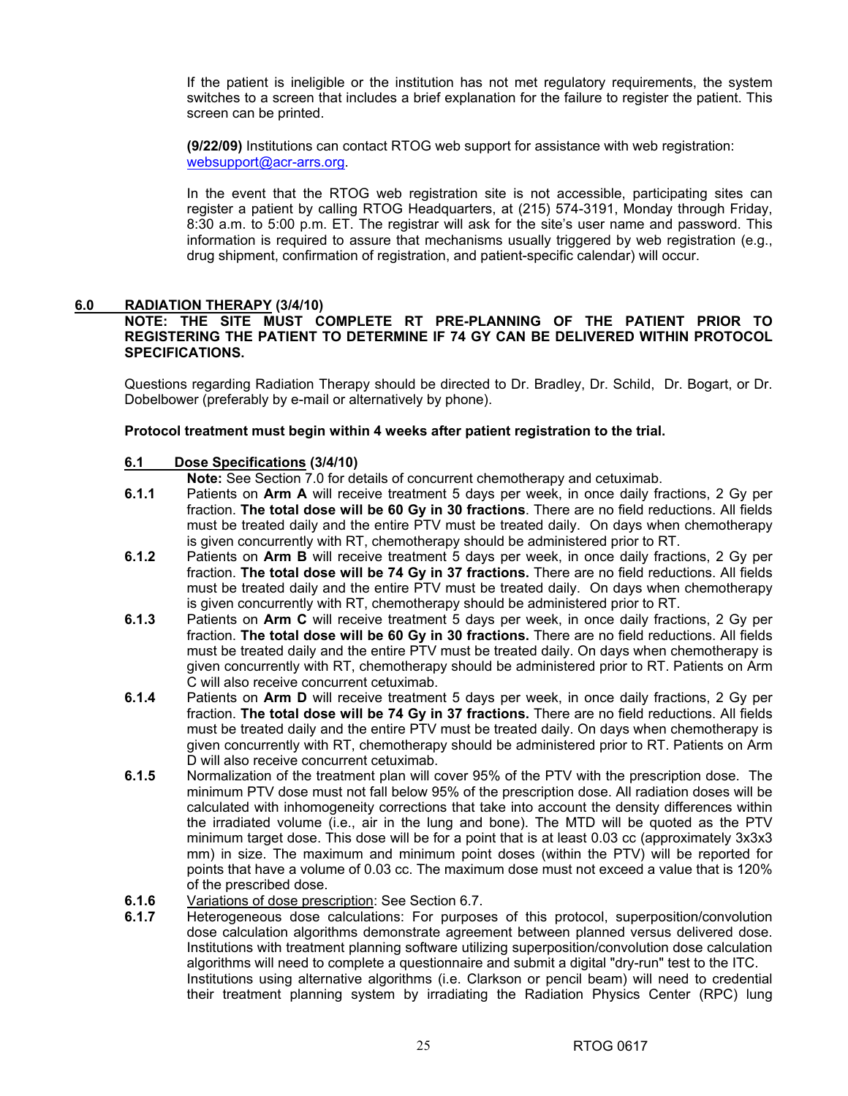If the patient is ineligible or the institution has not met regulatory requirements, the system switches to a screen that includes a brief explanation for the failure to register the patient. This screen can be printed.

**(9/22/09)** Institutions can contact RTOG web support for assistance with web registration: [websupport@acr-arrs.org.](mailto:websupport@acr-arrs.org) 

In the event that the RTOG web registration site is not accessible, participating sites can register a patient by calling RTOG Headquarters, at (215) 574-3191, Monday through Friday, 8:30 a.m. to 5:00 p.m. ET. The registrar will ask for the site's user name and password. This information is required to assure that mechanisms usually triggered by web registration (e.g., drug shipment, confirmation of registration, and patient-specific calendar) will occur.

#### **6.0 RADIATION THERAPY (3/4/10)**

#### **NOTE: THE SITE MUST COMPLETE RT PRE-PLANNING OF THE PATIENT PRIOR TO REGISTERING THE PATIENT TO DETERMINE IF 74 GY CAN BE DELIVERED WITHIN PROTOCOL SPECIFICATIONS.**

Questions regarding Radiation Therapy should be directed to Dr. Bradley, Dr. Schild, Dr. Bogart, or Dr. Dobelbower (preferably by e-mail or alternatively by phone).

#### **Protocol treatment must begin within 4 weeks after patient registration to the trial.**

#### **6.1 Dose Specifications (3/4/10)**

 **Note:** See Section 7.0 for details of concurrent chemotherapy and cetuximab.

- **6.1.1** Patients on **Arm A** will receive treatment 5 days per week, in once daily fractions, 2 Gy per fraction. **The total dose will be 60 Gy in 30 fractions**. There are no field reductions. All fields must be treated daily and the entire PTV must be treated daily. On days when chemotherapy is given concurrently with RT, chemotherapy should be administered prior to RT.
- **6.1.2** Patients on **Arm B** will receive treatment 5 days per week, in once daily fractions, 2 Gy per fraction. **The total dose will be 74 Gy in 37 fractions.** There are no field reductions. All fields must be treated daily and the entire PTV must be treated daily. On days when chemotherapy is given concurrently with RT, chemotherapy should be administered prior to RT.
- **6.1.3** Patients on **Arm C** will receive treatment 5 days per week, in once daily fractions, 2 Gy per fraction. **The total dose will be 60 Gy in 30 fractions.** There are no field reductions. All fields must be treated daily and the entire PTV must be treated daily. On days when chemotherapy is given concurrently with RT, chemotherapy should be administered prior to RT. Patients on Arm C will also receive concurrent cetuximab.
- **6.1.4** Patients on **Arm D** will receive treatment 5 days per week, in once daily fractions, 2 Gy per fraction. **The total dose will be 74 Gy in 37 fractions.** There are no field reductions. All fields must be treated daily and the entire PTV must be treated daily. On days when chemotherapy is given concurrently with RT, chemotherapy should be administered prior to RT. Patients on Arm D will also receive concurrent cetuximab.
- **6.1.5** Normalization of the treatment plan will cover 95% of the PTV with the prescription dose. The minimum PTV dose must not fall below 95% of the prescription dose. All radiation doses will be calculated with inhomogeneity corrections that take into account the density differences within the irradiated volume (i.e., air in the lung and bone). The MTD will be quoted as the PTV minimum target dose. This dose will be for a point that is at least 0.03 cc (approximately 3x3x3 mm) in size. The maximum and minimum point doses (within the PTV) will be reported for points that have a volume of 0.03 cc. The maximum dose must not exceed a value that is 120% of the prescribed dose.
- **6.1.6** Variations of dose prescription: See Section 6.7.
- **6.1.7** Heterogeneous dose calculations: For purposes of this protocol, superposition/convolution dose calculation algorithms demonstrate agreement between planned versus delivered dose. Institutions with treatment planning software utilizing superposition/convolution dose calculation algorithms will need to complete a questionnaire and submit a digital "dry-run" test to the ITC. Institutions using alternative algorithms (i.e. Clarkson or pencil beam) will need to credential their treatment planning system by irradiating the Radiation Physics Center (RPC) lung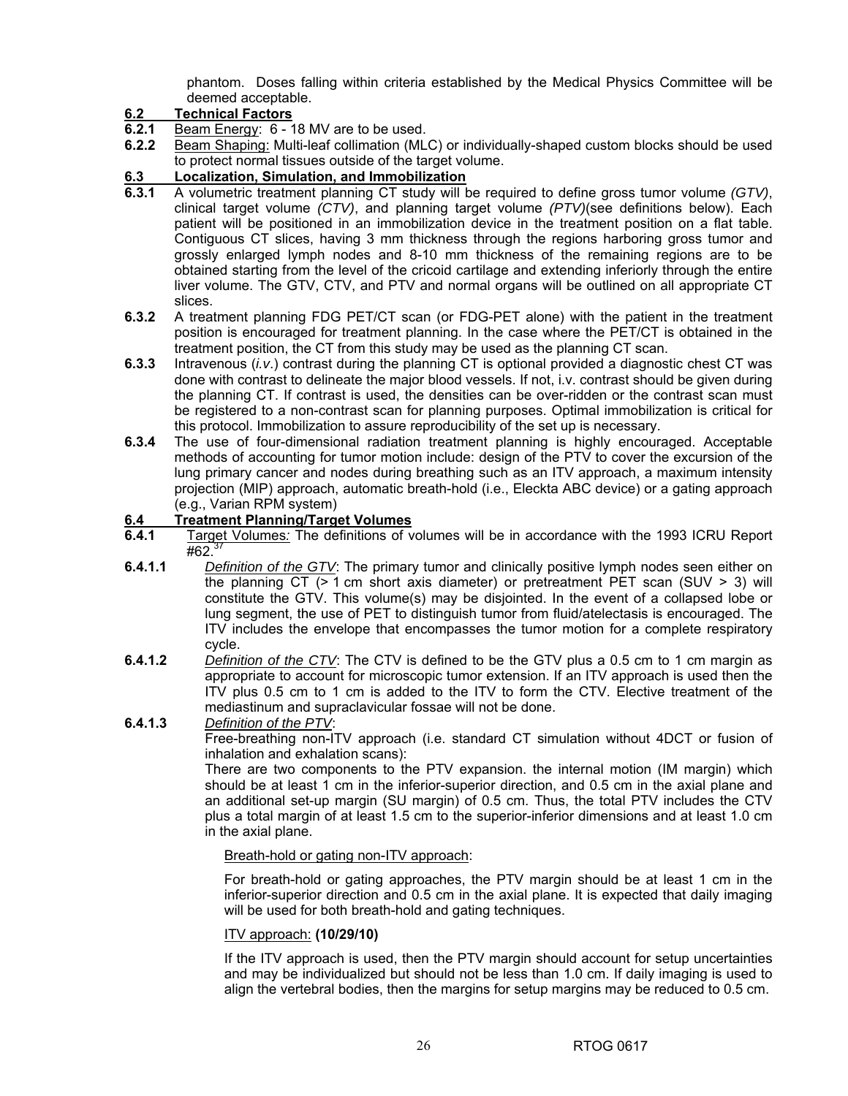phantom. Doses falling within criteria established by the Medical Physics Committee will be deemed acceptable.

## **6.2 Technical Factors**

- **6.2.1** Beam Energy: 6 18 MV are to be used.
- **6.2.2** Beam Shaping: Multi-leaf collimation (MLC) or individually-shaped custom blocks should be used to protect normal tissues outside of the target volume.
- **6.3 Localization, Simulation, and Immobilization**
- **6.3.1** A volumetric treatment planning CT study will be required to define gross tumor volume *(GTV)*, clinical target volume *(CTV)*, and planning target volume *(PTV)*(see definitions below). Each patient will be positioned in an immobilization device in the treatment position on a flat table. Contiguous CT slices, having 3 mm thickness through the regions harboring gross tumor and grossly enlarged lymph nodes and 8-10 mm thickness of the remaining regions are to be obtained starting from the level of the cricoid cartilage and extending inferiorly through the entire liver volume. The GTV, CTV, and PTV and normal organs will be outlined on all appropriate CT slices.
- **6.3.2** A treatment planning FDG PET/CT scan (or FDG-PET alone) with the patient in the treatment position is encouraged for treatment planning. In the case where the PET/CT is obtained in the treatment position, the CT from this study may be used as the planning CT scan.
- **6.3.3** Intravenous (*i.v*.) contrast during the planning CT is optional provided a diagnostic chest CT was done with contrast to delineate the major blood vessels. If not, i.v. contrast should be given during the planning CT. If contrast is used, the densities can be over-ridden or the contrast scan must be registered to a non-contrast scan for planning purposes. Optimal immobilization is critical for this protocol. Immobilization to assure reproducibility of the set up is necessary.
- **6.3.4** The use of four-dimensional radiation treatment planning is highly encouraged. Acceptable methods of accounting for tumor motion include: design of the PTV to cover the excursion of the lung primary cancer and nodes during breathing such as an ITV approach, a maximum intensity projection (MIP) approach, automatic breath-hold (i.e., Eleckta ABC device) or a gating approach (e.g., Varian RPM system)

#### **6.4 Treatment Planning/Target Volumes**

- **6.4.1** Target Volumes*:* The definitions of volumes will be in accordance with the 1993 ICRU Report  $#62.3$
- **6.4.1.1** *Definition of the GTV*: The primary tumor and clinically positive lymph nodes seen either on the planning CT (> 1 cm short axis diameter) or pretreatment PET scan (SUV > 3) will constitute the GTV. This volume(s) may be disjointed. In the event of a collapsed lobe or lung segment, the use of PET to distinguish tumor from fluid/atelectasis is encouraged. The ITV includes the envelope that encompasses the tumor motion for a complete respiratory cycle.
- **6.4.1.2** *Definition of the CTV*: The CTV is defined to be the GTV plus a 0.5 cm to 1 cm margin as appropriate to account for microscopic tumor extension. If an ITV approach is used then the ITV plus 0.5 cm to 1 cm is added to the ITV to form the CTV. Elective treatment of the mediastinum and supraclavicular fossae will not be done.

#### **6.4.1.3** *Definition of the PTV*:

 Free-breathing non-ITV approach (i.e. standard CT simulation without 4DCT or fusion of inhalation and exhalation scans):

 There are two components to the PTV expansion. the internal motion (IM margin) which should be at least 1 cm in the inferior-superior direction, and 0.5 cm in the axial plane and an additional set-up margin (SU margin) of 0.5 cm. Thus, the total PTV includes the CTV plus a total margin of at least 1.5 cm to the superior-inferior dimensions and at least 1.0 cm in the axial plane.

#### Breath-hold or gating non-ITV approach:

For breath-hold or gating approaches, the PTV margin should be at least 1 cm in the inferior-superior direction and 0.5 cm in the axial plane. It is expected that daily imaging will be used for both breath-hold and gating techniques.

#### ITV approach: **(10/29/10)**

If the ITV approach is used, then the PTV margin should account for setup uncertainties and may be individualized but should not be less than 1.0 cm. If daily imaging is used to align the vertebral bodies, then the margins for setup margins may be reduced to 0.5 cm.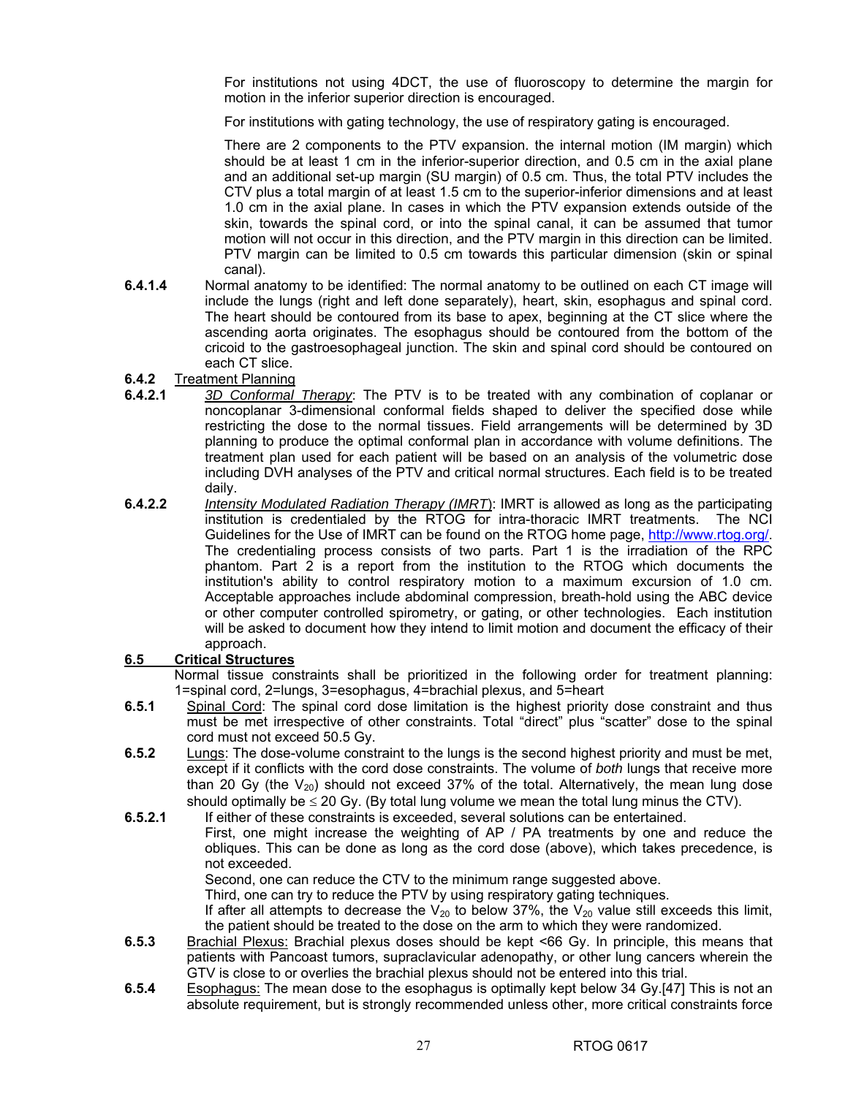For institutions not using 4DCT, the use of fluoroscopy to determine the margin for motion in the inferior superior direction is encouraged.

For institutions with gating technology, the use of respiratory gating is encouraged.

There are 2 components to the PTV expansion. the internal motion (IM margin) which should be at least 1 cm in the inferior-superior direction, and 0.5 cm in the axial plane and an additional set-up margin (SU margin) of 0.5 cm. Thus, the total PTV includes the CTV plus a total margin of at least 1.5 cm to the superior-inferior dimensions and at least 1.0 cm in the axial plane. In cases in which the PTV expansion extends outside of the skin, towards the spinal cord, or into the spinal canal, it can be assumed that tumor motion will not occur in this direction, and the PTV margin in this direction can be limited. PTV margin can be limited to 0.5 cm towards this particular dimension (skin or spinal canal).

**6.4.1.4** Normal anatomy to be identified: The normal anatomy to be outlined on each CT image will include the lungs (right and left done separately), heart, skin, esophagus and spinal cord. The heart should be contoured from its base to apex, beginning at the CT slice where the ascending aorta originates. The esophagus should be contoured from the bottom of the cricoid to the gastroesophageal junction. The skin and spinal cord should be contoured on each CT slice.

#### **6.4.2** Treatment Planning

- **6.4.2.1** *3D Conformal Therapy*: The PTV is to be treated with any combination of coplanar or noncoplanar 3-dimensional conformal fields shaped to deliver the specified dose while restricting the dose to the normal tissues. Field arrangements will be determined by 3D planning to produce the optimal conformal plan in accordance with volume definitions. The treatment plan used for each patient will be based on an analysis of the volumetric dose including DVH analyses of the PTV and critical normal structures. Each field is to be treated daily.
- **6.4.2.2** *Intensity Modulated Radiation Therapy (IMRT*): IMRT is allowed as long as the participating institution is credentialed by the RTOG for intra-thoracic IMRT treatments. The NCI Guidelines for the Use of IMRT can be found on the RTOG home page, [http://www.rtog.org/.](http://www.rtog.org)  The credentialing process consists of two parts. Part 1 is the irradiation of the RPC phantom. Part 2 is a report from the institution to the RTOG which documents the institution's ability to control respiratory motion to a maximum excursion of 1.0 cm. Acceptable approaches include abdominal compression, breath-hold using the ABC device or other computer controlled spirometry, or gating, or other technologies. Each institution will be asked to document how they intend to limit motion and document the efficacy of their approach.

#### **6.5 Critical Structures**

Normal tissue constraints shall be prioritized in the following order for treatment planning: 1=spinal cord, 2=lungs, 3=esophagus, 4=brachial plexus, and 5=heart

- **6.5.1** Spinal Cord: The spinal cord dose limitation is the highest priority dose constraint and thus must be met irrespective of other constraints. Total "direct" plus "scatter" dose to the spinal cord must not exceed 50.5 Gy.
- **6.5.2** Lungs: The dose-volume constraint to the lungs is the second highest priority and must be met, except if it conflicts with the cord dose constraints. The volume of *both* lungs that receive more than 20 Gy (the  $V_{20}$ ) should not exceed 37% of the total. Alternatively, the mean lung dose should optimally be  $\leq$  20 Gy. (By total lung volume we mean the total lung minus the CTV).
- **6.5.2.1** If either of these constraints is exceeded, several solutions can be entertained. First, one might increase the weighting of AP / PA treatments by one and reduce the obliques. This can be done as long as the cord dose (above), which takes precedence, is not exceeded. Second, one can reduce the CTV to the minimum range suggested above.

Third, one can try to reduce the PTV by using respiratory gating techniques.

If after all attempts to decrease the  $V_{20}$  to below 37%, the  $V_{20}$  value still exceeds this limit, the patient should be treated to the dose on the arm to which they were randomized.

- **6.5.3** Brachial Plexus: Brachial plexus doses should be kept <66 Gy. In principle, this means that patients with Pancoast tumors, supraclavicular adenopathy, or other lung cancers wherein the GTV is close to or overlies the brachial plexus should not be entered into this trial.
- **6.5.4** Esophagus: The mean dose to the esophagus is optimally kept below 34 Gy.[47] This is not an absolute requirement, but is strongly recommended unless other, more critical constraints force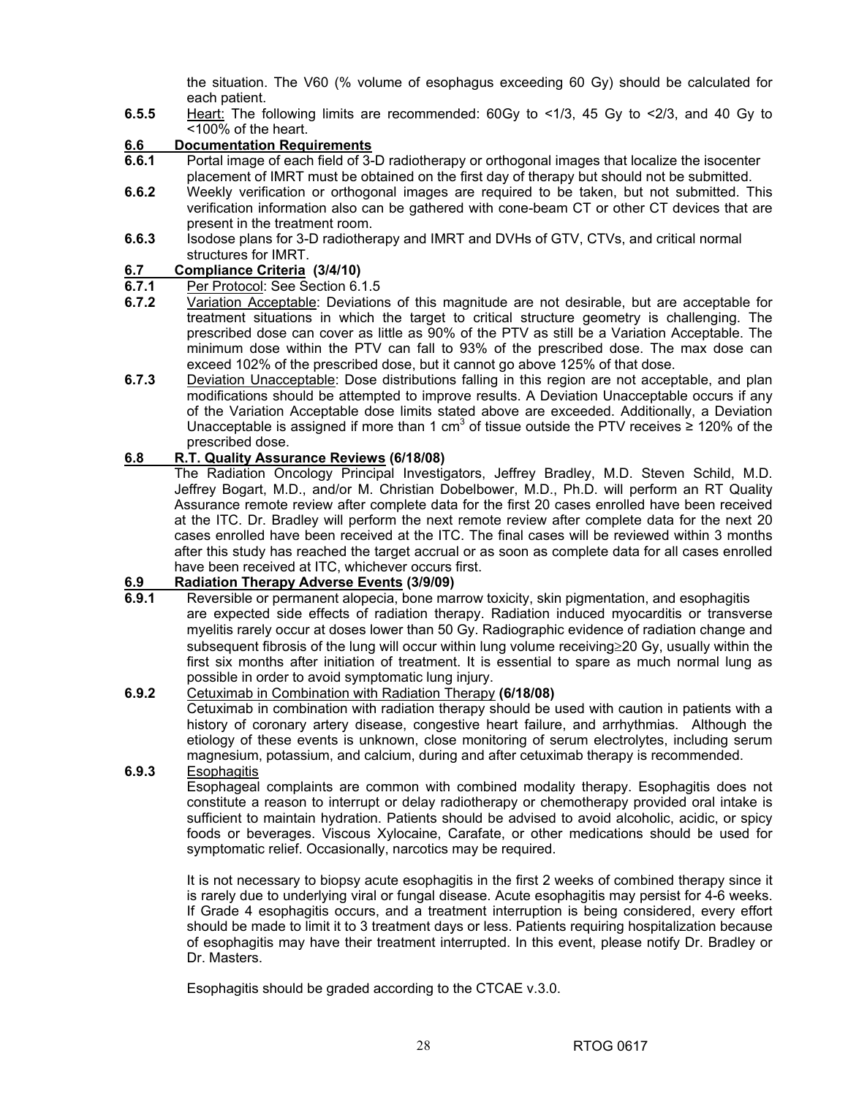the situation. The V60 (% volume of esophagus exceeding 60 Gy) should be calculated for each patient.

**6.5.5** Heart: The following limits are recommended: 60Gy to <1/3, 45 Gy to <2/3, and 40 Gy to <100% of the heart.

## **6.6 Documentation Requirements**

- **6.6.1** Portal image of each field of 3-D radiotherapy or orthogonal images that localize the isocenter placement of IMRT must be obtained on the first day of therapy but should not be submitted.
- **6.6.2** Weekly verification or orthogonal images are required to be taken, but not submitted. This verification information also can be gathered with cone-beam CT or other CT devices that are present in the treatment room.
- **6.6.3** Isodose plans for 3-D radiotherapy and IMRT and DVHs of GTV, CTVs, and critical normal structures for IMRT.

## **6.7 Compliance Criteria (3/4/10)**

- **6.7.1** Per Protocol: See Section 6.1.5
- **6.7.2** Variation Acceptable: Deviations of this magnitude are not desirable, but are acceptable for treatment situations in which the target to critical structure geometry is challenging. The prescribed dose can cover as little as 90% of the PTV as still be a Variation Acceptable. The minimum dose within the PTV can fall to 93% of the prescribed dose. The max dose can exceed 102% of the prescribed dose, but it cannot go above 125% of that dose.
- **6.7.3** Deviation Unacceptable: Dose distributions falling in this region are not acceptable, and plan modifications should be attempted to improve results. A Deviation Unacceptable occurs if any of the Variation Acceptable dose limits stated above are exceeded. Additionally, a Deviation Unacceptable is assigned if more than 1 cm<sup>3</sup> of tissue outside the PTV receives  $\geq 120\%$  of the prescribed dose.

## **6.8 R.T. Quality Assurance Reviews (6/18/08)**

The Radiation Oncology Principal Investigators, Jeffrey Bradley, M.D. Steven Schild, M.D. Jeffrey Bogart, M.D., and/or M. Christian Dobelbower, M.D., Ph.D. will perform an RT Quality Assurance remote review after complete data for the first 20 cases enrolled have been received at the ITC. Dr. Bradley will perform the next remote review after complete data for the next 20 cases enrolled have been received at the ITC. The final cases will be reviewed within 3 months after this study has reached the target accrual or as soon as complete data for all cases enrolled have been received at ITC, whichever occurs first.

## **6.9 Radiation Therapy Adverse Events (3/9/09)**

**6.9.1** Reversible or permanent alopecia, bone marrow toxicity, skin pigmentation, and esophagitis are expected side effects of radiation therapy. Radiation induced myocarditis or transverse myelitis rarely occur at doses lower than 50 Gy. Radiographic evidence of radiation change and subsequent fibrosis of the lung will occur within lung volume receiving≥20 Gy, usually within the first six months after initiation of treatment. It is essential to spare as much normal lung as possible in order to avoid symptomatic lung injury.

#### **6.9.2** Cetuximab in Combination with Radiation Therapy **(6/18/08)**

Cetuximab in combination with radiation therapy should be used with caution in patients with a history of coronary artery disease, congestive heart failure, and arrhythmias. Although the etiology of these events is unknown, close monitoring of serum electrolytes, including serum magnesium, potassium, and calcium, during and after cetuximab therapy is recommended.

#### **6.9.3** Esophagitis

 Esophageal complaints are common with combined modality therapy. Esophagitis does not constitute a reason to interrupt or delay radiotherapy or chemotherapy provided oral intake is sufficient to maintain hydration. Patients should be advised to avoid alcoholic, acidic, or spicy foods or beverages. Viscous Xylocaine, Carafate, or other medications should be used for symptomatic relief. Occasionally, narcotics may be required.

 It is not necessary to biopsy acute esophagitis in the first 2 weeks of combined therapy since it is rarely due to underlying viral or fungal disease. Acute esophagitis may persist for 4-6 weeks. If Grade 4 esophagitis occurs, and a treatment interruption is being considered, every effort should be made to limit it to 3 treatment days or less. Patients requiring hospitalization because of esophagitis may have their treatment interrupted. In this event, please notify Dr. Bradley or Dr. Masters.

Esophagitis should be graded according to the CTCAE v.3.0.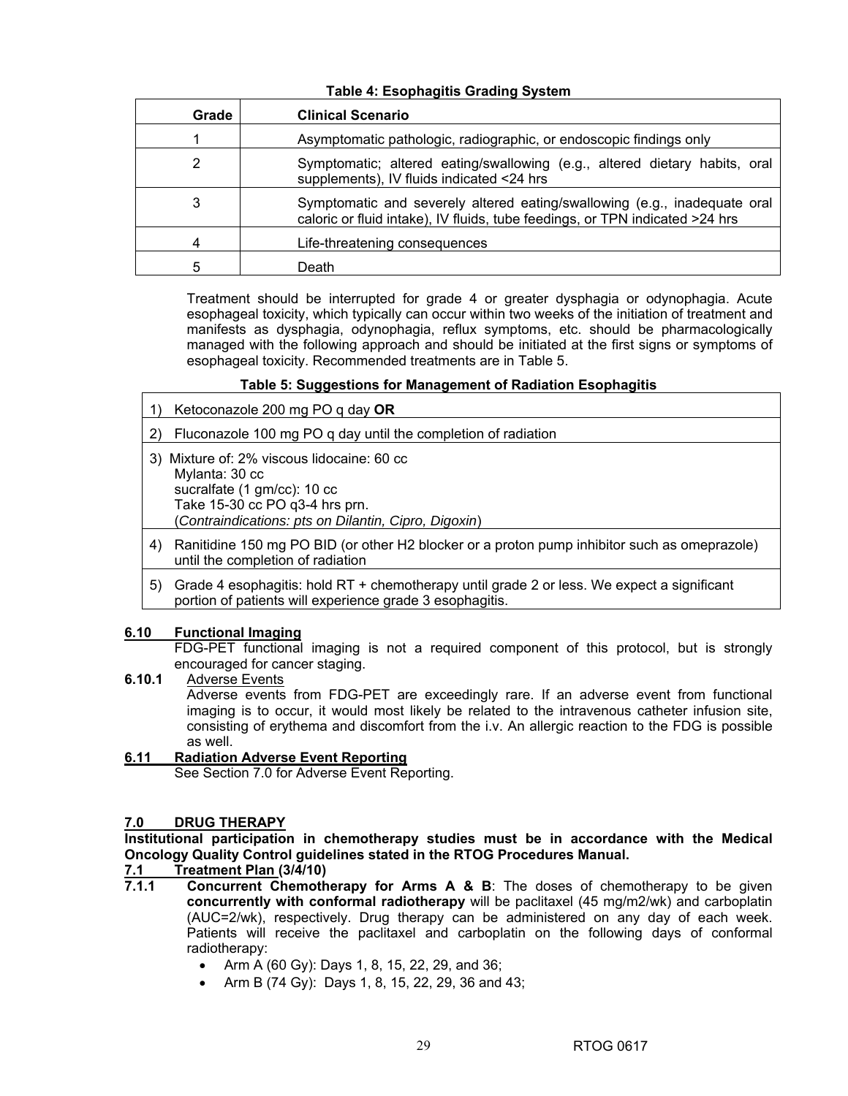| Grade | <b>Clinical Scenario</b>                                                                                                                                  |
|-------|-----------------------------------------------------------------------------------------------------------------------------------------------------------|
|       | Asymptomatic pathologic, radiographic, or endoscopic findings only                                                                                        |
|       | Symptomatic; altered eating/swallowing (e.g., altered dietary habits, oral<br>supplements), IV fluids indicated <24 hrs                                   |
| 3     | Symptomatic and severely altered eating/swallowing (e.g., inadequate oral<br>caloric or fluid intake), IV fluids, tube feedings, or TPN indicated >24 hrs |
| 4     | Life-threatening consequences                                                                                                                             |
| 5     | Death                                                                                                                                                     |

# **Table 4: Esophagitis Grading System**

 Treatment should be interrupted for grade 4 or greater dysphagia or odynophagia. Acute esophageal toxicity, which typically can occur within two weeks of the initiation of treatment and manifests as dysphagia, odynophagia, reflux symptoms, etc. should be pharmacologically managed with the following approach and should be initiated at the first signs or symptoms of esophageal toxicity. Recommended treatments are in Table 5.

# **Table 5: Suggestions for Management of Radiation Esophagitis**

- 1) Ketoconazole 200 mg PO q day **OR**
- 2) Fluconazole 100 mg PO q day until the completion of radiation
- 3) Mixture of: 2% viscous lidocaine: 60 cc Mylanta: 30 cc sucralfate (1 gm/cc): 10 cc Take 15-30 cc PO q3-4 hrs prn. (*Contraindications: pts on Dilantin, Cipro, Digoxin*)
- 4) Ranitidine 150 mg PO BID (or other H2 blocker or a proton pump inhibitor such as omeprazole) until the completion of radiation
- 5) Grade 4 esophagitis: hold RT + chemotherapy until grade 2 or less. We expect a significant portion of patients will experience grade 3 esophagitis.

# **6.10 Functional Imaging**

FDG-PET functional imaging is not a required component of this protocol, but is strongly encouraged for cancer staging.

**6.10.1** Adverse Events Adverse events from FDG-PET are exceedingly rare. If an adverse event from functional imaging is to occur, it would most likely be related to the intravenous catheter infusion site, consisting of erythema and discomfort from the i.v. An allergic reaction to the FDG is possible as well.

# **6.11 Radiation Adverse Event Reporting**

See Section 7.0 for Adverse Event Reporting.

# **7.0 DRUG THERAPY**

**Institutional participation in chemotherapy studies must be in accordance with the Medical Oncology Quality Control guidelines stated in the RTOG Procedures Manual.** 

# **7.1 Treatment Plan (3/4/10)**

- **Concurrent Chemotherapy for Arms A & B:** The doses of chemotherapy to be given **concurrently with conformal radiotherapy** will be paclitaxel (45 mg/m2/wk) and carboplatin (AUC=2/wk), respectively. Drug therapy can be administered on any day of each week. Patients will receive the paclitaxel and carboplatin on the following days of conformal radiotherapy:
	- Arm A (60 Gy): Days 1, 8, 15, 22, 29, and 36;
	- Arm B (74 Gy): Days 1, 8, 15, 22, 29, 36 and 43;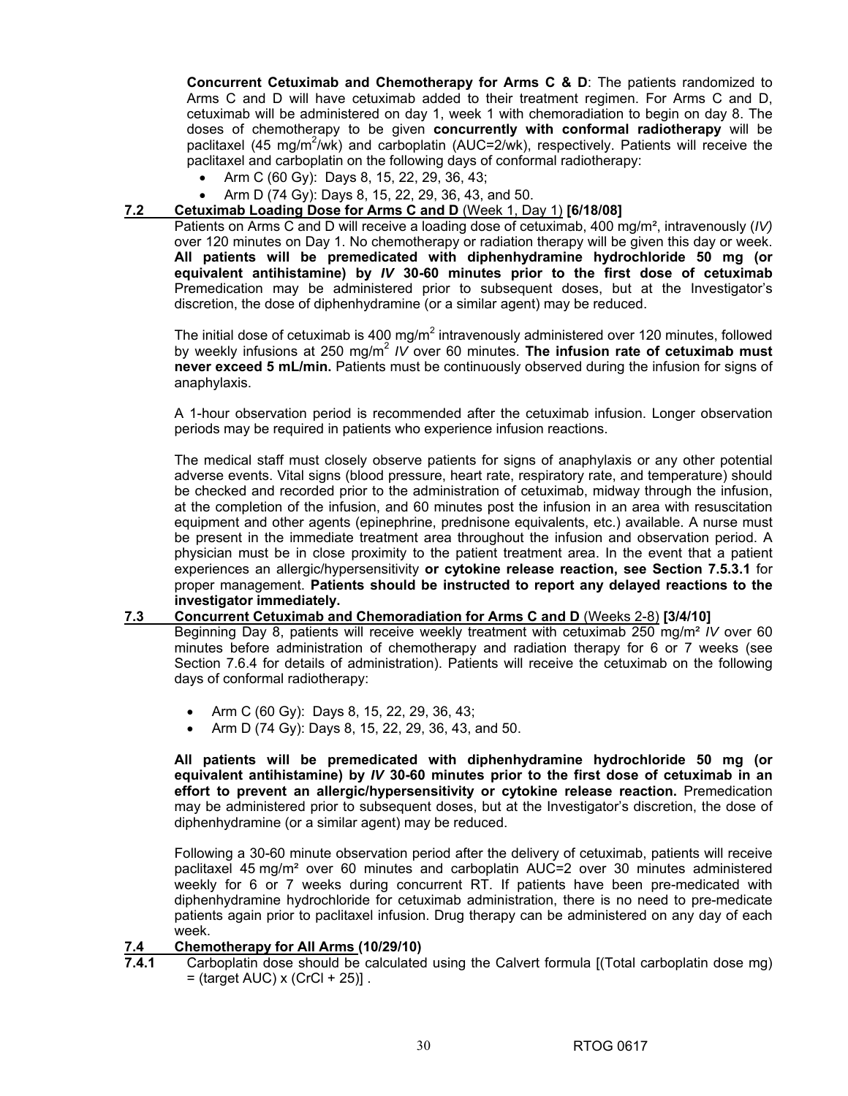**Concurrent Cetuximab and Chemotherapy for Arms C & D**: The patients randomized to Arms C and D will have cetuximab added to their treatment regimen. For Arms C and D, cetuximab will be administered on day 1, week 1 with chemoradiation to begin on day 8. The doses of chemotherapy to be given **concurrently with conformal radiotherapy** will be paclitaxel (45 mg/m<sup>2</sup>/wk) and carboplatin (AUC=2/wk), respectively. Patients will receive the paclitaxel and carboplatin on the following days of conformal radiotherapy:

- Arm C (60 Gy): Days 8, 15, 22, 29, 36, 43;
- Arm D (74 Gy): Days 8, 15, 22, 29, 36, 43, and 50.
- **7.2 Cetuximab Loading Dose for Arms C and D** (Week 1, Day 1) **[6/18/08]**

 Patients on Arms C and D will receive a loading dose of cetuximab, 400 mg/m², intravenously (*IV)* over 120 minutes on Day 1. No chemotherapy or radiation therapy will be given this day or week. **All patients will be premedicated with diphenhydramine hydrochloride 50 mg (or equivalent antihistamine) by** *IV* **30-60 minutes prior to the first dose of cetuximab**  Premedication may be administered prior to subsequent doses, but at the Investigator's discretion, the dose of diphenhydramine (or a similar agent) may be reduced.

The initial dose of cetuximab is 400 mg/m<sup>2</sup> intravenously administered over 120 minutes, followed by weekly infusions at 250 mg/m<sup>2</sup> *IV* over 60 minutes. **The infusion rate of cetuximab must never exceed 5 mL/min.** Patients must be continuously observed during the infusion for signs of anaphylaxis.

 A 1-hour observation period is recommended after the cetuximab infusion. Longer observation periods may be required in patients who experience infusion reactions.

 The medical staff must closely observe patients for signs of anaphylaxis or any other potential adverse events. Vital signs (blood pressure, heart rate, respiratory rate, and temperature) should be checked and recorded prior to the administration of cetuximab, midway through the infusion, at the completion of the infusion, and 60 minutes post the infusion in an area with resuscitation equipment and other agents (epinephrine, prednisone equivalents, etc.) available. A nurse must be present in the immediate treatment area throughout the infusion and observation period. A physician must be in close proximity to the patient treatment area. In the event that a patient experiences an allergic/hypersensitivity **or cytokine release reaction, see Section 7.5.3.1** for proper management. **Patients should be instructed to report any delayed reactions to the investigator immediately.** 

# **7.3 Concurrent Cetuximab and Chemoradiation for Arms C and D** (Weeks 2-8) **[3/4/10]**

 Beginning Day 8, patients will receive weekly treatment with cetuximab 250 mg/m² *IV* over 60 minutes before administration of chemotherapy and radiation therapy for 6 or 7 weeks (see Section 7.6.4 for details of administration). Patients will receive the cetuximab on the following days of conformal radiotherapy:

- Arm C (60 Gy): Days 8, 15, 22, 29, 36, 43;
- Arm D (74 Gy): Days 8, 15, 22, 29, 36, 43, and 50.

**All patients will be premedicated with diphenhydramine hydrochloride 50 mg (or equivalent antihistamine) by** *IV* **30-60 minutes prior to the first dose of cetuximab in an effort to prevent an allergic/hypersensitivity or cytokine release reaction.** Premedication may be administered prior to subsequent doses, but at the Investigator's discretion, the dose of diphenhydramine (or a similar agent) may be reduced.

 Following a 30-60 minute observation period after the delivery of cetuximab, patients will receive paclitaxel 45 mg/m² over 60 minutes and carboplatin AUC=2 over 30 minutes administered weekly for 6 or 7 weeks during concurrent RT. If patients have been pre-medicated with diphenhydramine hydrochloride for cetuximab administration, there is no need to pre-medicate patients again prior to paclitaxel infusion. Drug therapy can be administered on any day of each week.

# **7.4 Chemotherapy for All Arms (10/29/10)**

**7.4.1** Carboplatin dose should be calculated using the Calvert formula [(Total carboplatin dose mg)  $=$  (target AUC) x (CrCl + 25)].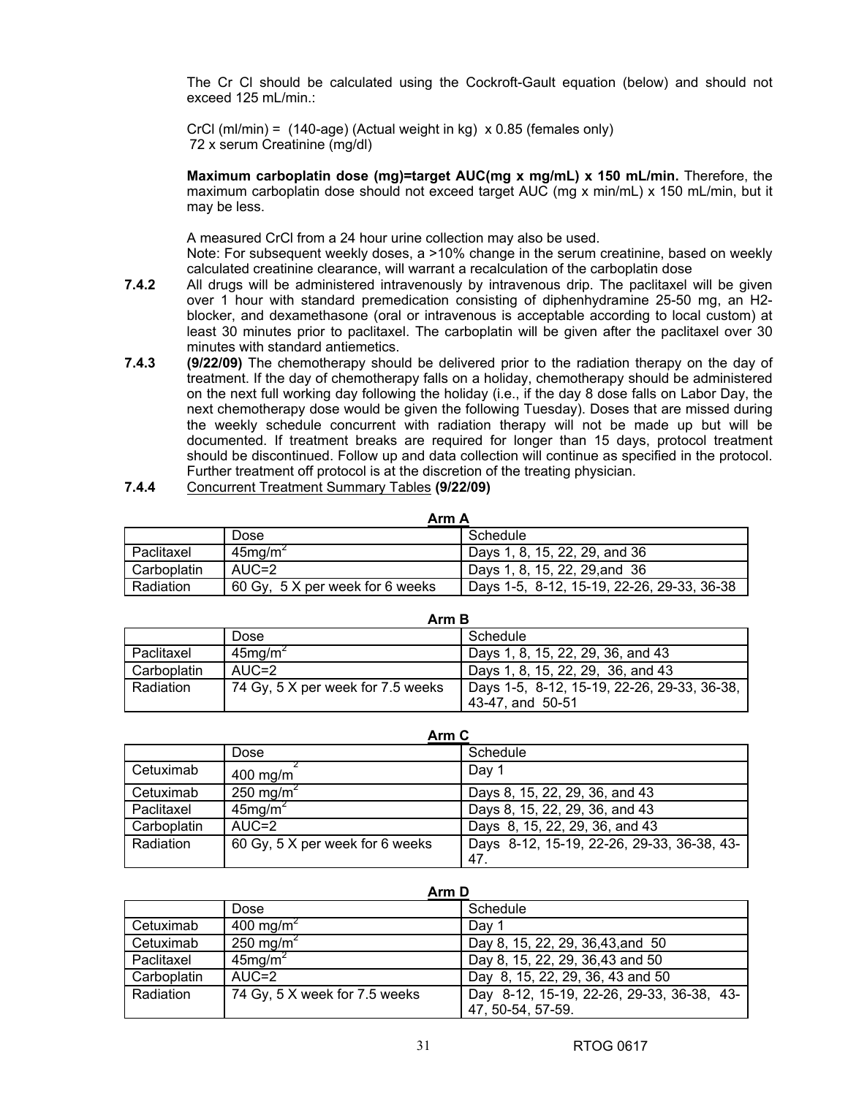The Cr Cl should be calculated using the Cockroft-Gault equation (below) and should not exceed 125 mL/min.:

 CrCl (ml/min) = (140-age) (Actual weight in kg) x 0.85 (females only) 72 x serum Creatinine (mg/dl)

**Maximum carboplatin dose (mg)=target AUC(mg x mg/mL) x 150 mL/min.** Therefore, the maximum carboplatin dose should not exceed target AUC (mg x min/mL) x 150 mL/min, but it may be less.

A measured CrCl from a 24 hour urine collection may also be used.

 Note: For subsequent weekly doses, a >10% change in the serum creatinine, based on weekly calculated creatinine clearance, will warrant a recalculation of the carboplatin dose

- **7.4.2** All drugs will be administered intravenously by intravenous drip. The paclitaxel will be given over 1 hour with standard premedication consisting of diphenhydramine 25-50 mg, an H2 blocker, and dexamethasone (oral or intravenous is acceptable according to local custom) at least 30 minutes prior to paclitaxel. The carboplatin will be given after the paclitaxel over 30 minutes with standard antiemetics.
- **7.4.3 (9/22/09)** The chemotherapy should be delivered prior to the radiation therapy on the day of treatment. If the day of chemotherapy falls on a holiday, chemotherapy should be administered on the next full working day following the holiday (i.e., if the day 8 dose falls on Labor Day, the next chemotherapy dose would be given the following Tuesday). Doses that are missed during the weekly schedule concurrent with radiation therapy will not be made up but will be documented. If treatment breaks are required for longer than 15 days, protocol treatment should be discontinued. Follow up and data collection will continue as specified in the protocol. Further treatment off protocol is at the discretion of the treating physician.

| Arm A       |                                 |                                            |  |
|-------------|---------------------------------|--------------------------------------------|--|
|             | Dose                            | Schedule                                   |  |
| Paclitaxel  | $45$ mg/m <sup>2</sup>          | Days 1, 8, 15, 22, 29, and 36              |  |
| Carboplatin | $AUC=2$                         | Days 1, 8, 15, 22, 29, and 36              |  |
| Radiation   | 60 Gy, 5 X per week for 6 weeks | Days 1-5, 8-12, 15-19, 22-26, 29-33, 36-38 |  |

| Arm B       |                                   |                                                                 |  |
|-------------|-----------------------------------|-----------------------------------------------------------------|--|
|             | Dose                              | Schedule                                                        |  |
| Paclitaxel  | $45$ mg/m <sup>2</sup>            | Days 1, 8, 15, 22, 29, 36, and 43                               |  |
| Carboplatin | $AUC=2$                           | Days 1, 8, 15, 22, 29, 36, and 43                               |  |
| Radiation   | 74 Gy, 5 X per week for 7.5 weeks | Days 1-5, 8-12, 15-19, 22-26, 29-33, 36-38,<br>43-47, and 50-51 |  |

| Arm C       |                                 |                                                   |  |
|-------------|---------------------------------|---------------------------------------------------|--|
|             | Dose                            | Schedule                                          |  |
| Cetuximab   | $400$ mg/m                      | Dav 1                                             |  |
| Cetuximab   | 250 mg/m <sup>2</sup>           | Days 8, 15, 22, 29, 36, and 43                    |  |
| Paclitaxel  | $45$ mg/m <sup>2</sup>          | Days 8, 15, 22, 29, 36, and 43                    |  |
| Carboplatin | $AUC=2$                         | Days 8, 15, 22, 29, 36, and 43                    |  |
| Radiation   | 60 Gy, 5 X per week for 6 weeks | Days 8-12, 15-19, 22-26, 29-33, 36-38, 43-<br>47. |  |

|             | Arm v                         |                                           |  |  |  |
|-------------|-------------------------------|-------------------------------------------|--|--|--|
|             | Dose                          | Schedule                                  |  |  |  |
| Cetuximab   | 400 mg/m <sup>2</sup>         | Dav 1                                     |  |  |  |
| Cetuximab   | 250 mg/m <sup>2</sup>         | Day 8, 15, 22, 29, 36, 43, and 50         |  |  |  |
| Paclitaxel  | $45$ mg/m <sup>2</sup>        | Day 8, 15, 22, 29, 36, 43 and 50          |  |  |  |
| Carboplatin | $AUC=2$                       | Day 8, 15, 22, 29, 36, 43 and 50          |  |  |  |
| Radiation   | 74 Gy, 5 X week for 7.5 weeks | Day 8-12, 15-19, 22-26, 29-33, 36-38, 43- |  |  |  |
|             |                               | 47, 50-54, 57-59.                         |  |  |  |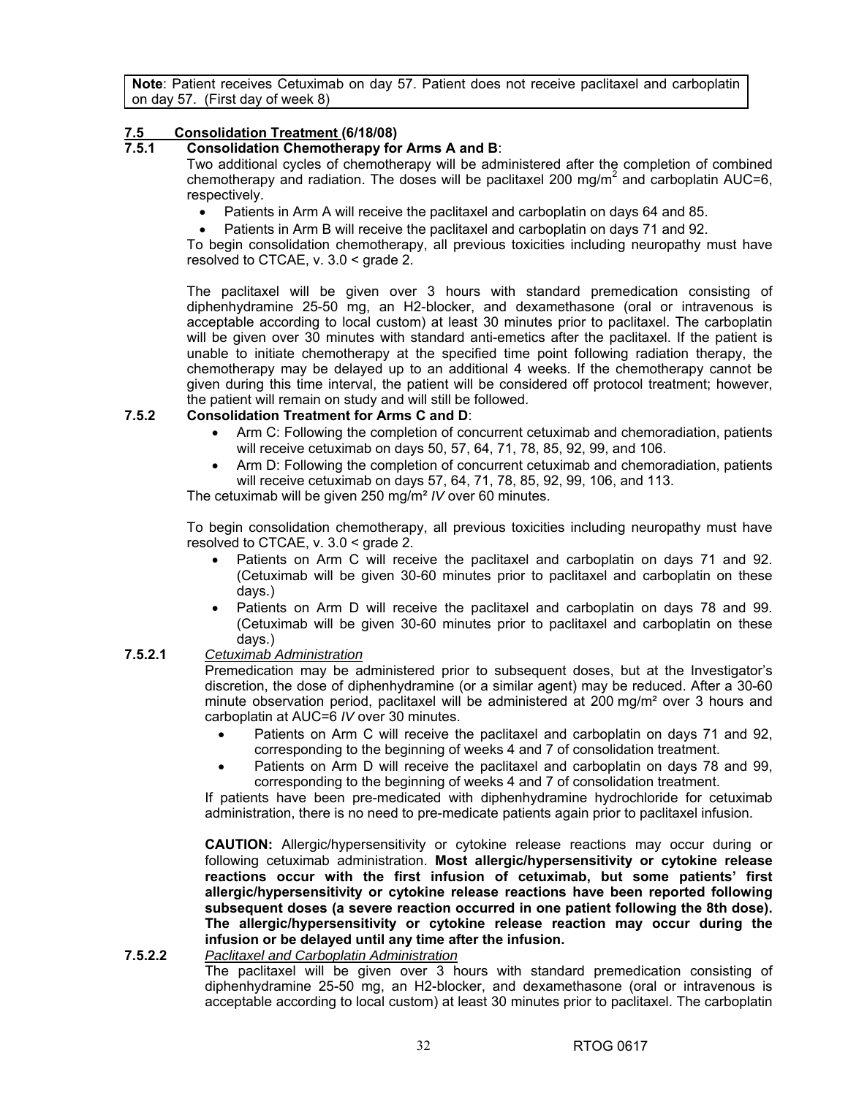**Note**: Patient receives Cetuximab on day 57. Patient does not receive paclitaxel and carboplatin on day 57. (First day of week 8)

# **7.5 Consolidation Treatment (6/18/08)**

# **7.5.1 Consolidation Chemotherapy for Arms A and B**:

Two additional cycles of chemotherapy will be administered after the completion of combined chemotherapy and radiation. The doses will be paclitaxel 200 mg/m<sup>2</sup> and carboplatin AUC=6, respectively.

- Patients in Arm A will receive the paclitaxel and carboplatin on days 64 and 85.
- Patients in Arm B will receive the paclitaxel and carboplatin on days 71 and 92.

 To begin consolidation chemotherapy, all previous toxicities including neuropathy must have resolved to CTCAE, v. 3.0 < grade 2.

 The paclitaxel will be given over 3 hours with standard premedication consisting of diphenhydramine 25-50 mg, an H2-blocker, and dexamethasone (oral or intravenous is acceptable according to local custom) at least 30 minutes prior to paclitaxel. The carboplatin will be given over 30 minutes with standard anti-emetics after the paclitaxel. If the patient is unable to initiate chemotherapy at the specified time point following radiation therapy, the chemotherapy may be delayed up to an additional 4 weeks. If the chemotherapy cannot be given during this time interval, the patient will be considered off protocol treatment; however, the patient will remain on study and will still be followed.

# **7.5.2 Consolidation Treatment for Arms C and D**:

- Arm C: Following the completion of concurrent cetuximab and chemoradiation, patients will receive cetuximab on days 50, 57, 64, 71, 78, 85, 92, 99, and 106.
- Arm D: Following the completion of concurrent cetuximab and chemoradiation, patients will receive cetuximab on days 57, 64, 71, 78, 85, 92, 99, 106, and 113.

The cetuximab will be given 250 mg/m² *IV* over 60 minutes.

To begin consolidation chemotherapy, all previous toxicities including neuropathy must have resolved to CTCAE, v. 3.0 < grade 2.

- Patients on Arm C will receive the paclitaxel and carboplatin on days 71 and 92. (Cetuximab will be given 30-60 minutes prior to paclitaxel and carboplatin on these days.)
- Patients on Arm D will receive the paclitaxel and carboplatin on days 78 and 99. (Cetuximab will be given 30-60 minutes prior to paclitaxel and carboplatin on these days.)

# **7.5.2.1** *Cetuximab Administration*

Premedication may be administered prior to subsequent doses, but at the Investigator's discretion, the dose of diphenhydramine (or a similar agent) may be reduced. After a 30-60 minute observation period, paclitaxel will be administered at 200 mg/m² over 3 hours and carboplatin at AUC=6 *IV* over 30 minutes.

- Patients on Arm C will receive the paclitaxel and carboplatin on days 71 and 92, corresponding to the beginning of weeks 4 and 7 of consolidation treatment.
- Patients on Arm D will receive the paclitaxel and carboplatin on days 78 and 99, corresponding to the beginning of weeks 4 and 7 of consolidation treatment.

 If patients have been pre-medicated with diphenhydramine hydrochloride for cetuximab administration, there is no need to pre-medicate patients again prior to paclitaxel infusion.

 **CAUTION:** Allergic/hypersensitivity or cytokine release reactions may occur during or following cetuximab administration. **Most allergic/hypersensitivity or cytokine release reactions occur with the first infusion of cetuximab, but some patients' first allergic/hypersensitivity or cytokine release reactions have been reported following subsequent doses (a severe reaction occurred in one patient following the 8th dose). The allergic/hypersensitivity or cytokine release reaction may occur during the infusion or be delayed until any time after the infusion.** 

**7.5.2.2** *Paclitaxel and Carboplatin Administration*

The paclitaxel will be given over 3 hours with standard premedication consisting of diphenhydramine 25-50 mg, an H2-blocker, and dexamethasone (oral or intravenous is acceptable according to local custom) at least 30 minutes prior to paclitaxel. The carboplatin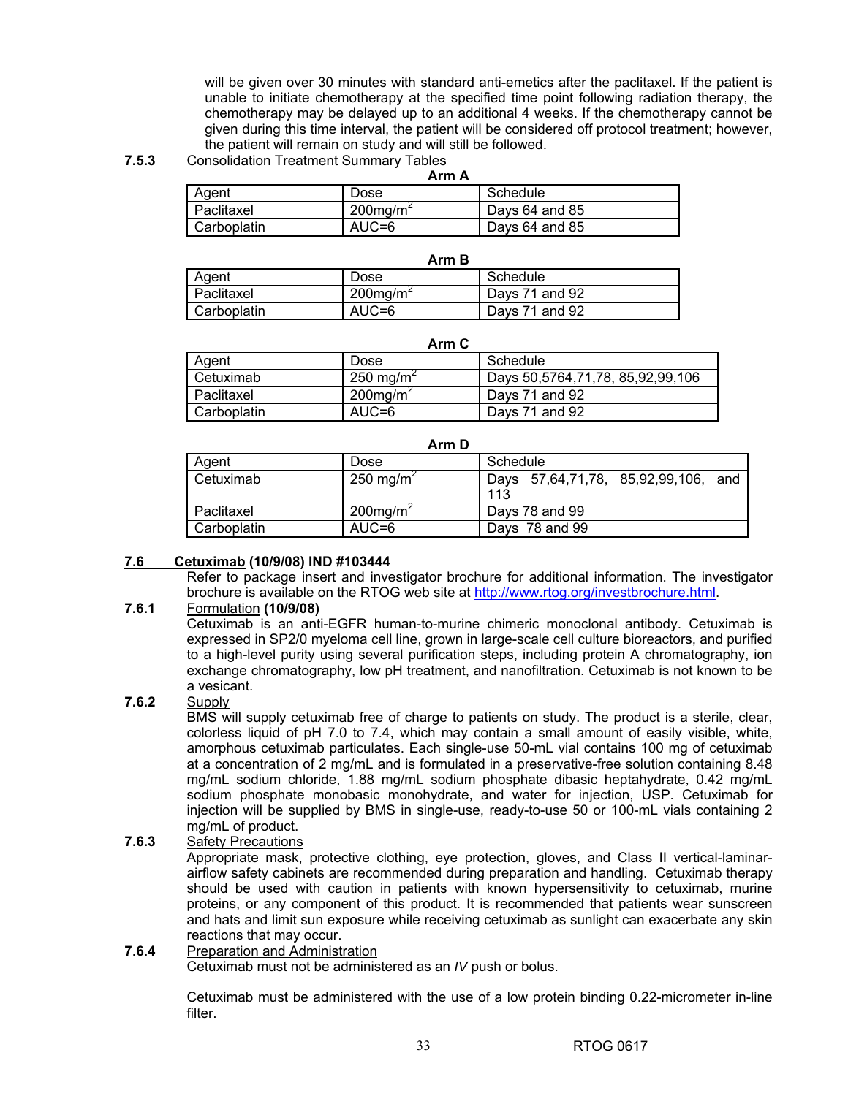will be given over 30 minutes with standard anti-emetics after the paclitaxel. If the patient is unable to initiate chemotherapy at the specified time point following radiation therapy, the chemotherapy may be delayed up to an additional 4 weeks. If the chemotherapy cannot be given during this time interval, the patient will be considered off protocol treatment; however, the patient will remain on study and will still be followed.

# **7.5.3** Consolidation Treatment Summary Tables

| Arm A              |                         |                |  |
|--------------------|-------------------------|----------------|--|
| Agent              | Dose                    | Schedule       |  |
| Paclitaxel         | $200$ mg/m <sup>2</sup> | Days 64 and 85 |  |
| <b>Carboplatin</b> | AUC=6                   | Days 64 and 85 |  |

| Arm B       |                         |                |  |
|-------------|-------------------------|----------------|--|
| Agent       | Dose                    | Schedule       |  |
| Paclitaxel  | $200$ mg/m <sup>2</sup> | Days 71 and 92 |  |
| Carboplatin | AUC=6                   | Days 71 and 92 |  |

| Arm C       |                         |                                  |  |
|-------------|-------------------------|----------------------------------|--|
| Agent       | Dose                    | Schedule                         |  |
| Cetuximab   | 250 mg/m <sup>2</sup>   | Days 50,5764,71,78, 85,92,99,106 |  |
| Paclitaxel  | $200$ mg/m <sup>2</sup> | Days 71 and 92                   |  |
| Carboplatin | $AUC = 6$               | Days 71 and 92                   |  |

| Arm D       |                         |                                            |  |
|-------------|-------------------------|--------------------------------------------|--|
| Agent       | Dose                    | Schedule                                   |  |
| Cetuximab   | 250 mg/m <sup>2</sup>   | Days 57,64,71,78, 85,92,99,106, and<br>113 |  |
| Paclitaxel  | $200$ mg/m <sup>2</sup> | Days 78 and 99                             |  |
| Carboplatin | $AUC=6$                 | Days 78 and 99                             |  |

# **7.6 Cetuximab (10/9/08) IND #103444**

 Refer to package insert and investigator brochure for additional information. The investigator brochure is available on the RTOG web site at [http://www.rtog.org/investbrochure.html.](http://www.rtog.org/investbrochure.html) 

# **7.6.1** Formulation **(10/9/08)**

Cetuximab is an anti-EGFR human-to-murine chimeric monoclonal antibody. Cetuximab is expressed in SP2/0 myeloma cell line, grown in large-scale cell culture bioreactors, and purified to a high-level purity using several purification steps, including protein A chromatography, ion exchange chromatography, low pH treatment, and nanofiltration. Cetuximab is not known to be a vesicant.

# **7.6.2** Supply

 BMS will supply cetuximab free of charge to patients on study. The product is a sterile, clear, colorless liquid of pH 7.0 to 7.4, which may contain a small amount of easily visible, white, amorphous cetuximab particulates. Each single-use 50-mL vial contains 100 mg of cetuximab at a concentration of 2 mg/mL and is formulated in a preservative-free solution containing 8.48 mg/mL sodium chloride, 1.88 mg/mL sodium phosphate dibasic heptahydrate, 0.42 mg/mL sodium phosphate monobasic monohydrate, and water for injection, USP. Cetuximab for injection will be supplied by BMS in single-use, ready-to-use 50 or 100-mL vials containing 2 mg/mL of product.

**7.6.3** Safety Precautions

 Appropriate mask, protective clothing, eye protection, gloves, and Class II vertical-laminarairflow safety cabinets are recommended during preparation and handling. Cetuximab therapy should be used with caution in patients with known hypersensitivity to cetuximab, murine proteins, or any component of this product. It is recommended that patients wear sunscreen and hats and limit sun exposure while receiving cetuximab as sunlight can exacerbate any skin reactions that may occur.

# **7.6.4** Preparation and Administration

Cetuximab must not be administered as an *IV* push or bolus.

 Cetuximab must be administered with the use of a low protein binding 0.22-micrometer in-line filter.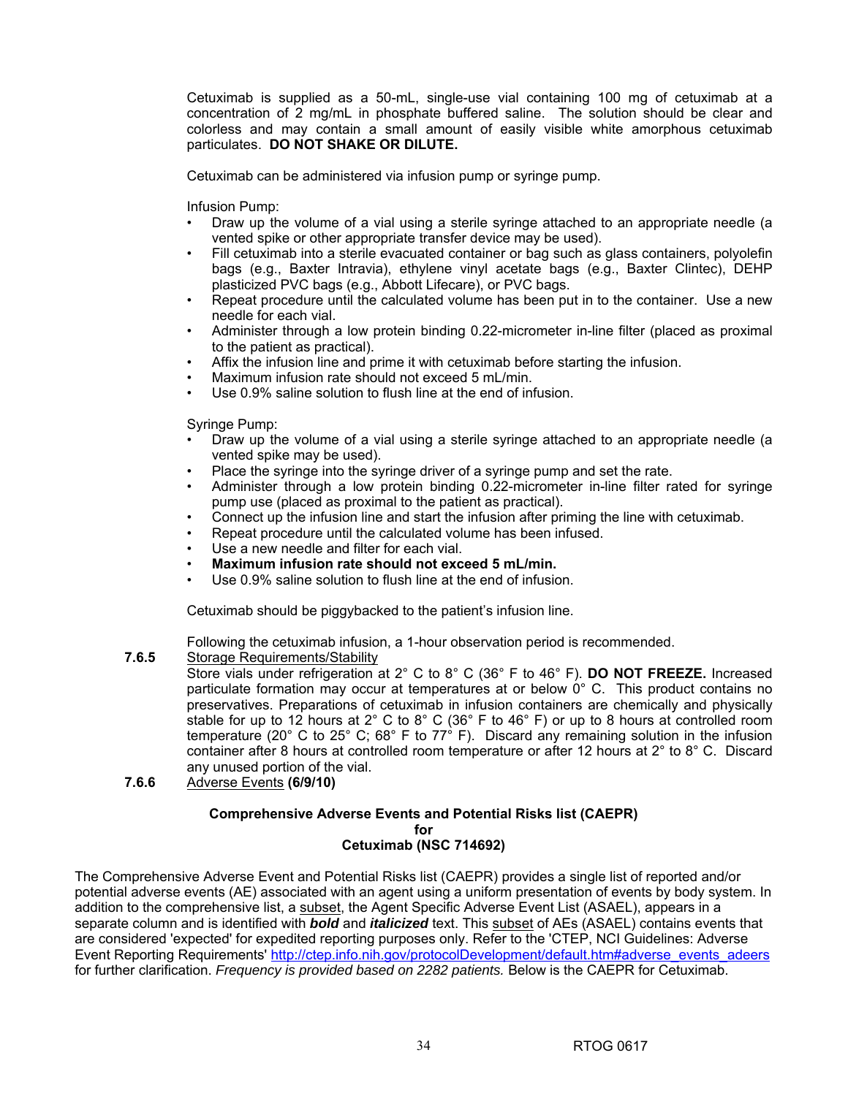Cetuximab is supplied as a 50-mL, single-use vial containing 100 mg of cetuximab at a concentration of 2 mg/mL in phosphate buffered saline. The solution should be clear and colorless and may contain a small amount of easily visible white amorphous cetuximab particulates. **DO NOT SHAKE OR DILUTE.** 

Cetuximab can be administered via infusion pump or syringe pump.

Infusion Pump:

- Draw up the volume of a vial using a sterile syringe attached to an appropriate needle (a vented spike or other appropriate transfer device may be used).
- Fill cetuximab into a sterile evacuated container or bag such as glass containers, polyolefin bags (e.g., Baxter Intravia), ethylene vinyl acetate bags (e.g., Baxter Clintec), DEHP plasticized PVC bags (e.g., Abbott Lifecare), or PVC bags.
- Repeat procedure until the calculated volume has been put in to the container. Use a new needle for each vial.
- Administer through a low protein binding 0.22-micrometer in-line filter (placed as proximal to the patient as practical).
- Affix the infusion line and prime it with cetuximab before starting the infusion.
- Maximum infusion rate should not exceed 5 mL/min.
- Use 0.9% saline solution to flush line at the end of infusion.

Syringe Pump:

- Draw up the volume of a vial using a sterile syringe attached to an appropriate needle (a vented spike may be used).
- Place the syringe into the syringe driver of a syringe pump and set the rate.
- Administer through a low protein binding 0.22-micrometer in-line filter rated for syringe pump use (placed as proximal to the patient as practical).
- Connect up the infusion line and start the infusion after priming the line with cetuximab.
- Repeat procedure until the calculated volume has been infused.
- Use a new needle and filter for each vial.
- **Maximum infusion rate should not exceed 5 mL/min.**
- Use 0.9% saline solution to flush line at the end of infusion.

Cetuximab should be piggybacked to the patient's infusion line.

Following the cetuximab infusion, a 1-hour observation period is recommended.<br>7.6.5 Storage Requirements/Stability

#### **7.6.5** Storage Requirements/Stability

 Store vials under refrigeration at 2° C to 8° C (36° F to 46° F). **DO NOT FREEZE.** Increased particulate formation may occur at temperatures at or below 0° C. This product contains no preservatives. Preparations of cetuximab in infusion containers are chemically and physically stable for up to 12 hours at 2° C to 8° C (36° F to 46° F) or up to 8 hours at controlled room temperature (20° C to 25° C; 68° F to 77° F). Discard any remaining solution in the infusion container after 8 hours at controlled room temperature or after 12 hours at 2° to 8° C. Discard any unused portion of the vial.

**7.6.6** Adverse Events **(6/9/10)** 

#### **Comprehensive Adverse Events and Potential Risks list (CAEPR) for Cetuximab (NSC 714692)**

The Comprehensive Adverse Event and Potential Risks list (CAEPR) provides a single list of reported and/or potential adverse events (AE) associated with an agent using a uniform presentation of events by body system. In addition to the comprehensive list, a subset, the Agent Specific Adverse Event List (ASAEL), appears in a separate column and is identified with *bold* and *italicized* text. This subset of AEs (ASAEL) contains events that are considered 'expected' for expedited reporting purposes only. Refer to the 'CTEP, NCI Guidelines: Adverse Event Reporting Requirements' [http://ctep.info.nih.gov/protocolDevelopment/default.htm#adverse\\_events\\_adeers](http://ctep.info.nih.gov/protocolDevelopment/default.htm#adverse_events_adeers)  for further clarification. *Frequency is provided based on 2282 patients.* Below is the CAEPR for Cetuximab.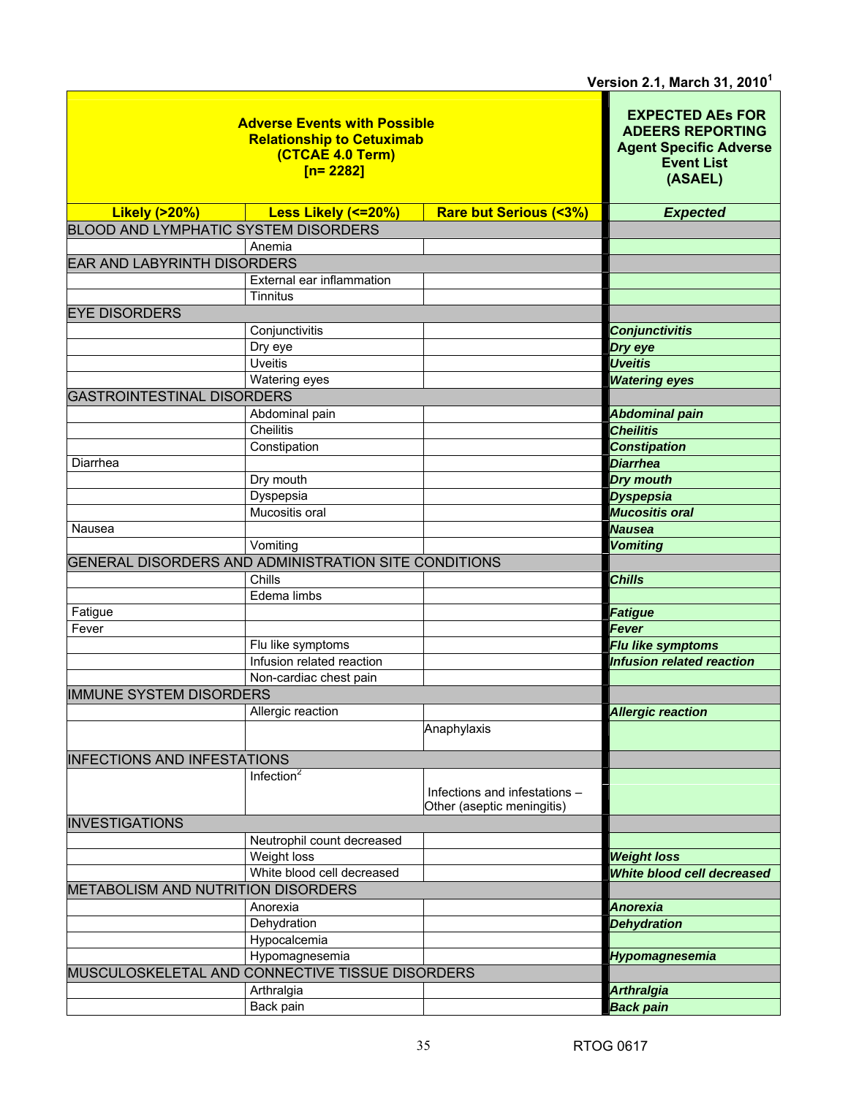|                                                                                                            |                                                      |                               | Version 2.1, March 31, 2010 <sup>1</sup>                                                                            |
|------------------------------------------------------------------------------------------------------------|------------------------------------------------------|-------------------------------|---------------------------------------------------------------------------------------------------------------------|
| <b>Adverse Events with Possible</b><br><b>Relationship to Cetuximab</b><br>(CTCAE 4.0 Term)<br>$[n= 2282]$ |                                                      |                               | <b>EXPECTED AES FOR</b><br><b>ADEERS REPORTING</b><br><b>Agent Specific Adverse</b><br><b>Event List</b><br>(ASAEL) |
|                                                                                                            |                                                      | Rare but Serious (<3%)        | <b>Expected</b>                                                                                                     |
| <b>BLOOD AND LYMPHATIC SYSTEM DISORDERS</b>                                                                |                                                      |                               |                                                                                                                     |
|                                                                                                            | Anemia                                               |                               |                                                                                                                     |
| EAR AND LABYRINTH DISORDERS                                                                                |                                                      |                               |                                                                                                                     |
|                                                                                                            | External ear inflammation                            |                               |                                                                                                                     |
|                                                                                                            | Tinnitus                                             |                               |                                                                                                                     |
| <b>EYE DISORDERS</b>                                                                                       |                                                      |                               |                                                                                                                     |
|                                                                                                            | Conjunctivitis                                       |                               | <b>Conjunctivitis</b>                                                                                               |
|                                                                                                            | Dry eye                                              |                               | Dry eye                                                                                                             |
|                                                                                                            | <b>Uveitis</b>                                       |                               | <b>Uveitis</b>                                                                                                      |
| <b>GASTROINTESTINAL DISORDERS</b>                                                                          | Watering eyes                                        |                               | <b>Watering eyes</b>                                                                                                |
|                                                                                                            | Abdominal pain                                       |                               | <b>Abdominal pain</b>                                                                                               |
|                                                                                                            | Cheilitis                                            |                               | <b>Cheilitis</b>                                                                                                    |
|                                                                                                            | Constipation                                         |                               | <b>Constipation</b>                                                                                                 |
| Diarrhea                                                                                                   |                                                      |                               | <b>Diarrhea</b>                                                                                                     |
|                                                                                                            | Dry mouth                                            |                               | <b>Dry mouth</b>                                                                                                    |
|                                                                                                            | Dyspepsia                                            |                               | <b>Dyspepsia</b>                                                                                                    |
|                                                                                                            | Mucositis oral                                       |                               | <b>Mucositis oral</b>                                                                                               |
| Nausea                                                                                                     |                                                      |                               | <b>Nausea</b>                                                                                                       |
|                                                                                                            | Vomiting                                             |                               | <b>Vomiting</b>                                                                                                     |
|                                                                                                            | GENERAL DISORDERS AND ADMINISTRATION SITE CONDITIONS |                               |                                                                                                                     |
|                                                                                                            | Chills                                               |                               | <b>Chills</b>                                                                                                       |
|                                                                                                            | Edema limbs                                          |                               |                                                                                                                     |
| Fatigue                                                                                                    |                                                      |                               | <b>Fatigue</b>                                                                                                      |
| Fever                                                                                                      |                                                      |                               | Fever                                                                                                               |
|                                                                                                            | Flu like symptoms                                    |                               | <b>Flu like symptoms</b>                                                                                            |
|                                                                                                            | Infusion related reaction                            |                               | <b>Infusion related reaction</b>                                                                                    |
|                                                                                                            | Non-cardiac chest pain                               |                               |                                                                                                                     |
| <b>IMMUNE SYSTEM DISORDERS</b>                                                                             |                                                      |                               |                                                                                                                     |
|                                                                                                            | Allergic reaction                                    |                               | <b>Allergic reaction</b>                                                                                            |
|                                                                                                            |                                                      | Anaphylaxis                   |                                                                                                                     |
| <b>INFECTIONS AND INFESTATIONS</b>                                                                         |                                                      |                               |                                                                                                                     |
|                                                                                                            | Infection $2$                                        |                               |                                                                                                                     |
|                                                                                                            |                                                      | Infections and infestations - |                                                                                                                     |
|                                                                                                            |                                                      | Other (aseptic meningitis)    |                                                                                                                     |
| <b>INVESTIGATIONS</b>                                                                                      |                                                      |                               |                                                                                                                     |
|                                                                                                            | Neutrophil count decreased                           |                               |                                                                                                                     |
|                                                                                                            | Weight loss                                          |                               | <b>Weight loss</b>                                                                                                  |
|                                                                                                            | White blood cell decreased                           |                               | White blood cell decreased                                                                                          |
| METABOLISM AND NUTRITION DISORDERS                                                                         |                                                      |                               |                                                                                                                     |
|                                                                                                            | Anorexia                                             |                               | <b>Anorexia</b>                                                                                                     |
|                                                                                                            | Dehydration                                          |                               | <b>Dehydration</b>                                                                                                  |
|                                                                                                            | Hypocalcemia                                         |                               |                                                                                                                     |
|                                                                                                            | Hypomagnesemia                                       |                               | <b>Hypomagnesemia</b>                                                                                               |
|                                                                                                            | MUSCULOSKELETAL AND CONNECTIVE TISSUE DISORDERS      |                               |                                                                                                                     |
|                                                                                                            | Arthralgia                                           |                               | <b>Arthralgia</b>                                                                                                   |
|                                                                                                            | Back pain                                            |                               | <b>Back pain</b>                                                                                                    |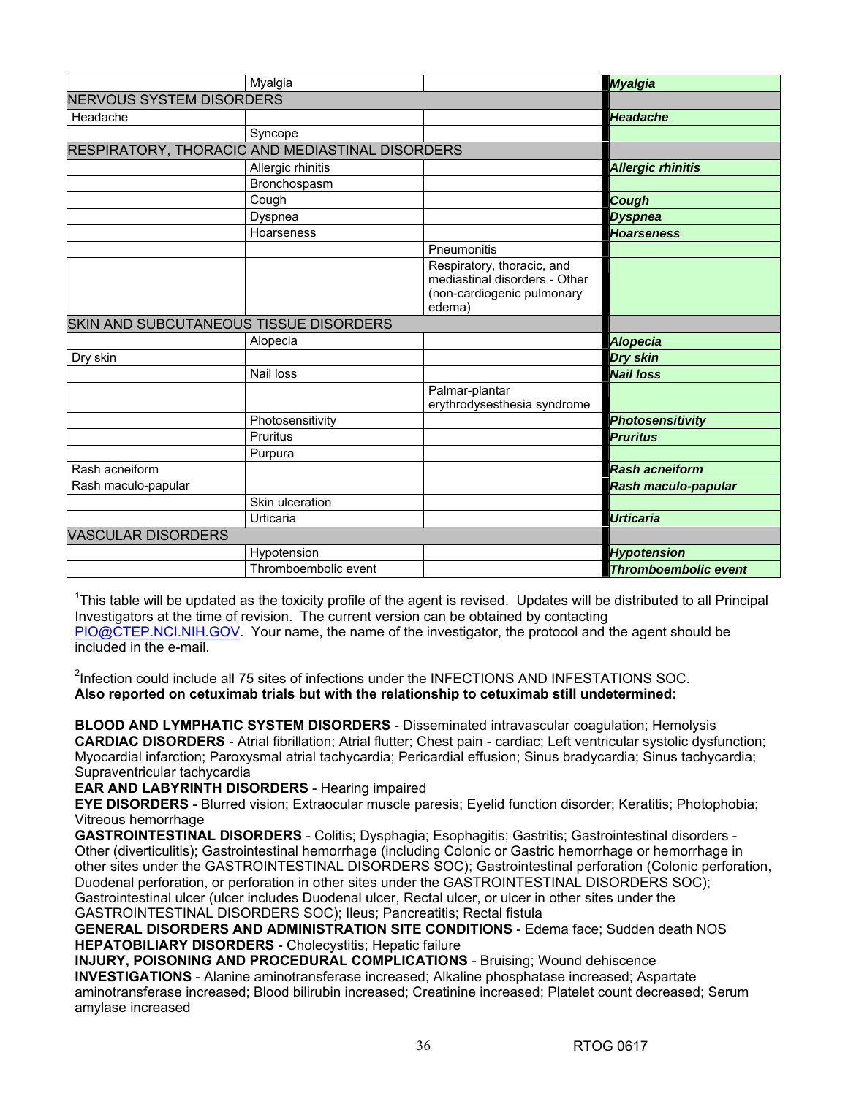|                                        | Myalgia                                         |                                                                                                     | <b>Myalgia</b>              |
|----------------------------------------|-------------------------------------------------|-----------------------------------------------------------------------------------------------------|-----------------------------|
| <b>NERVOUS SYSTEM DISORDERS</b>        |                                                 |                                                                                                     |                             |
| Headache                               |                                                 |                                                                                                     | Headache                    |
|                                        | Syncope                                         |                                                                                                     |                             |
|                                        | RESPIRATORY, THORACIC AND MEDIASTINAL DISORDERS |                                                                                                     |                             |
|                                        | Allergic rhinitis                               |                                                                                                     | <b>Allergic rhinitis</b>    |
|                                        | Bronchospasm                                    |                                                                                                     |                             |
|                                        | Cough                                           |                                                                                                     | Cough                       |
|                                        | Dyspnea                                         |                                                                                                     | <b>Dyspnea</b>              |
|                                        | Hoarseness                                      |                                                                                                     | <b>Hoarseness</b>           |
|                                        |                                                 | Pneumonitis                                                                                         |                             |
|                                        |                                                 | Respiratory, thoracic, and<br>mediastinal disorders - Other<br>(non-cardiogenic pulmonary<br>edema) |                             |
| SKIN AND SUBCUTANEOUS TISSUE DISORDERS |                                                 |                                                                                                     |                             |
|                                        | Alopecia                                        |                                                                                                     | <b>Alopecia</b>             |
| Dry skin                               |                                                 |                                                                                                     | <b>Dry skin</b>             |
|                                        | Nail loss                                       |                                                                                                     | <b>Nail loss</b>            |
|                                        |                                                 | Palmar-plantar<br>erythrodysesthesia syndrome                                                       |                             |
|                                        | Photosensitivity                                |                                                                                                     | <b>Photosensitivity</b>     |
|                                        | Pruritus                                        |                                                                                                     | <b>Pruritus</b>             |
|                                        | Purpura                                         |                                                                                                     |                             |
| Rash acneiform                         |                                                 |                                                                                                     | <b>Rash acneiform</b>       |
| Rash maculo-papular                    |                                                 |                                                                                                     | Rash maculo-papular         |
|                                        | Skin ulceration                                 |                                                                                                     |                             |
|                                        | Urticaria                                       |                                                                                                     | <b>Urticaria</b>            |
| <b>VASCULAR DISORDERS</b>              |                                                 |                                                                                                     |                             |
|                                        | Hypotension                                     |                                                                                                     | <b>Hypotension</b>          |
|                                        | Thromboembolic event                            |                                                                                                     | <b>Thromboembolic event</b> |

<sup>1</sup>This table will be updated as the toxicity profile of the agent is revised. Updates will be distributed to all Principal Investigators at the time of revision. The current version can be obtained by contacting [PIO@CTEP.NCI.NIH.GOV.](mailto:PIO@CTEP.NCI.NIH.GOV) Your name, the name of the investigator, the protocol and the agent should be included in the e-mail.

<sup>2</sup>Infection could include all 75 sites of infections under the INFECTIONS AND INFESTATIONS SOC. **Also reported on cetuximab trials but with the relationship to cetuximab still undetermined:** 

**BLOOD AND LYMPHATIC SYSTEM DISORDERS** - Disseminated intravascular coagulation; Hemolysis **CARDIAC DISORDERS** - Atrial fibrillation; Atrial flutter; Chest pain - cardiac; Left ventricular systolic dysfunction; Myocardial infarction; Paroxysmal atrial tachycardia; Pericardial effusion; Sinus bradycardia; Sinus tachycardia; Supraventricular tachycardia

**EAR AND LABYRINTH DISORDERS** - Hearing impaired

**EYE DISORDERS** - Blurred vision; Extraocular muscle paresis; Eyelid function disorder; Keratitis; Photophobia; Vitreous hemorrhage

**GASTROINTESTINAL DISORDERS** - Colitis; Dysphagia; Esophagitis; Gastritis; Gastrointestinal disorders - Other (diverticulitis); Gastrointestinal hemorrhage (including Colonic or Gastric hemorrhage or hemorrhage in other sites under the GASTROINTESTINAL DISORDERS SOC); Gastrointestinal perforation (Colonic perforation, Duodenal perforation, or perforation in other sites under the GASTROINTESTINAL DISORDERS SOC); Gastrointestinal ulcer (ulcer includes Duodenal ulcer, Rectal ulcer, or ulcer in other sites under the GASTROINTESTINAL DISORDERS SOC); Ileus; Pancreatitis; Rectal fistula

**GENERAL DISORDERS AND ADMINISTRATION SITE CONDITIONS** - Edema face; Sudden death NOS **HEPATOBILIARY DISORDERS** - Cholecystitis; Hepatic failure

**INJURY, POISONING AND PROCEDURAL COMPLICATIONS** - Bruising; Wound dehiscence **INVESTIGATIONS** - Alanine aminotransferase increased; Alkaline phosphatase increased; Aspartate aminotransferase increased; Blood bilirubin increased; Creatinine increased; Platelet count decreased; Serum amylase increased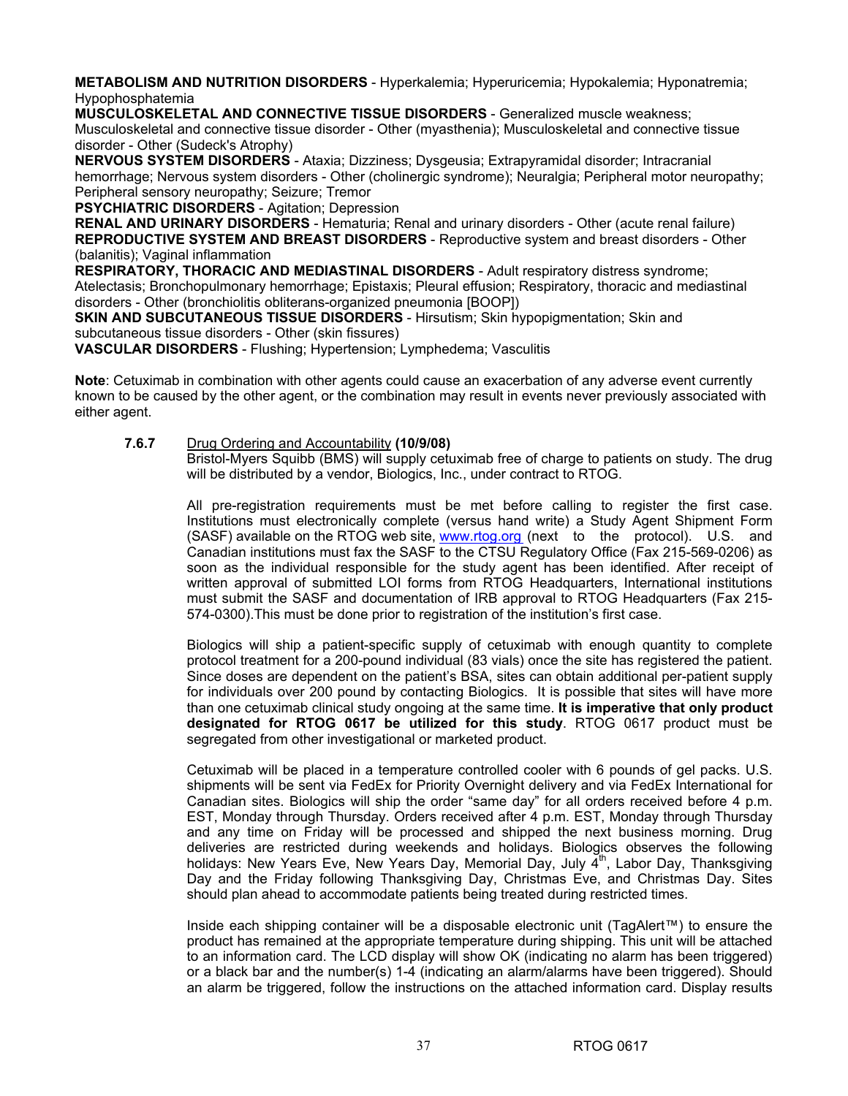**METABOLISM AND NUTRITION DISORDERS** - Hyperkalemia; Hyperuricemia; Hypokalemia; Hyponatremia; Hypophosphatemia

**MUSCULOSKELETAL AND CONNECTIVE TISSUE DISORDERS** - Generalized muscle weakness; Musculoskeletal and connective tissue disorder - Other (myasthenia); Musculoskeletal and connective tissue disorder - Other (Sudeck's Atrophy)

**NERVOUS SYSTEM DISORDERS** - Ataxia; Dizziness; Dysgeusia; Extrapyramidal disorder; Intracranial hemorrhage; Nervous system disorders - Other (cholinergic syndrome); Neuralgia; Peripheral motor neuropathy; Peripheral sensory neuropathy; Seizure; Tremor

**PSYCHIATRIC DISORDERS** - Agitation; Depression

**RENAL AND URINARY DISORDERS** - Hematuria; Renal and urinary disorders - Other (acute renal failure) **REPRODUCTIVE SYSTEM AND BREAST DISORDERS** - Reproductive system and breast disorders - Other (balanitis); Vaginal inflammation

**RESPIRATORY, THORACIC AND MEDIASTINAL DISORDERS** - Adult respiratory distress syndrome; Atelectasis; Bronchopulmonary hemorrhage; Epistaxis; Pleural effusion; Respiratory, thoracic and mediastinal disorders - Other (bronchiolitis obliterans-organized pneumonia [BOOP])

**SKIN AND SUBCUTANEOUS TISSUE DISORDERS** - Hirsutism; Skin hypopigmentation; Skin and subcutaneous tissue disorders - Other (skin fissures)

**VASCULAR DISORDERS** - Flushing; Hypertension; Lymphedema; Vasculitis

**Note**: Cetuximab in combination with other agents could cause an exacerbation of any adverse event currently known to be caused by the other agent, or the combination may result in events never previously associated with either agent.

**7.6.7** Drug Ordering and Accountability **(10/9/08)**

Bristol-Myers Squibb (BMS) will supply cetuximab free of charge to patients on study. The drug will be distributed by a vendor, Biologics, Inc., under contract to RTOG.

All pre-registration requirements must be met before calling to register the first case. Institutions must electronically complete (versus hand write) a Study Agent Shipment Form (SASF) available on the RTOG web site, [www.rtog.org \(n](http://www.rtog.org)ext to the protocol). U.S. and Canadian institutions must fax the SASF to the CTSU Regulatory Office (Fax 215-569-0206) as soon as the individual responsible for the study agent has been identified. After receipt of written approval of submitted LOI forms from RTOG Headquarters, International institutions must submit the SASF and documentation of IRB approval to RTOG Headquarters (Fax 215- 574-0300).This must be done prior to registration of the institution's first case.

 Biologics will ship a patient-specific supply of cetuximab with enough quantity to complete protocol treatment for a 200-pound individual (83 vials) once the site has registered the patient. Since doses are dependent on the patient's BSA, sites can obtain additional per-patient supply for individuals over 200 pound by contacting Biologics. It is possible that sites will have more than one cetuximab clinical study ongoing at the same time. **It is imperative that only product designated for RTOG 0617 be utilized for this study**. RTOG 0617 product must be segregated from other investigational or marketed product.

 Cetuximab will be placed in a temperature controlled cooler with 6 pounds of gel packs. U.S. shipments will be sent via FedEx for Priority Overnight delivery and via FedEx International for Canadian sites. Biologics will ship the order "same day" for all orders received before 4 p.m. EST, Monday through Thursday. Orders received after 4 p.m. EST, Monday through Thursday and any time on Friday will be processed and shipped the next business morning. Drug deliveries are restricted during weekends and holidays. Biologics observes the following holidays: New Years Eve, New Years Day, Memorial Day, July 4th, Labor Day, Thanksgiving Day and the Friday following Thanksgiving Day, Christmas Eve, and Christmas Day. Sites should plan ahead to accommodate patients being treated during restricted times.

 Inside each shipping container will be a disposable electronic unit (TagAlert™) to ensure the product has remained at the appropriate temperature during shipping. This unit will be attached to an information card. The LCD display will show OK (indicating no alarm has been triggered) or a black bar and the number(s) 1-4 (indicating an alarm/alarms have been triggered). Should an alarm be triggered, follow the instructions on the attached information card. Display results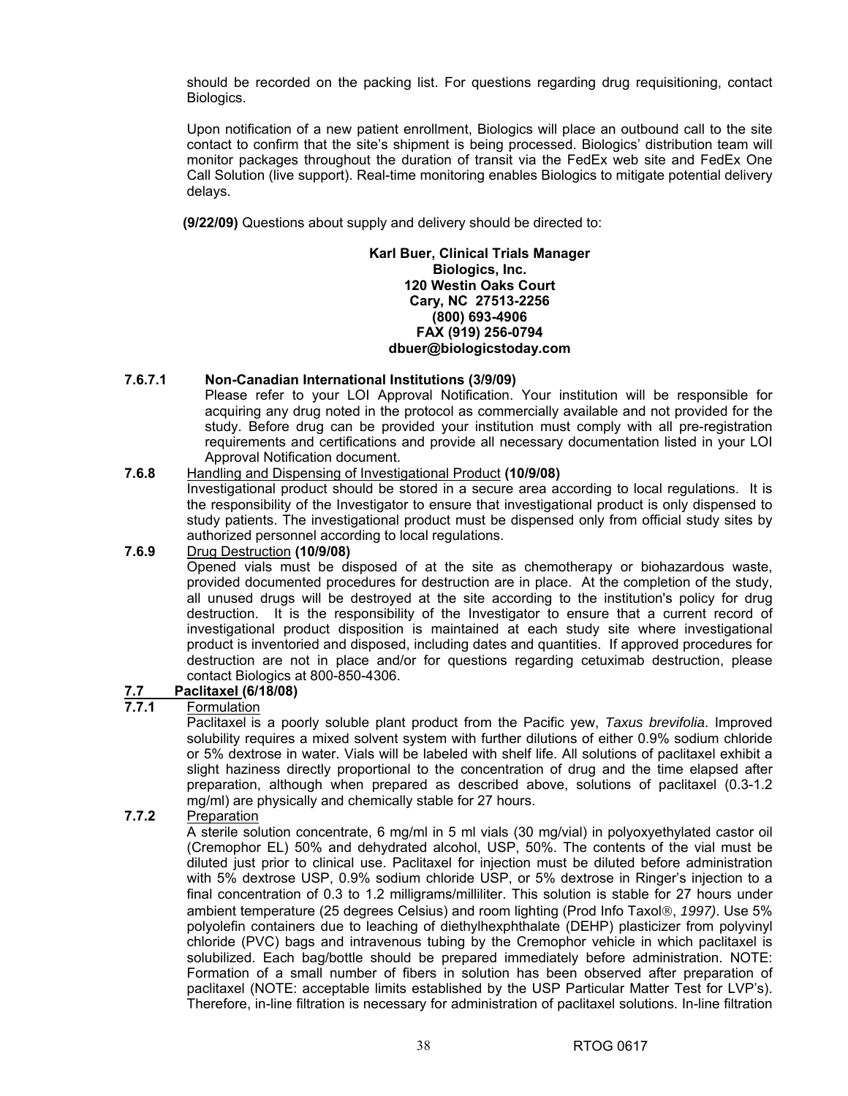should be recorded on the packing list. For questions regarding drug requisitioning, contact Biologics.

 Upon notification of a new patient enrollment, Biologics will place an outbound call to the site contact to confirm that the site's shipment is being processed. Biologics' distribution team will monitor packages throughout the duration of transit via the FedEx web site and FedEx One Call Solution (live support). Real-time monitoring enables Biologics to mitigate potential delivery delays.

**(9/22/09)** Questions about supply and delivery should be directed to:

#### **Karl Buer, Clinical Trials Manager Biologics, Inc. 120 Westin Oaks Court Cary, NC 27513-2256 (800) 693-4906 FAX (919) 256-0794 [dbuer@biologicstoday.com](mailto:dbuer@biologicstoday.com)**

# **7.6.7.1 Non-Canadian International Institutions (3/9/09)**

Please refer to your LOI Approval Notification. Your institution will be responsible for acquiring any drug noted in the protocol as commercially available and not provided for the study. Before drug can be provided your institution must comply with all pre-registration requirements and certifications and provide all necessary documentation listed in your LOI Approval Notification document.

# **7.6.8** Handling and Dispensing of Investigational Product **(10/9/08)**

Investigational product should be stored in a secure area according to local regulations. It is the responsibility of the Investigator to ensure that investigational product is only dispensed to study patients. The investigational product must be dispensed only from official study sites by authorized personnel according to local regulations.

### **7.6.9** Drug Destruction **(10/9/08)**

Opened vials must be disposed of at the site as chemotherapy or biohazardous waste, provided documented procedures for destruction are in place. At the completion of the study, all unused drugs will be destroyed at the site according to the institution's policy for drug destruction. It is the responsibility of the Investigator to ensure that a current record of investigational product disposition is maintained at each study site where investigational product is inventoried and disposed, including dates and quantities. If approved procedures for destruction are not in place and/or for questions regarding cetuximab destruction, please contact Biologics at 800-850-4306.

# **7.7 Paclitaxel (6/18/08)**

# **7.7.1** Formulation

 Paclitaxel is a poorly soluble plant product from the Pacific yew, *Taxus brevifolia*. Improved solubility requires a mixed solvent system with further dilutions of either 0.9% sodium chloride or 5% dextrose in water. Vials will be labeled with shelf life. All solutions of paclitaxel exhibit a slight haziness directly proportional to the concentration of drug and the time elapsed after preparation, although when prepared as described above, solutions of paclitaxel (0.3-1.2 mg/ml) are physically and chemically stable for 27 hours.

#### **7.7.2** Preparation

A sterile solution concentrate, 6 mg/ml in 5 ml vials (30 mg/vial) in polyoxyethylated castor oil (Cremophor EL) 50% and dehydrated alcohol, USP, 50%. The contents of the vial must be diluted just prior to clinical use. Paclitaxel for injection must be diluted before administration with 5% dextrose USP, 0.9% sodium chloride USP, or 5% dextrose in Ringer's injection to a final concentration of 0.3 to 1.2 milligrams/milliliter. This solution is stable for 27 hours under ambient temperature (25 degrees Celsius) and room lighting (Prod Info Taxol®, *1997)*. Use 5% polyolefin containers due to leaching of diethylhexphthalate (DEHP) plasticizer from polyvinyl chloride (PVC) bags and intravenous tubing by the Cremophor vehicle in which paclitaxel is solubilized. Each bag/bottle should be prepared immediately before administration. NOTE: Formation of a small number of fibers in solution has been observed after preparation of paclitaxel (NOTE: acceptable limits established by the USP Particular Matter Test for LVP's). Therefore, in-line filtration is necessary for administration of paclitaxel solutions. In-line filtration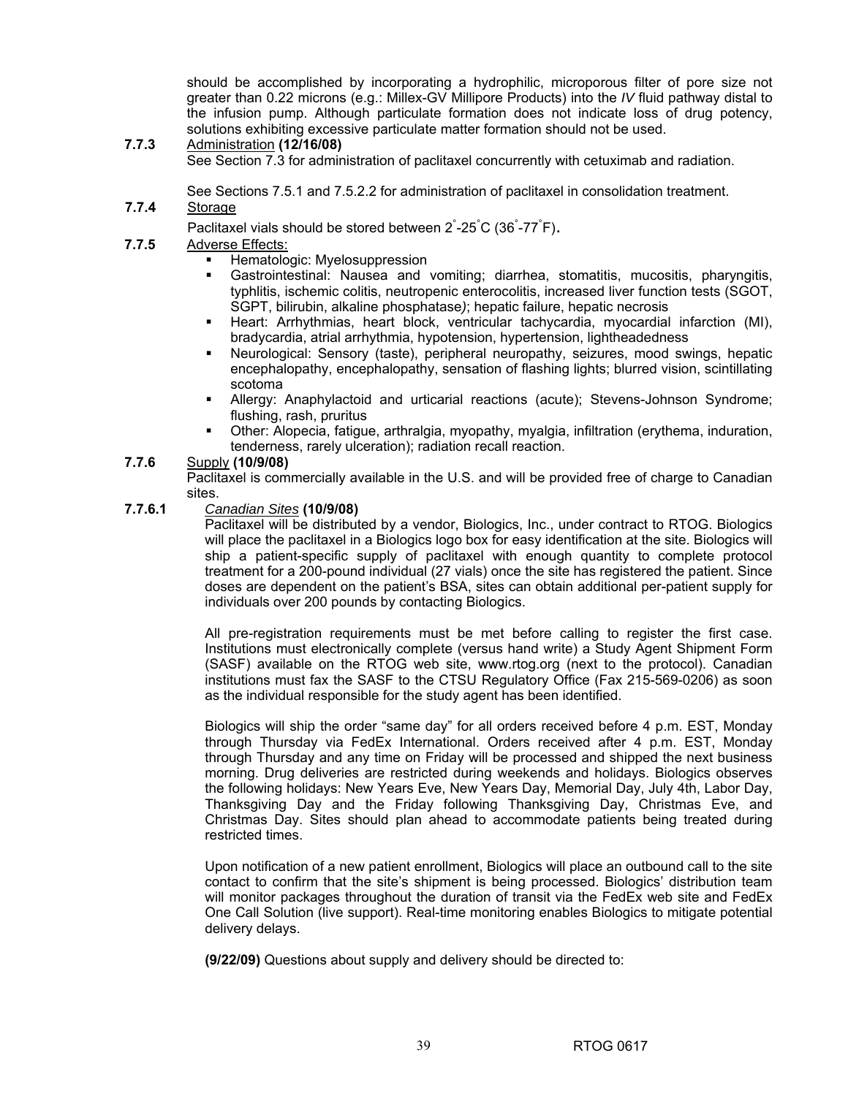should be accomplished by incorporating a hydrophilic, microporous filter of pore size not greater than 0.22 microns (e.g.: Millex-GV Millipore Products) into the *IV* fluid pathway distal to the infusion pump. Although particulate formation does not indicate loss of drug potency, solutions exhibiting excessive particulate matter formation should not be used.

# **7.7.3** Administration **(12/16/08)**

See Section 7.3 for administration of paclitaxel concurrently with cetuximab and radiation.

See Sections 7.5.1 and 7.5.2.2 for administration of paclitaxel in consolidation treatment.<br>7.7.4 Storage **7.7.4** Storage

Paclitaxel vials should be stored between 2°-25°C (36°-77°F).

- **7.7.5** Adverse Effects:
	- Hematologic: Myelosuppression
	- Gastrointestinal: Nausea and vomiting; diarrhea, stomatitis, mucositis, pharyngitis, typhlitis, ischemic colitis, neutropenic enterocolitis, increased liver function tests (SGOT, SGPT, bilirubin, alkaline phosphatase*)*; hepatic failure, hepatic necrosis
	- Heart: Arrhythmias, heart block, ventricular tachycardia, myocardial infarction (MI), bradycardia, atrial arrhythmia, hypotension, hypertension, lightheadedness
	- Neurological: Sensory (taste), peripheral neuropathy, seizures, mood swings, hepatic encephalopathy, encephalopathy, sensation of flashing lights; blurred vision, scintillating scotoma
	- Allergy: Anaphylactoid and urticarial reactions (acute); Stevens-Johnson Syndrome; flushing, rash, pruritus
	- Other: Alopecia, fatigue, arthralgia, myopathy, myalgia, infiltration (erythema, induration, tenderness, rarely ulceration); radiation recall reaction.

#### **7.7.6** Supply **(10/9/08)**

 Paclitaxel is commercially available in the U.S. and will be provided free of charge to Canadian sites.

#### **7.7.6.1** *Canadian Sites* **(10/9/08)**

 Paclitaxel will be distributed by a vendor, Biologics, Inc., under contract to RTOG. Biologics will place the paclitaxel in a Biologics logo box for easy identification at the site. Biologics will ship a patient-specific supply of paclitaxel with enough quantity to complete protocol treatment for a 200-pound individual (27 vials) once the site has registered the patient. Since doses are dependent on the patient's BSA, sites can obtain additional per-patient supply for individuals over 200 pounds by contacting Biologics.

 All pre-registration requirements must be met before calling to register the first case. Institutions must electronically complete (versus hand write) a Study Agent Shipment Form (SASF) available on the RTOG web site, [www.rtog.org \(n](http://www.rtog.org)ext to the protocol). Canadian institutions must fax the SASF to the CTSU Regulatory Office (Fax 215-569-0206) as soon as the individual responsible for the study agent has been identified.

 Biologics will ship the order "same day" for all orders received before 4 p.m. EST, Monday through Thursday via FedEx International. Orders received after 4 p.m. EST, Monday through Thursday and any time on Friday will be processed and shipped the next business morning. Drug deliveries are restricted during weekends and holidays. Biologics observes the following holidays: New Years Eve, New Years Day, Memorial Day, July 4th, Labor Day, Thanksgiving Day and the Friday following Thanksgiving Day, Christmas Eve, and Christmas Day. Sites should plan ahead to accommodate patients being treated during restricted times.

 Upon notification of a new patient enrollment, Biologics will place an outbound call to the site contact to confirm that the site's shipment is being processed. Biologics' distribution team will monitor packages throughout the duration of transit via the FedEx web site and FedEx One Call Solution (live support). Real-time monitoring enables Biologics to mitigate potential delivery delays.

**(9/22/09)** Questions about supply and delivery should be directed to: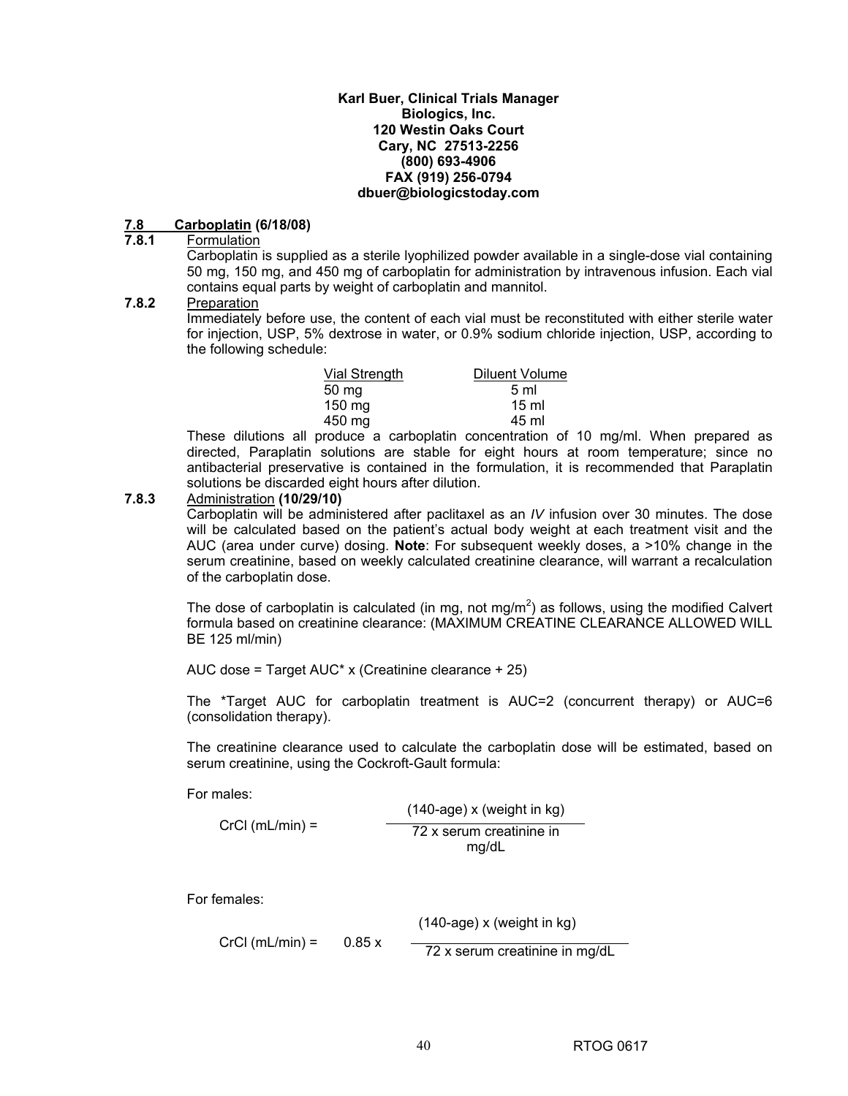#### **Karl Buer, Clinical Trials Manager Biologics, Inc. 120 Westin Oaks Court Cary, NC 27513-2256 (800) 693-4906 FAX (919) 256-0794 [dbuer@biologicstoday.com](mailto:dbuer@biologicstoday.com)**

# **7.8 Carboplatin (6/18/08)**

#### **7.8.1** Formulation

Carboplatin is supplied as a sterile lyophilized powder available in a single-dose vial containing 50 mg, 150 mg, and 450 mg of carboplatin for administration by intravenous infusion. Each vial contains equal parts by weight of carboplatin and mannitol.

#### **7.8.2** Preparation

Immediately before use, the content of each vial must be reconstituted with either sterile water for injection, USP, 5% dextrose in water, or 0.9% sodium chloride injection, USP, according to the following schedule:

| Vial Strength | Diluent Volume  |
|---------------|-----------------|
| 50 mg         | 5 <sub>ml</sub> |
| 150 mg        | 15 ml           |
| 450 mg        | 45 ml           |

 These dilutions all produce a carboplatin concentration of 10 mg/ml. When prepared as directed, Paraplatin solutions are stable for eight hours at room temperature; since no antibacterial preservative is contained in the formulation, it is recommended that Paraplatin solutions be discarded eight hours after dilution.

### **7.8.3** Administration **(10/29/10)**

 Carboplatin will be administered after paclitaxel as an *IV* infusion over 30 minutes. The dose will be calculated based on the patient's actual body weight at each treatment visit and the AUC (area under curve) dosing. **Note**: For subsequent weekly doses, a >10% change in the serum creatinine, based on weekly calculated creatinine clearance, will warrant a recalculation of the carboplatin dose.

The dose of carboplatin is calculated (in mg, not mg/m<sup>2</sup>) as follows, using the modified Calvert formula based on creatinine clearance: (MAXIMUM CREATINE CLEARANCE ALLOWED WILL BE 125 ml/min)

AUC dose = Target AUC\* x (Creatinine clearance + 25)

 The \*Target AUC for carboplatin treatment is AUC=2 (concurrent therapy) or AUC=6 (consolidation therapy).

 The creatinine clearance used to calculate the carboplatin dose will be estimated, based on serum creatinine, using the Cockroft-Gault formula:

For males:

(140-age) x (weight in kg)  $CrCl$  (mL/min) =  $\frac{72 \times \text{serum creationine in}}{72 \times \text{serum creationine}}$ mg/dL

For females:

(140-age) x (weight in kg)

CrCl (mL/min) =  $0.85 x - 72 x$  serum creatinine in mg/dL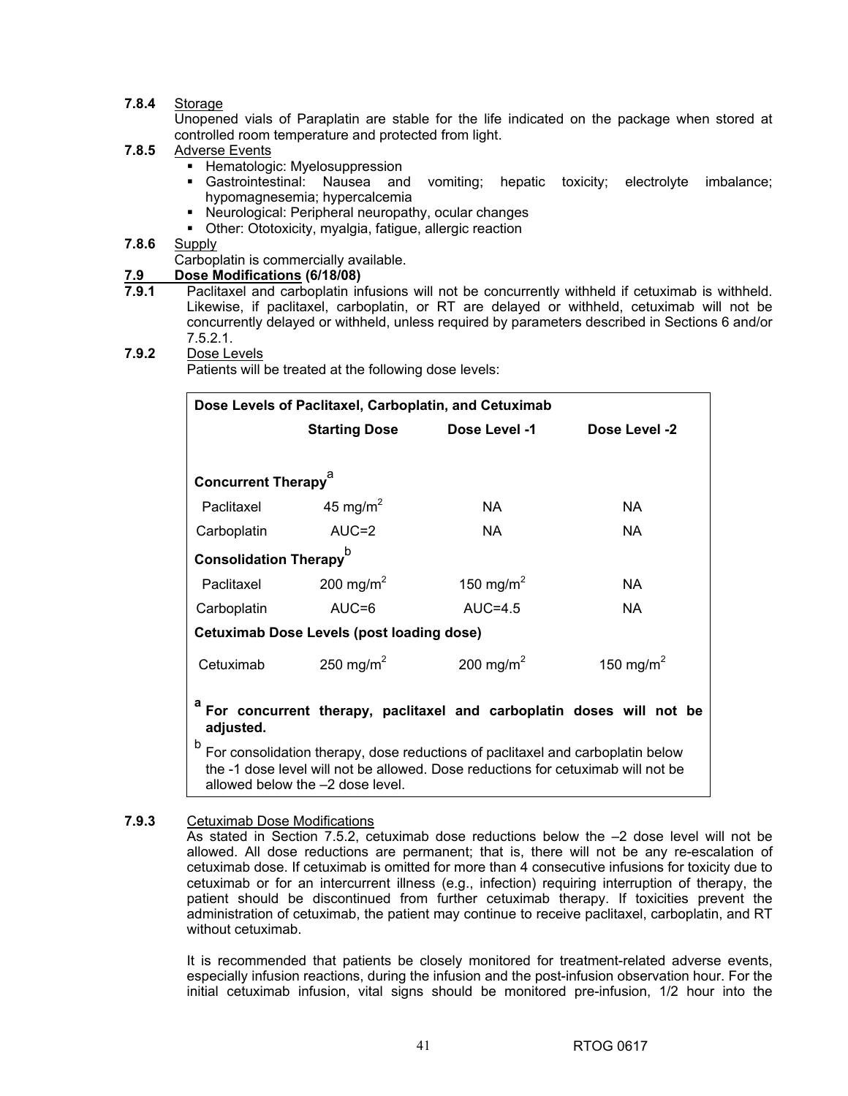## **7.8.4** Storage

Unopened vials of Paraplatin are stable for the life indicated on the package when stored at controlled room temperature and protected from light.

### **7.8.5** Adverse Events

- **-** Hematologic: Myelosuppression
- Gastrointestinal: Nausea and vomiting; hepatic toxicity; electrolyte imbalance; hypomagnesemia; hypercalcemia
- Neurological: Peripheral neuropathy, ocular changes
- Other: Ototoxicity, myalgia, fatigue, allergic reaction

# **7.8.6** Supply

Carboplatin is commercially available.

# **7.9 Dose Modifications (6/18/08)**

Paclitaxel and carboplatin infusions will not be concurrently withheld if cetuximab is withheld. Likewise, if paclitaxel, carboplatin, or RT are delayed or withheld, cetuximab will not be concurrently delayed or withheld, unless required by parameters described in Sections 6 and/or 7.5.2.1.

# **7.9.2** Dose Levels

Patients will be treated at the following dose levels:

| Dose Levels of Paclitaxel, Carboplatin, and Cetuximab                                                                                                                                                    |                                           |                                                                      |                       |
|----------------------------------------------------------------------------------------------------------------------------------------------------------------------------------------------------------|-------------------------------------------|----------------------------------------------------------------------|-----------------------|
|                                                                                                                                                                                                          | <b>Starting Dose</b>                      | Dose Level -1                                                        | Dose Level -2         |
|                                                                                                                                                                                                          |                                           |                                                                      |                       |
| Concurrent Therapy <sup>a</sup>                                                                                                                                                                          |                                           |                                                                      |                       |
| Paclitaxel $45 \text{ mg/m}^2$                                                                                                                                                                           |                                           | NA.                                                                  | <b>NA</b>             |
| Carboplatin                                                                                                                                                                                              | $AUC=2$                                   | NA.                                                                  | NA.                   |
| <b>Consolidation Therapy</b> <sup>b</sup>                                                                                                                                                                |                                           |                                                                      |                       |
| Paclitaxel                                                                                                                                                                                               | 200 mg/m <sup>2</sup>                     | 150 mg/m <sup>2</sup>                                                | <b>NA</b>             |
| Carboplatin                                                                                                                                                                                              | $AUC = 6$                                 | $AUC=4.5$                                                            | NA.                   |
|                                                                                                                                                                                                          | Cetuximab Dose Levels (post loading dose) |                                                                      |                       |
| Cetuximab                                                                                                                                                                                                | 250 mg/m <sup>2</sup>                     | 200 mg/m <sup>2</sup>                                                | 150 mg/m <sup>2</sup> |
| adjusted.                                                                                                                                                                                                |                                           | For concurrent therapy, paclitaxel and carboplatin doses will not be |                       |
| b For consolidation therapy, dose reductions of paclitaxel and carboplatin below<br>the -1 dose level will not be allowed. Dose reductions for cetuximab will not be<br>allowed below the -2 dose level. |                                           |                                                                      |                       |

# **7.9.3** Cetuximab Dose Modifications

As stated in Section 7.5.2, cetuximab dose reductions below the –2 dose level will not be allowed. All dose reductions are permanent; that is, there will not be any re-escalation of cetuximab dose. If cetuximab is omitted for more than 4 consecutive infusions for toxicity due to cetuximab or for an intercurrent illness (e.g., infection) requiring interruption of therapy, the patient should be discontinued from further cetuximab therapy. If toxicities prevent the administration of cetuximab, the patient may continue to receive paclitaxel, carboplatin, and RT without cetuximab.

 It is recommended that patients be closely monitored for treatment-related adverse events, especially infusion reactions, during the infusion and the post-infusion observation hour. For the initial cetuximab infusion, vital signs should be monitored pre-infusion, 1/2 hour into the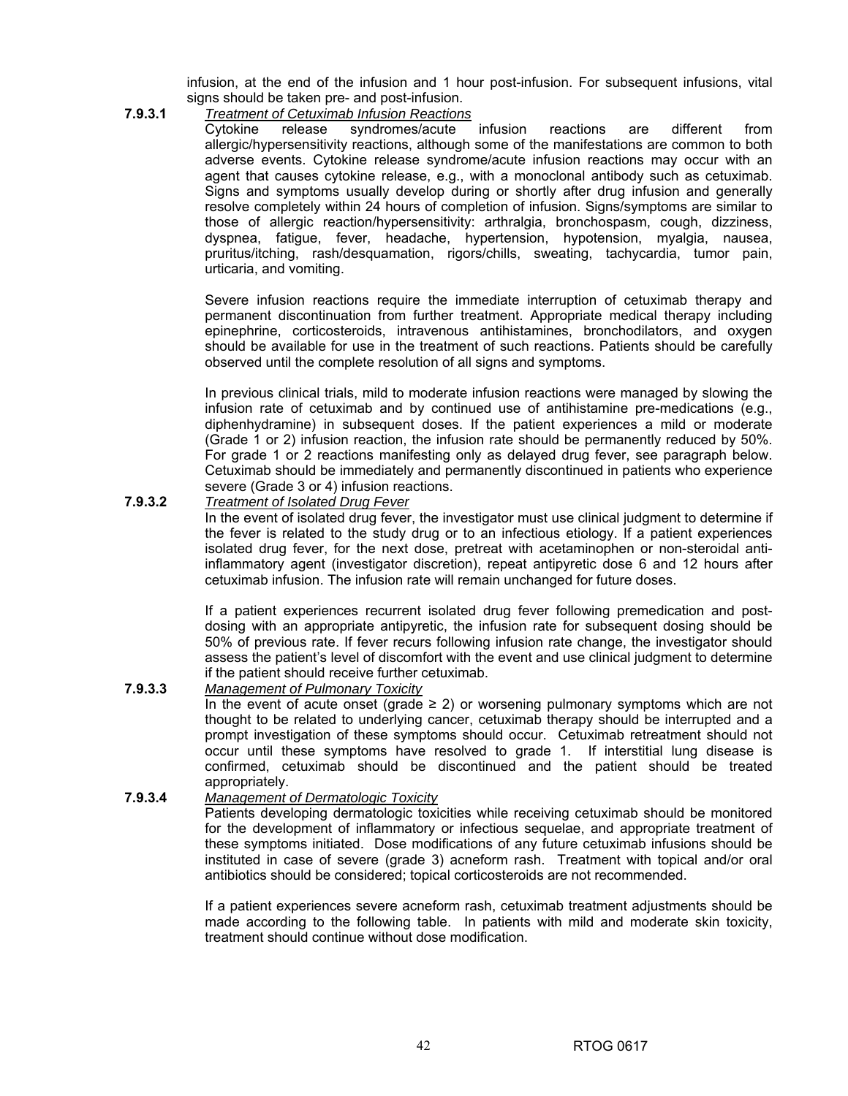infusion, at the end of the infusion and 1 hour post-infusion. For subsequent infusions, vital signs should be taken pre- and post-infusion.

# **7.9.3.1** *Treatment of Cetuximab Infusion Reactions*

Cytokine release syndromes/acute infusion reactions are different from allergic/hypersensitivity reactions, although some of the manifestations are common to both adverse events. Cytokine release syndrome/acute infusion reactions may occur with an agent that causes cytokine release, e.g., with a monoclonal antibody such as cetuximab. Signs and symptoms usually develop during or shortly after drug infusion and generally resolve completely within 24 hours of completion of infusion. Signs/symptoms are similar to those of allergic reaction/hypersensitivity: arthralgia, bronchospasm, cough, dizziness, dyspnea, fatigue, fever, headache, hypertension, hypotension, myalgia, nausea, pruritus/itching, rash/desquamation, rigors/chills, sweating, tachycardia, tumor pain, urticaria, and vomiting.

 Severe infusion reactions require the immediate interruption of cetuximab therapy and permanent discontinuation from further treatment. Appropriate medical therapy including epinephrine, corticosteroids, intravenous antihistamines, bronchodilators, and oxygen should be available for use in the treatment of such reactions. Patients should be carefully observed until the complete resolution of all signs and symptoms.

 In previous clinical trials, mild to moderate infusion reactions were managed by slowing the infusion rate of cetuximab and by continued use of antihistamine pre-medications (e.g., diphenhydramine) in subsequent doses. If the patient experiences a mild or moderate (Grade 1 or 2) infusion reaction, the infusion rate should be permanently reduced by 50%. For grade 1 or 2 reactions manifesting only as delayed drug fever, see paragraph below. Cetuximab should be immediately and permanently discontinued in patients who experience severe (Grade 3 or 4) infusion reactions.

# **7.9.3.2** *Treatment of Isolated Drug Fever*

 In the event of isolated drug fever, the investigator must use clinical judgment to determine if the fever is related to the study drug or to an infectious etiology. If a patient experiences isolated drug fever, for the next dose, pretreat with acetaminophen or non-steroidal antiinflammatory agent (investigator discretion), repeat antipyretic dose 6 and 12 hours after cetuximab infusion. The infusion rate will remain unchanged for future doses.

If a patient experiences recurrent isolated drug fever following premedication and postdosing with an appropriate antipyretic, the infusion rate for subsequent dosing should be 50% of previous rate. If fever recurs following infusion rate change, the investigator should assess the patient's level of discomfort with the event and use clinical judgment to determine if the patient should receive further cetuximab.

#### **7.9.3.3** *Management of Pulmonary Toxicity*

In the event of acute onset (grade  $\geq$  2) or worsening pulmonary symptoms which are not thought to be related to underlying cancer, cetuximab therapy should be interrupted and a prompt investigation of these symptoms should occur. Cetuximab retreatment should not occur until these symptoms have resolved to grade 1. If interstitial lung disease is confirmed, cetuximab should be discontinued and the patient should be treated appropriately.

#### **7.9.3.4** *Management of Dermatologic Toxicity*

 Patients developing dermatologic toxicities while receiving cetuximab should be monitored for the development of inflammatory or infectious sequelae, and appropriate treatment of these symptoms initiated. Dose modifications of any future cetuximab infusions should be instituted in case of severe (grade 3) acneform rash. Treatment with topical and/or oral antibiotics should be considered; topical corticosteroids are not recommended.

 If a patient experiences severe acneform rash, cetuximab treatment adjustments should be made according to the following table. In patients with mild and moderate skin toxicity, treatment should continue without dose modification.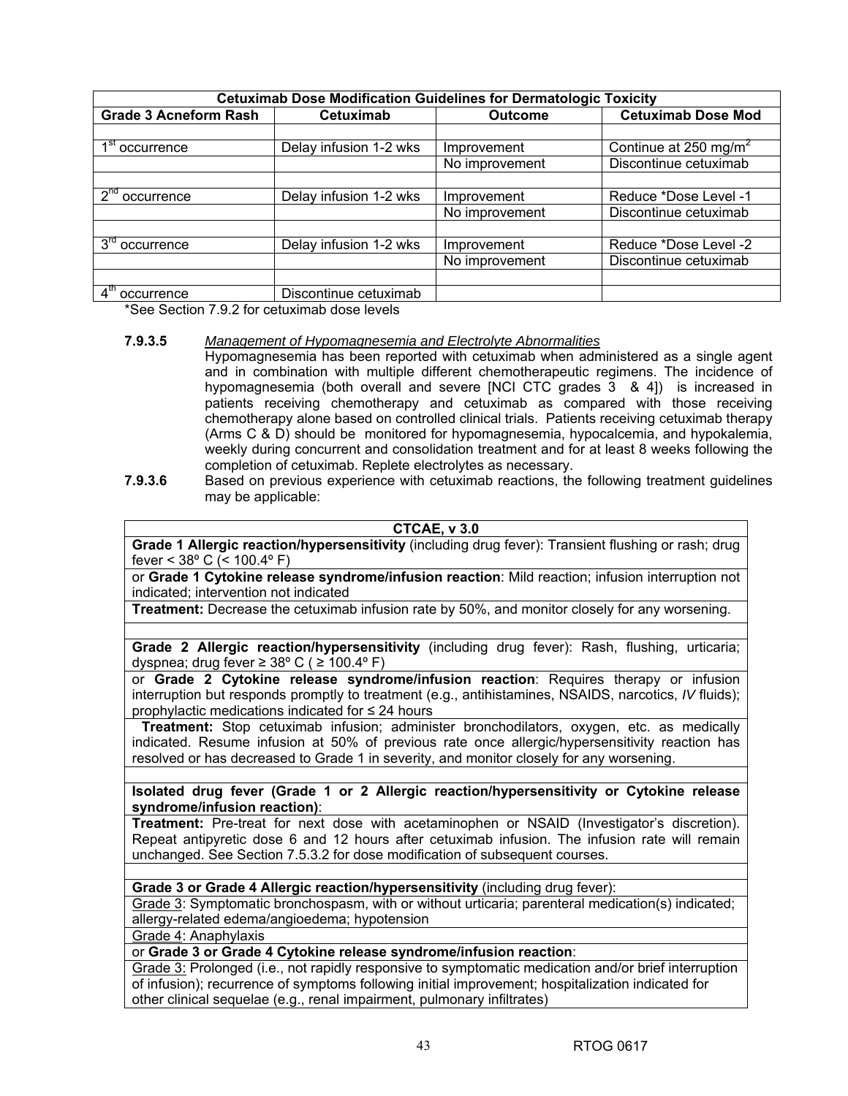| <b>Cetuximab Dose Modification Guidelines for Dermatologic Toxicity</b>                  |                        |                |                                   |
|------------------------------------------------------------------------------------------|------------------------|----------------|-----------------------------------|
| <b>Cetuximab Dose Mod</b><br><b>Grade 3 Acneform Rash</b><br><b>Outcome</b><br>Cetuximab |                        |                |                                   |
|                                                                                          |                        |                |                                   |
| 1 <sup>st</sup><br>occurrence                                                            | Delay infusion 1-2 wks | Improvement    | Continue at 250 mg/m <sup>2</sup> |
|                                                                                          |                        | No improvement | Discontinue cetuximab             |
|                                                                                          |                        |                |                                   |
| $2^{na}$<br>occurrence                                                                   | Delay infusion 1-2 wks | Improvement    | Reduce *Dose Level -1             |
|                                                                                          |                        | No improvement | Discontinue cetuximab             |
|                                                                                          |                        |                |                                   |
| 3 <sup>rd</sup><br>occurrence                                                            | Delay infusion 1-2 wks | Improvement    | Reduce *Dose Level -2             |
|                                                                                          |                        | No improvement | Discontinue cetuximab             |
|                                                                                          |                        |                |                                   |
| occurrence                                                                               | Discontinue cetuximab  |                |                                   |

\*See Section 7.9.2 for cetuximab dose levels

#### **7.9.3.5** *Management of Hypomagnesemia and Electrolyte Abnormalities*

 Hypomagnesemia has been reported with cetuximab when administered as a single agent and in combination with multiple different chemotherapeutic regimens. The incidence of hypomagnesemia (both overall and severe [NCI CTC grades 3 & 4]) is increased in patients receiving chemotherapy and cetuximab as compared with those receiving chemotherapy alone based on controlled clinical trials. Patients receiving cetuximab therapy (Arms C & D) should be monitored for hypomagnesemia, hypocalcemia, and hypokalemia, weekly during concurrent and consolidation treatment and for at least 8 weeks following the completion of cetuximab. Replete electrolytes as necessary.

**7.9.3.6** Based on previous experience with cetuximab reactions, the following treatment guidelines may be applicable:

# **CTCAE, v 3.0**

**Grade 1 Allergic reaction/hypersensitivity** (including drug fever): Transient flushing or rash; drug fever <  $38^{\circ}$  C (<  $100.4^{\circ}$  F)

or **Grade 1 Cytokine release syndrome/infusion reaction**: Mild reaction; infusion interruption not indicated; intervention not indicated

**Treatment:** Decrease the cetuximab infusion rate by 50%, and monitor closely for any worsening.

**Grade 2 Allergic reaction/hypersensitivity** (including drug fever): Rash, flushing, urticaria; dyspnea; drug fever ≥ 38° C ( ≥ 100.4° F)

or **Grade 2 Cytokine release syndrome/infusion reaction**: Requires therapy or infusion interruption but responds promptly to treatment (e.g., antihistamines, NSAIDS, narcotics, *IV* fluids); prophylactic medications indicated for ≤ 24 hours

 **Treatment:** Stop cetuximab infusion; administer bronchodilators, oxygen, etc. as medically indicated. Resume infusion at 50% of previous rate once allergic/hypersensitivity reaction has resolved or has decreased to Grade 1 in severity, and monitor closely for any worsening.

**Isolated drug fever (Grade 1 or 2 Allergic reaction/hypersensitivity or Cytokine release syndrome/infusion reaction)**:

**Treatment:** Pre-treat for next dose with acetaminophen or NSAID (Investigator's discretion). Repeat antipyretic dose 6 and 12 hours after cetuximab infusion. The infusion rate will remain unchanged. See Section 7.5.3.2 for dose modification of subsequent courses.

#### **Grade 3 or Grade 4 Allergic reaction/hypersensitivity** (including drug fever):

Grade 3: Symptomatic bronchospasm, with or without urticaria; parenteral medication(s) indicated; allergy-related edema/angioedema; hypotension

Grade 4: Anaphylaxis

# or **Grade 3 or Grade 4 Cytokine release syndrome/infusion reaction**:

Grade 3: Prolonged (i.e., not rapidly responsive to symptomatic medication and/or brief interruption of infusion); recurrence of symptoms following initial improvement; hospitalization indicated for other clinical sequelae (e.g., renal impairment, pulmonary infiltrates)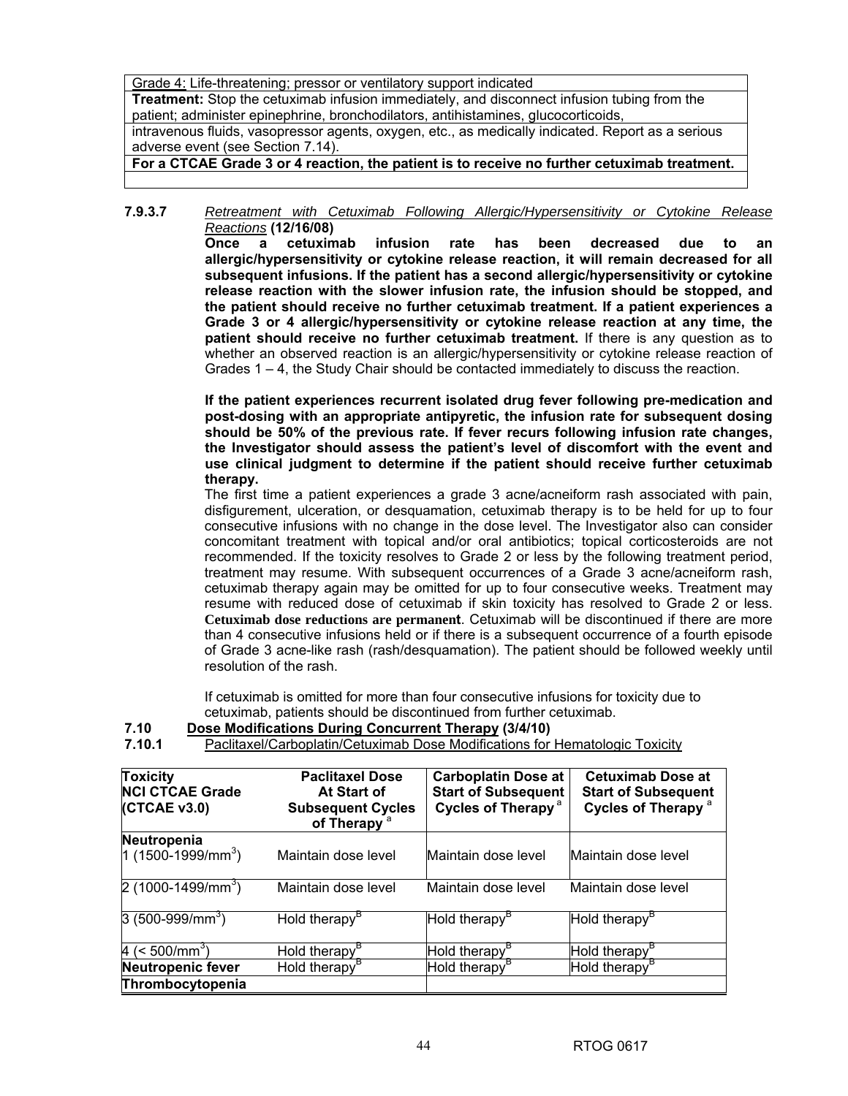Grade 4: Life-threatening; pressor or ventilatory support indicated

**Treatment:** Stop the cetuximab infusion immediately, and disconnect infusion tubing from the patient; administer epinephrine, bronchodilators, antihistamines, glucocorticoids,

intravenous fluids, vasopressor agents, oxygen, etc., as medically indicated. Report as a serious adverse event (see Section 7.14).

**For a CTCAE Grade 3 or 4 reaction, the patient is to receive no further cetuximab treatment.** 

**7.9.3.7** *Retreatment with Cetuximab Following Allergic/Hypersensitivity or Cytokine Release Reactions* **(12/16/08)** 

**Once a cetuximab infusion rate has been decreased due to an allergic/hypersensitivity or cytokine release reaction, it will remain decreased for all subsequent infusions. If the patient has a second allergic/hypersensitivity or cytokine release reaction with the slower infusion rate, the infusion should be stopped, and the patient should receive no further cetuximab treatment. If a patient experiences a Grade 3 or 4 allergic/hypersensitivity or cytokine release reaction at any time, the patient should receive no further cetuximab treatment.** If there is any question as to whether an observed reaction is an allergic/hypersensitivity or cytokine release reaction of Grades 1 – 4, the Study Chair should be contacted immediately to discuss the reaction.

**If the patient experiences recurrent isolated drug fever following pre-medication and post-dosing with an appropriate antipyretic, the infusion rate for subsequent dosing should be 50% of the previous rate. If fever recurs following infusion rate changes, the Investigator should assess the patient's level of discomfort with the event and use clinical judgment to determine if the patient should receive further cetuximab therapy.** 

The first time a patient experiences a grade 3 acne/acneiform rash associated with pain, disfigurement, ulceration, or desquamation, cetuximab therapy is to be held for up to four consecutive infusions with no change in the dose level. The Investigator also can consider concomitant treatment with topical and/or oral antibiotics; topical corticosteroids are not recommended. If the toxicity resolves to Grade 2 or less by the following treatment period, treatment may resume. With subsequent occurrences of a Grade 3 acne/acneiform rash, cetuximab therapy again may be omitted for up to four consecutive weeks. Treatment may resume with reduced dose of cetuximab if skin toxicity has resolved to Grade 2 or less. **Cetuximab dose reductions are permanent**. Cetuximab will be discontinued if there are more than 4 consecutive infusions held or if there is a subsequent occurrence of a fourth episode of Grade 3 acne-like rash (rash/desquamation). The patient should be followed weekly until resolution of the rash.

If cetuximab is omitted for more than four consecutive infusions for toxicity due to cetuximab, patients should be discontinued from further cetuximab.

# **7.10 Dose Modifications During Concurrent Therapy (3/4/10)**

| 7.10.1 | Paclitaxel/Carboplatin/Cetuximab Dose Modifications for Hematologic Toxicity |  |
|--------|------------------------------------------------------------------------------|--|
|        |                                                                              |  |

| <b>Toxicity</b><br><b>NCI CTCAE Grade</b><br>(CTCAE v3.0) | <b>Paclitaxel Dose</b><br>At Start of<br><b>Subsequent Cycles</b><br>of Therapy <sup>a</sup> | <b>Carboplatin Dose at</b><br><b>Start of Subsequent</b><br>Cycles of Therapy <sup>a</sup> | <b>Cetuximab Dose at</b><br><b>Start of Subsequent</b><br>Cycles of Therapy <sup>a</sup> |
|-----------------------------------------------------------|----------------------------------------------------------------------------------------------|--------------------------------------------------------------------------------------------|------------------------------------------------------------------------------------------|
| Neutropenia                                               |                                                                                              |                                                                                            |                                                                                          |
| $1(1500-1999/mm^3)$                                       | Maintain dose level                                                                          | Maintain dose level                                                                        | Maintain dose level                                                                      |
| 2 (1000-1499/mm <sup>3</sup> )                            | Maintain dose level                                                                          | Maintain dose level                                                                        | Maintain dose level                                                                      |
| $3(500-999/mm^3)$                                         | Hold therapy <sup>B</sup>                                                                    | Hold therapy <sup>B</sup>                                                                  | Hold therapy <sup>B</sup>                                                                |
| 4 (< 500/mm <sup>3</sup> )                                | Hold therapy <sup>B</sup>                                                                    | Hold therapy <sup>B</sup>                                                                  | Hold therapy <sup>B</sup>                                                                |
| <b>Neutropenic fever</b>                                  | Hold therapy <sup>B</sup>                                                                    | Hold therapy <sup>B</sup>                                                                  | Hold therapy <sup>B</sup>                                                                |
| Thrombocytopenia                                          |                                                                                              |                                                                                            |                                                                                          |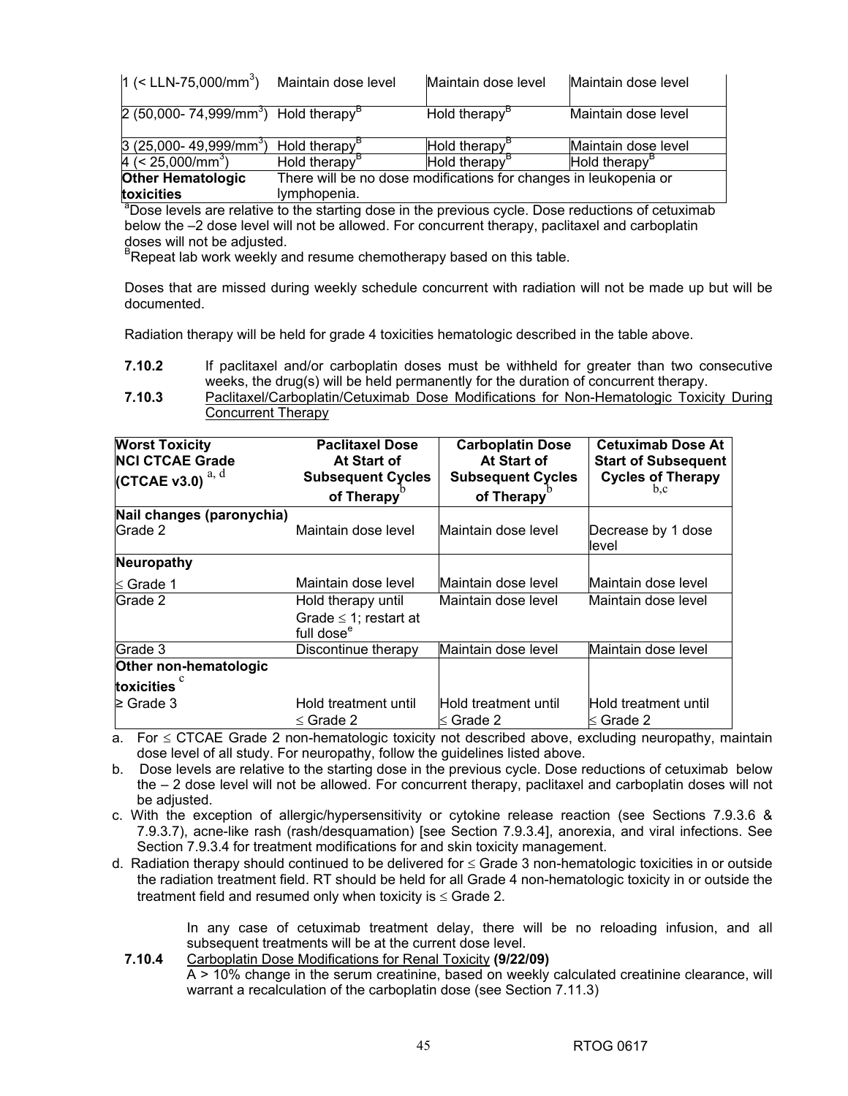| $1$ (< LLN-75,000/mm $^3$ )                                                                                    | Maintain dose level                                              | Maintain dose level       | Maintain dose level       |
|----------------------------------------------------------------------------------------------------------------|------------------------------------------------------------------|---------------------------|---------------------------|
| 2 (50,000- 74,999/mm <sup>3</sup> ) Hold therapy <sup>B</sup>                                                  |                                                                  | Hold therapy <sup>B</sup> | Maintain dose level       |
| $3(25,000 - 49,999/mm3)$                                                                                       | Hold therapy <sup>B</sup>                                        | Hold therapy <sup>B</sup> | Maintain dose level       |
| 4 (< 25,000/mm $^3)$                                                                                           | Hold therapy <sup>B</sup>                                        | Hold therapy <sup>B</sup> | Hold therapy <sup>B</sup> |
| <b>Other Hematologic</b>                                                                                       | There will be no dose modifications for changes in leukopenia or |                           |                           |
| toxicities                                                                                                     | lymphopenia.                                                     |                           |                           |
| <sup>a</sup> Dose levels are relative to the starting dose in the previous cycle. Dose reductions of cetuximab |                                                                  |                           |                           |

below the –2 dose level will not be allowed. For concurrent therapy, paclitaxel and carboplatin doses will not be adjusted.

<sup>B</sup>Repeat lab work weekly and resume chemotherapy based on this table.

Doses that are missed during weekly schedule concurrent with radiation will not be made up but will be documented.

Radiation therapy will be held for grade 4 toxicities hematologic described in the table above.

| 7.10.2 | If paclitaxel and/or carboplatin doses must be withheld for greater than two consecutive |
|--------|------------------------------------------------------------------------------------------|
|        | weeks, the drug(s) will be held permanently for the duration of concurrent therapy.      |

**7.10.3** Paclitaxel/Carboplatin/Cetuximab Dose Modifications for Non-Hematologic Toxicity During Concurrent Therapy

| <b>Worst Toxicity</b><br><b>NCI CTCAE Grade</b> | <b>Paclitaxel Dose</b><br>At Start of                | <b>Carboplatin Dose</b><br>At Start of | <b>Cetuximab Dose At</b><br><b>Start of Subsequent</b> |
|-------------------------------------------------|------------------------------------------------------|----------------------------------------|--------------------------------------------------------|
| (CTCAE v3.0) $^{a, d}$                          | <b>Subsequent Cycles</b>                             | <b>Subsequent Cycles</b>               | <b>Cycles of Therapy</b>                               |
|                                                 | of Therapy                                           | of Therapy                             | b,c                                                    |
| Nail changes (paronychia)                       |                                                      |                                        |                                                        |
| Grade 2                                         | Maintain dose level                                  | Maintain dose level                    | Decrease by 1 dose<br>level                            |
| Neuropathy                                      |                                                      |                                        |                                                        |
| l≤ Grade 1                                      | Maintain dose level                                  | Maintain dose level                    | Maintain dose level                                    |
| Grade 2                                         | Hold therapy until                                   | Maintain dose level                    | Maintain dose level                                    |
|                                                 | Grade $\leq$ 1; restart at<br>full dose <sup>e</sup> |                                        |                                                        |
| Grade 3                                         | Discontinue therapy                                  | Maintain dose level                    | Maintain dose level                                    |
| Other non-hematologic                           |                                                      |                                        |                                                        |
| toxicities <sup>c</sup>                         |                                                      |                                        |                                                        |
| $\geq$ Grade 3                                  | Hold treatment until<br>$\leq$ Grade 2               | Hold treatment until<br>≤ Grade 2      | Hold treatment until<br>≤ Grade 2                      |

a. For ≤ CTCAE Grade 2 non-hematologic toxicity not described above, excluding neuropathy, maintain dose level of all study. For neuropathy, follow the guidelines listed above.

- b. Dose levels are relative to the starting dose in the previous cycle. Dose reductions of cetuximab below the – 2 dose level will not be allowed. For concurrent therapy, paclitaxel and carboplatin doses will not be adjusted.
- c. With the exception of allergic/hypersensitivity or cytokine release reaction (see Sections 7.9.3.6 & 7.9.3.7), acne-like rash (rash/desquamation) [see Section 7.9.3.4], anorexia, and viral infections. See Section 7.9.3.4 for treatment modifications for and skin toxicity management.
- d. Radiation therapy should continued to be delivered for ≤ Grade 3 non-hematologic toxicities in or outside the radiation treatment field. RT should be held for all Grade 4 non-hematologic toxicity in or outside the treatment field and resumed only when toxicity is  $\leq$  Grade 2.

 In any case of cetuximab treatment delay, there will be no reloading infusion, and all subsequent treatments will be at the current dose level.

**7.10.4** Carboplatin Dose Modifications for Renal Toxicity **(9/22/09)**  A > 10% change in the serum creatinine, based on weekly calculated creatinine clearance, will warrant a recalculation of the carboplatin dose (see Section 7.11.3)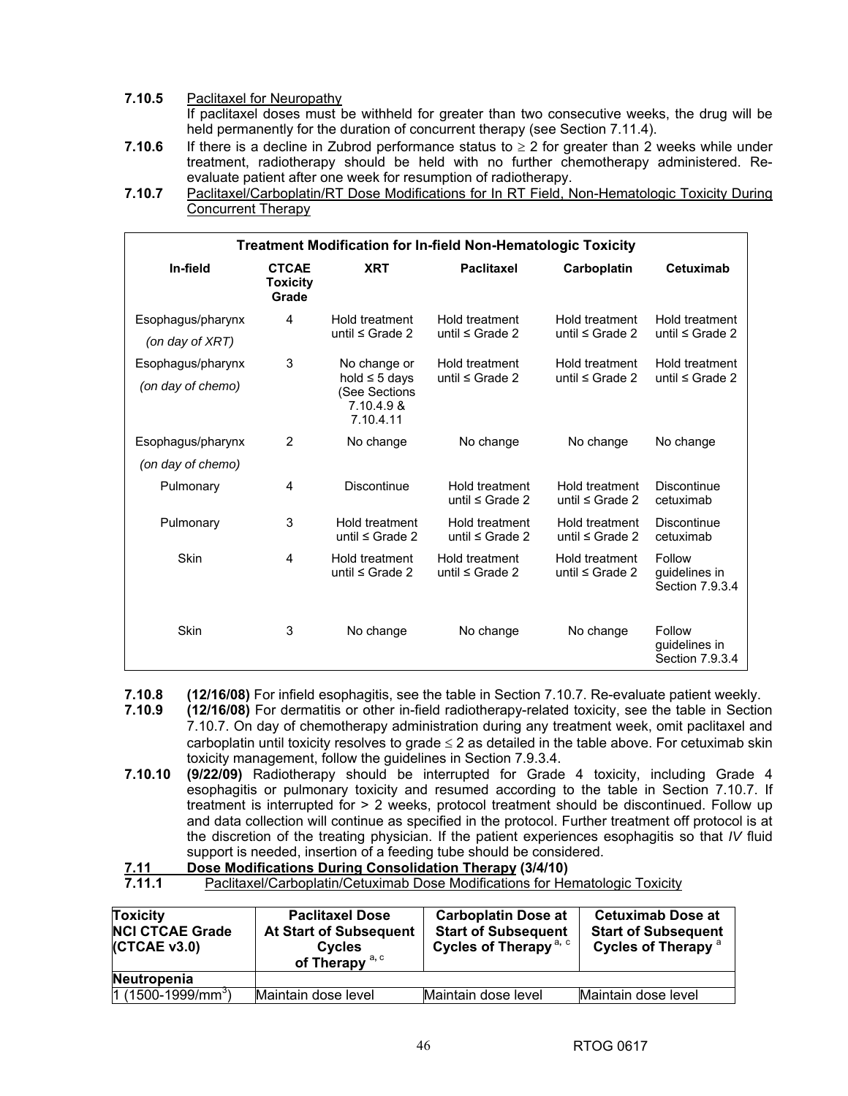# **7.10.5** Paclitaxel for Neuropathy

 If paclitaxel doses must be withheld for greater than two consecutive weeks, the drug will be held permanently for the duration of concurrent therapy (see Section 7.11.4).

- **7.10.6** If there is a decline in Zubrod performance status to  $\geq 2$  for greater than 2 weeks while under treatment, radiotherapy should be held with no further chemotherapy administered. Reevaluate patient after one week for resumption of radiotherapy.
- **7.10.7** Paclitaxel/Carboplatin/RT Dose Modifications for In RT Field, Non-Hematologic Toxicity During Concurrent Therapy

| <b>Treatment Modification for In-field Non-Hematologic Toxicity</b> |                                   |                                                                |                                        |                                        |                                            |
|---------------------------------------------------------------------|-----------------------------------|----------------------------------------------------------------|----------------------------------------|----------------------------------------|--------------------------------------------|
| In-field                                                            | <b>CTCAE</b><br>Toxicity<br>Grade | <b>XRT</b>                                                     | <b>Paclitaxel</b>                      | Carboplatin                            | Cetuximab                                  |
| Esophagus/pharynx                                                   | 4                                 | Hold treatment                                                 | Hold treatment                         | Hold treatment                         | Hold treatment                             |
| (on day of XRT)                                                     |                                   | until $\leq$ Grade 2                                           | until $\leq$ Grade 2                   | until $\leq$ Grade 2                   | until $\leq$ Grade 2                       |
| Esophagus/pharynx                                                   | 3                                 | No change or                                                   | Hold treatment<br>until $\leq$ Grade 2 | Hold treatment<br>until $\leq$ Grade 2 | Hold treatment<br>until $\leq$ Grade 2     |
| (on day of chemo)                                                   |                                   | hold $\leq$ 5 days<br>(See Sections<br>7.10.4.9 &<br>7.10.4.11 |                                        |                                        |                                            |
| Esophagus/pharynx                                                   | 2                                 | No change                                                      | No change                              | No change                              | No change                                  |
| (on day of chemo)                                                   |                                   |                                                                |                                        |                                        |                                            |
| Pulmonary                                                           | 4                                 | <b>Discontinue</b>                                             | Hold treatment<br>until $\leq$ Grade 2 | Hold treatment<br>until $\leq$ Grade 2 | Discontinue<br>cetuximab                   |
| Pulmonary                                                           | 3                                 | Hold treatment<br>until $\leq$ Grade 2                         | Hold treatment<br>until $\leq$ Grade 2 | Hold treatment<br>until $\leq$ Grade 2 | Discontinue<br>cetuximab                   |
| Skin                                                                | 4                                 | Hold treatment<br>until $\leq$ Grade 2                         | Hold treatment<br>until $\leq$ Grade 2 | Hold treatment<br>until $\leq$ Grade 2 | Follow<br>guidelines in<br>Section 7.9.3.4 |
| Skin                                                                | 3                                 | No change                                                      | No change                              | No change                              | Follow<br>quidelines in<br>Section 7.9.3.4 |

- **7.10.8 (12/16/08)** For infield esophagitis, see the table in Section 7.10.7. Re-evaluate patient weekly.
- **7.10.9 (12/16/08)** For dermatitis or other in-field radiotherapy-related toxicity, see the table in Section 7.10.7. On day of chemotherapy administration during any treatment week, omit paclitaxel and carboplatin until toxicity resolves to grade  $\leq 2$  as detailed in the table above. For cetuximab skin toxicity management, follow the guidelines in Section 7.9.3.4.
- **7.10.10 (9/22/09)** Radiotherapy should be interrupted for Grade 4 toxicity, including Grade 4 esophagitis or pulmonary toxicity and resumed according to the table in Section 7.10.7. If treatment is interrupted for > 2 weeks, protocol treatment should be discontinued. Follow up and data collection will continue as specified in the protocol. Further treatment off protocol is at the discretion of the treating physician. If the patient experiences esophagitis so that *IV* fluid support is needed, insertion of a feeding tube should be considered.

# **7.11 Dose Modifications During Consolidation Therapy (3/4/10)**

**7.11.1** Paclitaxel/Carboplatin/Cetuximab Dose Modifications for Hematologic Toxicity

| <b>Toxicity</b><br><b>NCI CTCAE Grade</b><br>(CTCAE <sub>V3.0</sub> ) | <b>Paclitaxel Dose</b><br><b>At Start of Subsequent</b><br><b>Cycles</b><br>of Therapy $a, c$ | <b>Carboplatin Dose at</b><br><b>Start of Subsequent</b><br>Cycles of Therapy <sup>a, c</sup> | <b>Cetuximab Dose at</b><br><b>Start of Subsequent</b><br>Cycles of Therapy <sup>a</sup> |
|-----------------------------------------------------------------------|-----------------------------------------------------------------------------------------------|-----------------------------------------------------------------------------------------------|------------------------------------------------------------------------------------------|
| <b>Neutropenia</b>                                                    |                                                                                               |                                                                                               |                                                                                          |
| $1(1500-1999/mm^3)$                                                   | Maintain dose level                                                                           | Maintain dose level                                                                           | Maintain dose level                                                                      |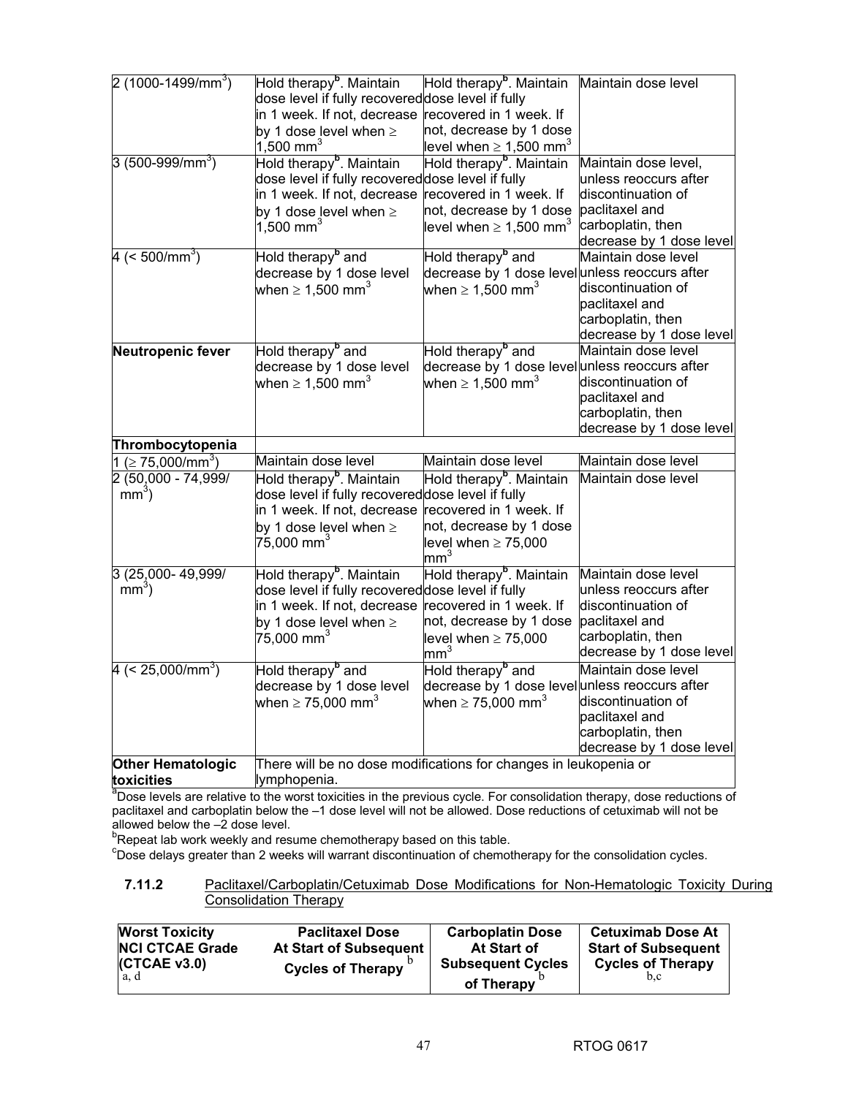| 2 (1000-1499/mm <sup>3</sup> )      | Hold therapy <sup>b</sup> . Maintain                             | Hold therapy <sup>b</sup> . Maintain                                                | Maintain dose level                                                                                                                |
|-------------------------------------|------------------------------------------------------------------|-------------------------------------------------------------------------------------|------------------------------------------------------------------------------------------------------------------------------------|
|                                     | dose level if fully recovered dose level if fully                |                                                                                     |                                                                                                                                    |
|                                     | in 1 week. If not, decrease                                      | recovered in 1 week. If                                                             |                                                                                                                                    |
|                                     | by 1 dose level when $\geq$                                      | not, decrease by 1 dose                                                             |                                                                                                                                    |
|                                     | 1,500 mm <sup>3</sup>                                            | level when $\geq$ 1,500 mm $^{3}$                                                   |                                                                                                                                    |
| 3 (500-999/mm <sup>3</sup> )        | Hold therapy <sup>b</sup> . Maintain                             | Hold therapy <sup>b</sup> . Maintain                                                | Maintain dose level,                                                                                                               |
|                                     | dose level if fully recovered dose level if fully                |                                                                                     | unless reoccurs after                                                                                                              |
|                                     | in 1 week. If not, decrease                                      | recovered in 1 week. If                                                             | discontinuation of                                                                                                                 |
|                                     | by 1 dose level when $\geq$                                      | not, decrease by 1 dose                                                             | paclitaxel and                                                                                                                     |
|                                     | 1,500 mm <sup>3</sup>                                            | level when $\geq$ 1,500 mm <sup>3</sup>                                             | carboplatin, then                                                                                                                  |
| 4 (< 500/mm <sup>3</sup> )          |                                                                  | Hold therapy <sup>b</sup> and                                                       | decrease by 1 dose level<br>Maintain dose level                                                                                    |
|                                     | Hold therapy <sup>b</sup> and<br>decrease by 1 dose level        |                                                                                     |                                                                                                                                    |
|                                     | when $\geq$ 1,500 mm <sup>3</sup>                                | decrease by 1 dose level unless reoccurs after<br>when $\geq 1,500$ mm <sup>3</sup> | discontinuation of                                                                                                                 |
|                                     |                                                                  |                                                                                     | paclitaxel and                                                                                                                     |
|                                     |                                                                  |                                                                                     | carboplatin, then                                                                                                                  |
|                                     |                                                                  |                                                                                     | decrease by 1 dose level                                                                                                           |
| Neutropenic fever                   | Hold therapy <sup>b</sup> and                                    | Hold therapy <sup>b</sup> and                                                       | Maintain dose level                                                                                                                |
|                                     | decrease by 1 dose level                                         | decrease by 1 dose level unless reoccurs after                                      |                                                                                                                                    |
|                                     | when $\geq$ 1,500 mm $^{3}$                                      | when $\geq 1,500$ mm <sup>3</sup>                                                   | discontinuation of                                                                                                                 |
|                                     |                                                                  |                                                                                     | paclitaxel and                                                                                                                     |
|                                     |                                                                  |                                                                                     | carboplatin, then                                                                                                                  |
|                                     |                                                                  |                                                                                     | decrease by 1 dose level                                                                                                           |
| Thrombocytopenia                    |                                                                  |                                                                                     |                                                                                                                                    |
| 1 ( $\geq$ 75,000/mm <sup>3</sup> ) | Maintain dose level                                              | Maintain dose level                                                                 | Maintain dose level                                                                                                                |
| 2 (50,000 - 74,999/                 | Hold therapy <sup>b</sup> . Maintain                             | Hold therapy <sup>b</sup> . Maintain                                                | Maintain dose level                                                                                                                |
| $mm3$ )                             | dose level if fully recovered dose level if fully                |                                                                                     |                                                                                                                                    |
|                                     | in 1 week. If not, decrease                                      | recovered in 1 week. If                                                             |                                                                                                                                    |
|                                     | by 1 dose level when $\geq$                                      | not, decrease by 1 dose                                                             |                                                                                                                                    |
|                                     | $75,000$ mm <sup>3</sup>                                         | level when $\geq 75,000$<br>mm <sup>3</sup>                                         |                                                                                                                                    |
| 3 (25,000-49,999/                   | Hold therapy <sup>b</sup> . Maintain                             | Hold therapy <sup>b</sup> . Maintain                                                | Maintain dose level                                                                                                                |
| $mm3$ )                             | dose level if fully recovered dose level if fully                |                                                                                     | unless reoccurs after                                                                                                              |
|                                     | in 1 week. If not, decrease                                      | recovered in 1 week. If                                                             | discontinuation of                                                                                                                 |
|                                     | by 1 dose level when $\geq$                                      | not, decrease by 1 dose                                                             | paclitaxel and                                                                                                                     |
|                                     | $75,000$ mm <sup>3</sup>                                         | level when $\geq 75,000$                                                            | carboplatin, then                                                                                                                  |
|                                     |                                                                  | $\mathsf{mm}^3$                                                                     | decrease by 1 dose level                                                                                                           |
| 4 (< 25,000/mm <sup>3</sup> )       | Hold therapy <sup>b</sup> and                                    | Hold therapy <sup>b</sup> and                                                       | Maintain dose level                                                                                                                |
|                                     | decrease by 1 dose level                                         | decrease by 1 dose level unless reoccurs after                                      |                                                                                                                                    |
|                                     | when $\geq 75,000$ mm <sup>3</sup>                               | when $\geq$ 75,000 mm <sup>3</sup>                                                  | discontinuation of                                                                                                                 |
|                                     |                                                                  |                                                                                     | paclitaxel and                                                                                                                     |
|                                     |                                                                  |                                                                                     | carboplatin, then<br>decrease by 1 dose level                                                                                      |
| <b>Other Hematologic</b>            | There will be no dose modifications for changes in leukopenia or |                                                                                     |                                                                                                                                    |
| toxicities                          | lymphopenia.                                                     |                                                                                     |                                                                                                                                    |
|                                     |                                                                  |                                                                                     | <sup>a</sup> Dose levels are relative to the worst toxicities in the previous cycle. For consolidation therapy, dose reductions of |

paclitaxel and carboplatin below the –1 dose level will not be allowed. Dose reductions of cetuximab will not be allowed below the –2 dose level.

<sup>b</sup>Repeat lab work weekly and resume chemotherapy based on this table.<br><sup>c</sup>Dose delays greater than 2 weeks will warrant discontinuation of chemotherapy for the consolidation cycles.

#### **7.11.2** Paclitaxel/Carboplatin/Cetuximab Dose Modifications for Non-Hematologic Toxicity During Consolidation Therapy

| <b>Worst Toxicity</b>            | <b>Paclitaxel Dose</b>   | <b>Carboplatin Dose</b>                | <b>Cetuximab Dose At</b>   |
|----------------------------------|--------------------------|----------------------------------------|----------------------------|
| <b>NCI CTCAE Grade</b>           | At Start of Subsequent   | At Start of                            | <b>Start of Subsequent</b> |
| (CTCAE <sub>v3.0</sub> )<br>a, d | <b>Cycles of Therapy</b> | <b>Subsequent Cycles</b><br>of Therapy | <b>Cycles of Therapy</b>   |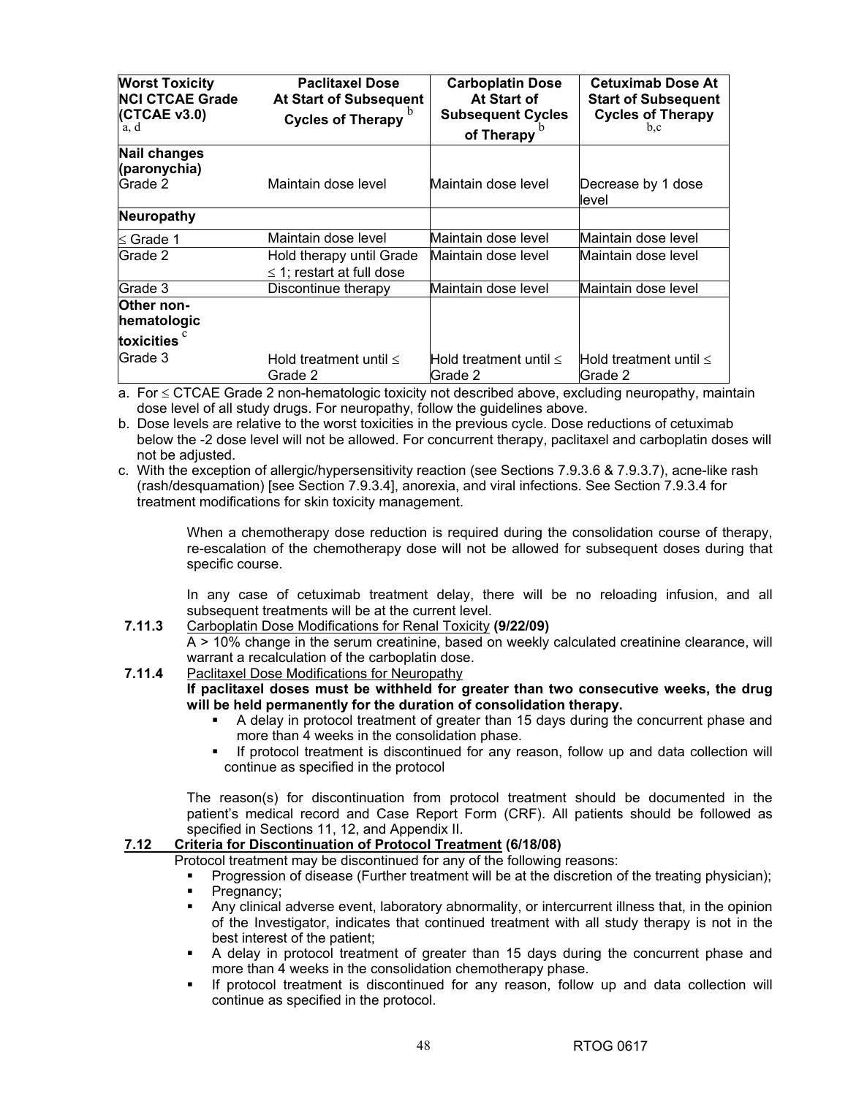| <b>Worst Toxicity</b><br><b>NCI CTCAE Grade</b><br>(CTCAE v3.0)<br>a, d | <b>Paclitaxel Dose</b><br><b>At Start of Subsequent</b><br><b>Cycles of Therapy</b> |                                         | <b>Cetuximab Dose At</b><br><b>Start of Subsequent</b><br><b>Cycles of Therapy</b><br>b,c |  |
|-------------------------------------------------------------------------|-------------------------------------------------------------------------------------|-----------------------------------------|-------------------------------------------------------------------------------------------|--|
| <b>Nail changes</b><br>(paronychia)                                     |                                                                                     |                                         |                                                                                           |  |
| Grade 2                                                                 | Maintain dose level                                                                 | Maintain dose level                     | Decrease by 1 dose<br>level                                                               |  |
| <b>Neuropathy</b>                                                       |                                                                                     |                                         |                                                                                           |  |
| $\le$ Grade 1                                                           | Maintain dose level                                                                 |                                         | Maintain dose level                                                                       |  |
| Grade 2                                                                 | Hold therapy until Grade<br>$\leq$ 1; restart at full dose                          |                                         | Maintain dose level                                                                       |  |
| Grade 3<br>Discontinue therapy                                          |                                                                                     | Maintain dose level                     | Maintain dose level                                                                       |  |
| Other non-<br>hematologic<br><b>toxicities</b>                          |                                                                                     |                                         |                                                                                           |  |
| Grade 3                                                                 | Hold treatment until $\leq$<br>Grade 2                                              | Hold treatment until $\leq$<br>lGrade 2 | Hold treatment until $\leq$<br>Grade 2                                                    |  |

a. For ≤ CTCAE Grade 2 non-hematologic toxicity not described above, excluding neuropathy, maintain dose level of all study drugs. For neuropathy, follow the guidelines above.

b. Dose levels are relative to the worst toxicities in the previous cycle. Dose reductions of cetuximab below the -2 dose level will not be allowed. For concurrent therapy, paclitaxel and carboplatin doses will not be adjusted.

c. With the exception of allergic/hypersensitivity reaction (see Sections 7.9.3.6 & 7.9.3.7), acne-like rash (rash/desquamation) [see Section 7.9.3.4], anorexia, and viral infections. See Section 7.9.3.4 for treatment modifications for skin toxicity management.

> When a chemotherapy dose reduction is required during the consolidation course of therapy, re-escalation of the chemotherapy dose will not be allowed for subsequent doses during that specific course.

> In any case of cetuximab treatment delay, there will be no reloading infusion, and all subsequent treatments will be at the current level.

# **7.11.3** Carboplatin Dose Modifications for Renal Toxicity **(9/22/09)**

 A > 10% change in the serum creatinine, based on weekly calculated creatinine clearance, will warrant a recalculation of the carboplatin dose.

#### **7.11.4** Paclitaxel Dose Modifications for Neuropathy

 **If paclitaxel doses must be withheld for greater than two consecutive weeks, the drug will be held permanently for the duration of consolidation therapy.** 

- A delay in protocol treatment of greater than 15 days during the concurrent phase and more than 4 weeks in the consolidation phase.
- If protocol treatment is discontinued for any reason, follow up and data collection will continue as specified in the protocol

 The reason(s) for discontinuation from protocol treatment should be documented in the patient's medical record and Case Report Form (CRF). All patients should be followed as specified in Sections 11, 12, and Appendix II.

# **7.12 Criteria for Discontinuation of Protocol Treatment (6/18/08)**

- Protocol treatment may be discontinued for any of the following reasons:
	- **Progression of disease (Further treatment will be at the discretion of the treating physician);**
	- Pregnancy;
	- Any clinical adverse event, laboratory abnormality, or intercurrent illness that, in the opinion of the Investigator, indicates that continued treatment with all study therapy is not in the best interest of the patient;
	- A delay in protocol treatment of greater than 15 days during the concurrent phase and more than 4 weeks in the consolidation chemotherapy phase.
	- If protocol treatment is discontinued for any reason, follow up and data collection will continue as specified in the protocol.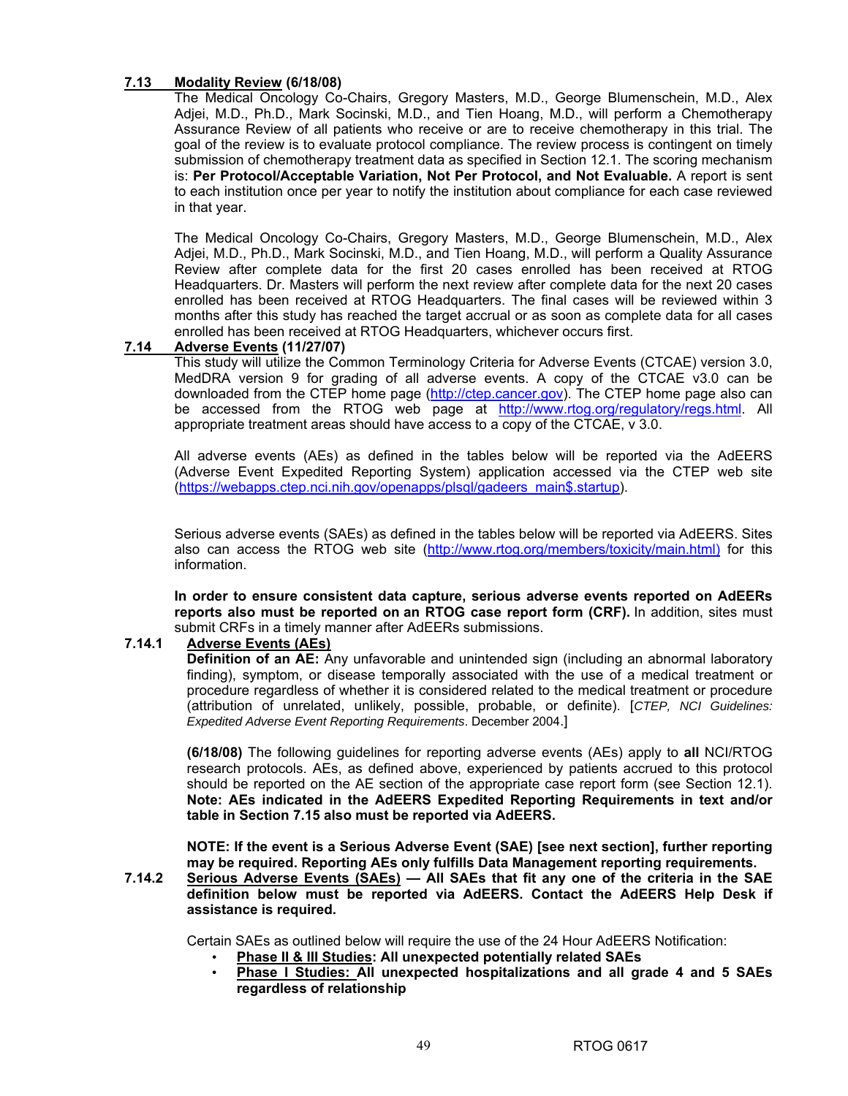#### **7.13 Modality Review (6/18/08)**

The Medical Oncology Co-Chairs, Gregory Masters, M.D., George Blumenschein, M.D., Alex Adjei, M.D., Ph.D., Mark Socinski, M.D., and Tien Hoang, M.D., will perform a Chemotherapy Assurance Review of all patients who receive or are to receive chemotherapy in this trial. The goal of the review is to evaluate protocol compliance. The review process is contingent on timely submission of chemotherapy treatment data as specified in Section 12.1. The scoring mechanism is: **Per Protocol/Acceptable Variation, Not Per Protocol, and Not Evaluable.** A report is sent to each institution once per year to notify the institution about compliance for each case reviewed in that year.

The Medical Oncology Co-Chairs, Gregory Masters, M.D., George Blumenschein, M.D., Alex Adjei, M.D., Ph.D., Mark Socinski, M.D., and Tien Hoang, M.D., will perform a Quality Assurance Review after complete data for the first 20 cases enrolled has been received at RTOG Headquarters. Dr. Masters will perform the next review after complete data for the next 20 cases enrolled has been received at RTOG Headquarters. The final cases will be reviewed within 3 months after this study has reached the target accrual or as soon as complete data for all cases enrolled has been received at RTOG Headquarters, whichever occurs first.

# **7.14 Adverse Events (11/27/07)**

This study will utilize the Common Terminology Criteria for Adverse Events (CTCAE) version 3.0, MedDRA version 9 for grading of all adverse events. A copy of the CTCAE v3.0 can be downloaded from the CTEP home page ([http://ctep.cancer.gov\). Th](http://ctep.cancer.gov)e CTEP home page also can be accessed from the RTOG web page at [http://www.rtog.org/regulatory/regs.html.](http://www.rtog.org/regulatory/regs.html) All appropriate treatment areas should have access to a copy of the CTCAE, v 3.0.

All adverse events (AEs) as defined in the tables below will be reported via the AdEERS (Adverse Event Expedited Reporting System) application accessed via the CTEP web site (https://webapps.ctep.nci.nih.gov/openapps/plsql/gadeers\_main\$.startup).

Serious adverse events (SAEs) as defined in the tables below will be reported via AdEERS. Sites also can access the RTOG web site ([http://www.rtog.org/members/toxicity/main.html\)](http://www.rtog.org/members/toxicity/main.html) for this information.

**In order to ensure consistent data capture, serious adverse events reported on AdEERs reports also must be reported on an RTOG case report form (CRF).** In addition, sites must submit CRFs in a timely manner after AdEERs submissions.

# **7.14.1 Adverse Events (AEs)**

**Definition of an AE:** Any unfavorable and unintended sign (including an abnormal laboratory finding), symptom, or disease temporally associated with the use of a medical treatment or procedure regardless of whether it is considered related to the medical treatment or procedure (attribution of unrelated, unlikely, possible, probable, or definite). [*CTEP, NCI Guidelines: Expedited Adverse Event Reporting Requirements*. December 2004.]

**(6/18/08)** The following guidelines for reporting adverse events (AEs) apply to **all** NCI/RTOG research protocols. AEs, as defined above, experienced by patients accrued to this protocol should be reported on the AE section of the appropriate case report form (see Section 12.1). **Note: AEs indicated in the AdEERS Expedited Reporting Requirements in text and/or table in Section 7.15 also must be reported via AdEERS.** 

**NOTE: If the event is a Serious Adverse Event (SAE) [see next section], further reporting may be required. Reporting AEs only fulfills Data Management reporting requirements.** 

**7.14.2 Serious Adverse Events (SAEs) — All SAEs that fit any one of the criteria in the SAE definition below must be reported via AdEERS. Contact the AdEERS Help Desk if assistance is required.** 

Certain SAEs as outlined below will require the use of the 24 Hour AdEERS Notification:

- **Phase II & III Studies: All unexpected potentially related SAEs**
- **Phase I Studies: All unexpected hospitalizations and all grade 4 and 5 SAEs regardless of relationship**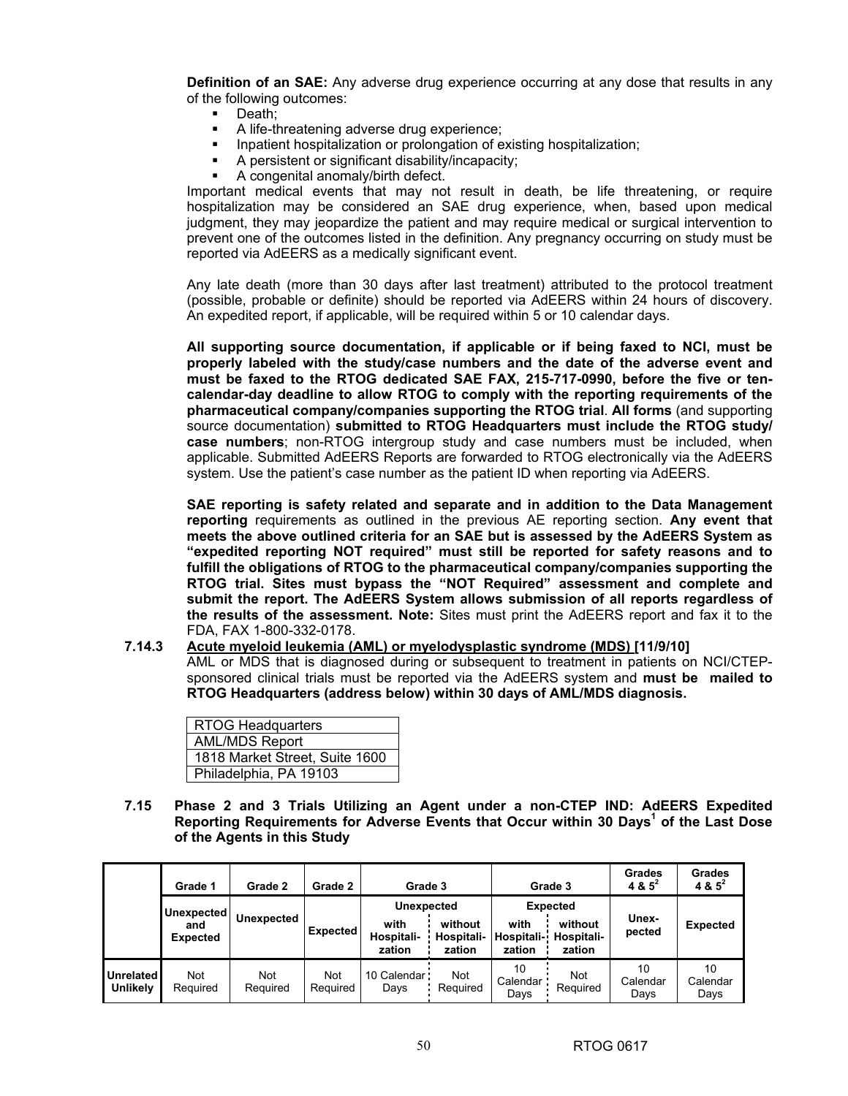**Definition of an SAE:** Any adverse drug experience occurring at any dose that results in any of the following outcomes:

- Death:
- A life-threatening adverse drug experience;
- Inpatient hospitalization or prolongation of existing hospitalization;
- A persistent or significant disability/incapacity;
- A congenital anomaly/birth defect.

 Important medical events that may not result in death, be life threatening, or require hospitalization may be considered an SAE drug experience, when, based upon medical judgment, they may jeopardize the patient and may require medical or surgical intervention to prevent one of the outcomes listed in the definition. Any pregnancy occurring on study must be reported via AdEERS as a medically significant event.

Any late death (more than 30 days after last treatment) attributed to the protocol treatment (possible, probable or definite) should be reported via AdEERS within 24 hours of discovery. An expedited report, if applicable, will be required within 5 or 10 calendar days.

**All supporting source documentation, if applicable or if being faxed to NCI, must be properly labeled with the study/case numbers and the date of the adverse event and must be faxed to the RTOG dedicated SAE FAX, 215-717-0990, before the five or tencalendar-day deadline to allow RTOG to comply with the reporting requirements of the pharmaceutical company/companies supporting the RTOG trial**. **All forms** (and supporting source documentation) **submitted to RTOG Headquarters must include the RTOG study/ case numbers**; non-RTOG intergroup study and case numbers must be included, when applicable. Submitted AdEERS Reports are forwarded to RTOG electronically via the AdEERS system. Use the patient's case number as the patient ID when reporting via AdEERS.

**SAE reporting is safety related and separate and in addition to the Data Management reporting** requirements as outlined in the previous AE reporting section. **Any event that meets the above outlined criteria for an SAE but is assessed by the AdEERS System as "expedited reporting NOT required" must still be reported for safety reasons and to fulfill the obligations of RTOG to the pharmaceutical company/companies supporting the RTOG trial. Sites must bypass the "NOT Required" assessment and complete and submit the report. The AdEERS System allows submission of all reports regardless of the results of the assessment. Note:** Sites must print the AdEERS report and fax it to the FDA, FAX 1-800-332-0178.

#### **7.14.3 Acute myeloid leukemia (AML) or myelodysplastic syndrome (MDS) [11/9/10]**

AML or MDS that is diagnosed during or subsequent to treatment in patients on NCI/CTEPsponsored clinical trials must be reported via the AdEERS system and **must be mailed to RTOG Headquarters (address below) within 30 days of AML/MDS diagnosis.**

| <b>RTOG Headquarters</b>       |
|--------------------------------|
| <b>AML/MDS Report</b>          |
| 1818 Market Street, Suite 1600 |
| Philadelphia, PA 19103         |

**7.15 Phase 2 and 3 Trials Utilizing an Agent under a non-CTEP IND: AdEERS Expedited Reporting Requirements for Adverse Events that Occur within 30 Days<sup>1</sup> of the Last Dose of the Agents in this Study** 

|                              | Grade 1                              | Grade 2           | Grade 2         | Grade 3                                    |                                 |                              | Grade 3                                            | <b>Grades</b><br>$4 & 5^2$ | <b>Grades</b><br>$4 & 5^2$ |
|------------------------------|--------------------------------------|-------------------|-----------------|--------------------------------------------|---------------------------------|------------------------------|----------------------------------------------------|----------------------------|----------------------------|
|                              | Unexpected<br>and<br><b>Expected</b> | <b>Unexpected</b> | <b>Expected</b> | Unexpected<br>with<br>Hospitali-<br>zation | without<br>Hospitali-<br>zation | with<br>Hospitali-<br>zation | <b>Expected</b><br>without<br>Hospitali-<br>zation | Unex-<br>pected            | <b>Expected</b>            |
| <b>Unrelated</b><br>Unlikely | Not<br>Required                      | Not<br>Required   | Not<br>Required | 10 Calendar<br>Days                        | Not<br>Required                 | 10<br>Calendar<br>Days       | Not<br>Required                                    | 10<br>Calendar<br>Days     | 10<br>Calendar<br>Days     |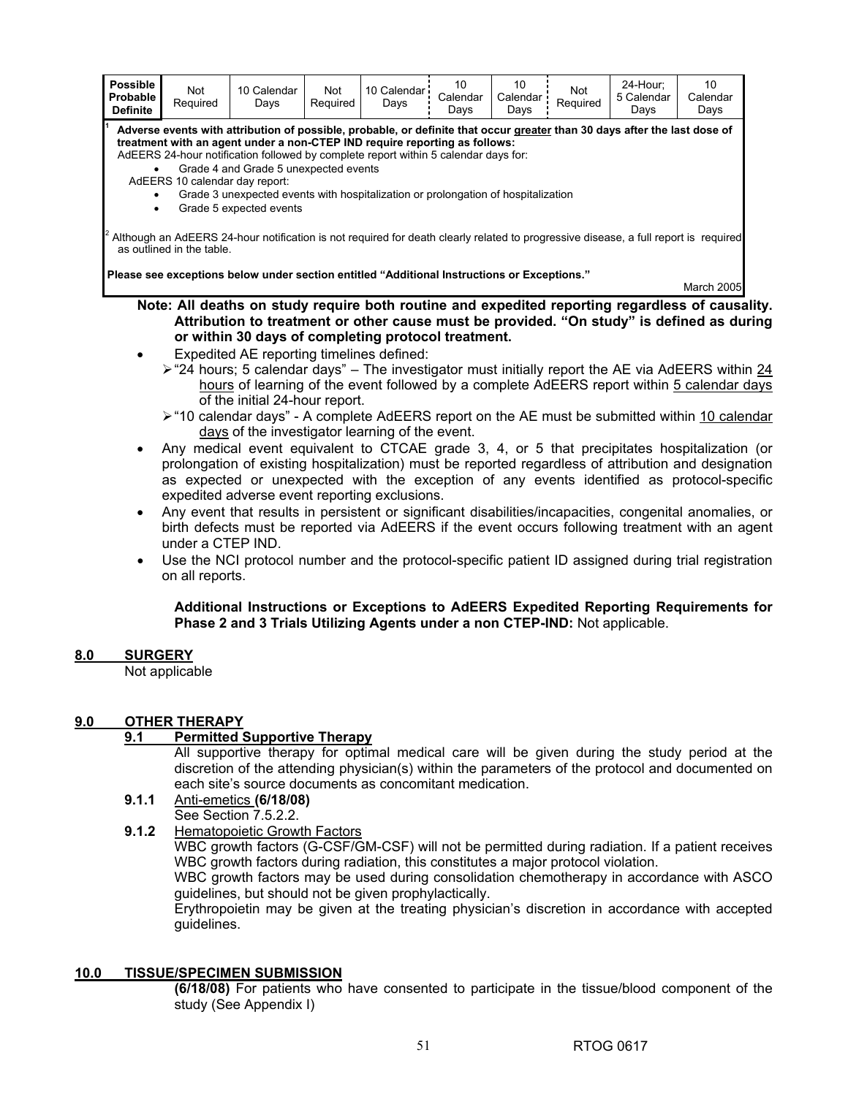| <b>Possible</b>             | Not                                                         | 10 Calendar                                                                                                                                                                                                                                                                                                                                                                                                                                                                                                                                                                                    | Not      | 10 Calendar | 10               | 10               | Not      | 24-Hour;           | 10                                                                                                                                                                                                                                                                                                 |
|-----------------------------|-------------------------------------------------------------|------------------------------------------------------------------------------------------------------------------------------------------------------------------------------------------------------------------------------------------------------------------------------------------------------------------------------------------------------------------------------------------------------------------------------------------------------------------------------------------------------------------------------------------------------------------------------------------------|----------|-------------|------------------|------------------|----------|--------------------|----------------------------------------------------------------------------------------------------------------------------------------------------------------------------------------------------------------------------------------------------------------------------------------------------|
| Probable<br><b>Definite</b> | Required                                                    | Days                                                                                                                                                                                                                                                                                                                                                                                                                                                                                                                                                                                           | Required | Days        | Calendar<br>Days | Calendar<br>Days | Required | 5 Calendar<br>Days | Calendar<br>Days                                                                                                                                                                                                                                                                                   |
| $\bullet$                   | AdEERS 10 calendar day report:<br>as outlined in the table. | Adverse events with attribution of possible, probable, or definite that occur greater than 30 days after the last dose of<br>treatment with an agent under a non-CTEP IND require reporting as follows:<br>AdEERS 24-hour notification followed by complete report within 5 calendar days for:<br>Grade 4 and Grade 5 unexpected events<br>Grade 3 unexpected events with hospitalization or prolongation of hospitalization<br>Grade 5 expected events<br>Although an AdEERS 24-hour notification is not required for death clearly related to progressive disease, a full report is required |          |             |                  |                  |          |                    |                                                                                                                                                                                                                                                                                                    |
|                             |                                                             | Please see exceptions below under section entitled "Additional Instructions or Exceptions."                                                                                                                                                                                                                                                                                                                                                                                                                                                                                                    |          |             |                  |                  |          |                    | March 2005                                                                                                                                                                                                                                                                                         |
|                             |                                                             |                                                                                                                                                                                                                                                                                                                                                                                                                                                                                                                                                                                                |          |             |                  |                  |          |                    | Note: All deaths on study require both routine and expedited reporting regardless of causality.<br>Attribution to treatment or other cause must be provided. "On study" is defined as during                                                                                                       |
|                             |                                                             | or within 30 days of completing protocol treatment.                                                                                                                                                                                                                                                                                                                                                                                                                                                                                                                                            |          |             |                  |                  |          |                    |                                                                                                                                                                                                                                                                                                    |
|                             |                                                             | Expedited AE reporting timelines defined:                                                                                                                                                                                                                                                                                                                                                                                                                                                                                                                                                      |          |             |                  |                  |          |                    | ≻ "24 hours; 5 calendar days" – The investigator must initially report the AE via AdEERS within 24<br>hours of learning of the event followed by a complete AdEERS report within 5 calendar days                                                                                                   |
|                             |                                                             | of the initial 24-hour report.<br>days of the investigator learning of the event.                                                                                                                                                                                                                                                                                                                                                                                                                                                                                                              |          |             |                  |                  |          |                    | ≻ "10 calendar days" - A complete AdEERS report on the AE must be submitted within 10 calendar                                                                                                                                                                                                     |
|                             |                                                             |                                                                                                                                                                                                                                                                                                                                                                                                                                                                                                                                                                                                |          |             |                  |                  |          |                    | Any medical event equivalent to CTCAE grade 3, 4, or 5 that precipitates hospitalization (or<br>prolongation of existing hospitalization) must be reported regardless of attribution and designation<br>as expected or unexpected with the exception of any events identified as protocol-specific |
| $\bullet$                   | under a CTEP IND.                                           | expedited adverse event reporting exclusions.                                                                                                                                                                                                                                                                                                                                                                                                                                                                                                                                                  |          |             |                  |                  |          |                    | Any event that results in persistent or significant disabilities/incapacities, congenital anomalies, or<br>birth defects must be reported via AdEERS if the event occurs following treatment with an agent                                                                                         |
| $\bullet$                   | on all reports.                                             |                                                                                                                                                                                                                                                                                                                                                                                                                                                                                                                                                                                                |          |             |                  |                  |          |                    | Use the NCI protocol number and the protocol-specific patient ID assigned during trial registration                                                                                                                                                                                                |
|                             |                                                             | Phase 2 and 3 Trials Utilizing Agents under a non CTEP-IND: Not applicable.                                                                                                                                                                                                                                                                                                                                                                                                                                                                                                                    |          |             |                  |                  |          |                    | Additional Instructions or Exceptions to AdEERS Expedited Reporting Requirements for                                                                                                                                                                                                               |
| <b>SURGERY</b>              |                                                             |                                                                                                                                                                                                                                                                                                                                                                                                                                                                                                                                                                                                |          |             |                  |                  |          |                    |                                                                                                                                                                                                                                                                                                    |
|                             | Not applicable                                              |                                                                                                                                                                                                                                                                                                                                                                                                                                                                                                                                                                                                |          |             |                  |                  |          |                    |                                                                                                                                                                                                                                                                                                    |
|                             | <b>OTHER THERAPY</b>                                        |                                                                                                                                                                                                                                                                                                                                                                                                                                                                                                                                                                                                |          |             |                  |                  |          |                    |                                                                                                                                                                                                                                                                                                    |
| 9.1                         |                                                             | <b>Permitted Supportive Therapy</b>                                                                                                                                                                                                                                                                                                                                                                                                                                                                                                                                                            |          |             |                  |                  |          |                    | All supportive therapy for optimal medical care will be given during the study period at the<br>discretion of the attending physician(s) within the parameters of the protocol and documented on                                                                                                   |
| 9.1.1                       |                                                             | each site's source documents as concomitant medication.<br>Anti-emetics (6/18/08)<br>See Section 7.5.2.2.                                                                                                                                                                                                                                                                                                                                                                                                                                                                                      |          |             |                  |                  |          |                    |                                                                                                                                                                                                                                                                                                    |
| 9.1.2                       |                                                             | Hematopoietic Growth Factors                                                                                                                                                                                                                                                                                                                                                                                                                                                                                                                                                                   |          |             |                  |                  |          |                    | WBC growth factors (G-CSF/GM-CSF) will not be permitted during radiation. If a patient receives                                                                                                                                                                                                    |

WBC growth factors during radiation, this constitutes a major protocol violation. WBC growth factors may be used during consolidation chemotherapy in accordance with ASCO guidelines, but should not be given prophylactically.

Erythropoietin may be given at the treating physician's discretion in accordance with accepted guidelines.

# **10.0 TISSUE/SPECIMEN SUBMISSION**

**(6/18/08)** For patients who have consented to participate in the tissue/blood component of the study (See Appendix I)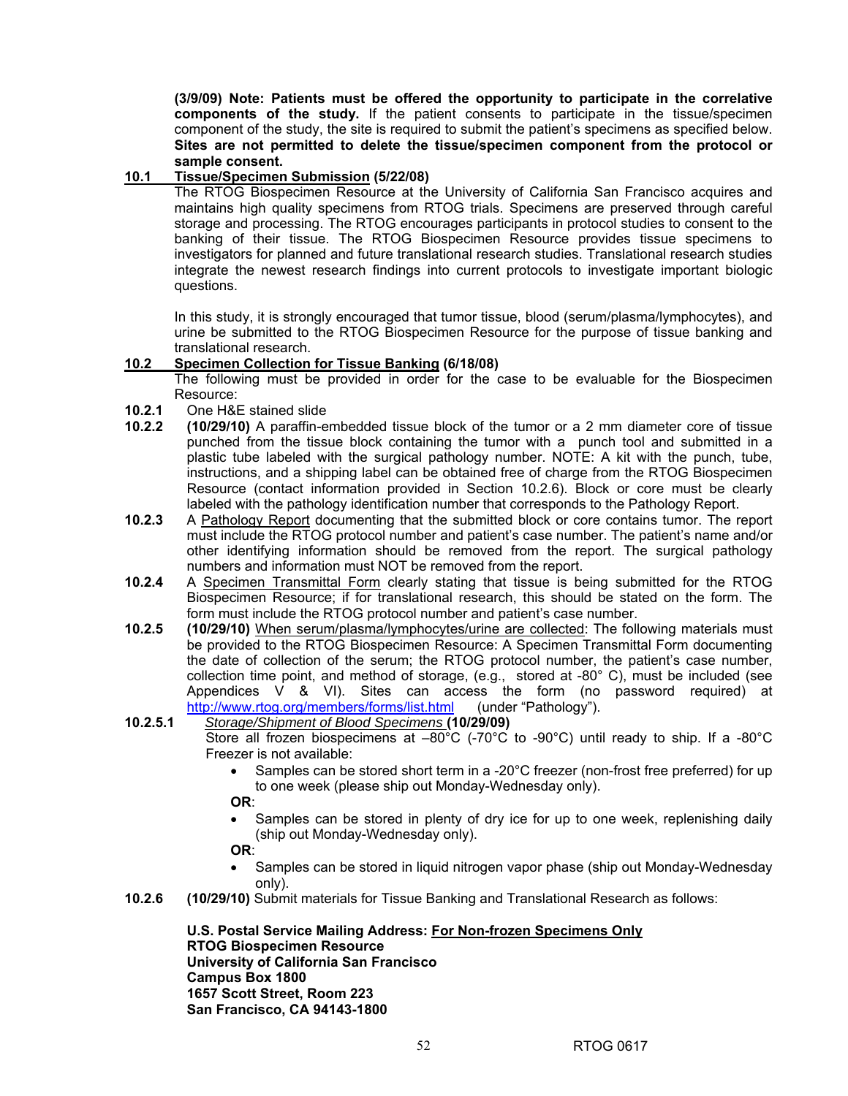**(3/9/09) Note: Patients must be offered the opportunity to participate in the correlative components of the study.** If the patient consents to participate in the tissue/specimen component of the study, the site is required to submit the patient's specimens as specified below. **Sites are not permitted to delete the tissue/specimen component from the protocol or sample consent.** 

### **10.1 Tissue/Specimen Submission (5/22/08)**

The RTOG Biospecimen Resource at the University of California San Francisco acquires and maintains high quality specimens from RTOG trials. Specimens are preserved through careful storage and processing. The RTOG encourages participants in protocol studies to consent to the banking of their tissue. The RTOG Biospecimen Resource provides tissue specimens to investigators for planned and future translational research studies. Translational research studies integrate the newest research findings into current protocols to investigate important biologic questions.

In this study, it is strongly encouraged that tumor tissue, blood (serum/plasma/lymphocytes), and urine be submitted to the RTOG Biospecimen Resource for the purpose of tissue banking and translational research.

# **10.2 Specimen Collection for Tissue Banking (6/18/08)**

- The following must be provided in order for the case to be evaluable for the Biospecimen Resource:
- **10.2.1** One H&E stained slide
- **10.2.2 (10/29/10)** A paraffin-embedded tissue block of the tumor or a 2 mm diameter core of tissue punched from the tissue block containing the tumor with a punch tool and submitted in a plastic tube labeled with the surgical pathology number. NOTE: A kit with the punch, tube, instructions, and a shipping label can be obtained free of charge from the RTOG Biospecimen Resource (contact information provided in Section 10.2.6). Block or core must be clearly labeled with the pathology identification number that corresponds to the Pathology Report.
- **10.2.3** A Pathology Report documenting that the submitted block or core contains tumor. The report must include the RTOG protocol number and patient's case number. The patient's name and/or other identifying information should be removed from the report. The surgical pathology numbers and information must NOT be removed from the report.
- **10.2.4** A Specimen Transmittal Form clearly stating that tissue is being submitted for the RTOG Biospecimen Resource; if for translational research, this should be stated on the form. The form must include the RTOG protocol number and patient's case number.
- **10.2.5 (10/29/10)** When serum/plasma/lymphocytes/urine are collected: The following materials must be provided to the RTOG Biospecimen Resource: A Specimen Transmittal Form documenting the date of collection of the serum; the RTOG protocol number, the patient's case number, collection time point, and method of storage, (e.g., stored at -80° C), must be included (see Appendices V & VI). Sites can access the form (no password required) at <http://www.rtog.org/members/forms/list.html>(under "Pathology").
- **10.2.5.1** *Storage/Shipment of Blood Specimens* **(10/29/09)**  Store all frozen biospecimens at  $-80^{\circ}$ C (-70 $^{\circ}$ C to -90 $^{\circ}$ C) until ready to ship. If a -80 $^{\circ}$ C Freezer is not available:
	- Samples can be stored short term in a -20°C freezer (non-frost free preferred) for up to one week (please ship out Monday-Wednesday only).

**OR**:

• Samples can be stored in plenty of dry ice for up to one week, replenishing daily (ship out Monday-Wednesday only).

**OR**:

- Samples can be stored in liquid nitrogen vapor phase (ship out Monday-Wednesday only).
- **10.2.6 (10/29/10)** Submit materials for Tissue Banking and Translational Research as follows:

**U.S. Postal Service Mailing Address: For Non-frozen Specimens Only RTOG Biospecimen Resource University of California San Francisco Campus Box 1800 1657 Scott Street, Room 223 San Francisco, CA 94143-1800**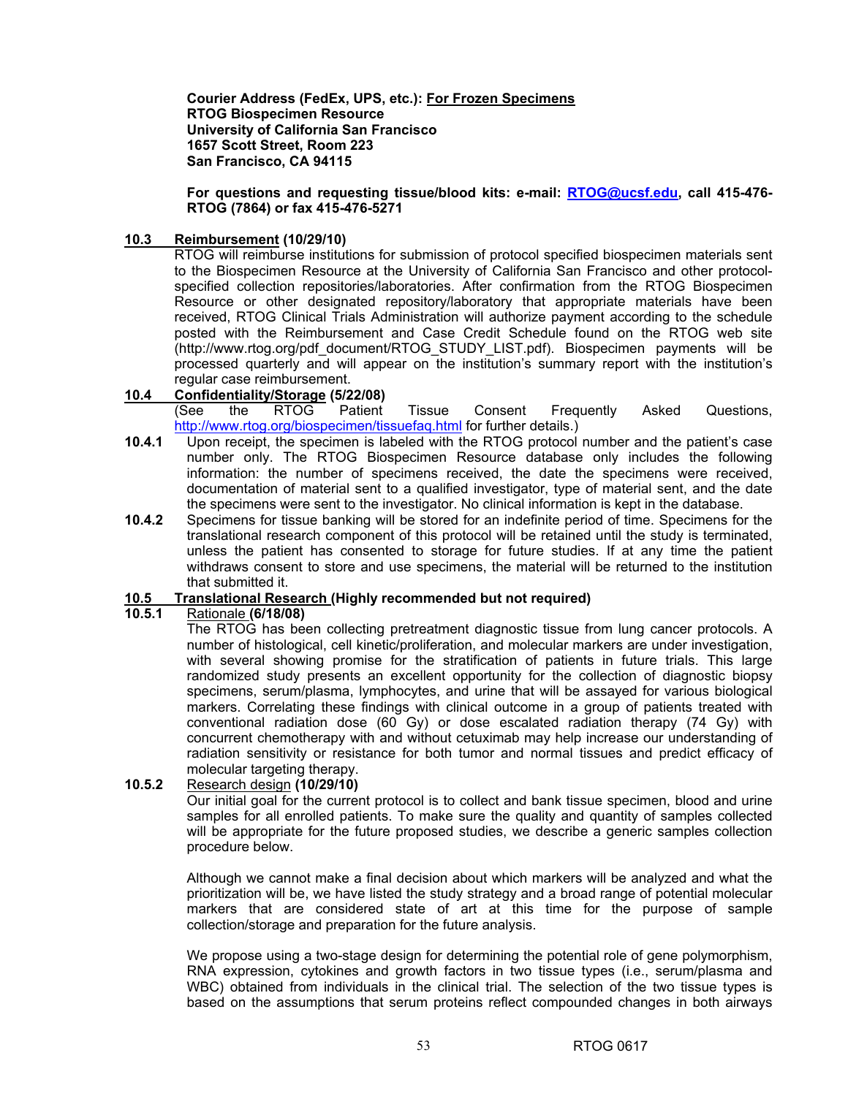**Courier Address (FedEx, UPS, etc.): For Frozen Specimens RTOG Biospecimen Resource University of California San Francisco 1657 Scott Street, Room 223 San Francisco, CA 94115**

**For questions and requesting tissue/blood kits: e-mail: [RTOG@ucsf.edu,](mailto:RTOG@ucsf.edu) call 415-476- RTOG (7864) or fax 415-476-5271** 

### **10.3 Reimbursement (10/29/10)**

 RTOG will reimburse institutions for submission of protocol specified biospecimen materials sent to the Biospecimen Resource at the University of California San Francisco and other protocolspecified collection repositories/laboratories. After confirmation from the RTOG Biospecimen Resource or other designated repository/laboratory that appropriate materials have been received, RTOG Clinical Trials Administration will authorize payment according to the schedule posted with the Reimbursement and Case Credit Schedule found on the RTOG web site [\(http://www.rtog.org/pdf\\_document/RTOG\\_STUDY\\_LIST.pdf\). B](http://www.rtog.org/pdf_document/RTOG_STUDY_LIST.pdf)iospecimen payments will be processed quarterly and will appear on the institution's summary report with the institution's regular case reimbursement.

# **10.4 Confidentiality/Storage (5/22/08)**

(See the RTOG Patient Tissue Consent Frequently Asked Questions, http://www.rtog.org/biospecimen/tissuefag.html for further details.)

- **10.4.1** Upon receipt, the specimen is labeled with the RTOG protocol number and the patient's case number only. The RTOG Biospecimen Resource database only includes the following information: the number of specimens received, the date the specimens were received, documentation of material sent to a qualified investigator, type of material sent, and the date the specimens were sent to the investigator. No clinical information is kept in the database.
- **10.4.2** Specimens for tissue banking will be stored for an indefinite period of time. Specimens for the translational research component of this protocol will be retained until the study is terminated, unless the patient has consented to storage for future studies. If at any time the patient withdraws consent to store and use specimens, the material will be returned to the institution that submitted it.

#### **10.5 Translational Research (Highly recommended but not required)**

# **10.5.1** Rationale **(6/18/08)**

 The RTOG has been collecting pretreatment diagnostic tissue from lung cancer protocols. A number of histological, cell kinetic/proliferation, and molecular markers are under investigation, with several showing promise for the stratification of patients in future trials. This large randomized study presents an excellent opportunity for the collection of diagnostic biopsy specimens, serum/plasma, lymphocytes, and urine that will be assayed for various biological markers. Correlating these findings with clinical outcome in a group of patients treated with conventional radiation dose (60 Gy) or dose escalated radiation therapy (74 Gy) with concurrent chemotherapy with and without cetuximab may help increase our understanding of radiation sensitivity or resistance for both tumor and normal tissues and predict efficacy of molecular targeting therapy.

# **10.5.2** Research design **(10/29/10)**

 Our initial goal for the current protocol is to collect and bank tissue specimen, blood and urine samples for all enrolled patients. To make sure the quality and quantity of samples collected will be appropriate for the future proposed studies, we describe a generic samples collection procedure below.

 Although we cannot make a final decision about which markers will be analyzed and what the prioritization will be, we have listed the study strategy and a broad range of potential molecular markers that are considered state of art at this time for the purpose of sample collection/storage and preparation for the future analysis.

 We propose using a two-stage design for determining the potential role of gene polymorphism, RNA expression, cytokines and growth factors in two tissue types (i.e., serum/plasma and WBC) obtained from individuals in the clinical trial. The selection of the two tissue types is based on the assumptions that serum proteins reflect compounded changes in both airways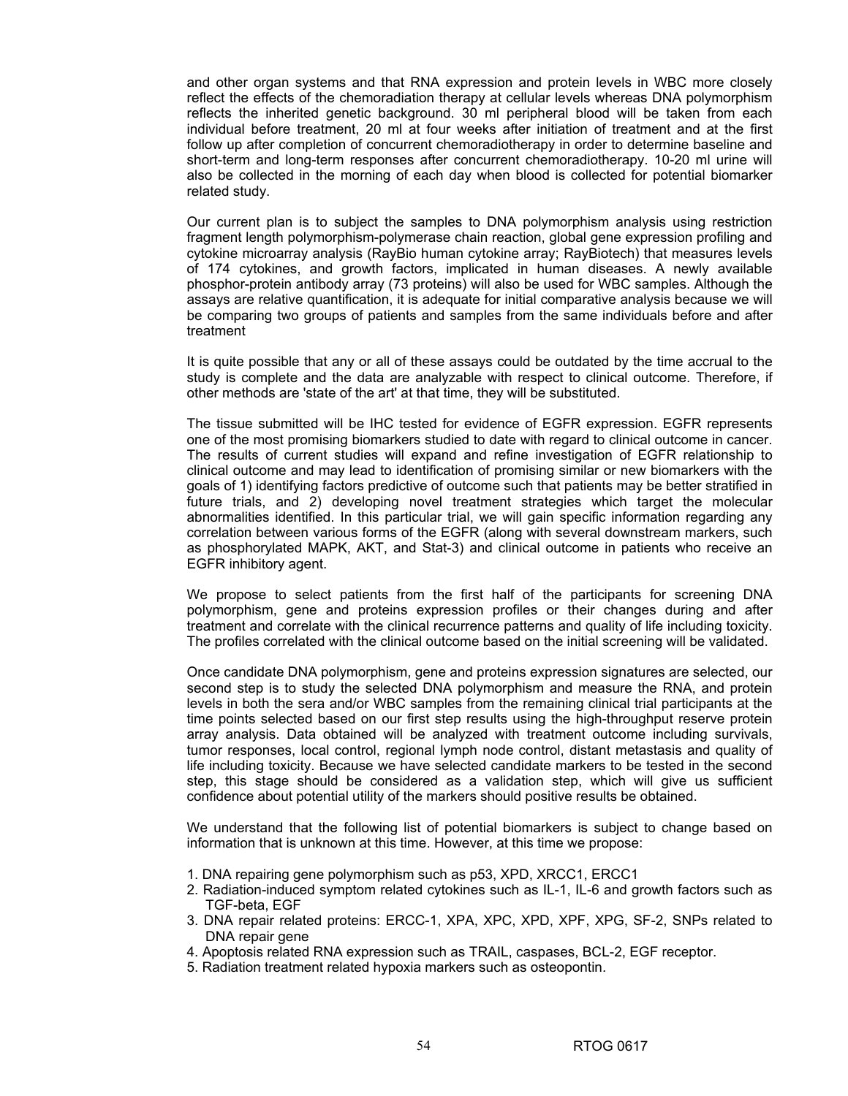and other organ systems and that RNA expression and protein levels in WBC more closely reflect the effects of the chemoradiation therapy at cellular levels whereas DNA polymorphism reflects the inherited genetic background. 30 ml peripheral blood will be taken from each individual before treatment, 20 ml at four weeks after initiation of treatment and at the first follow up after completion of concurrent chemoradiotherapy in order to determine baseline and short-term and long-term responses after concurrent chemoradiotherapy. 10-20 ml urine will also be collected in the morning of each day when blood is collected for potential biomarker related study.

 Our current plan is to subject the samples to DNA polymorphism analysis using restriction fragment length polymorphism-polymerase chain reaction, global gene expression profiling and cytokine microarray analysis (RayBio human cytokine array; RayBiotech) that measures levels of 174 cytokines, and growth factors, implicated in human diseases. A newly available phosphor-protein antibody array (73 proteins) will also be used for WBC samples. Although the assays are relative quantification, it is adequate for initial comparative analysis because we will be comparing two groups of patients and samples from the same individuals before and after treatment

 It is quite possible that any or all of these assays could be outdated by the time accrual to the study is complete and the data are analyzable with respect to clinical outcome. Therefore, if other methods are 'state of the art' at that time, they will be substituted.

 The tissue submitted will be IHC tested for evidence of EGFR expression. EGFR represents one of the most promising biomarkers studied to date with regard to clinical outcome in cancer. The results of current studies will expand and refine investigation of EGFR relationship to clinical outcome and may lead to identification of promising similar or new biomarkers with the goals of 1) identifying factors predictive of outcome such that patients may be better stratified in future trials, and 2) developing novel treatment strategies which target the molecular abnormalities identified. In this particular trial, we will gain specific information regarding any correlation between various forms of the EGFR (along with several downstream markers, such as phosphorylated MAPK, AKT, and Stat-3) and clinical outcome in patients who receive an EGFR inhibitory agent.

 We propose to select patients from the first half of the participants for screening DNA polymorphism, gene and proteins expression profiles or their changes during and after treatment and correlate with the clinical recurrence patterns and quality of life including toxicity. The profiles correlated with the clinical outcome based on the initial screening will be validated.

 Once candidate DNA polymorphism, gene and proteins expression signatures are selected, our second step is to study the selected DNA polymorphism and measure the RNA, and protein levels in both the sera and/or WBC samples from the remaining clinical trial participants at the time points selected based on our first step results using the high-throughput reserve protein array analysis. Data obtained will be analyzed with treatment outcome including survivals, tumor responses, local control, regional lymph node control, distant metastasis and quality of life including toxicity. Because we have selected candidate markers to be tested in the second step, this stage should be considered as a validation step, which will give us sufficient confidence about potential utility of the markers should positive results be obtained.

We understand that the following list of potential biomarkers is subject to change based on information that is unknown at this time. However, at this time we propose:

- 1. DNA repairing gene polymorphism such as p53, XPD, XRCC1, ERCC1
- 2. Radiation-induced symptom related cytokines such as IL-1, IL-6 and growth factors such as TGF-beta, EGF
- 3. DNA repair related proteins: ERCC-1, XPA, XPC, XPD, XPF, XPG, SF-2, SNPs related to DNA repair gene
- 4. Apoptosis related RNA expression such as TRAIL, caspases, BCL-2, EGF receptor.
- 5. Radiation treatment related hypoxia markers such as osteopontin.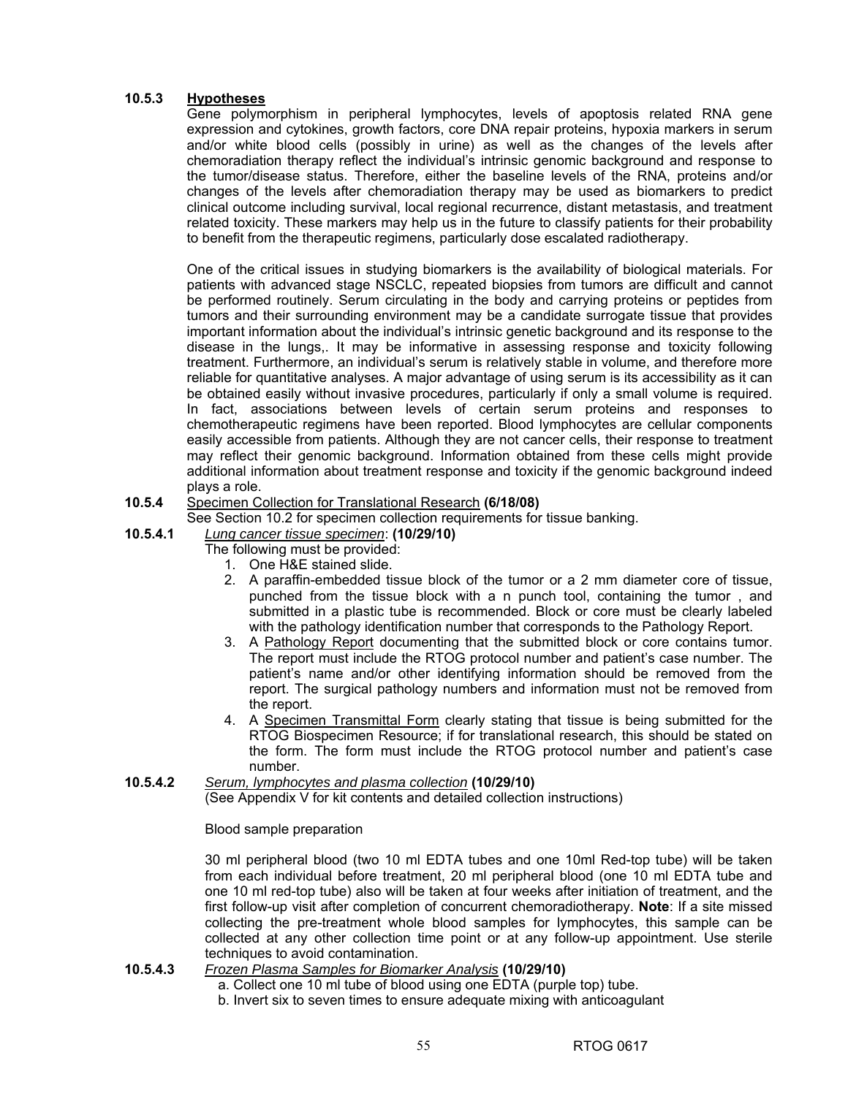# **10.5.3 Hypotheses**

 Gene polymorphism in peripheral lymphocytes, levels of apoptosis related RNA gene expression and cytokines, growth factors, core DNA repair proteins, hypoxia markers in serum and/or white blood cells (possibly in urine) as well as the changes of the levels after chemoradiation therapy reflect the individual's intrinsic genomic background and response to the tumor/disease status. Therefore, either the baseline levels of the RNA, proteins and/or changes of the levels after chemoradiation therapy may be used as biomarkers to predict clinical outcome including survival, local regional recurrence, distant metastasis, and treatment related toxicity. These markers may help us in the future to classify patients for their probability to benefit from the therapeutic regimens, particularly dose escalated radiotherapy.

 One of the critical issues in studying biomarkers is the availability of biological materials. For patients with advanced stage NSCLC, repeated biopsies from tumors are difficult and cannot be performed routinely. Serum circulating in the body and carrying proteins or peptides from tumors and their surrounding environment may be a candidate surrogate tissue that provides important information about the individual's intrinsic genetic background and its response to the disease in the lungs,. It may be informative in assessing response and toxicity following treatment. Furthermore, an individual's serum is relatively stable in volume, and therefore more reliable for quantitative analyses. A major advantage of using serum is its accessibility as it can be obtained easily without invasive procedures, particularly if only a small volume is required. In fact, associations between levels of certain serum proteins and responses to chemotherapeutic regimens have been reported. Blood lymphocytes are cellular components easily accessible from patients. Although they are not cancer cells, their response to treatment may reflect their genomic background. Information obtained from these cells might provide additional information about treatment response and toxicity if the genomic background indeed plays a role.

# **10.5.4** Specimen Collection for Translational Research **(6/18/08)**

See Section 10.2 for specimen collection requirements for tissue banking.

- **10.5.4.1** *Lung cancer tissue specimen*: **(10/29/10)** 
	- The following must be provided:
		- 1. One H&E stained slide.
		- 2. A paraffin-embedded tissue block of the tumor or a 2 mm diameter core of tissue, punched from the tissue block with a n punch tool, containing the tumor , and submitted in a plastic tube is recommended. Block or core must be clearly labeled with the pathology identification number that corresponds to the Pathology Report.
		- 3. A Pathology Report documenting that the submitted block or core contains tumor. The report must include the RTOG protocol number and patient's case number. The patient's name and/or other identifying information should be removed from the report. The surgical pathology numbers and information must not be removed from the report.
		- 4. A Specimen Transmittal Form clearly stating that tissue is being submitted for the RTOG Biospecimen Resource; if for translational research, this should be stated on the form. The form must include the RTOG protocol number and patient's case number.

#### **10.5.4.2** *Serum, lymphocytes and plasma collection* **(10/29/10)**

(See Appendix V for kit contents and detailed collection instructions)

Blood sample preparation

 30 ml peripheral blood (two 10 ml EDTA tubes and one 10ml Red-top tube) will be taken from each individual before treatment, 20 ml peripheral blood (one 10 ml EDTA tube and one 10 ml red-top tube) also will be taken at four weeks after initiation of treatment, and the first follow-up visit after completion of concurrent chemoradiotherapy. **Note**: If a site missed collecting the pre-treatment whole blood samples for lymphocytes, this sample can be collected at any other collection time point or at any follow-up appointment. Use sterile techniques to avoid contamination.

# **10.5.4.3** *Frozen Plasma Samples for Biomarker Analysis* **(10/29/10)**

a. Collect one 10 ml tube of blood using one EDTA (purple top) tube.

b. Invert six to seven times to ensure adequate mixing with anticoagulant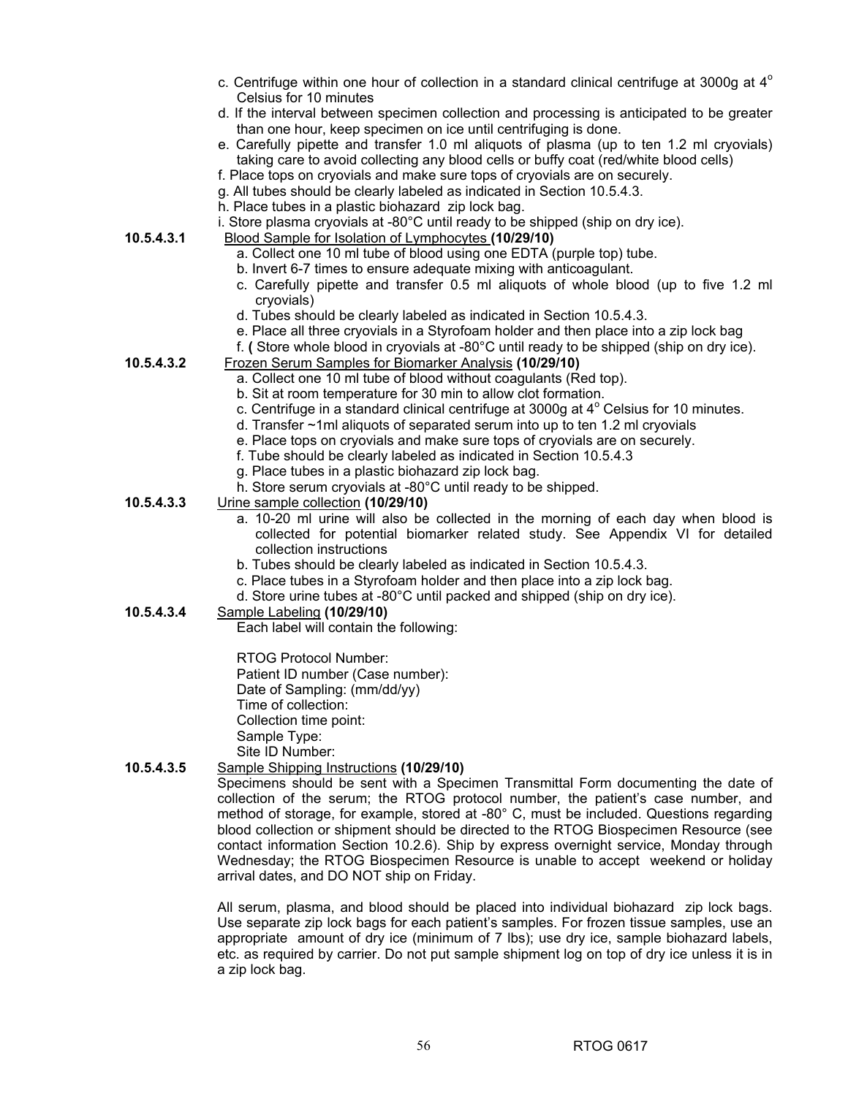- c. Centrifuge within one hour of collection in a standard clinical centrifuge at 3000g at  $4^\circ$ Celsius for 10 minutes
- d. If the interval between specimen collection and processing is anticipated to be greater than one hour, keep specimen on ice until centrifuging is done.
- e. Carefully pipette and transfer 1.0 ml aliquots of plasma (up to ten 1.2 ml cryovials) taking care to avoid collecting any blood cells or buffy coat (red/white blood cells)
- f. Place tops on cryovials and make sure tops of cryovials are on securely.
- g. All tubes should be clearly labeled as indicated in Section 10.5.4.3.
- h. Place tubes in a plastic biohazard zip lock bag.
- i. Store plasma cryovials at -80°C until ready to be shipped (ship on dry ice).
- **10.5.4.3.1** Blood Sample for Isolation of Lymphocytes **(10/29/10)** 
	- a. Collect one 10 ml tube of blood using one EDTA (purple top) tube.
	- b. Invert 6-7 times to ensure adequate mixing with anticoagulant.
	- c. Carefully pipette and transfer 0.5 ml aliquots of whole blood (up to five 1.2 ml cryovials)
	- d. Tubes should be clearly labeled as indicated in Section 10.5.4.3.
	- e. Place all three cryovials in a Styrofoam holder and then place into a zip lock bag
	- f. **(** Store whole blood in cryovials at -80°C until ready to be shipped (ship on dry ice).
- **10.5.4.3.2** Frozen Serum Samples for Biomarker Analysis **(10/29/10)** 
	- a. Collect one 10 ml tube of blood without coagulants (Red top).
	- b. Sit at room temperature for 30 min to allow clot formation.
	- c. Centrifuge in a standard clinical centrifuge at 3000g at  $4^{\circ}$  Celsius for 10 minutes.
	- d. Transfer ~1ml aliquots of separated serum into up to ten 1.2 ml cryovials
	- e. Place tops on cryovials and make sure tops of cryovials are on securely.
	- f. Tube should be clearly labeled as indicated in Section 10.5.4.3
	- g. Place tubes in a plastic biohazard zip lock bag.
	- h. Store serum cryovials at -80°C until ready to be shipped.
- **10.5.4.3.3** Urine sample collection **(10/29/10)** 
	- a. 10-20 ml urine will also be collected in the morning of each day when blood is collected for potential biomarker related study. See Appendix VI for detailed collection instructions
	- b. Tubes should be clearly labeled as indicated in Section 10.5.4.3.
	- c. Place tubes in a Styrofoam holder and then place into a zip lock bag.
	- d. Store urine tubes at -80°C until packed and shipped (ship on dry ice).
- **10.5.4.3.4** Sample Labeling **(10/29/10)**

Each label will contain the following:

RTOG Protocol Number: Patient ID number (Case number): Date of Sampling: (mm/dd/yy) Time of collection: Collection time point: Sample Type: Site ID Number:

**10.5.4.3.5** Sample Shipping Instructions **(10/29/10)** 

 Specimens should be sent with a Specimen Transmittal Form documenting the date of collection of the serum; the RTOG protocol number, the patient's case number, and method of storage, for example, stored at -80° C, must be included. Questions regarding blood collection or shipment should be directed to the RTOG Biospecimen Resource (see contact information Section 10.2.6). Ship by express overnight service, Monday through Wednesday; the RTOG Biospecimen Resource is unable to accept weekend or holiday arrival dates, and DO NOT ship on Friday.

 All serum, plasma, and blood should be placed into individual biohazard zip lock bags. Use separate zip lock bags for each patient's samples. For frozen tissue samples, use an appropriate amount of dry ice (minimum of 7 lbs); use dry ice, sample biohazard labels, etc. as required by carrier. Do not put sample shipment log on top of dry ice unless it is in a zip lock bag.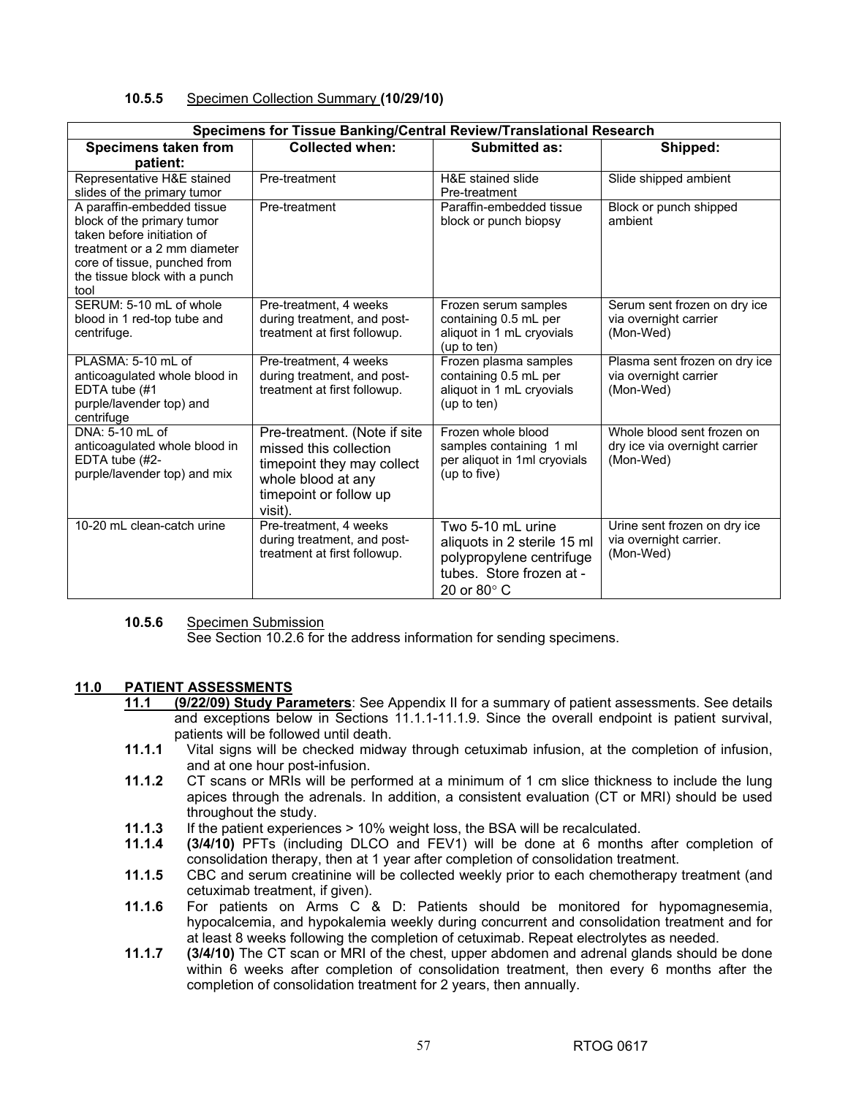| Specimen Collection Summary (10/29/10) |
|----------------------------------------|
|----------------------------------------|

| Specimens for Tissue Banking/Central Review/Translational Research                                                                                                                              |                                                                                                                                                 |                                                                                                                                  |                                                                          |  |  |  |  |
|-------------------------------------------------------------------------------------------------------------------------------------------------------------------------------------------------|-------------------------------------------------------------------------------------------------------------------------------------------------|----------------------------------------------------------------------------------------------------------------------------------|--------------------------------------------------------------------------|--|--|--|--|
| <b>Specimens taken from</b><br>patient:                                                                                                                                                         | <b>Collected when:</b>                                                                                                                          |                                                                                                                                  | Shipped:                                                                 |  |  |  |  |
| Representative H&E stained<br>slides of the primary tumor                                                                                                                                       | Pre-treatment                                                                                                                                   | H&E stained slide<br>Pre-treatment                                                                                               | Slide shipped ambient                                                    |  |  |  |  |
| A paraffin-embedded tissue<br>block of the primary tumor<br>taken before initiation of<br>treatment or a 2 mm diameter<br>core of tissue, punched from<br>the tissue block with a punch<br>tool | Pre-treatment                                                                                                                                   | Paraffin-embedded tissue<br>block or punch biopsy                                                                                | Block or punch shipped<br>ambient                                        |  |  |  |  |
| SERUM: 5-10 mL of whole<br>blood in 1 red-top tube and<br>centrifuge.                                                                                                                           | Pre-treatment, 4 weeks<br>during treatment, and post-<br>treatment at first followup.                                                           | Frozen serum samples<br>containing 0.5 mL per<br>aliquot in 1 mL cryovials<br>(up to ten)                                        | Serum sent frozen on dry ice<br>via overnight carrier<br>(Mon-Wed)       |  |  |  |  |
| PLASMA: 5-10 mL of<br>anticoagulated whole blood in<br>EDTA tube (#1<br>purple/lavender top) and<br>centrifuge                                                                                  | Pre-treatment, 4 weeks<br>during treatment, and post-<br>treatment at first followup.                                                           | Frozen plasma samples<br>containing 0.5 mL per<br>aliquot in 1 mL cryovials<br>(up to ten)                                       | Plasma sent frozen on dry ice<br>via overnight carrier<br>(Mon-Wed)      |  |  |  |  |
| DNA: 5-10 mL of<br>anticoagulated whole blood in<br>EDTA tube (#2-<br>purple/lavender top) and mix                                                                                              | Pre-treatment. (Note if site<br>missed this collection<br>timepoint they may collect<br>whole blood at any<br>timepoint or follow up<br>visit). | Frozen whole blood<br>samples containing 1 ml<br>per aliquot in 1ml cryovials<br>(up to five)                                    | Whole blood sent frozen on<br>dry ice via overnight carrier<br>(Mon-Wed) |  |  |  |  |
| 10-20 mL clean-catch urine                                                                                                                                                                      | Pre-treatment, 4 weeks<br>during treatment, and post-<br>treatment at first followup.                                                           | Two 5-10 mL urine<br>aliquots in 2 sterile 15 ml<br>polypropylene centrifuge<br>tubes. Store frozen at -<br>20 or 80 $\degree$ C | Urine sent frozen on dry ice<br>via overnight carrier.<br>(Mon-Wed)      |  |  |  |  |

#### **10.5.6** Specimen Submission

See Section 10.2.6 for the address information for sending specimens.

# **11.0 PATIENT ASSESSMENTS**

- **11.1 (9/22/09) Study Parameters**: See Appendix II for a summary of patient assessments. See details and exceptions below in Sections 11.1.1-11.1.9. Since the overall endpoint is patient survival, patients will be followed until death.
- **11.1.1** Vital signs will be checked midway through cetuximab infusion, at the completion of infusion, and at one hour post-infusion.
- **11.1.2** CT scans or MRIs will be performed at a minimum of 1 cm slice thickness to include the lung apices through the adrenals. In addition, a consistent evaluation (CT or MRI) should be used throughout the study.
- **11.1.3** If the patient experiences > 10% weight loss, the BSA will be recalculated.
- **11.1.4 (3/4/10)** PFTs (including DLCO and FEV1) will be done at 6 months after completion of consolidation therapy, then at 1 year after completion of consolidation treatment.
- **11.1.5** CBC and serum creatinine will be collected weekly prior to each chemotherapy treatment (and cetuximab treatment, if given).
- **11.1.6** For patients on Arms C & D: Patients should be monitored for hypomagnesemia, hypocalcemia, and hypokalemia weekly during concurrent and consolidation treatment and for at least 8 weeks following the completion of cetuximab. Repeat electrolytes as needed.
- **11.1.7 (3/4/10)** The CT scan or MRI of the chest, upper abdomen and adrenal glands should be done within 6 weeks after completion of consolidation treatment, then every 6 months after the completion of consolidation treatment for 2 years, then annually.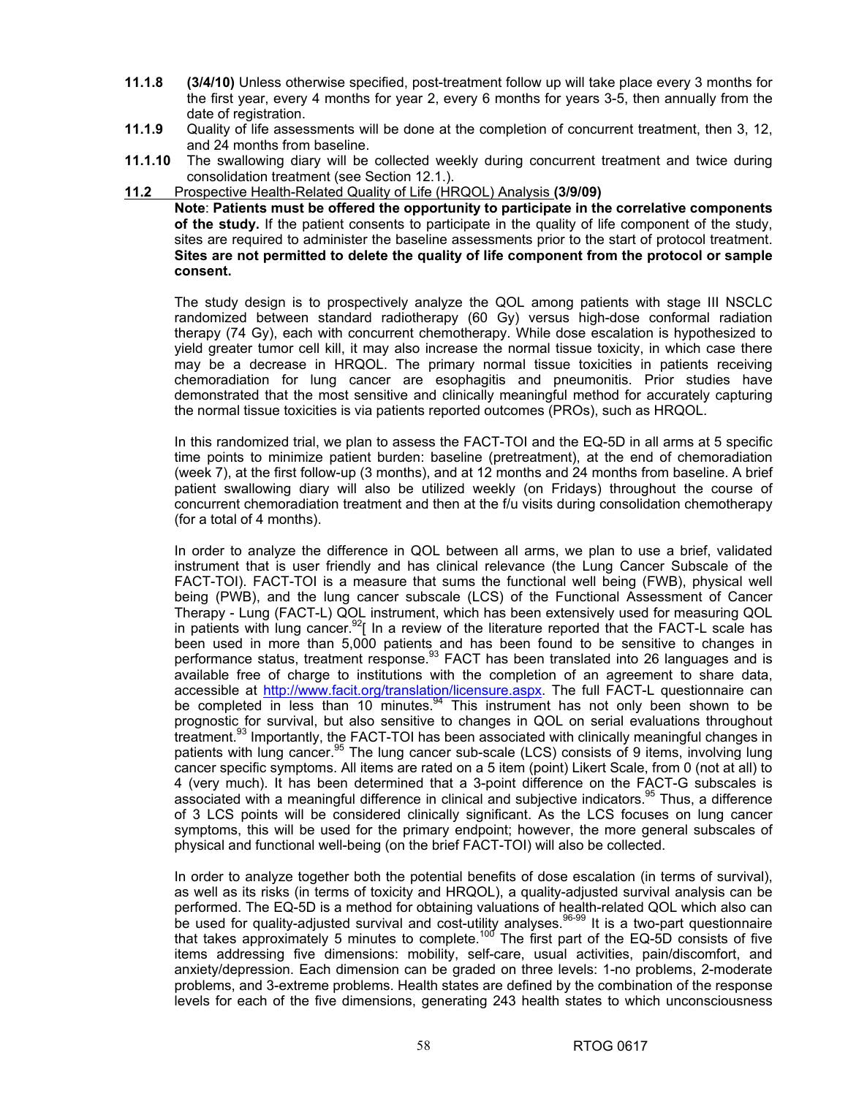- **11.1.8 (3/4/10)** Unless otherwise specified, post-treatment follow up will take place every 3 months for the first year, every 4 months for year 2, every 6 months for years 3-5, then annually from the date of registration.
- **11.1.9** Quality of life assessments will be done at the completion of concurrent treatment, then 3, 12, and 24 months from baseline.
- **11.1.10** The swallowing diary will be collected weekly during concurrent treatment and twice during consolidation treatment (see Section 12.1.).
- **11.2** Prospective Health-Related Quality of Life (HRQOL) Analysis **(3/9/09)**

**Note**: **Patients must be offered the opportunity to participate in the correlative components of the study.** If the patient consents to participate in the quality of life component of the study, sites are required to administer the baseline assessments prior to the start of protocol treatment. **Sites are not permitted to delete the quality of life component from the protocol or sample consent.**

The study design is to prospectively analyze the QOL among patients with stage III NSCLC randomized between standard radiotherapy (60 Gy) versus high-dose conformal radiation therapy (74 Gy), each with concurrent chemotherapy. While dose escalation is hypothesized to yield greater tumor cell kill, it may also increase the normal tissue toxicity, in which case there may be a decrease in HRQOL. The primary normal tissue toxicities in patients receiving chemoradiation for lung cancer are esophagitis and pneumonitis. Prior studies have demonstrated that the most sensitive and clinically meaningful method for accurately capturing the normal tissue toxicities is via patients reported outcomes (PROs), such as HRQOL.

 In this randomized trial, we plan to assess the FACT-TOI and the EQ-5D in all arms at 5 specific time points to minimize patient burden: baseline (pretreatment), at the end of chemoradiation (week 7), at the first follow-up (3 months), and at 12 months and 24 months from baseline. A brief patient swallowing diary will also be utilized weekly (on Fridays) throughout the course of concurrent chemoradiation treatment and then at the f/u visits during consolidation chemotherapy (for a total of 4 months).

 In order to analyze the difference in QOL between all arms, we plan to use a brief, validated instrument that is user friendly and has clinical relevance (the Lung Cancer Subscale of the FACT-TOI). FACT-TOI is a measure that sums the functional well being (FWB), physical well being (PWB), and the lung cancer subscale (LCS) of the Functional Assessment of Cancer Therapy - Lung (FACT-L) QOL instrument, which has been extensively used for measuring QOL in patients with lung cancer.<sup>92</sup>[ In a review of the literature reported that the FACT-L scale has been used in more than 5,000 patients and has been found to be sensitive to changes in performance status, treatment response.<sup>93</sup> FACT has been translated into 26 languages and is available free of charge to institutions with the completion of an agreement to share data, accessible at [http://www.facit.org/translation/licensure.aspx.](http://www.facit.org/translation/licensure.aspx) The full FACT-L questionnaire can be completed in less than 10 minutes.<sup>94</sup> This instrument has not only been shown to be prognostic for survival, but also sensitive to changes in QOL on serial evaluations throughout treatment.93 Importantly, the FACT-TOI has been associated with clinically meaningful changes in patients with lung cancer.<sup>95</sup> The lung cancer sub-scale (LCS) consists of 9 items, involving lung cancer specific symptoms. All items are rated on a 5 item (point) Likert Scale, from 0 (not at all) to 4 (very much). It has been determined that a 3-point difference on the FACT-G subscales is associated with a meaningful difference in clinical and subjective indicators.<sup>95</sup> Thus, a difference of 3 LCS points will be considered clinically significant. As the LCS focuses on lung cancer symptoms, this will be used for the primary endpoint; however, the more general subscales of physical and functional well-being (on the brief FACT-TOI) will also be collected.

 In order to analyze together both the potential benefits of dose escalation (in terms of survival), as well as its risks (in terms of toxicity and HRQOL), a quality-adjusted survival analysis can be performed. The EQ-5D is a method for obtaining valuations of health-related QOL which also can be used for quality-adjusted survival and cost-utility analyses.<sup>96-99</sup> It is a two-part questionnaire that takes approximately 5 minutes to complete.<sup>100</sup> The first part of the EQ-5D consists of five items addressing five dimensions: mobility, self-care, usual activities, pain/discomfort, and anxiety/depression. Each dimension can be graded on three levels: 1-no problems, 2-moderate problems, and 3-extreme problems. Health states are defined by the combination of the response levels for each of the five dimensions, generating 243 health states to which unconsciousness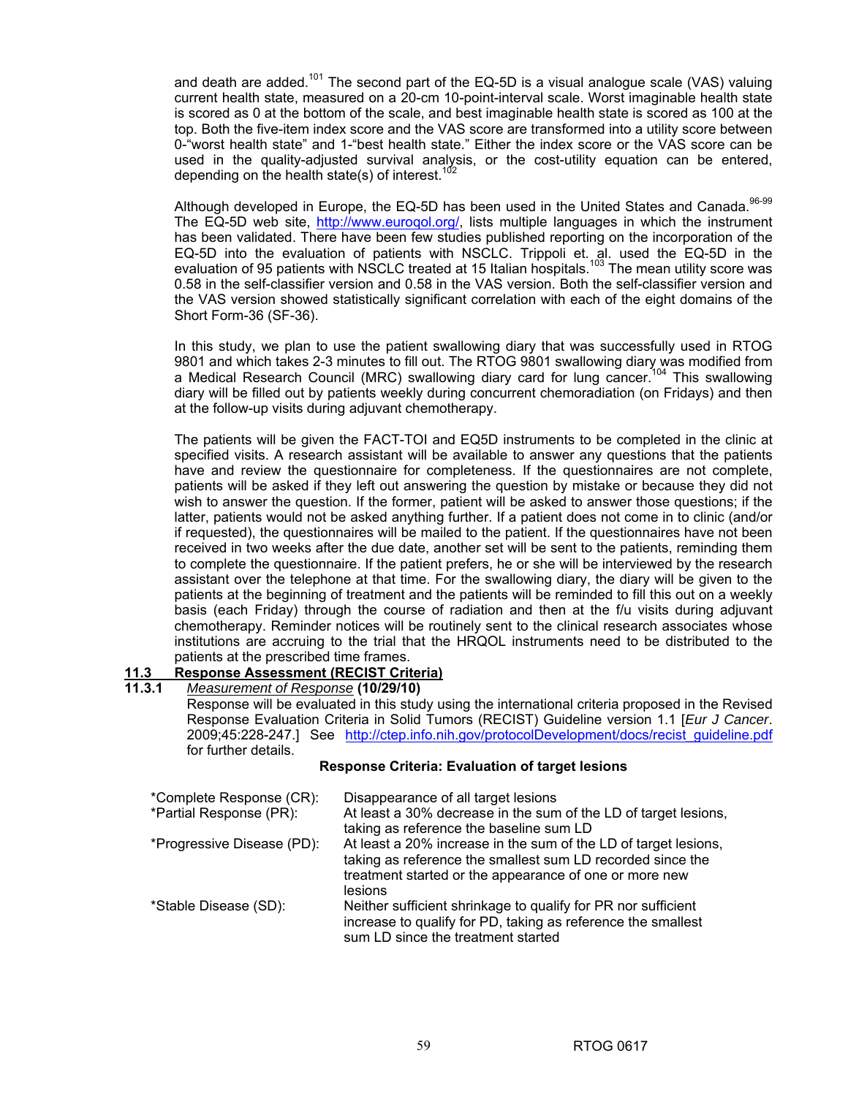and death are added.<sup>101</sup> The second part of the EQ-5D is a visual analogue scale (VAS) valuing current health state, measured on a 20-cm 10-point-interval scale. Worst imaginable health state is scored as 0 at the bottom of the scale, and best imaginable health state is scored as 100 at the top. Both the five-item index score and the VAS score are transformed into a utility score between 0-"worst health state" and 1-"best health state." Either the index score or the VAS score can be used in the quality-adjusted survival analysis, or the cost-utility equation can be entered, depending on the health state(s) of interest.<sup>10</sup>

Although developed in Europe, the EQ-5D has been used in the United States and Canada.<sup>96-99</sup> The EQ-5D web site, http://www.eurogol.org/, lists multiple languages in which the instrument has been validated. There have been few studies published reporting on the incorporation of the EQ-5D into the evaluation of patients with NSCLC. Trippoli et. al. used the EQ-5D in the evaluation of 95 patients with NSCLC treated at 15 Italian hospitals.<sup>103</sup> The mean utility score was 0.58 in the self-classifier version and 0.58 in the VAS version. Both the self-classifier version and the VAS version showed statistically significant correlation with each of the eight domains of the Short Form-36 (SF-36).

 In this study, we plan to use the patient swallowing diary that was successfully used in RTOG 9801 and which takes 2-3 minutes to fill out. The RTOG 9801 swallowing diary was modified from a Medical Research Council (MRC) swallowing diary card for lung cancer.<sup>104</sup> This swallowing diary will be filled out by patients weekly during concurrent chemoradiation (on Fridays) and then at the follow-up visits during adjuvant chemotherapy.

 The patients will be given the FACT-TOI and EQ5D instruments to be completed in the clinic at specified visits. A research assistant will be available to answer any questions that the patients have and review the questionnaire for completeness. If the questionnaires are not complete, patients will be asked if they left out answering the question by mistake or because they did not wish to answer the question. If the former, patient will be asked to answer those questions; if the latter, patients would not be asked anything further. If a patient does not come in to clinic (and/or if requested), the questionnaires will be mailed to the patient. If the questionnaires have not been received in two weeks after the due date, another set will be sent to the patients, reminding them to complete the questionnaire. If the patient prefers, he or she will be interviewed by the research assistant over the telephone at that time. For the swallowing diary, the diary will be given to the patients at the beginning of treatment and the patients will be reminded to fill this out on a weekly basis (each Friday) through the course of radiation and then at the f/u visits during adjuvant chemotherapy. Reminder notices will be routinely sent to the clinical research associates whose institutions are accruing to the trial that the HRQOL instruments need to be distributed to the patients at the prescribed time frames.

# **11.3 Response Assessment (RECIST Criteria)**

#### **11.3.1** *Measurement of Response* **(10/29/10)**

Response will be evaluated in this study using the international criteria proposed in the Revised Response Evaluation Criteria in Solid Tumors (RECIST) Guideline version 1.1 [*Eur J Cancer*. 2009;45:228-247.] See [http://ctep.info.nih.gov/protocolDevelopment/docs/recist\\_guideline.pdf](http://ctep.info.nih.gov/protocolDevelopment/docs/recist_guideline.pdf)  for further details.

#### **Response Criteria: Evaluation of target lesions**

| *Complete Response (CR):   | Disappearance of all target lesions                                                                                                                                                                |
|----------------------------|----------------------------------------------------------------------------------------------------------------------------------------------------------------------------------------------------|
| *Partial Response (PR):    | At least a 30% decrease in the sum of the LD of target lesions,<br>taking as reference the baseline sum LD                                                                                         |
| *Progressive Disease (PD): | At least a 20% increase in the sum of the LD of target lesions,<br>taking as reference the smallest sum LD recorded since the<br>treatment started or the appearance of one or more new<br>lesions |
| *Stable Disease (SD):      | Neither sufficient shrinkage to qualify for PR nor sufficient<br>increase to qualify for PD, taking as reference the smallest<br>sum LD since the treatment started                                |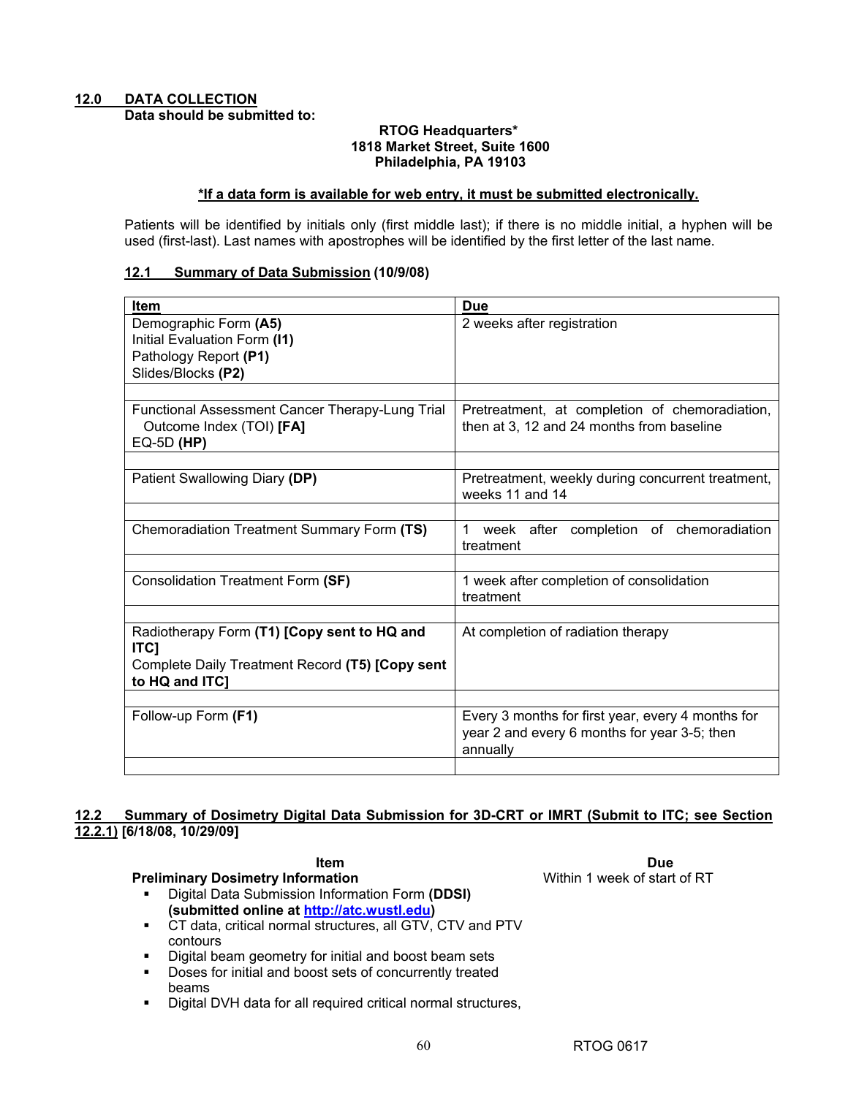#### **12.0 DATA COLLECTION Data should be submitted to:**

#### **RTOG Headquarters\* 1818 Market Street, Suite 1600 Philadelphia, PA 19103**

### **\*If a data form is available for web entry, it must be submitted electronically.**

Patients will be identified by initials only (first middle last); if there is no middle initial, a hyphen will be used (first-last). Last names with apostrophes will be identified by the first letter of the last name.

## **12.1 Summary of Data Submission (10/9/08)**

| <b>Item</b>                                                                 | <b>Due</b>                                                                                                    |
|-----------------------------------------------------------------------------|---------------------------------------------------------------------------------------------------------------|
| Demographic Form (A5)                                                       | 2 weeks after registration                                                                                    |
| Initial Evaluation Form (I1)                                                |                                                                                                               |
| Pathology Report (P1)                                                       |                                                                                                               |
| Slides/Blocks (P2)                                                          |                                                                                                               |
|                                                                             |                                                                                                               |
| Functional Assessment Cancer Therapy-Lung Trial<br>Outcome Index (TOI) [FA] | Pretreatment, at completion of chemoradiation,<br>then at 3, 12 and 24 months from baseline                   |
| $EQ-5D$ (HP)                                                                |                                                                                                               |
|                                                                             |                                                                                                               |
| Patient Swallowing Diary (DP)                                               | Pretreatment, weekly during concurrent treatment,<br>weeks 11 and 14                                          |
|                                                                             |                                                                                                               |
| Chemoradiation Treatment Summary Form (TS)                                  | $\mathbf{1}$<br>week after completion of chemoradiation<br>treatment                                          |
|                                                                             |                                                                                                               |
| Consolidation Treatment Form (SF)                                           | 1 week after completion of consolidation<br>treatment                                                         |
|                                                                             |                                                                                                               |
| Radiotherapy Form (T1) [Copy sent to HQ and<br><b>ITC1</b>                  | At completion of radiation therapy                                                                            |
| Complete Daily Treatment Record (T5) [Copy sent                             |                                                                                                               |
| to HQ and ITC1                                                              |                                                                                                               |
|                                                                             |                                                                                                               |
| Follow-up Form (F1)                                                         | Every 3 months for first year, every 4 months for<br>year 2 and every 6 months for year 3-5; then<br>annually |
|                                                                             |                                                                                                               |

# **12.2 Summary of Dosimetry Digital Data Submission for 3D-CRT or IMRT (Submit to ITC; see Section 12.2.1) [6/18/08, 10/29/09]**

**Item Due Preliminary Dosimetry Information** Milled Muslim 1 week of start of RT

- Digital Data Submission Information Form **(DDSI) (submitted online at [http://atc.wustl.edu\)](http://atc.wustl.edu)**
- CT data, critical normal structures, all GTV, CTV and PTV contours
- Digital beam geometry for initial and boost beam sets
- Doses for initial and boost sets of concurrently treated beams
- Digital DVH data for all required critical normal structures,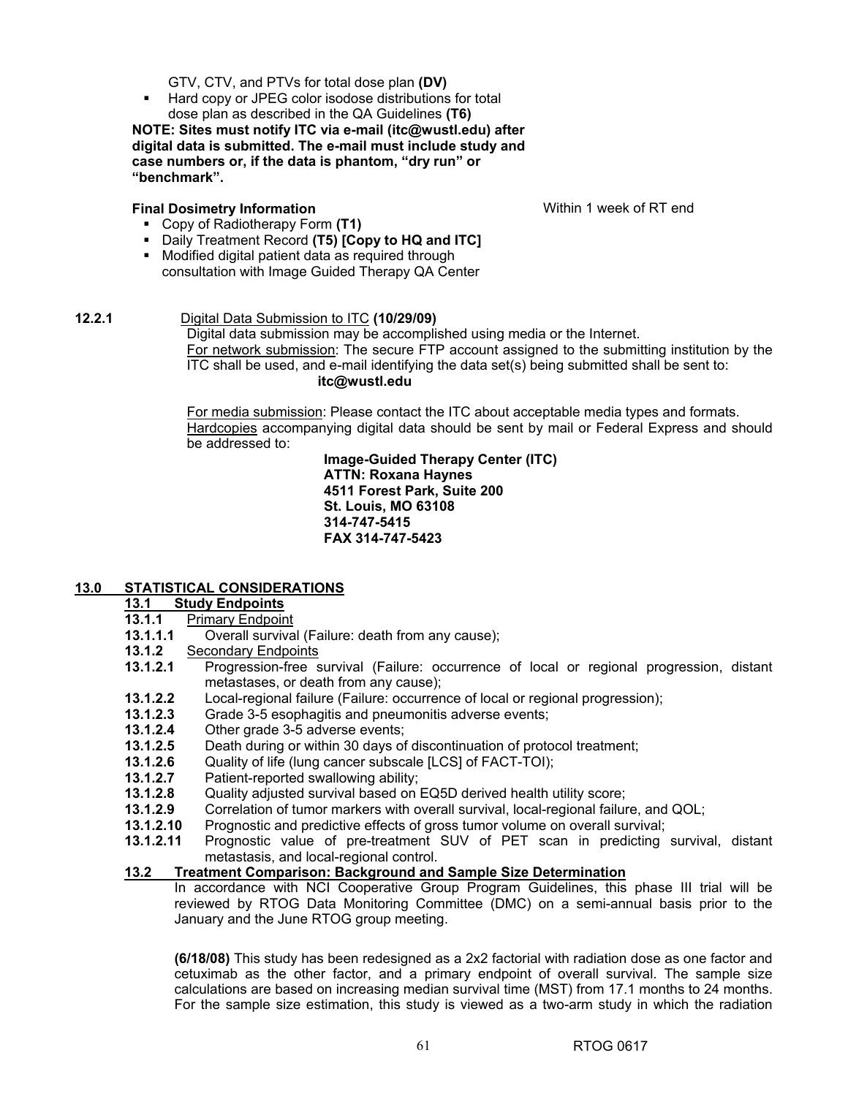GTV, CTV, and PTVs for total dose plan **(DV)**

■ Hard copy or JPEG color isodose distributions for total dose plan as described in the QA Guidelines **(T6)**

**NOTE: Sites must notify ITC via e-mail [\(itc@wustl.edu\)](mailto:itc@wustl.edu) after digital data is submitted. The e-mail must include study and case numbers or, if the data is phantom, "dry run" or "benchmark".** 

# **Final Dosimetry Information** Milliam Company Milliam Milliam Within 1 week of RT end

- Copy of Radiotherapy Form **(T1)**
- Daily Treatment Record **(T5) [Copy to HQ and ITC]**
- Modified digital patient data as required through consultation with Image Guided Therapy QA Center

# **12.2.1** Digital Data Submission to ITC **(10/29/09)**

Digital data submission may be accomplished using media or the Internet. For network submission: The secure FTP account assigned to the submitting institution by the ITC shall be used, and e-mail identifying the data set(s) being submitted shall be sent to: **[itc@wustl.edu](mailto:itc@wustl.edu)** 

For media submission: Please contact the ITC about acceptable media types and formats. Hardcopies accompanying digital data should be sent by mail or Federal Express and should be addressed to:

> **Image-Guided Therapy Center (ITC) ATTN: Roxana Haynes 4511 Forest Park, Suite 200 St. Louis, MO 63108 314-747-5415 FAX 314-747-5423**

# **13.0 STATISTICAL CONSIDERATIONS**

# **13.1 Study Endpoints**

- **13.1.1** Primary Endpoint
- **13.1.1.1** Overall survival (Failure: death from any cause);
- **13.1.2** Secondary Endpoints
- **13.1.2.1** Progression-free survival (Failure: occurrence of local or regional progression, distant metastases, or death from any cause);
- **13.1.2.2** Local-regional failure (Failure: occurrence of local or regional progression);
- **13.1.2.3** Grade 3-5 esophagitis and pneumonitis adverse events;
- **13.1.2.4** Other grade 3-5 adverse events;
- **13.1.2.5** Death during or within 30 days of discontinuation of protocol treatment;
- **13.1.2.6** Quality of life (lung cancer subscale [LCS] of FACT-TOI);
- **13.1.2.7** Patient-reported swallowing ability;
- **13.1.2.8** Quality adjusted survival based on EQ5D derived health utility score;
- **13.1.2.9** Correlation of tumor markers with overall survival, local-regional failure, and QOL;
- **13.1.2.10** Prognostic and predictive effects of gross tumor volume on overall survival;
- **13.1.2.11** Prognostic value of pre-treatment SUV of PET scan in predicting survival, distant metastasis, and local-regional control.

# **13.2 Treatment Comparison: Background and Sample Size Determination**

 In accordance with NCI Cooperative Group Program Guidelines, this phase III trial will be reviewed by RTOG Data Monitoring Committee (DMC) on a semi-annual basis prior to the January and the June RTOG group meeting.

**(6/18/08)** This study has been redesigned as a 2x2 factorial with radiation dose as one factor and cetuximab as the other factor, and a primary endpoint of overall survival. The sample size calculations are based on increasing median survival time (MST) from 17.1 months to 24 months. For the sample size estimation, this study is viewed as a two-arm study in which the radiation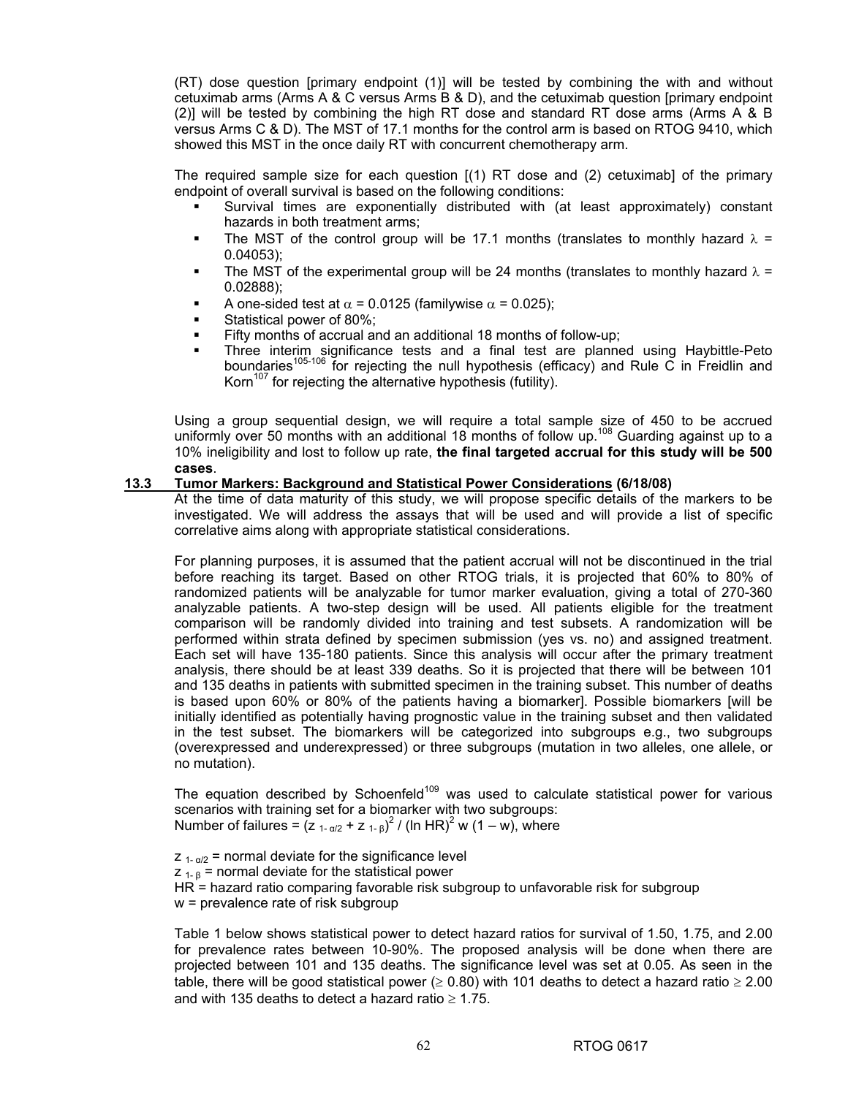(RT) dose question [primary endpoint (1)] will be tested by combining the with and without cetuximab arms (Arms A & C versus Arms B & D), and the cetuximab question [primary endpoint (2)] will be tested by combining the high RT dose and standard RT dose arms (Arms A & B versus Arms C & D). The MST of 17.1 months for the control arm is based on RTOG 9410, which showed this MST in the once daily RT with concurrent chemotherapy arm.

 The required sample size for each question [(1) RT dose and (2) cetuximab] of the primary endpoint of overall survival is based on the following conditions:

- Survival times are exponentially distributed with (at least approximately) constant hazards in both treatment arms;
- The MST of the control group will be 17.1 months (translates to monthly hazard  $\lambda =$ 0.04053);
- The MST of the experimental group will be 24 months (translates to monthly hazard  $\lambda =$ 0.02888);
- A one-sided test at  $\alpha$  = 0.0125 (familywise  $\alpha$  = 0.025);
- Statistical power of 80%;
- Fifty months of accrual and an additional 18 months of follow-up;
- Three interim significance tests and a final test are planned using Haybittle-Peto boundaries<sup>105-106</sup> for rejecting the null hypothesis (efficacy) and Rule C in Freidlin and Korn<sup>107</sup> for rejecting the alternative hypothesis (futility).

 Using a group sequential design, we will require a total sample size of 450 to be accrued uniformly over 50 months with an additional 18 months of follow up.<sup>108</sup> Guarding against up to a 10% ineligibility and lost to follow up rate, **the final targeted accrual for this study will be 500 cases**.

#### **13.3 Tumor Markers: Background and Statistical Power Considerations (6/18/08)**

 At the time of data maturity of this study, we will propose specific details of the markers to be investigated. We will address the assays that will be used and will provide a list of specific correlative aims along with appropriate statistical considerations.

 For planning purposes, it is assumed that the patient accrual will not be discontinued in the trial before reaching its target. Based on other RTOG trials, it is projected that 60% to 80% of randomized patients will be analyzable for tumor marker evaluation, giving a total of 270-360 analyzable patients. A two-step design will be used. All patients eligible for the treatment comparison will be randomly divided into training and test subsets. A randomization will be performed within strata defined by specimen submission (yes vs. no) and assigned treatment. Each set will have 135-180 patients. Since this analysis will occur after the primary treatment analysis, there should be at least 339 deaths. So it is projected that there will be between 101 and 135 deaths in patients with submitted specimen in the training subset. This number of deaths is based upon 60% or 80% of the patients having a biomarker]. Possible biomarkers [will be initially identified as potentially having prognostic value in the training subset and then validated in the test subset. The biomarkers will be categorized into subgroups e.g., two subgroups (overexpressed and underexpressed) or three subgroups (mutation in two alleles, one allele, or no mutation).

The equation described by Schoenfeld<sup>109</sup> was used to calculate statistical power for various scenarios with training set for a biomarker with two subgroups: Number of failures =  $(2_{1-\alpha/2} + z_{1-\beta})^2 / (ln HR)^2$  w (1 – w), where

 $z_{1-<sub>0</sub>/2}$  = normal deviate for the significance level  $z_{1-\beta}$  = normal deviate for the statistical power HR = hazard ratio comparing favorable risk subgroup to unfavorable risk for subgroup w = prevalence rate of risk subgroup

 Table 1 below shows statistical power to detect hazard ratios for survival of 1.50, 1.75, and 2.00 for prevalence rates between 10-90%. The proposed analysis will be done when there are projected between 101 and 135 deaths. The significance level was set at 0.05. As seen in the table, there will be good statistical power ( $\geq$  0.80) with 101 deaths to detect a hazard ratio  $\geq$  2.00 and with 135 deaths to detect a hazard ratio  $\geq 1.75$ .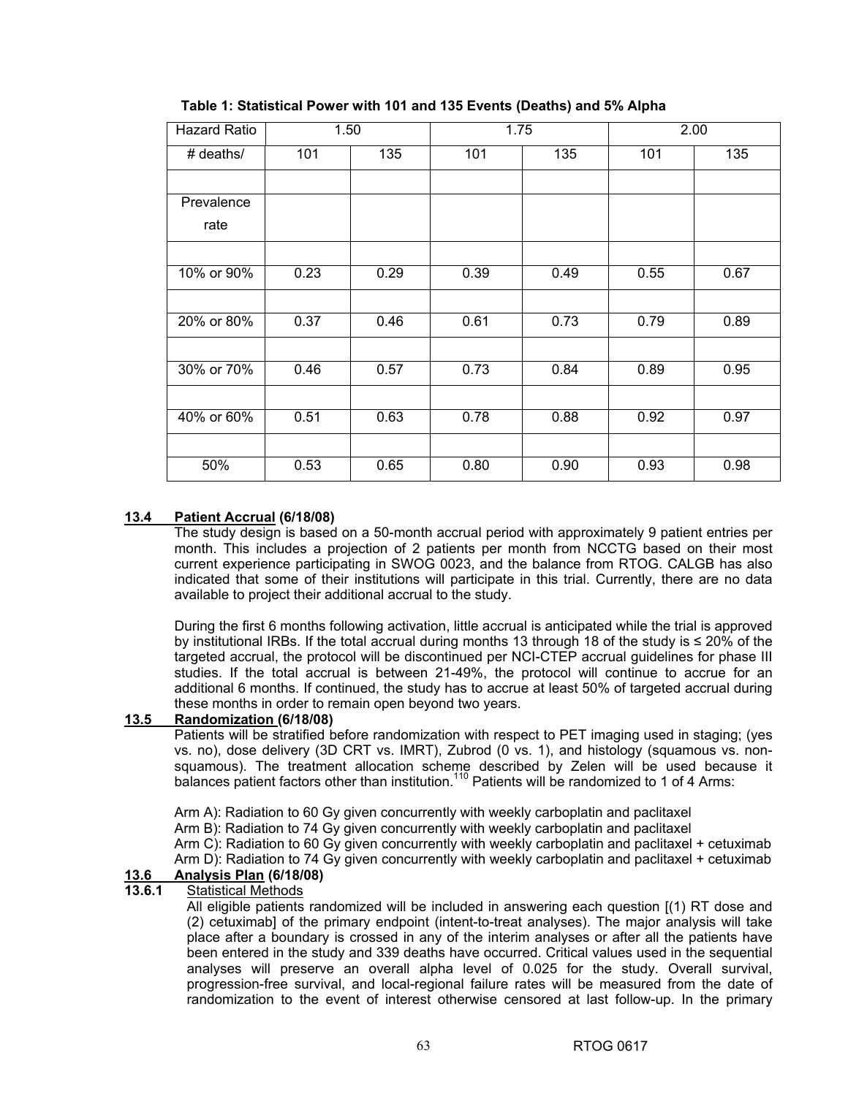| <b>Hazard Ratio</b> | 1.50 |      | 1.75 |      | 2.00 |      |  |
|---------------------|------|------|------|------|------|------|--|
| # deaths/           | 101  | 135  | 101  | 135  | 101  | 135  |  |
|                     |      |      |      |      |      |      |  |
| Prevalence          |      |      |      |      |      |      |  |
| rate                |      |      |      |      |      |      |  |
|                     |      |      |      |      |      |      |  |
| 10% or 90%          | 0.23 | 0.29 | 0.39 | 0.49 | 0.55 | 0.67 |  |
|                     |      |      |      |      |      |      |  |
| 20% or 80%          | 0.37 | 0.46 | 0.61 | 0.73 | 0.79 | 0.89 |  |
|                     |      |      |      |      |      |      |  |
| 30% or 70%          | 0.46 | 0.57 | 0.73 | 0.84 | 0.89 | 0.95 |  |
|                     |      |      |      |      |      |      |  |
| 40% or 60%          | 0.51 | 0.63 | 0.78 | 0.88 | 0.92 | 0.97 |  |
|                     |      |      |      |      |      |      |  |
| 50%                 | 0.53 | 0.65 | 0.80 | 0.90 | 0.93 | 0.98 |  |

# **Table 1: Statistical Power with 101 and 135 Events (Deaths) and 5% Alpha**

# **13.4 Patient Accrual (6/18/08)**

 The study design is based on a 50-month accrual period with approximately 9 patient entries per month. This includes a projection of 2 patients per month from NCCTG based on their most current experience participating in SWOG 0023, and the balance from RTOG. CALGB has also indicated that some of their institutions will participate in this trial. Currently, there are no data available to project their additional accrual to the study.

 During the first 6 months following activation, little accrual is anticipated while the trial is approved by institutional IRBs. If the total accrual during months 13 through 18 of the study is ≤ 20% of the targeted accrual, the protocol will be discontinued per NCI-CTEP accrual guidelines for phase III studies. If the total accrual is between 21-49%, the protocol will continue to accrue for an additional 6 months. If continued, the study has to accrue at least 50% of targeted accrual during these months in order to remain open beyond two years.

#### **13.5 Randomization (6/18/08)**

 Patients will be stratified before randomization with respect to PET imaging used in staging; (yes vs. no), dose delivery (3D CRT vs. IMRT), Zubrod (0 vs. 1), and histology (squamous vs. nonsquamous). The treatment allocation scheme described by Zelen will be used because it balances patient factors other than institution.<sup>110</sup> Patients will be randomized to 1 of 4 Arms:

 Arm A): Radiation to 60 Gy given concurrently with weekly carboplatin and paclitaxel Arm B): Radiation to 74 Gy given concurrently with weekly carboplatin and paclitaxel Arm C): Radiation to 60 Gy given concurrently with weekly carboplatin and paclitaxel + cetuximab Arm D): Radiation to 74 Gy given concurrently with weekly carboplatin and paclitaxel + cetuximab

# **13.6 Analysis Plan (6/18/08)**

### **Statistical Methods**

 All eligible patients randomized will be included in answering each question [(1) RT dose and (2) cetuximab] of the primary endpoint (intent-to-treat analyses). The major analysis will take place after a boundary is crossed in any of the interim analyses or after all the patients have been entered in the study and 339 deaths have occurred. Critical values used in the sequential analyses will preserve an overall alpha level of 0.025 for the study. Overall survival, progression-free survival, and local-regional failure rates will be measured from the date of randomization to the event of interest otherwise censored at last follow-up. In the primary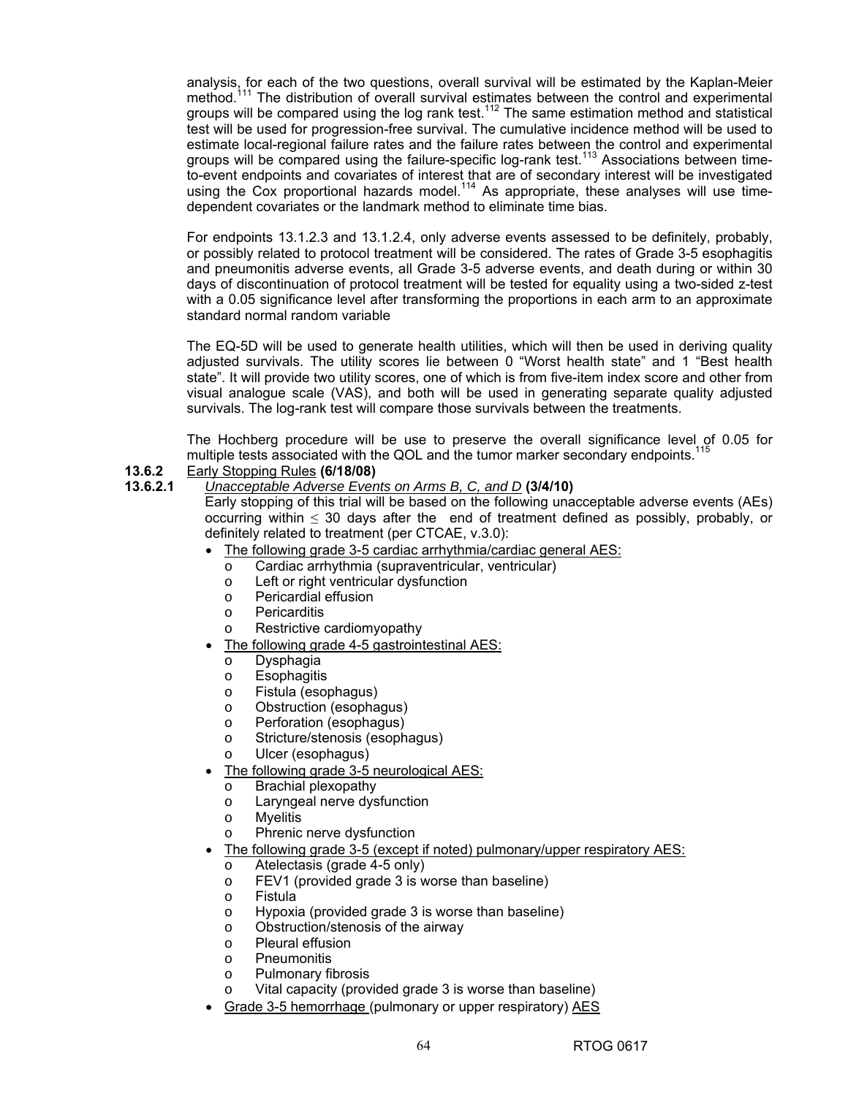analysis, for each of the two questions, overall survival will be estimated by the Kaplan-Meier method.<sup>111</sup> The distribution of overall survival estimates between the control and experimental groups will be compared using the log rank test.<sup>112</sup> The same estimation method and statistical test will be used for progression-free survival. The cumulative incidence method will be used to estimate local-regional failure rates and the failure rates between the control and experimental groups will be compared using the failure-specific log-rank test.<sup>113</sup> Associations between timeto-event endpoints and covariates of interest that are of secondary interest will be investigated using the Cox proportional hazards model.<sup>114</sup> As appropriate, these analyses will use timedependent covariates or the landmark method to eliminate time bias.

 For endpoints 13.1.2.3 and 13.1.2.4, only adverse events assessed to be definitely, probably, or possibly related to protocol treatment will be considered. The rates of Grade 3-5 esophagitis and pneumonitis adverse events, all Grade 3-5 adverse events, and death during or within 30 days of discontinuation of protocol treatment will be tested for equality using a two-sided z-test with a 0.05 significance level after transforming the proportions in each arm to an approximate standard normal random variable

 The EQ-5D will be used to generate health utilities, which will then be used in deriving quality adjusted survivals. The utility scores lie between 0 "Worst health state" and 1 "Best health state". It will provide two utility scores, one of which is from five-item index score and other from visual analogue scale (VAS), and both will be used in generating separate quality adjusted survivals. The log-rank test will compare those survivals between the treatments.

 The Hochberg procedure will be use to preserve the overall significance level of 0.05 for multiple tests associated with the QOL and the tumor marker secondary endpoints.<sup>1</sup>

# **13.6.2** Early Stopping Rules **(6/18/08)**

# **13.6.2.1** *Unacceptable Adverse Events on Arms B, C, and D* **(3/4/10)**

 Early stopping of this trial will be based on the following unacceptable adverse events (AEs) occurring within  $\leq$  30 days after the end of treatment defined as possibly, probably, or definitely related to treatment (per CTCAE, v.3.0):

- The following grade 3-5 cardiac arrhythmia/cardiac general AES:
	- o Cardiac arrhythmia (supraventricular, ventricular)
	- o Left or right ventricular dysfunction
	- o Pericardial effusion
	- o Pericarditis
	- o Restrictive cardiomyopathy
- The following grade 4-5 gastrointestinal AES:
	- o Dysphagia
	- o Esophagitis
	- o Fistula (esophagus)
	- o Obstruction (esophagus)
	- o Perforation (esophagus)
	- o Stricture/stenosis (esophagus)
	- o Ulcer (esophagus)
- The following grade 3-5 neurological AES:
- o Brachial plexopathy
- o Laryngeal nerve dysfunction
- o Myelitis
- o Phrenic nerve dysfunction
- The following grade 3-5 (except if noted) pulmonary/upper respiratory AES:
	- o Atelectasis (grade 4-5 only)
	- o FEV1 (provided grade 3 is worse than baseline)
	- o Fistula
	- o Hypoxia (provided grade 3 is worse than baseline)
	- o Obstruction/stenosis of the airway
	- o Pleural effusion
	- o Pneumonitis
	- o Pulmonary fibrosis
	- o Vital capacity (provided grade 3 is worse than baseline)
- Grade 3-5 hemorrhage (pulmonary or upper respiratory) AES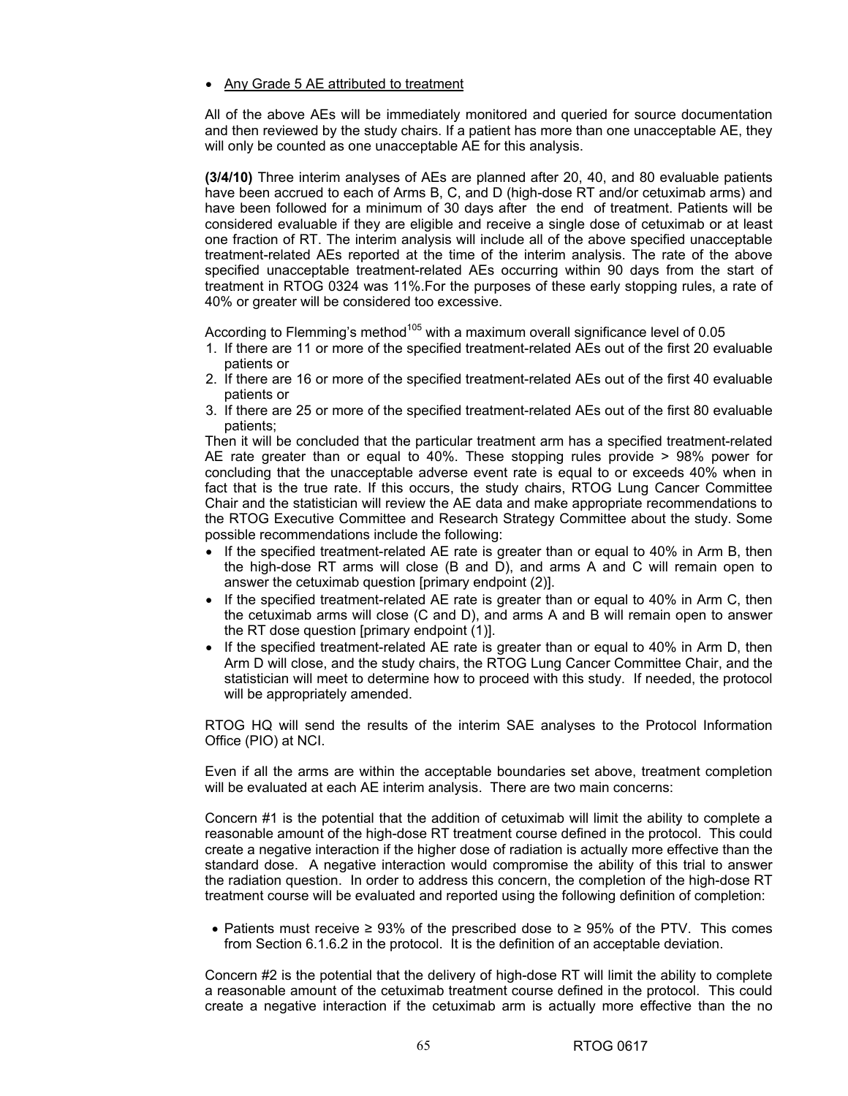### • Any Grade 5 AE attributed to treatment

 All of the above AEs will be immediately monitored and queried for source documentation and then reviewed by the study chairs. If a patient has more than one unacceptable AE, they will only be counted as one unacceptable AE for this analysis.

**(3/4/10)** Three interim analyses of AEs are planned after 20, 40, and 80 evaluable patients have been accrued to each of Arms B, C, and D (high-dose RT and/or cetuximab arms) and have been followed for a minimum of 30 days after the end of treatment. Patients will be considered evaluable if they are eligible and receive a single dose of cetuximab or at least one fraction of RT. The interim analysis will include all of the above specified unacceptable treatment-related AEs reported at the time of the interim analysis. The rate of the above specified unacceptable treatment-related AEs occurring within 90 days from the start of treatment in RTOG 0324 was 11%.For the purposes of these early stopping rules, a rate of 40% or greater will be considered too excessive.

According to Flemming's method<sup>105</sup> with a maximum overall significance level of 0.05

- 1. If there are 11 or more of the specified treatment-related AEs out of the first 20 evaluable patients or
- 2. If there are 16 or more of the specified treatment-related AEs out of the first 40 evaluable patients or
- 3. If there are 25 or more of the specified treatment-related AEs out of the first 80 evaluable patients;

Then it will be concluded that the particular treatment arm has a specified treatment-related AE rate greater than or equal to 40%. These stopping rules provide > 98% power for concluding that the unacceptable adverse event rate is equal to or exceeds 40% when in fact that is the true rate. If this occurs, the study chairs, RTOG Lung Cancer Committee Chair and the statistician will review the AE data and make appropriate recommendations to the RTOG Executive Committee and Research Strategy Committee about the study. Some possible recommendations include the following:

- If the specified treatment-related AE rate is greater than or equal to 40% in Arm B, then the high-dose RT arms will close (B and D), and arms A and C will remain open to answer the cetuximab question [primary endpoint (2)].
- If the specified treatment-related AE rate is greater than or equal to 40% in Arm C, then the cetuximab arms will close (C and D), and arms A and B will remain open to answer the RT dose question [primary endpoint (1)].
- If the specified treatment-related AE rate is greater than or equal to 40% in Arm D, then Arm D will close, and the study chairs, the RTOG Lung Cancer Committee Chair, and the statistician will meet to determine how to proceed with this study. If needed, the protocol will be appropriately amended.

 RTOG HQ will send the results of the interim SAE analyses to the Protocol Information Office (PIO) at NCI.

 Even if all the arms are within the acceptable boundaries set above, treatment completion will be evaluated at each AE interim analysis. There are two main concerns:

 Concern #1 is the potential that the addition of cetuximab will limit the ability to complete a reasonable amount of the high-dose RT treatment course defined in the protocol. This could create a negative interaction if the higher dose of radiation is actually more effective than the standard dose. A negative interaction would compromise the ability of this trial to answer the radiation question. In order to address this concern, the completion of the high-dose RT treatment course will be evaluated and reported using the following definition of completion:

• Patients must receive ≥ 93% of the prescribed dose to ≥ 95% of the PTV. This comes from Section 6.1.6.2 in the protocol. It is the definition of an acceptable deviation.

 Concern #2 is the potential that the delivery of high-dose RT will limit the ability to complete a reasonable amount of the cetuximab treatment course defined in the protocol. This could create a negative interaction if the cetuximab arm is actually more effective than the no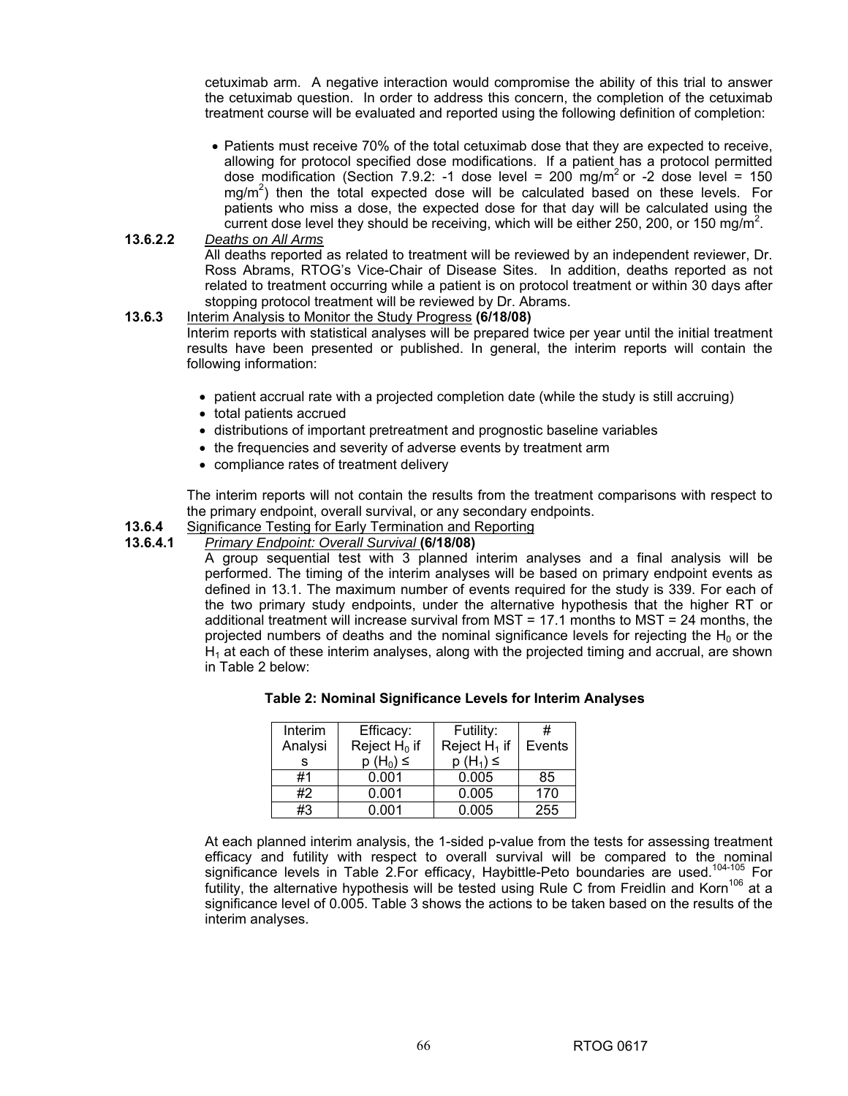cetuximab arm. A negative interaction would compromise the ability of this trial to answer the cetuximab question. In order to address this concern, the completion of the cetuximab treatment course will be evaluated and reported using the following definition of completion:

• Patients must receive 70% of the total cetuximab dose that they are expected to receive, allowing for protocol specified dose modifications. If a patient has a protocol permitted dose modification (Section 7.9.2: -1 dose level =  $200 \text{ mg/m}^2$  or -2 dose level = 150 mg/m<sup>2</sup>) then the total expected dose will be calculated based on these levels. For patients who miss a dose, the expected dose for that day will be calculated using the current dose level they should be receiving, which will be either 250, 200, or 150 mg/m<sup>2</sup>.

### **13.6.2.2** *Deaths on All Arms* All deaths reported as related to treatment will be reviewed by an independent reviewer, Dr. Ross Abrams, RTOG's Vice-Chair of Disease Sites. In addition, deaths reported as not related to treatment occurring while a patient is on protocol treatment or within 30 days after stopping protocol treatment will be reviewed by Dr. Abrams.

### **13.6.3** Interim Analysis to Monitor the Study Progress **(6/18/08)**

 Interim reports with statistical analyses will be prepared twice per year until the initial treatment results have been presented or published. In general, the interim reports will contain the following information:

- patient accrual rate with a projected completion date (while the study is still accruing)
- total patients accrued
- distributions of important pretreatment and prognostic baseline variables
- the frequencies and severity of adverse events by treatment arm
- compliance rates of treatment delivery

 The interim reports will not contain the results from the treatment comparisons with respect to the primary endpoint, overall survival, or any secondary endpoints.

### **13.6.4** Significance Testing for Early Termination and Reporting

### **13.6.4.1** *Primary Endpoint: Overall Survival* **(6/18/08)**

 A group sequential test with 3 planned interim analyses and a final analysis will be performed. The timing of the interim analyses will be based on primary endpoint events as defined in 13.1. The maximum number of events required for the study is 339. For each of the two primary study endpoints, under the alternative hypothesis that the higher RT or additional treatment will increase survival from MST = 17.1 months to MST = 24 months, the projected numbers of deaths and the nominal significance levels for rejecting the  $H_0$  or the  $H_1$  at each of these interim analyses, along with the projected timing and accrual, are shown in Table 2 below:

|  |  | Table 2: Nominal Significance Levels for Interim Analyses |  |  |  |
|--|--|-----------------------------------------------------------|--|--|--|
|  |  |                                                           |  |  |  |

| Interim<br>Efficacy: |                 | Futility:       | #      |
|----------------------|-----------------|-----------------|--------|
| Analysi              | Reject $H_0$ if | Reject $H_1$ if | Events |
| s                    | $p(H_0) \leq$   | $p(H_1) \leq$   |        |
| #1                   | 0.001           | 0.005           | 85     |
| #2                   | 0.001           | 0.005           | 170    |
| #3                   | 0.001           | 0.005           | 255    |

 At each planned interim analysis, the 1-sided p-value from the tests for assessing treatment efficacy and futility with respect to overall survival will be compared to the nominal significance levels in Table 2.For efficacy, Haybittle-Peto boundaries are used.<sup>104-105</sup> For futility, the alternative hypothesis will be tested using Rule C from Freidlin and Korn<sup>106</sup> at a significance level of 0.005. Table 3 shows the actions to be taken based on the results of the interim analyses.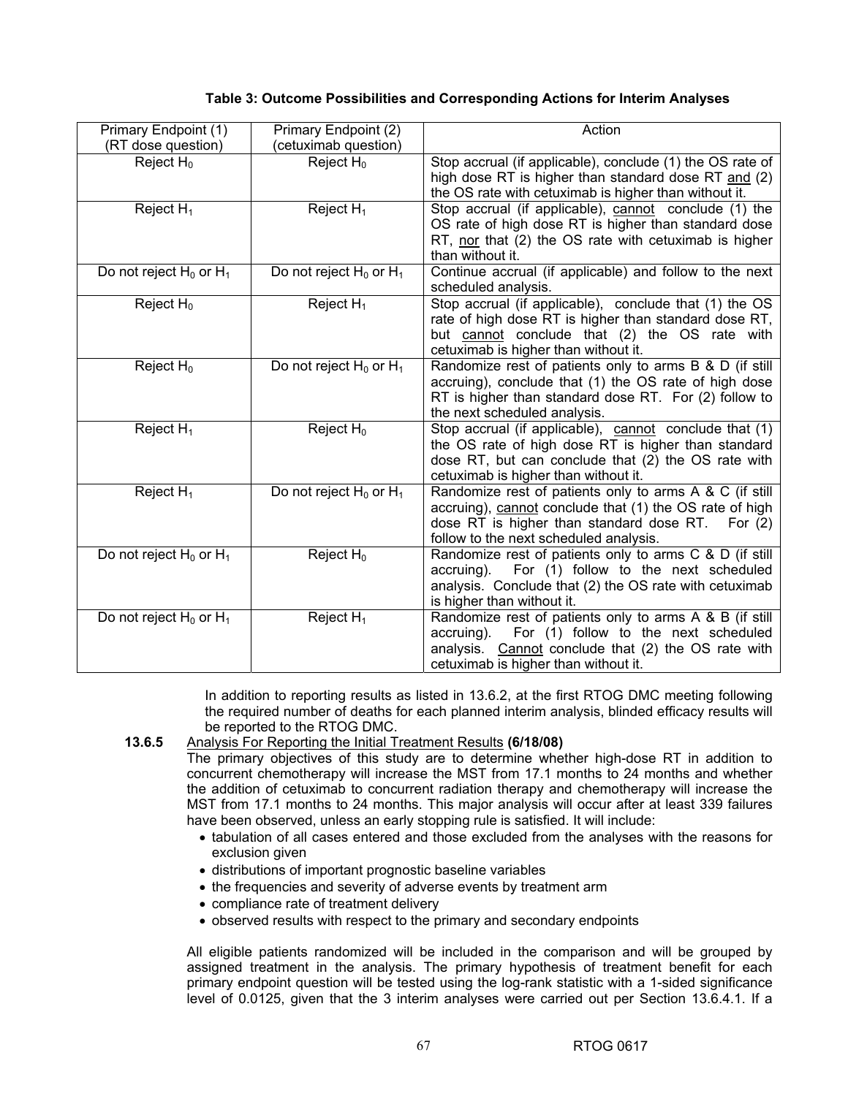### **Table 3: Outcome Possibilities and Corresponding Actions for Interim Analyses**

| Primary Endpoint (1)<br>(RT dose question) | Primary Endpoint (2)<br>(cetuximab question) | Action                                                                                                                                                                                                           |
|--------------------------------------------|----------------------------------------------|------------------------------------------------------------------------------------------------------------------------------------------------------------------------------------------------------------------|
| Reject $H_0$                               | Reject $H_0$                                 | Stop accrual (if applicable), conclude (1) the OS rate of<br>high dose RT is higher than standard dose RT and (2)<br>the OS rate with cetuximab is higher than without it.                                       |
| Reject $H_1$                               | Reject $H_1$                                 | Stop accrual (if applicable), cannot conclude (1) the<br>OS rate of high dose RT is higher than standard dose<br>RT, nor that (2) the OS rate with cetuximab is higher<br>than without it.                       |
| Do not reject $H_0$ or $H_1$               | Do not reject $H_0$ or $H_1$                 | Continue accrual (if applicable) and follow to the next<br>scheduled analysis.                                                                                                                                   |
| Reject $H_0$                               | Reject $H_1$                                 | Stop accrual (if applicable), conclude that (1) the OS<br>rate of high dose RT is higher than standard dose RT,<br>but cannot conclude that (2) the OS rate with<br>cetuximab is higher than without it.         |
| Reject $H_0$                               | Do not reject $H_0$ or $H_1$                 | Randomize rest of patients only to arms B & D (if still<br>accruing), conclude that (1) the OS rate of high dose<br>RT is higher than standard dose RT. For (2) follow to<br>the next scheduled analysis.        |
| Reject $H_1$                               | Reject H <sub>0</sub>                        | Stop accrual (if applicable), cannot conclude that (1)<br>the OS rate of high dose RT is higher than standard<br>dose RT, but can conclude that (2) the OS rate with<br>cetuximab is higher than without it.     |
| Reject $H_1$                               | Do not reject $H_0$ or $H_1$                 | Randomize rest of patients only to arms A & C (if still<br>accruing), cannot conclude that (1) the OS rate of high<br>dose RT is higher than standard dose RT. For (2)<br>follow to the next scheduled analysis. |
| Do not reject $H_0$ or $H_1$               | Reject $H_0$                                 | Randomize rest of patients only to arms C & D (if still<br>accruing). For (1) follow to the next scheduled<br>analysis. Conclude that (2) the OS rate with cetuximab<br>is higher than without it.               |
| Do not reject $H_0$ or $H_1$               | Reject $H_1$                                 | Randomize rest of patients only to arms A & B (if still<br>For (1) follow to the next scheduled<br>accruing).<br>analysis. Cannot conclude that (2) the OS rate with<br>cetuximab is higher than without it.     |

 In addition to reporting results as listed in 13.6.2, at the first RTOG DMC meeting following the required number of deaths for each planned interim analysis, blinded efficacy results will be reported to the RTOG DMC.

### **13.6.5** Analysis For Reporting the Initial Treatment Results **(6/18/08)**

 The primary objectives of this study are to determine whether high-dose RT in addition to concurrent chemotherapy will increase the MST from 17.1 months to 24 months and whether the addition of cetuximab to concurrent radiation therapy and chemotherapy will increase the MST from 17.1 months to 24 months. This major analysis will occur after at least 339 failures have been observed, unless an early stopping rule is satisfied. It will include:

- tabulation of all cases entered and those excluded from the analyses with the reasons for exclusion given
- distributions of important prognostic baseline variables
- the frequencies and severity of adverse events by treatment arm
- compliance rate of treatment delivery
- observed results with respect to the primary and secondary endpoints

 All eligible patients randomized will be included in the comparison and will be grouped by assigned treatment in the analysis. The primary hypothesis of treatment benefit for each primary endpoint question will be tested using the log-rank statistic with a 1-sided significance level of 0.0125, given that the 3 interim analyses were carried out per Section 13.6.4.1. If a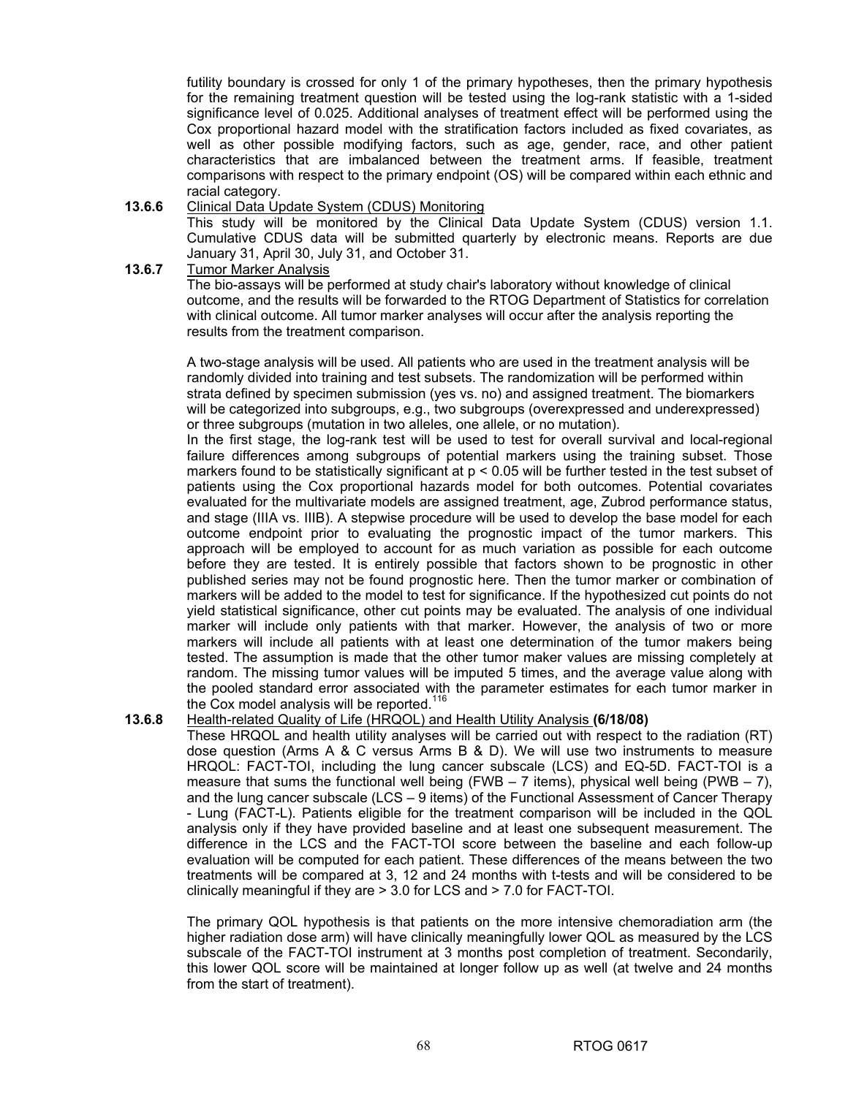futility boundary is crossed for only 1 of the primary hypotheses, then the primary hypothesis for the remaining treatment question will be tested using the log-rank statistic with a 1-sided significance level of 0.025. Additional analyses of treatment effect will be performed using the Cox proportional hazard model with the stratification factors included as fixed covariates, as well as other possible modifying factors, such as age, gender, race, and other patient characteristics that are imbalanced between the treatment arms. If feasible, treatment comparisons with respect to the primary endpoint (OS) will be compared within each ethnic and racial category.

#### **13.6.6** Clinical Data Update System (CDUS) Monitoring This study will be monitored by the Clinical Data Update System (CDUS) version 1.1. Cumulative CDUS data will be submitted quarterly by electronic means. Reports are due January 31, April 30, July 31, and October 31.

#### **13.6.7** Tumor Marker Analysis

 The bio-assays will be performed at study chair's laboratory without knowledge of clinical outcome, and the results will be forwarded to the RTOG Department of Statistics for correlation with clinical outcome. All tumor marker analyses will occur after the analysis reporting the results from the treatment comparison.

A two-stage analysis will be used. All patients who are used in the treatment analysis will be randomly divided into training and test subsets. The randomization will be performed within strata defined by specimen submission (yes vs. no) and assigned treatment. The biomarkers will be categorized into subgroups, e.g., two subgroups (overexpressed and underexpressed) or three subgroups (mutation in two alleles, one allele, or no mutation).

 In the first stage, the log-rank test will be used to test for overall survival and local-regional failure differences among subgroups of potential markers using the training subset. Those markers found to be statistically significant at  $p < 0.05$  will be further tested in the test subset of patients using the Cox proportional hazards model for both outcomes. Potential covariates evaluated for the multivariate models are assigned treatment, age, Zubrod performance status, and stage (IIIA vs. IIIB). A stepwise procedure will be used to develop the base model for each outcome endpoint prior to evaluating the prognostic impact of the tumor markers. This approach will be employed to account for as much variation as possible for each outcome before they are tested. It is entirely possible that factors shown to be prognostic in other published series may not be found prognostic here. Then the tumor marker or combination of markers will be added to the model to test for significance. If the hypothesized cut points do not yield statistical significance, other cut points may be evaluated. The analysis of one individual marker will include only patients with that marker. However, the analysis of two or more markers will include all patients with at least one determination of the tumor makers being tested. The assumption is made that the other tumor maker values are missing completely at random. The missing tumor values will be imputed 5 times, and the average value along with the pooled standard error associated with the parameter estimates for each tumor marker in the Cox model analysis will be reported.<sup>116</sup>

### **13.6.8** Health-related Quality of Life (HRQOL) and Health Utility Analysis **(6/18/08)**

 These HRQOL and health utility analyses will be carried out with respect to the radiation (RT) dose question (Arms A & C versus Arms B & D). We will use two instruments to measure HRQOL: FACT-TOI, including the lung cancer subscale (LCS) and EQ-5D. FACT-TOI is a measure that sums the functional well being (FWB  $-$  7 items), physical well being (PWB  $-$  7), and the lung cancer subscale (LCS – 9 items) of the Functional Assessment of Cancer Therapy - Lung (FACT-L). Patients eligible for the treatment comparison will be included in the QOL analysis only if they have provided baseline and at least one subsequent measurement. The difference in the LCS and the FACT-TOI score between the baseline and each follow-up evaluation will be computed for each patient. These differences of the means between the two treatments will be compared at 3, 12 and 24 months with t-tests and will be considered to be clinically meaningful if they are > 3.0 for LCS and > 7.0 for FACT-TOI.

 The primary QOL hypothesis is that patients on the more intensive chemoradiation arm (the higher radiation dose arm) will have clinically meaningfully lower QOL as measured by the LCS subscale of the FACT-TOI instrument at 3 months post completion of treatment. Secondarily, this lower QOL score will be maintained at longer follow up as well (at twelve and 24 months from the start of treatment).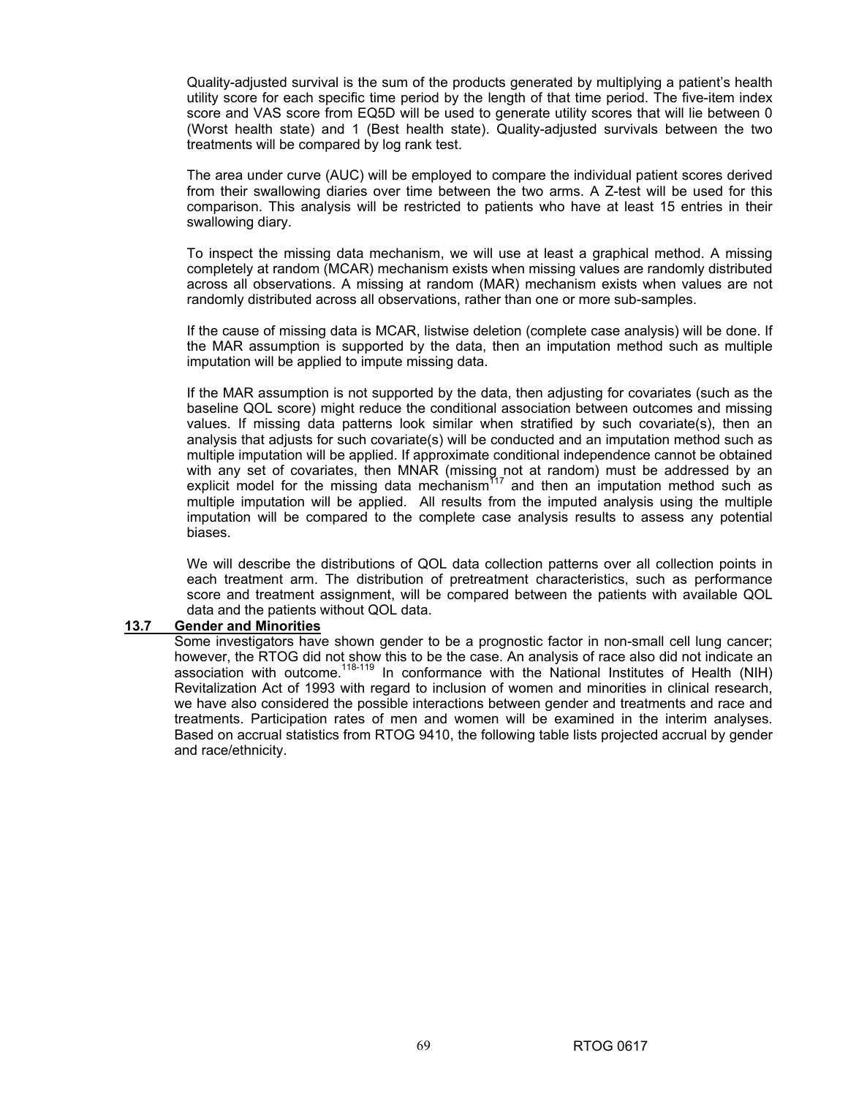Quality-adjusted survival is the sum of the products generated by multiplying a patient's health utility score for each specific time period by the length of that time period. The five-item index score and VAS score from EQ5D will be used to generate utility scores that will lie between 0 (Worst health state) and 1 (Best health state). Quality-adjusted survivals between the two treatments will be compared by log rank test.

 The area under curve (AUC) will be employed to compare the individual patient scores derived from their swallowing diaries over time between the two arms. A Z-test will be used for this comparison. This analysis will be restricted to patients who have at least 15 entries in their swallowing diary.

 To inspect the missing data mechanism, we will use at least a graphical method. A missing completely at random (MCAR) mechanism exists when missing values are randomly distributed across all observations. A missing at random (MAR) mechanism exists when values are not randomly distributed across all observations, rather than one or more sub-samples.

 If the cause of missing data is MCAR, listwise deletion (complete case analysis) will be done. If the MAR assumption is supported by the data, then an imputation method such as multiple imputation will be applied to impute missing data.

 If the MAR assumption is not supported by the data, then adjusting for covariates (such as the baseline QOL score) might reduce the conditional association between outcomes and missing values. If missing data patterns look similar when stratified by such covariate(s), then an analysis that adjusts for such covariate(s) will be conducted and an imputation method such as multiple imputation will be applied. If approximate conditional independence cannot be obtained with any set of covariates, then MNAR (missing not at random) must be addressed by an explicit model for the missing data mechanism<sup>117</sup> and then an imputation method such as multiple imputation will be applied. All results from the imputed analysis using the multiple imputation will be compared to the complete case analysis results to assess any potential biases.

 We will describe the distributions of QOL data collection patterns over all collection points in each treatment arm. The distribution of pretreatment characteristics, such as performance score and treatment assignment, will be compared between the patients with available QOL data and the patients without QOL data.

#### **13.7 Gender and Minorities**

 Some investigators have shown gender to be a prognostic factor in non-small cell lung cancer; however, the RTOG did not show this to be the case. An analysis of race also did not indicate an association with outcome.<sup>118-119</sup> In conformance with the National Institutes of Health (NIH) Revitalization Act of 1993 with regard to inclusion of women and minorities in clinical research, we have also considered the possible interactions between gender and treatments and race and treatments. Participation rates of men and women will be examined in the interim analyses. Based on accrual statistics from RTOG 9410, the following table lists projected accrual by gender and race/ethnicity.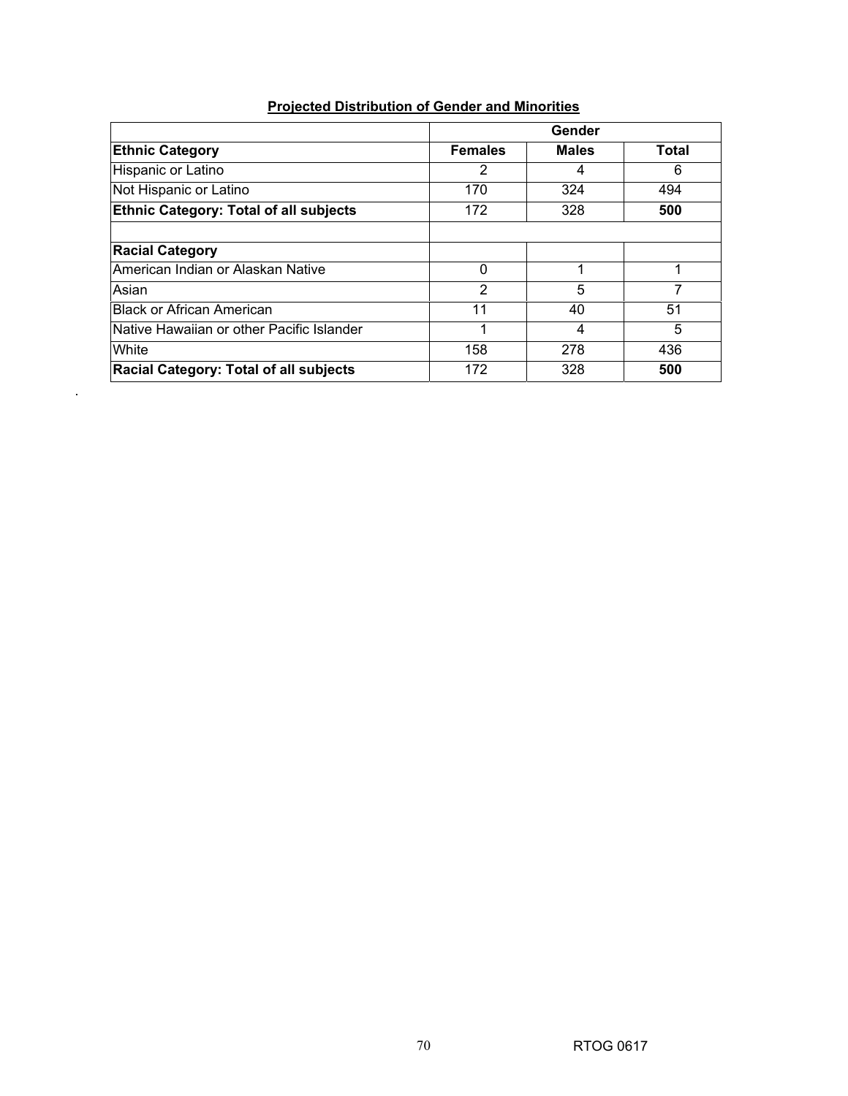## **Projected Distribution of Gender and Minorities**

| <b>Ethnic Category</b>                        | <b>Females</b> | <b>Males</b> | <b>Total</b> |
|-----------------------------------------------|----------------|--------------|--------------|
| Hispanic or Latino                            | 2              | 4            | 6            |
| Not Hispanic or Latino                        | 170            | 324          | 494          |
| <b>Ethnic Category: Total of all subjects</b> | 172            | 328          | 500          |
| <b>Racial Category</b>                        |                |              |              |
| American Indian or Alaskan Native             | $\Omega$       | 1            | 1            |
| Asian                                         | 2              | 5            | 7            |
| <b>Black or African American</b>              | 11             | 40           | 51           |
| Native Hawaiian or other Pacific Islander     |                | 4            | 5            |
| White                                         | 158            | 278          | 436          |
| Racial Category: Total of all subjects        | 172            | 328          | 500          |

.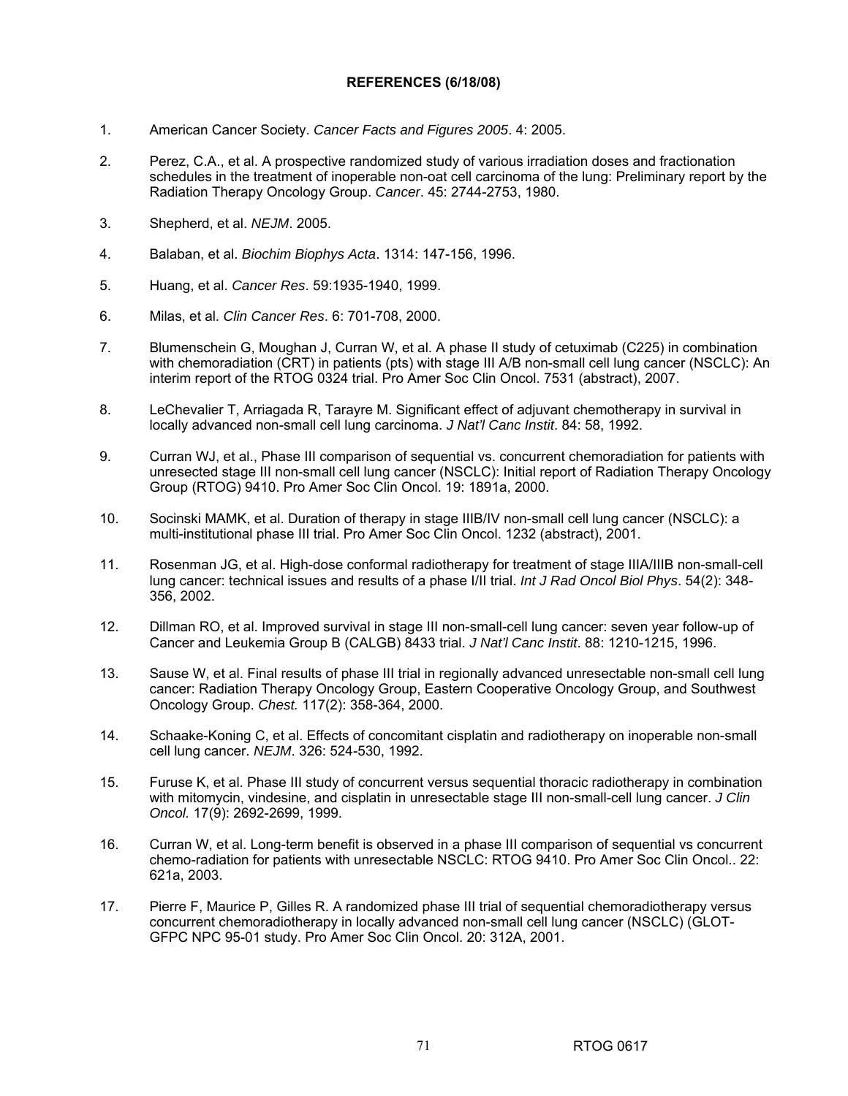### **REFERENCES (6/18/08)**

- 1. American Cancer Society. *Cancer Facts and Figures 2005*. 4: 2005.
- 2. Perez, C.A., et al. A prospective randomized study of various irradiation doses and fractionation schedules in the treatment of inoperable non-oat cell carcinoma of the lung: Preliminary report by the Radiation Therapy Oncology Group. *Cancer*. 45: 2744-2753, 1980.
- 3. Shepherd, et al. *NEJM*. 2005.
- 4. Balaban, et al. *Biochim Biophys Acta*. 1314: 147-156, 1996.
- 5. Huang, et al. *Cancer Res*. 59:1935-1940, 1999.
- 6. Milas, et al. *Clin Cancer Res*. 6: 701-708, 2000.
- 7. Blumenschein G, Moughan J, Curran W, et al. A phase II study of cetuximab (C225) in combination with chemoradiation (CRT) in patients (pts) with stage III A/B non-small cell lung cancer (NSCLC): An interim report of the RTOG 0324 trial. Pro Amer Soc Clin Oncol. 7531 (abstract), 2007.
- 8. LeChevalier T, Arriagada R, Tarayre M. Significant effect of adjuvant chemotherapy in survival in locally advanced non-small cell lung carcinoma. *J Nat'l Canc Instit*. 84: 58, 1992.
- 9. Curran WJ, et al., Phase III comparison of sequential vs. concurrent chemoradiation for patients with unresected stage III non-small cell lung cancer (NSCLC): Initial report of Radiation Therapy Oncology Group (RTOG) 9410. Pro Amer Soc Clin Oncol. 19: 1891a, 2000.
- 10. Socinski MAMK, et al. Duration of therapy in stage IIIB/IV non-small cell lung cancer (NSCLC): a multi-institutional phase III trial. Pro Amer Soc Clin Oncol. 1232 (abstract), 2001.
- 11. Rosenman JG, et al. High-dose conformal radiotherapy for treatment of stage IIIA/IIIB non-small-cell lung cancer: technical issues and results of a phase I/II trial. *Int J Rad Oncol Biol Phys*. 54(2): 348- 356, 2002.
- 12. Dillman RO, et al. Improved survival in stage III non-small-cell lung cancer: seven year follow-up of Cancer and Leukemia Group B (CALGB) 8433 trial. *J Nat'l Canc Instit*. 88: 1210-1215, 1996.
- 13. Sause W, et al. Final results of phase III trial in regionally advanced unresectable non-small cell lung cancer: Radiation Therapy Oncology Group, Eastern Cooperative Oncology Group, and Southwest Oncology Group. *Chest.* 117(2): 358-364, 2000.
- 14. Schaake-Koning C, et al. Effects of concomitant cisplatin and radiotherapy on inoperable non-small cell lung cancer. *NEJM*. 326: 524-530, 1992.
- 15. Furuse K, et al. Phase III study of concurrent versus sequential thoracic radiotherapy in combination with mitomycin, vindesine, and cisplatin in unresectable stage III non-small-cell lung cancer. *J Clin Oncol.* 17(9): 2692-2699, 1999.
- 16. Curran W, et al. Long-term benefit is observed in a phase III comparison of sequential vs concurrent chemo-radiation for patients with unresectable NSCLC: RTOG 9410. Pro Amer Soc Clin Oncol.. 22: 621a, 2003.
- 17. Pierre F, Maurice P, Gilles R. A randomized phase III trial of sequential chemoradiotherapy versus concurrent chemoradiotherapy in locally advanced non-small cell lung cancer (NSCLC) (GLOT-GFPC NPC 95-01 study. Pro Amer Soc Clin Oncol. 20: 312A, 2001.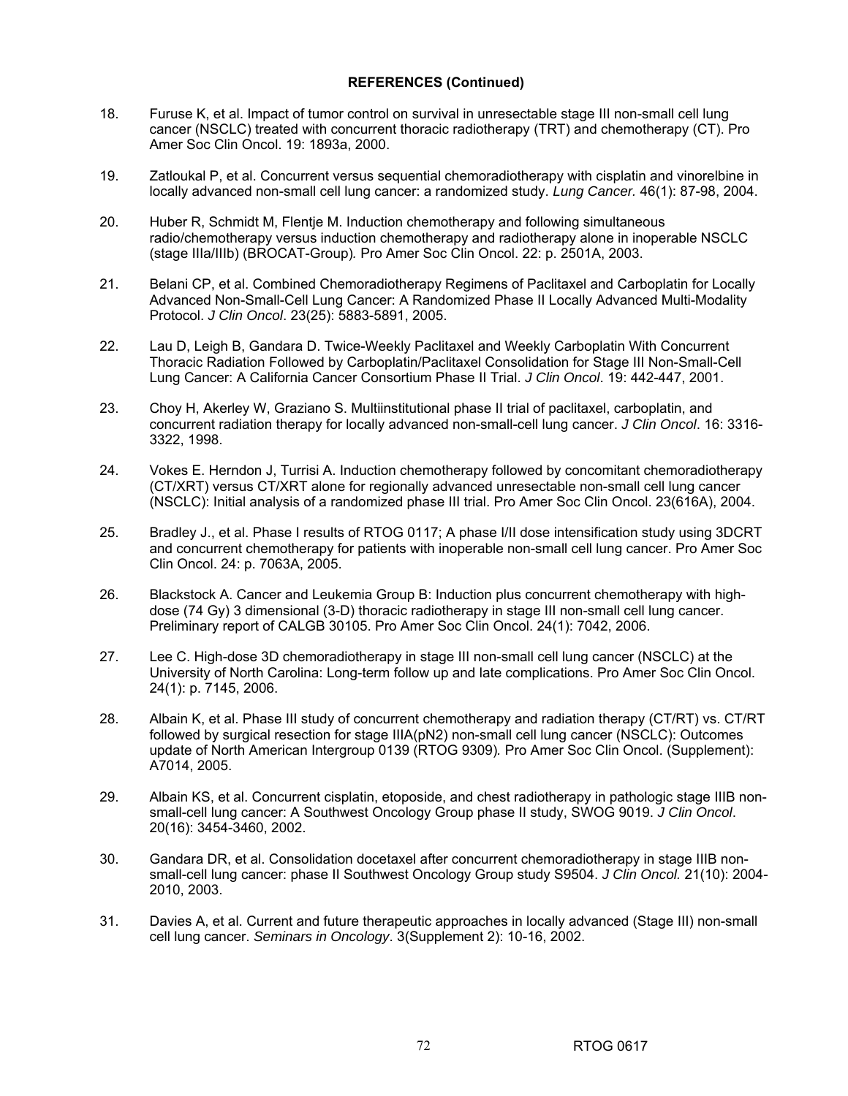- 18. Furuse K, et al. Impact of tumor control on survival in unresectable stage III non-small cell lung cancer (NSCLC) treated with concurrent thoracic radiotherapy (TRT) and chemotherapy (CT). Pro Amer Soc Clin Oncol. 19: 1893a, 2000.
- 19. Zatloukal P, et al. Concurrent versus sequential chemoradiotherapy with cisplatin and vinorelbine in locally advanced non-small cell lung cancer: a randomized study. *Lung Cancer.* 46(1): 87-98, 2004.
- 20. Huber R, Schmidt M, Flentje M. Induction chemotherapy and following simultaneous radio/chemotherapy versus induction chemotherapy and radiotherapy alone in inoperable NSCLC (stage IIIa/IIIb) (BROCAT-Group)*.* Pro Amer Soc Clin Oncol. 22: p. 2501A, 2003.
- 21. Belani CP, et al. Combined Chemoradiotherapy Regimens of Paclitaxel and Carboplatin for Locally Advanced Non-Small-Cell Lung Cancer: A Randomized Phase II Locally Advanced Multi-Modality Protocol. *J Clin Oncol*. 23(25): 5883-5891, 2005.
- 22. Lau D, Leigh B, Gandara D. Twice-Weekly Paclitaxel and Weekly Carboplatin With Concurrent Thoracic Radiation Followed by Carboplatin/Paclitaxel Consolidation for Stage III Non-Small-Cell Lung Cancer: A California Cancer Consortium Phase II Trial. *J Clin Oncol*. 19: 442-447, 2001.
- 23. Choy H, Akerley W, Graziano S. Multiinstitutional phase II trial of paclitaxel, carboplatin, and concurrent radiation therapy for locally advanced non-small-cell lung cancer. *J Clin Oncol*. 16: 3316- 3322, 1998.
- 24. Vokes E. Herndon J, Turrisi A. Induction chemotherapy followed by concomitant chemoradiotherapy (CT/XRT) versus CT/XRT alone for regionally advanced unresectable non-small cell lung cancer (NSCLC): Initial analysis of a randomized phase III trial. Pro Amer Soc Clin Oncol. 23(616A), 2004.
- 25. Bradley J., et al. Phase I results of RTOG 0117; A phase I/II dose intensification study using 3DCRT and concurrent chemotherapy for patients with inoperable non-small cell lung cancer. Pro Amer Soc Clin Oncol. 24: p. 7063A, 2005.
- 26. Blackstock A. Cancer and Leukemia Group B: Induction plus concurrent chemotherapy with highdose (74 Gy) 3 dimensional (3-D) thoracic radiotherapy in stage III non-small cell lung cancer. Preliminary report of CALGB 30105. Pro Amer Soc Clin Oncol. 24(1): 7042, 2006.
- 27. Lee C. High-dose 3D chemoradiotherapy in stage III non-small cell lung cancer (NSCLC) at the University of North Carolina: Long-term follow up and late complications. Pro Amer Soc Clin Oncol. 24(1): p. 7145, 2006.
- 28. Albain K, et al. Phase III study of concurrent chemotherapy and radiation therapy (CT/RT) vs. CT/RT followed by surgical resection for stage IIIA(pN2) non-small cell lung cancer (NSCLC): Outcomes update of North American Intergroup 0139 (RTOG 9309)*.* Pro Amer Soc Clin Oncol. (Supplement): A7014, 2005.
- 29. Albain KS, et al. Concurrent cisplatin, etoposide, and chest radiotherapy in pathologic stage IIIB nonsmall-cell lung cancer: A Southwest Oncology Group phase II study, SWOG 9019. *J Clin Oncol*. 20(16): 3454-3460, 2002.
- 30. Gandara DR, et al. Consolidation docetaxel after concurrent chemoradiotherapy in stage IIIB nonsmall-cell lung cancer: phase II Southwest Oncology Group study S9504. *J Clin Oncol.* 21(10): 2004- 2010, 2003.
- 31. Davies A, et al. Current and future therapeutic approaches in locally advanced (Stage III) non-small cell lung cancer. *Seminars in Oncology*. 3(Supplement 2): 10-16, 2002.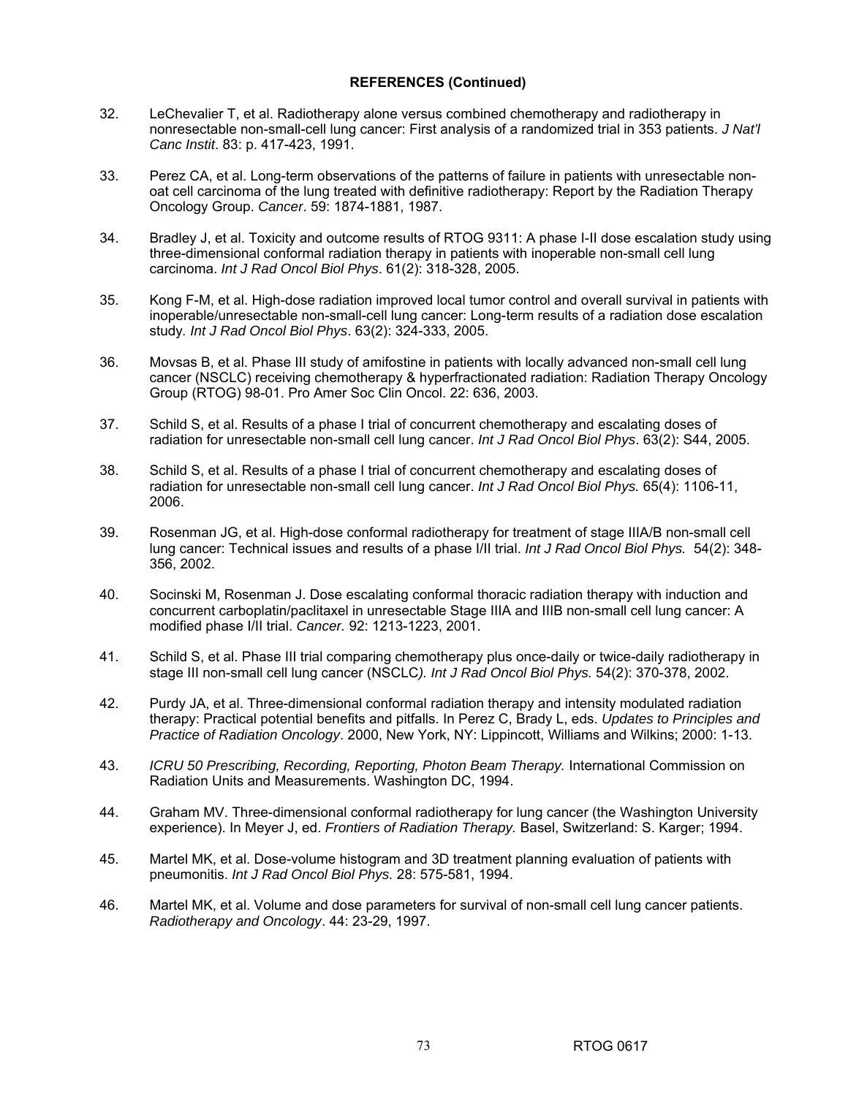- 32. LeChevalier T, et al. Radiotherapy alone versus combined chemotherapy and radiotherapy in nonresectable non-small-cell lung cancer: First analysis of a randomized trial in 353 patients. *J Nat'l Canc Instit*. 83: p. 417-423, 1991.
- 33. Perez CA, et al. Long-term observations of the patterns of failure in patients with unresectable nonoat cell carcinoma of the lung treated with definitive radiotherapy: Report by the Radiation Therapy Oncology Group. *Cancer*. 59: 1874-1881, 1987.
- 34. Bradley J, et al. Toxicity and outcome results of RTOG 9311: A phase I-II dose escalation study using three-dimensional conformal radiation therapy in patients with inoperable non-small cell lung carcinoma. *Int J Rad Oncol Biol Phys*. 61(2): 318-328, 2005.
- 35. Kong F-M, et al. High-dose radiation improved local tumor control and overall survival in patients with inoperable/unresectable non-small-cell lung cancer: Long-term results of a radiation dose escalation study*. Int J Rad Oncol Biol Phys*. 63(2): 324-333, 2005.
- 36. Movsas B, et al. Phase III study of amifostine in patients with locally advanced non-small cell lung cancer (NSCLC) receiving chemotherapy & hyperfractionated radiation: Radiation Therapy Oncology Group (RTOG) 98-01. Pro Amer Soc Clin Oncol. 22: 636, 2003.
- 37. Schild S, et al. Results of a phase I trial of concurrent chemotherapy and escalating doses of radiation for unresectable non-small cell lung cancer. *Int J Rad Oncol Biol Phys*. 63(2): S44, 2005.
- 38. Schild S, et al. Results of a phase I trial of concurrent chemotherapy and escalating doses of radiation for unresectable non-small cell lung cancer. *Int J Rad Oncol Biol Phys.* 65(4): 1106-11, 2006.
- 39. Rosenman JG, et al. High-dose conformal radiotherapy for treatment of stage IIIA/B non-small cell lung cancer: Technical issues and results of a phase I/II trial. *Int J Rad Oncol Biol Phys.* 54(2): 348- 356, 2002.
- 40. Socinski M, Rosenman J. Dose escalating conformal thoracic radiation therapy with induction and concurrent carboplatin/paclitaxel in unresectable Stage IIIA and IIIB non-small cell lung cancer: A modified phase I/II trial. *Cancer.* 92: 1213-1223, 2001.
- 41. Schild S, et al. Phase III trial comparing chemotherapy plus once-daily or twice-daily radiotherapy in stage III non-small cell lung cancer (NSCLC*). Int J Rad Oncol Biol Phys.* 54(2): 370-378, 2002.
- 42. Purdy JA, et al. Three-dimensional conformal radiation therapy and intensity modulated radiation therapy: Practical potential benefits and pitfalls. In Perez C, Brady L, eds. *Updates to Principles and Practice of Radiation Oncology*. 2000, New York, NY: Lippincott, Williams and Wilkins; 2000: 1-13.
- 43. *ICRU 50 Prescribing, Recording, Reporting, Photon Beam Therapy.* International Commission on Radiation Units and Measurements. Washington DC, 1994.
- 44. Graham MV. Three-dimensional conformal radiotherapy for lung cancer (the Washington University experience). In Meyer J, ed. *Frontiers of Radiation Therapy.* Basel, Switzerland: S. Karger; 1994.
- 45. Martel MK, et al. Dose-volume histogram and 3D treatment planning evaluation of patients with pneumonitis. *Int J Rad Oncol Biol Phys.* 28: 575-581, 1994.
- 46. Martel MK, et al. Volume and dose parameters for survival of non-small cell lung cancer patients. *Radiotherapy and Oncology*. 44: 23-29, 1997.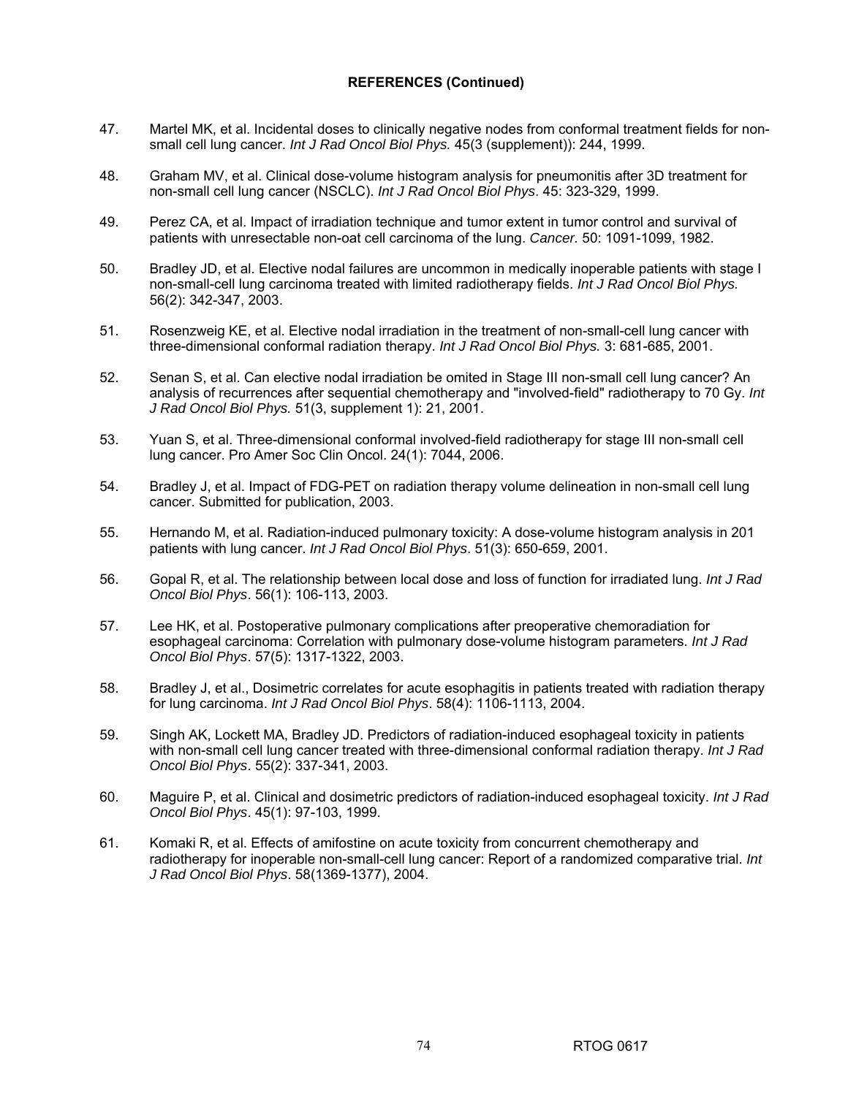- 47. Martel MK, et al. Incidental doses to clinically negative nodes from conformal treatment fields for nonsmall cell lung cancer. *Int J Rad Oncol Biol Phys.* 45(3 (supplement)): 244, 1999.
- 48. Graham MV, et al. Clinical dose-volume histogram analysis for pneumonitis after 3D treatment for non-small cell lung cancer (NSCLC). *Int J Rad Oncol Biol Phys*. 45: 323-329, 1999.
- 49. Perez CA, et al. Impact of irradiation technique and tumor extent in tumor control and survival of patients with unresectable non-oat cell carcinoma of the lung. *Cancer.* 50: 1091-1099, 1982.
- 50. Bradley JD, et al. Elective nodal failures are uncommon in medically inoperable patients with stage I non-small-cell lung carcinoma treated with limited radiotherapy fields. *Int J Rad Oncol Biol Phys.* 56(2): 342-347, 2003.
- 51. Rosenzweig KE, et al. Elective nodal irradiation in the treatment of non-small-cell lung cancer with three-dimensional conformal radiation therapy. *Int J Rad Oncol Biol Phys.* 3: 681-685, 2001.
- 52. Senan S, et al. Can elective nodal irradiation be omited in Stage III non-small cell lung cancer? An analysis of recurrences after sequential chemotherapy and "involved-field" radiotherapy to 70 Gy. *Int J Rad Oncol Biol Phys.* 51(3, supplement 1): 21, 2001.
- 53. Yuan S, et al. Three-dimensional conformal involved-field radiotherapy for stage III non-small cell lung cancer. Pro Amer Soc Clin Oncol. 24(1): 7044, 2006.
- 54. Bradley J, et al. Impact of FDG-PET on radiation therapy volume delineation in non-small cell lung cancer. Submitted for publication, 2003.
- 55. Hernando M, et al. Radiation-induced pulmonary toxicity: A dose-volume histogram analysis in 201 patients with lung cancer. *Int J Rad Oncol Biol Phys*. 51(3): 650-659, 2001.
- 56. Gopal R, et al. The relationship between local dose and loss of function for irradiated lung. *Int J Rad Oncol Biol Phys*. 56(1): 106-113, 2003.
- 57. Lee HK, et al. Postoperative pulmonary complications after preoperative chemoradiation for esophageal carcinoma: Correlation with pulmonary dose-volume histogram parameters. *Int J Rad Oncol Biol Phys*. 57(5): 1317-1322, 2003.
- 58. Bradley J, et al., Dosimetric correlates for acute esophagitis in patients treated with radiation therapy for lung carcinoma. *Int J Rad Oncol Biol Phys*. 58(4): 1106-1113, 2004.
- 59. Singh AK, Lockett MA, Bradley JD. Predictors of radiation-induced esophageal toxicity in patients with non-small cell lung cancer treated with three-dimensional conformal radiation therapy. *Int J Rad Oncol Biol Phys*. 55(2): 337-341, 2003.
- 60. Maguire P, et al. Clinical and dosimetric predictors of radiation-induced esophageal toxicity. *Int J Rad Oncol Biol Phys*. 45(1): 97-103, 1999.
- 61. Komaki R, et al. Effects of amifostine on acute toxicity from concurrent chemotherapy and radiotherapy for inoperable non-small-cell lung cancer: Report of a randomized comparative trial. *Int J Rad Oncol Biol Phys*. 58(1369-1377), 2004.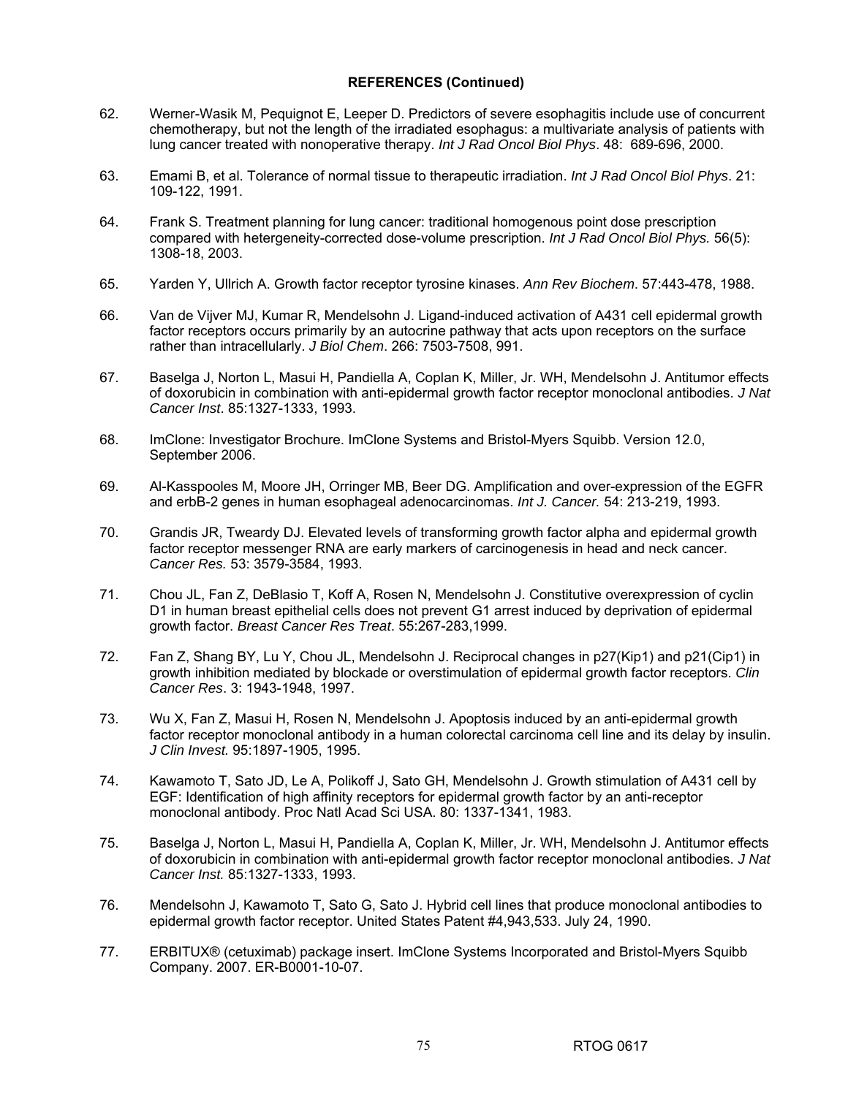- 62. Werner-Wasik M, Pequignot E, Leeper D. Predictors of severe esophagitis include use of concurrent chemotherapy, but not the length of the irradiated esophagus: a multivariate analysis of patients with lung cancer treated with nonoperative therapy. *Int J Rad Oncol Biol Phys*. 48: 689-696, 2000.
- 63. Emami B, et al. Tolerance of normal tissue to therapeutic irradiation. *Int J Rad Oncol Biol Phys*. 21: 109-122, 1991.
- 64. Frank S. Treatment planning for lung cancer: traditional homogenous point dose prescription compared with hetergeneity-corrected dose-volume prescription. *Int J Rad Oncol Biol Phys.* 56(5): 1308-18, 2003.
- 65. Yarden Y, Ullrich A. Growth factor receptor tyrosine kinases. *Ann Rev Biochem*. 57:443-478, 1988.
- 66. Van de Vijver MJ, Kumar R, Mendelsohn J. Ligand-induced activation of A431 cell epidermal growth factor receptors occurs primarily by an autocrine pathway that acts upon receptors on the surface rather than intracellularly. *J Biol Chem*. 266: 7503-7508, 991.
- 67. Baselga J, Norton L, Masui H, Pandiella A, Coplan K, Miller, Jr. WH, Mendelsohn J. Antitumor effects of doxorubicin in combination with anti-epidermal growth factor receptor monoclonal antibodies. *J Nat Cancer Inst*. 85:1327-1333, 1993.
- 68. ImClone: Investigator Brochure. ImClone Systems and Bristol-Myers Squibb. Version 12.0, September 2006.
- 69. Al-Kasspooles M, Moore JH, Orringer MB, Beer DG. Amplification and over-expression of the EGFR and erbB-2 genes in human esophageal adenocarcinomas. *Int J. Cancer.* 54: 213-219, 1993.
- 70. Grandis JR, Tweardy DJ. Elevated levels of transforming growth factor alpha and epidermal growth factor receptor messenger RNA are early markers of carcinogenesis in head and neck cancer. *Cancer Res.* 53: 3579-3584, 1993.
- 71. Chou JL, Fan Z, DeBlasio T, Koff A, Rosen N, Mendelsohn J. Constitutive overexpression of cyclin D1 in human breast epithelial cells does not prevent G1 arrest induced by deprivation of epidermal growth factor. *Breast Cancer Res Treat*. 55:267-283,1999.
- 72. Fan Z, Shang BY, Lu Y, Chou JL, Mendelsohn J. Reciprocal changes in p27(Kip1) and p21(Cip1) in growth inhibition mediated by blockade or overstimulation of epidermal growth factor receptors. *Clin Cancer Res*. 3: 1943-1948, 1997.
- 73. Wu X, Fan Z, Masui H, Rosen N, Mendelsohn J. Apoptosis induced by an anti-epidermal growth factor receptor monoclonal antibody in a human colorectal carcinoma cell line and its delay by insulin. *J Clin Invest.* 95:1897-1905, 1995.
- 74. Kawamoto T, Sato JD, Le A, Polikoff J, Sato GH, Mendelsohn J. Growth stimulation of A431 cell by EGF: Identification of high affinity receptors for epidermal growth factor by an anti-receptor monoclonal antibody. Proc Natl Acad Sci USA. 80: 1337-1341, 1983.
- 75. Baselga J, Norton L, Masui H, Pandiella A, Coplan K, Miller, Jr. WH, Mendelsohn J. Antitumor effects of doxorubicin in combination with anti-epidermal growth factor receptor monoclonal antibodies. *J Nat Cancer Inst.* 85:1327-1333, 1993.
- 76. Mendelsohn J, Kawamoto T, Sato G, Sato J. Hybrid cell lines that produce monoclonal antibodies to epidermal growth factor receptor. United States Patent #4,943,533. July 24, 1990.
- 77. ERBITUX® (cetuximab) package insert. ImClone Systems Incorporated and Bristol-Myers Squibb Company. 2007. ER-B0001-10-07.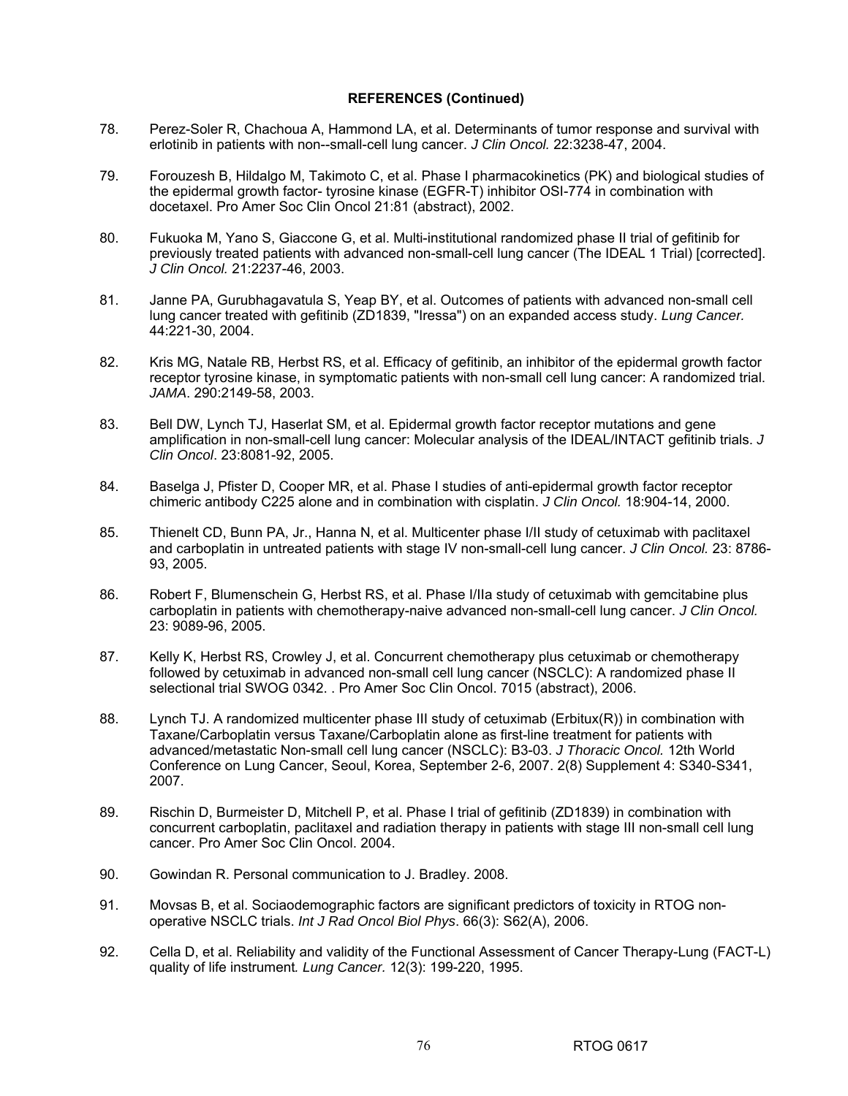- 78. Perez-Soler R, Chachoua A, Hammond LA, et al. Determinants of tumor response and survival with erlotinib in patients with non--small-cell lung cancer. *J Clin Oncol.* 22:3238-47, 2004.
- 79. Forouzesh B, Hildalgo M, Takimoto C, et al. Phase I pharmacokinetics (PK) and biological studies of the epidermal growth factor- tyrosine kinase (EGFR-T) inhibitor OSI-774 in combination with docetaxel. Pro Amer Soc Clin Oncol 21:81 (abstract), 2002.
- 80. Fukuoka M, Yano S, Giaccone G, et al. Multi-institutional randomized phase II trial of gefitinib for previously treated patients with advanced non-small-cell lung cancer (The IDEAL 1 Trial) [corrected]. *J Clin Oncol.* 21:2237-46, 2003.
- 81. Janne PA, Gurubhagavatula S, Yeap BY, et al. Outcomes of patients with advanced non-small cell lung cancer treated with gefitinib (ZD1839, "Iressa") on an expanded access study. *Lung Cancer.*  44:221-30, 2004.
- 82. Kris MG, Natale RB, Herbst RS, et al. Efficacy of gefitinib, an inhibitor of the epidermal growth factor receptor tyrosine kinase, in symptomatic patients with non-small cell lung cancer: A randomized trial. *JAMA*. 290:2149-58, 2003.
- 83. Bell DW, Lynch TJ, Haserlat SM, et al. Epidermal growth factor receptor mutations and gene amplification in non-small-cell lung cancer: Molecular analysis of the IDEAL/INTACT gefitinib trials. *J Clin Oncol*. 23:8081-92, 2005.
- 84. Baselga J, Pfister D, Cooper MR, et al. Phase I studies of anti-epidermal growth factor receptor chimeric antibody C225 alone and in combination with cisplatin. *J Clin Oncol.* 18:904-14, 2000.
- 85. Thienelt CD, Bunn PA, Jr., Hanna N, et al. Multicenter phase I/II study of cetuximab with paclitaxel and carboplatin in untreated patients with stage IV non-small-cell lung cancer. *J Clin Oncol.* 23: 8786- 93, 2005.
- 86. Robert F, Blumenschein G, Herbst RS, et al. Phase I/IIa study of cetuximab with gemcitabine plus carboplatin in patients with chemotherapy-naive advanced non-small-cell lung cancer. *J Clin Oncol.*  23: 9089-96, 2005.
- 87. Kelly K, Herbst RS, Crowley J, et al. Concurrent chemotherapy plus cetuximab or chemotherapy followed by cetuximab in advanced non-small cell lung cancer (NSCLC): A randomized phase II selectional trial SWOG 0342. . Pro Amer Soc Clin Oncol. 7015 (abstract), 2006.
- 88. Lynch TJ. A randomized multicenter phase III study of cetuximab (Erbitux(R)) in combination with Taxane/Carboplatin versus Taxane/Carboplatin alone as first-line treatment for patients with advanced/metastatic Non-small cell lung cancer (NSCLC): B3-03. *J Thoracic Oncol.* 12th World Conference on Lung Cancer, Seoul, Korea, September 2-6, 2007. 2(8) Supplement 4: S340-S341, 2007.
- 89. Rischin D, Burmeister D, Mitchell P, et al. Phase I trial of gefitinib (ZD1839) in combination with concurrent carboplatin, paclitaxel and radiation therapy in patients with stage III non-small cell lung cancer. Pro Amer Soc Clin Oncol. 2004.
- 90. Gowindan R. Personal communication to J. Bradley. 2008.
- 91. Movsas B, et al. Sociaodemographic factors are significant predictors of toxicity in RTOG nonoperative NSCLC trials. *Int J Rad Oncol Biol Phys*. 66(3): S62(A), 2006.
- 92. Cella D, et al. Reliability and validity of the Functional Assessment of Cancer Therapy-Lung (FACT-L) quality of life instrument*. Lung Cancer.* 12(3): 199-220, 1995.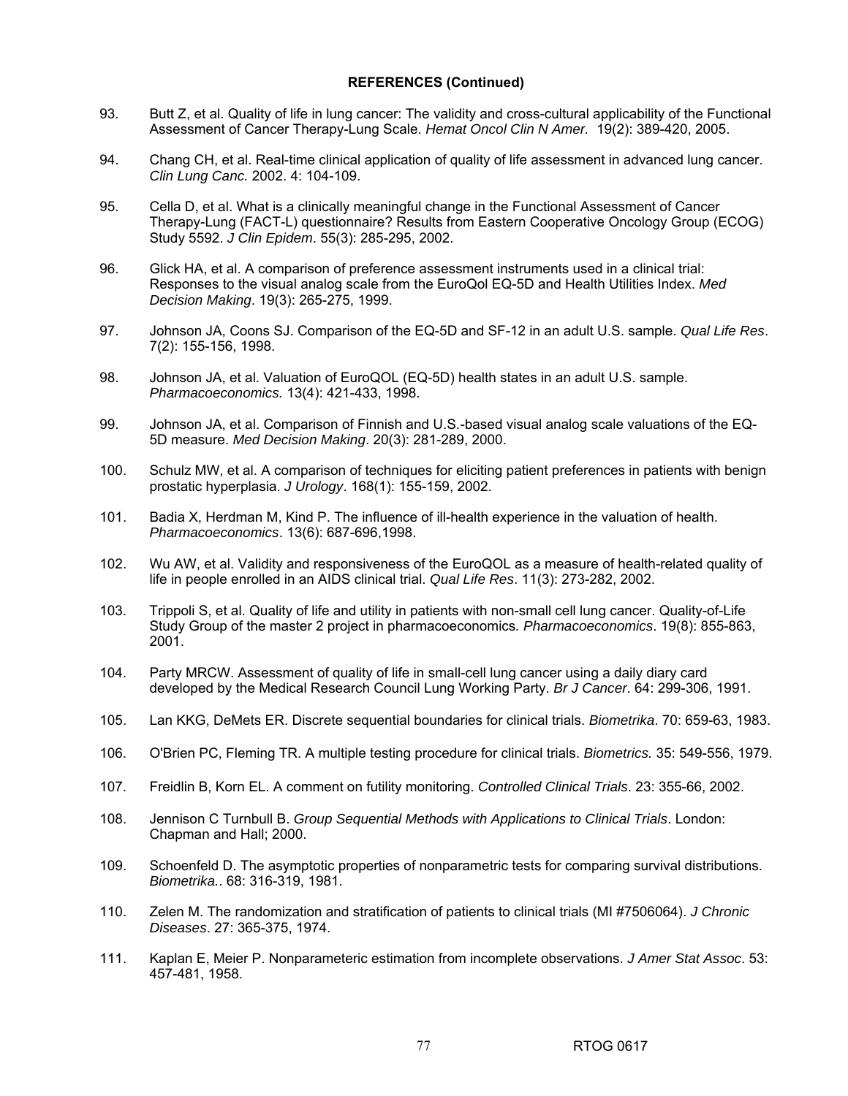- 93. Butt Z, et al. Quality of life in lung cancer: The validity and cross-cultural applicability of the Functional Assessment of Cancer Therapy-Lung Scale. *Hemat Oncol Clin N Amer.* 19(2): 389-420, 2005.
- 94. Chang CH, et al. Real-time clinical application of quality of life assessment in advanced lung cancer. *Clin Lung Canc.* 2002. 4: 104-109.
- 95. Cella D, et al. What is a clinically meaningful change in the Functional Assessment of Cancer Therapy-Lung (FACT-L) questionnaire? Results from Eastern Cooperative Oncology Group (ECOG) Study 5592. *J Clin Epidem*. 55(3): 285-295, 2002.
- 96. Glick HA, et al. A comparison of preference assessment instruments used in a clinical trial: Responses to the visual analog scale from the EuroQol EQ-5D and Health Utilities Index. *Med Decision Making*. 19(3): 265-275, 1999.
- 97. Johnson JA, Coons SJ. Comparison of the EQ-5D and SF-12 in an adult U.S. sample. *Qual Life Res*. 7(2): 155-156, 1998.
- 98. Johnson JA, et al. Valuation of EuroQOL (EQ-5D) health states in an adult U.S. sample. *Pharmacoeconomics.* 13(4): 421-433, 1998.
- 99. Johnson JA, et al. Comparison of Finnish and U.S.-based visual analog scale valuations of the EQ-5D measure. *Med Decision Making*. 20(3): 281-289, 2000.
- 100. Schulz MW, et al. A comparison of techniques for eliciting patient preferences in patients with benign prostatic hyperplasia. *J Urology*. 168(1): 155-159, 2002.
- 101. Badia X, Herdman M, Kind P. The influence of ill-health experience in the valuation of health. *Pharmacoeconomics*. 13(6): 687-696,1998.
- 102. Wu AW, et al. Validity and responsiveness of the EuroQOL as a measure of health-related quality of life in people enrolled in an AIDS clinical trial. *Qual Life Res*. 11(3): 273-282, 2002.
- 103. Trippoli S, et al. Quality of life and utility in patients with non-small cell lung cancer. Quality-of-Life Study Group of the master 2 project in pharmacoeconomics*. Pharmacoeconomics*. 19(8): 855-863, 2001.
- 104. Party MRCW. Assessment of quality of life in small-cell lung cancer using a daily diary card developed by the Medical Research Council Lung Working Party. *Br J Cancer*. 64: 299-306, 1991.
- 105. Lan KKG, DeMets ER. Discrete sequential boundaries for clinical trials. *Biometrika*. 70: 659-63, 1983.
- 106. O'Brien PC, Fleming TR. A multiple testing procedure for clinical trials. *Biometrics.* 35: 549-556, 1979.
- 107. Freidlin B, Korn EL. A comment on futility monitoring. *Controlled Clinical Trials*. 23: 355-66, 2002.
- 108. Jennison C Turnbull B. *Group Sequential Methods with Applications to Clinical Trials*. London: Chapman and Hall; 2000.
- 109. Schoenfeld D. The asymptotic properties of nonparametric tests for comparing survival distributions. *Biometrika.*. 68: 316-319, 1981.
- 110. Zelen M. The randomization and stratification of patients to clinical trials (MI #7506064). *J Chronic Diseases*. 27: 365-375, 1974.
- 111. Kaplan E, Meier P. Nonparameteric estimation from incomplete observations. *J Amer Stat Assoc*. 53: 457-481, 1958.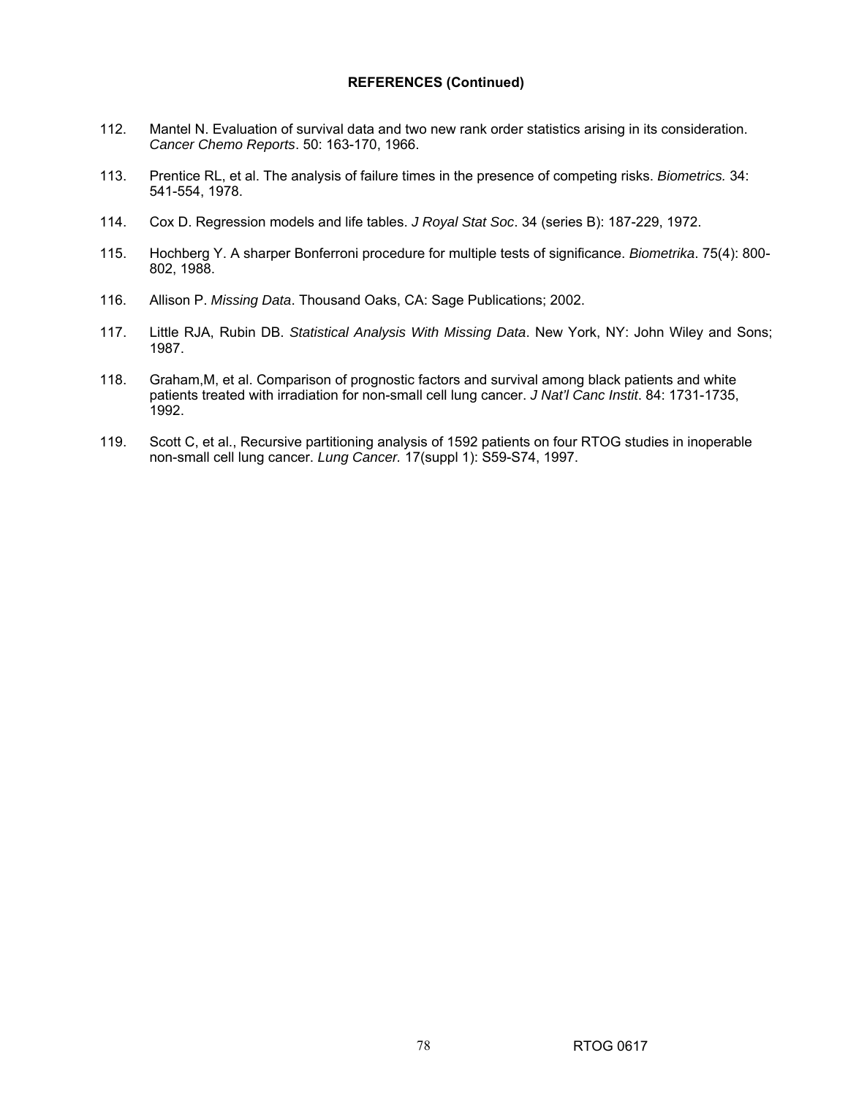- 112. Mantel N. Evaluation of survival data and two new rank order statistics arising in its consideration. *Cancer Chemo Reports*. 50: 163-170, 1966.
- 113. Prentice RL, et al. The analysis of failure times in the presence of competing risks. *Biometrics.* 34: 541-554, 1978.
- 114. Cox D. Regression models and life tables. *J Royal Stat Soc*. 34 (series B): 187-229, 1972.
- 115. Hochberg Y. A sharper Bonferroni procedure for multiple tests of significance. *Biometrika*. 75(4): 800- 802, 1988.
- 116. Allison P. *Missing Data*. Thousand Oaks, CA: Sage Publications; 2002.
- 117. Little RJA, Rubin DB. *Statistical Analysis With Missing Data*. New York, NY: John Wiley and Sons; 1987.
- 118. Graham,M, et al. Comparison of prognostic factors and survival among black patients and white patients treated with irradiation for non-small cell lung cancer. *J Nat'l Canc Instit*. 84: 1731-1735, 1992.
- 119. Scott C, et al., Recursive partitioning analysis of 1592 patients on four RTOG studies in inoperable non-small cell lung cancer. *Lung Cancer.* 17(suppl 1): S59-S74, 1997.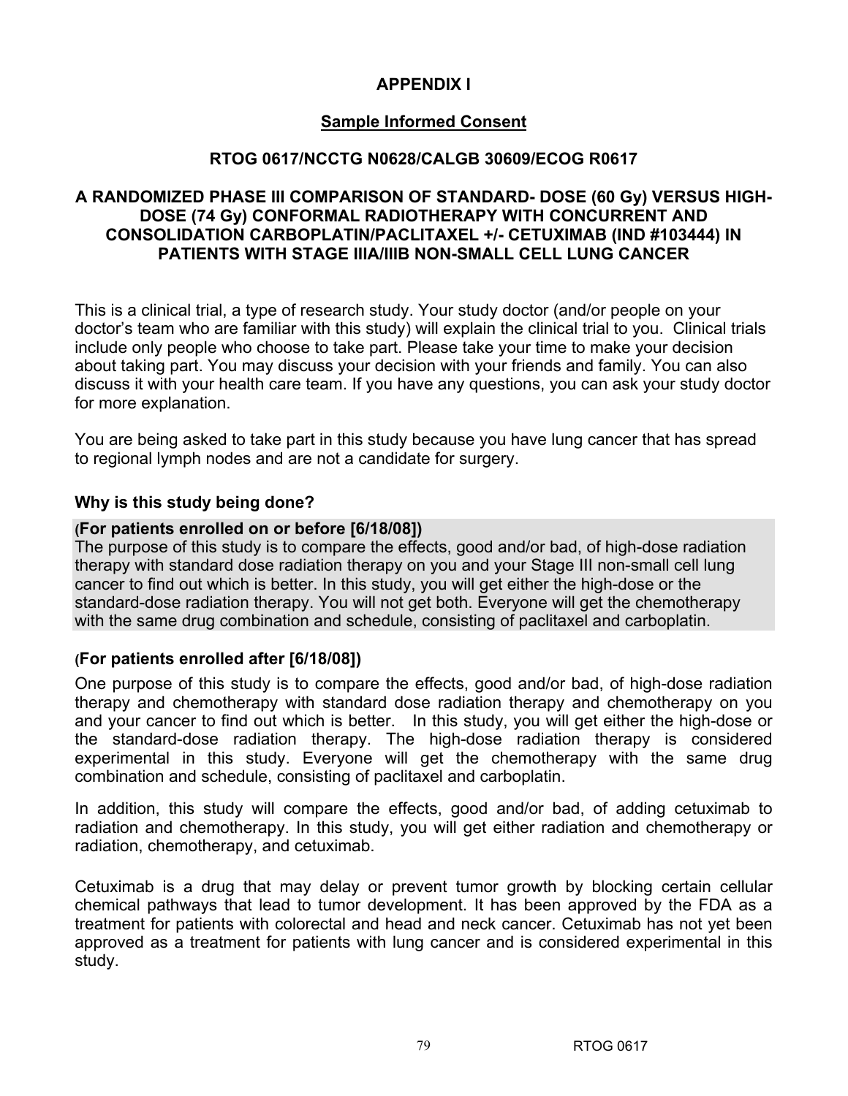## **APPENDIX I**

## **Sample Informed Consent**

## **RTOG 0617/NCCTG N0628/CALGB 30609/ECOG R0617**

## **A RANDOMIZED PHASE III COMPARISON OF STANDARD- DOSE (60 Gy) VERSUS HIGH-DOSE (74 Gy) CONFORMAL RADIOTHERAPY WITH CONCURRENT AND CONSOLIDATION CARBOPLATIN/PACLITAXEL +/- CETUXIMAB (IND #103444) IN PATIENTS WITH STAGE IIIA/IIIB NON-SMALL CELL LUNG CANCER**

This is a clinical trial, a type of research study. Your study doctor (and/or people on your doctor's team who are familiar with this study) will explain the clinical trial to you. Clinical trials include only people who choose to take part. Please take your time to make your decision about taking part. You may discuss your decision with your friends and family. You can also discuss it with your health care team. If you have any questions, you can ask your study doctor for more explanation.

You are being asked to take part in this study because you have lung cancer that has spread to regional lymph nodes and are not a candidate for surgery.

## **Why is this study being done?**

## **(For patients enrolled on or before [6/18/08])**

The purpose of this study is to compare the effects, good and/or bad, of high-dose radiation therapy with standard dose radiation therapy on you and your Stage III non-small cell lung cancer to find out which is better. In this study, you will get either the high-dose or the standard-dose radiation therapy. You will not get both. Everyone will get the chemotherapy with the same drug combination and schedule, consisting of paclitaxel and carboplatin.

## **(For patients enrolled after [6/18/08])**

One purpose of this study is to compare the effects, good and/or bad, of high-dose radiation therapy and chemotherapy with standard dose radiation therapy and chemotherapy on you and your cancer to find out which is better. In this study, you will get either the high-dose or the standard-dose radiation therapy. The high-dose radiation therapy is considered experimental in this study. Everyone will get the chemotherapy with the same drug combination and schedule, consisting of paclitaxel and carboplatin.

In addition, this study will compare the effects, good and/or bad, of adding cetuximab to radiation and chemotherapy. In this study, you will get either radiation and chemotherapy or radiation, chemotherapy, and cetuximab.

Cetuximab is a drug that may delay or prevent tumor growth by blocking certain cellular chemical pathways that lead to tumor development. It has been approved by the FDA as a treatment for patients with colorectal and head and neck cancer. Cetuximab has not yet been approved as a treatment for patients with lung cancer and is considered experimental in this study.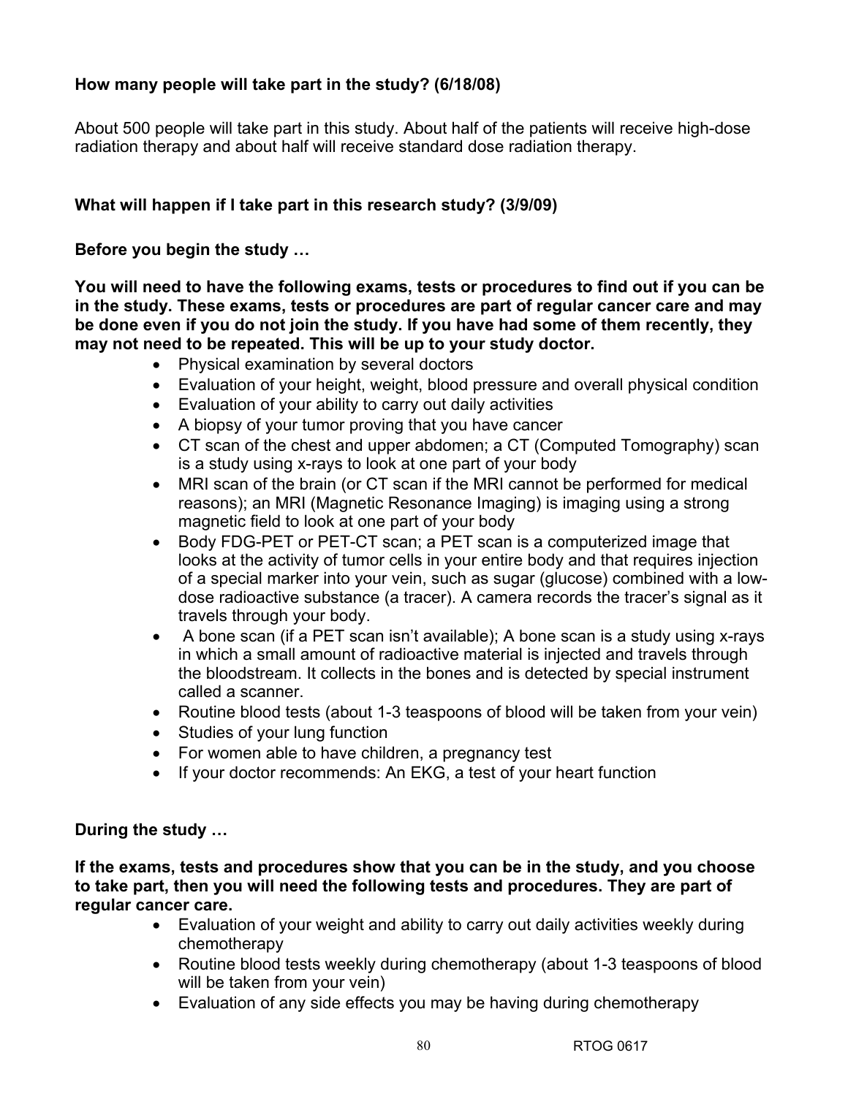# **How many people will take part in the study? (6/18/08)**

About 500 people will take part in this study. About half of the patients will receive high-dose radiation therapy and about half will receive standard dose radiation therapy.

# **What will happen if I take part in this research study? (3/9/09)**

**Before you begin the study …** 

**You will need to have the following exams, tests or procedures to find out if you can be in the study. These exams, tests or procedures are part of regular cancer care and may be done even if you do not join the study. If you have had some of them recently, they may not need to be repeated. This will be up to your study doctor.** 

- Physical examination by several doctors
- Evaluation of your height, weight, blood pressure and overall physical condition
- Evaluation of your ability to carry out daily activities
- A biopsy of your tumor proving that you have cancer
- CT scan of the chest and upper abdomen; a CT (Computed Tomography) scan is a study using x-rays to look at one part of your body
- MRI scan of the brain (or CT scan if the MRI cannot be performed for medical reasons); an MRI (Magnetic Resonance Imaging) is imaging using a strong magnetic field to look at one part of your body
- Body FDG-PET or PET-CT scan; a PET scan is a computerized image that looks at the activity of tumor cells in your entire body and that requires injection of a special marker into your vein, such as sugar (glucose) combined with a lowdose radioactive substance (a tracer). A camera records the tracer's signal as it travels through your body.
- A bone scan (if a PET scan isn't available); A bone scan is a study using x-rays in which a small amount of radioactive material is injected and travels through the bloodstream. It collects in the bones and is detected by special instrument called a scanner.
- Routine blood tests (about 1-3 teaspoons of blood will be taken from your vein)
- Studies of your lung function
- For women able to have children, a pregnancy test
- If your doctor recommends: An EKG, a test of your heart function

## **During the study …**

**If the exams, tests and procedures show that you can be in the study, and you choose to take part, then you will need the following tests and procedures. They are part of regular cancer care.** 

- Evaluation of your weight and ability to carry out daily activities weekly during chemotherapy
- Routine blood tests weekly during chemotherapy (about 1-3 teaspoons of blood will be taken from your vein)
- Evaluation of any side effects you may be having during chemotherapy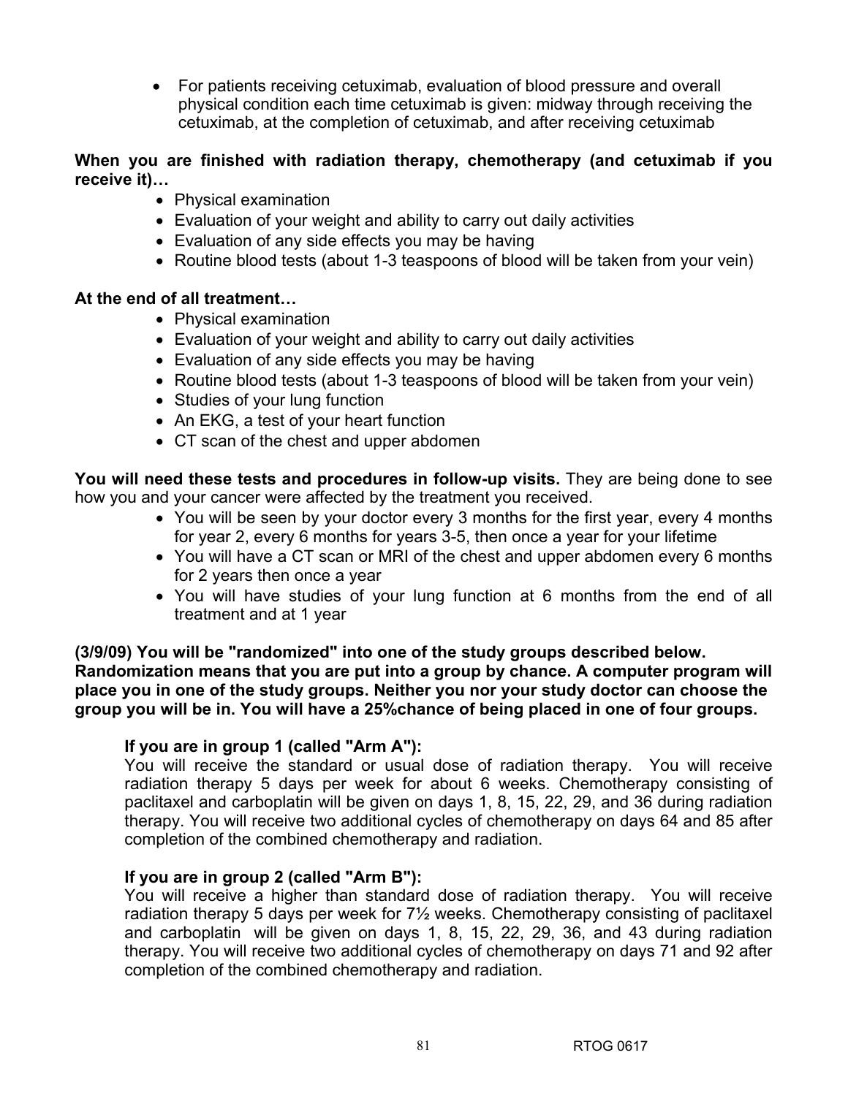• For patients receiving cetuximab, evaluation of blood pressure and overall physical condition each time cetuximab is given: midway through receiving the cetuximab, at the completion of cetuximab, and after receiving cetuximab

### **When you are finished with radiation therapy, chemotherapy (and cetuximab if you receive it)…**

- Physical examination
- Evaluation of your weight and ability to carry out daily activities
- Evaluation of any side effects you may be having
- Routine blood tests (about 1-3 teaspoons of blood will be taken from your vein)

## **At the end of all treatment…**

- Physical examination
- Evaluation of your weight and ability to carry out daily activities
- Evaluation of any side effects you may be having
- Routine blood tests (about 1-3 teaspoons of blood will be taken from your vein)
- Studies of your lung function
- An EKG, a test of your heart function
- CT scan of the chest and upper abdomen

**You will need these tests and procedures in follow-up visits.** They are being done to see how you and your cancer were affected by the treatment you received.

- You will be seen by your doctor every 3 months for the first year, every 4 months for year 2, every 6 months for years 3-5, then once a year for your lifetime
- You will have a CT scan or MRI of the chest and upper abdomen every 6 months for 2 years then once a year
- You will have studies of your lung function at 6 months from the end of all treatment and at 1 year

### **(3/9/09) You will be "randomized" into one of the study groups described below. Randomization means that you are put into a group by chance. A computer program will place you in one of the study groups. Neither you nor your study doctor can choose the group you will be in. You will have a 25%chance of being placed in one of four groups.**

## **If you are in group 1 (called "Arm A"):**

You will receive the standard or usual dose of radiation therapy. You will receive radiation therapy 5 days per week for about 6 weeks. Chemotherapy consisting of paclitaxel and carboplatin will be given on days 1, 8, 15, 22, 29, and 36 during radiation therapy. You will receive two additional cycles of chemotherapy on days 64 and 85 after completion of the combined chemotherapy and radiation.

## **If you are in group 2 (called "Arm B"):**

You will receive a higher than standard dose of radiation therapy. You will receive radiation therapy 5 days per week for 7½ weeks. Chemotherapy consisting of paclitaxel and carboplatin will be given on days 1, 8, 15, 22, 29, 36, and 43 during radiation therapy. You will receive two additional cycles of chemotherapy on days 71 and 92 after completion of the combined chemotherapy and radiation.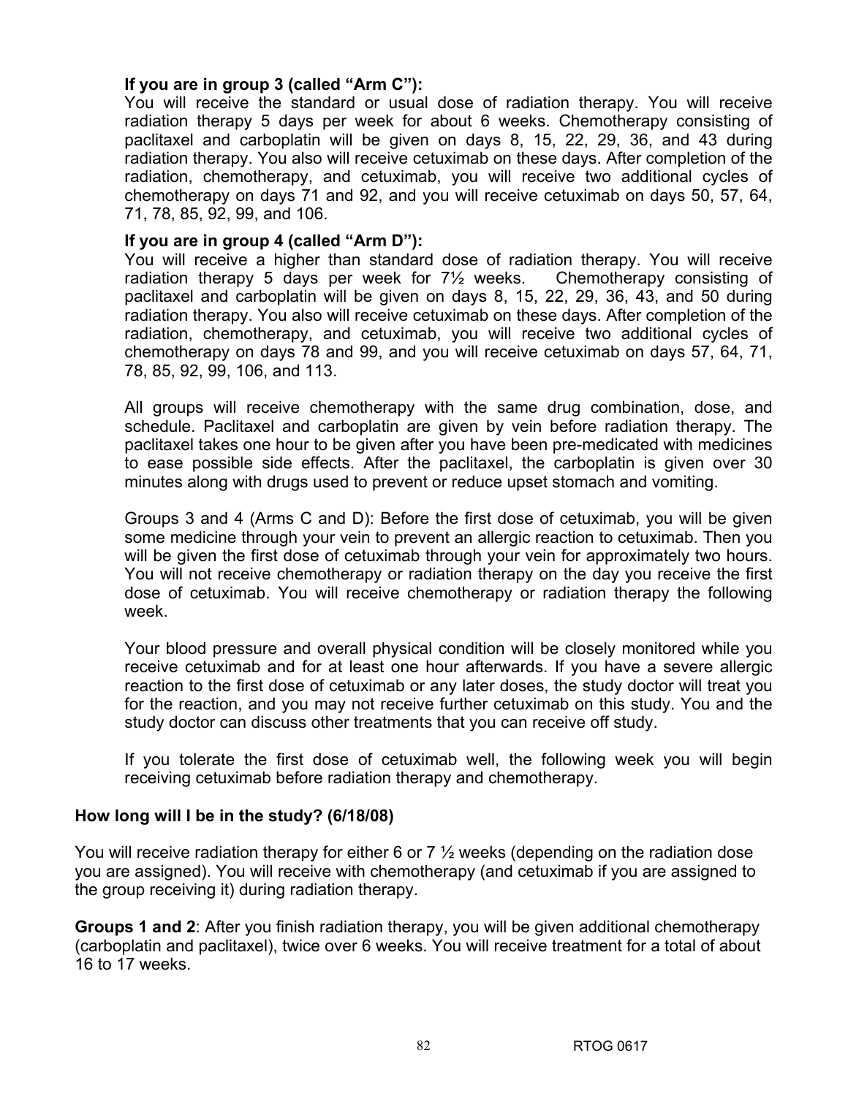### **If you are in group 3 (called "Arm C"):**

You will receive the standard or usual dose of radiation therapy. You will receive radiation therapy 5 days per week for about 6 weeks. Chemotherapy consisting of paclitaxel and carboplatin will be given on days 8, 15, 22, 29, 36, and 43 during radiation therapy. You also will receive cetuximab on these days. After completion of the radiation, chemotherapy, and cetuximab, you will receive two additional cycles of chemotherapy on days 71 and 92, and you will receive cetuximab on days 50, 57, 64, 71, 78, 85, 92, 99, and 106.

### **If you are in group 4 (called "Arm D"):**

You will receive a higher than standard dose of radiation therapy. You will receive radiation therapy 5 days per week for  $7\frac{1}{2}$  weeks. Chemotherapy consisting of paclitaxel and carboplatin will be given on days 8, 15, 22, 29, 36, 43, and 50 during radiation therapy. You also will receive cetuximab on these days. After completion of the radiation, chemotherapy, and cetuximab, you will receive two additional cycles of chemotherapy on days 78 and 99, and you will receive cetuximab on days 57, 64, 71, 78, 85, 92, 99, 106, and 113.

All groups will receive chemotherapy with the same drug combination, dose, and schedule. Paclitaxel and carboplatin are given by vein before radiation therapy. The paclitaxel takes one hour to be given after you have been pre-medicated with medicines to ease possible side effects. After the paclitaxel, the carboplatin is given over 30 minutes along with drugs used to prevent or reduce upset stomach and vomiting.

Groups 3 and 4 (Arms C and D): Before the first dose of cetuximab, you will be given some medicine through your vein to prevent an allergic reaction to cetuximab. Then you will be given the first dose of cetuximab through your vein for approximately two hours. You will not receive chemotherapy or radiation therapy on the day you receive the first dose of cetuximab. You will receive chemotherapy or radiation therapy the following week.

Your blood pressure and overall physical condition will be closely monitored while you receive cetuximab and for at least one hour afterwards. If you have a severe allergic reaction to the first dose of cetuximab or any later doses, the study doctor will treat you for the reaction, and you may not receive further cetuximab on this study. You and the study doctor can discuss other treatments that you can receive off study.

If you tolerate the first dose of cetuximab well, the following week you will begin receiving cetuximab before radiation therapy and chemotherapy.

## **How long will I be in the study? (6/18/08)**

You will receive radiation therapy for either 6 or 7  $\frac{1}{2}$  weeks (depending on the radiation dose you are assigned). You will receive with chemotherapy (and cetuximab if you are assigned to the group receiving it) during radiation therapy.

**Groups 1 and 2**: After you finish radiation therapy, you will be given additional chemotherapy (carboplatin and paclitaxel), twice over 6 weeks. You will receive treatment for a total of about 16 to 17 weeks.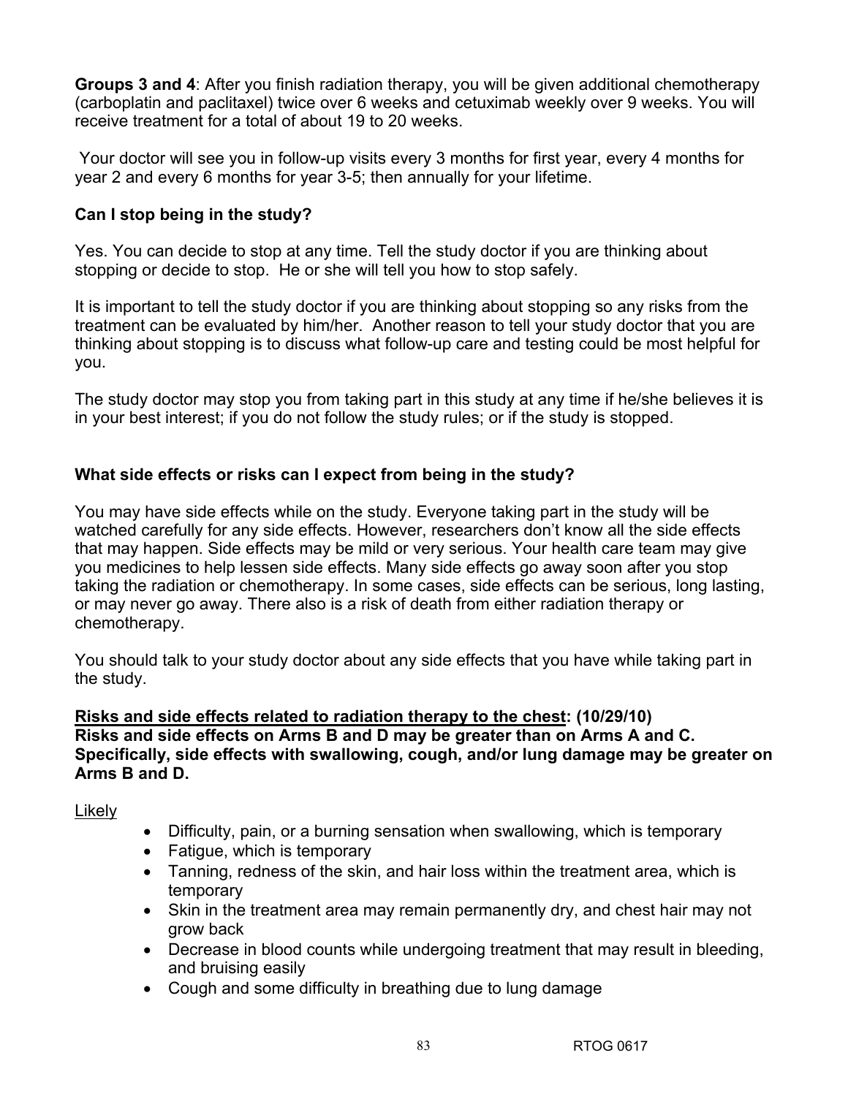**Groups 3 and 4**: After you finish radiation therapy, you will be given additional chemotherapy (carboplatin and paclitaxel) twice over 6 weeks and cetuximab weekly over 9 weeks. You will receive treatment for a total of about 19 to 20 weeks.

 Your doctor will see you in follow-up visits every 3 months for first year, every 4 months for year 2 and every 6 months for year 3-5; then annually for your lifetime.

# **Can I stop being in the study?**

Yes. You can decide to stop at any time. Tell the study doctor if you are thinking about stopping or decide to stop. He or she will tell you how to stop safely.

It is important to tell the study doctor if you are thinking about stopping so any risks from the treatment can be evaluated by him/her. Another reason to tell your study doctor that you are thinking about stopping is to discuss what follow-up care and testing could be most helpful for you.

The study doctor may stop you from taking part in this study at any time if he/she believes it is in your best interest; if you do not follow the study rules; or if the study is stopped.

# **What side effects or risks can I expect from being in the study?**

You may have side effects while on the study. Everyone taking part in the study will be watched carefully for any side effects. However, researchers don't know all the side effects that may happen. Side effects may be mild or very serious. Your health care team may give you medicines to help lessen side effects. Many side effects go away soon after you stop taking the radiation or chemotherapy. In some cases, side effects can be serious, long lasting, or may never go away. There also is a risk of death from either radiation therapy or chemotherapy.

You should talk to your study doctor about any side effects that you have while taking part in the study.

## **Risks and side effects related to radiation therapy to the chest: (10/29/10) Risks and side effects on Arms B and D may be greater than on Arms A and C. Specifically, side effects with swallowing, cough, and/or lung damage may be greater on Arms B and D.**

Likely

- Difficulty, pain, or a burning sensation when swallowing, which is temporary
- Fatigue, which is temporary
- Tanning, redness of the skin, and hair loss within the treatment area, which is temporary
- Skin in the treatment area may remain permanently dry, and chest hair may not grow back
- Decrease in blood counts while undergoing treatment that may result in bleeding, and bruising easily
- Cough and some difficulty in breathing due to lung damage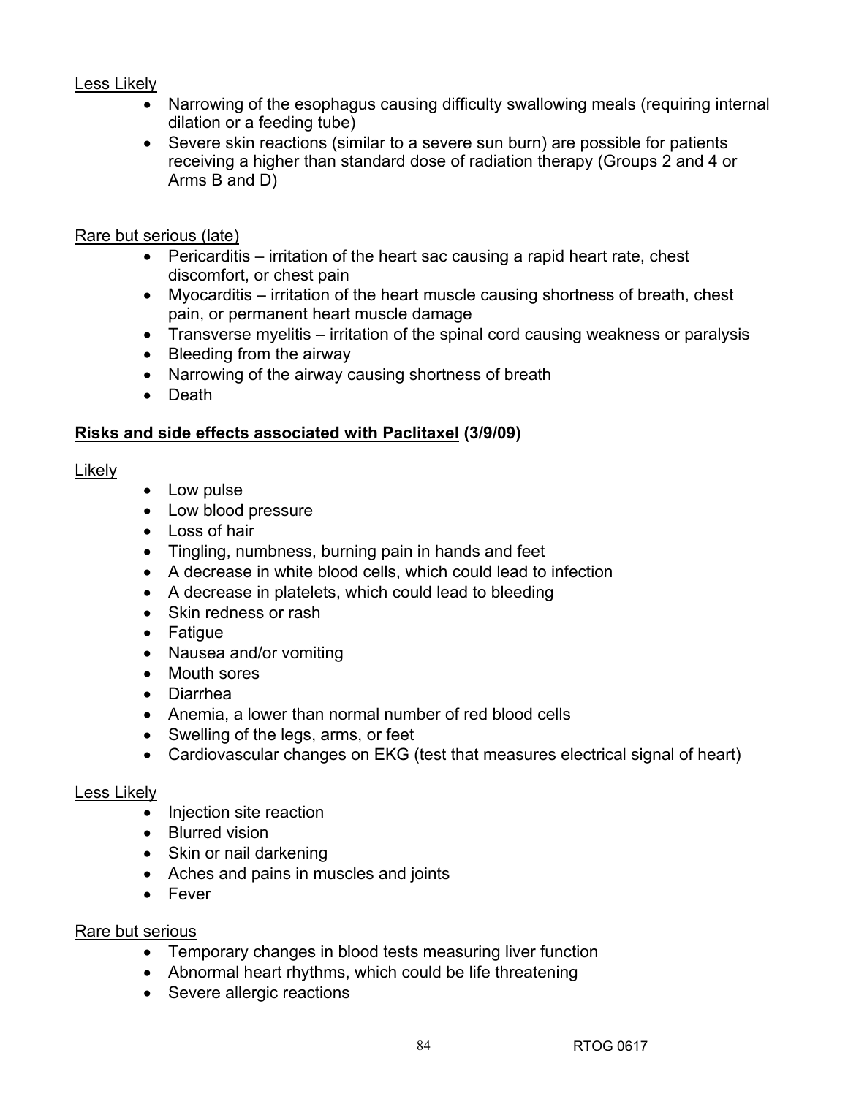## Less Likely

- Narrowing of the esophagus causing difficulty swallowing meals (requiring internal dilation or a feeding tube)
- Severe skin reactions (similar to a severe sun burn) are possible for patients receiving a higher than standard dose of radiation therapy (Groups 2 and 4 or Arms B and D)

## Rare but serious (late)

- Pericarditis irritation of the heart sac causing a rapid heart rate, chest discomfort, or chest pain
- Myocarditis irritation of the heart muscle causing shortness of breath, chest pain, or permanent heart muscle damage
- Transverse myelitis irritation of the spinal cord causing weakness or paralysis
- Bleeding from the airway
- Narrowing of the airway causing shortness of breath
- Death

## **Risks and side effects associated with Paclitaxel (3/9/09)**

## Likely

- Low pulse
- Low blood pressure
- Loss of hair
- Tingling, numbness, burning pain in hands and feet
- A decrease in white blood cells, which could lead to infection
- A decrease in platelets, which could lead to bleeding
- Skin redness or rash
- Fatigue
- Nausea and/or vomiting
- Mouth sores
- Diarrhea
- Anemia, a lower than normal number of red blood cells
- Swelling of the legs, arms, or feet
- Cardiovascular changes on EKG (test that measures electrical signal of heart)

## Less Likely

- Injection site reaction
- Blurred vision
- Skin or nail darkening
- Aches and pains in muscles and joints
- Fever

## Rare but serious

- Temporary changes in blood tests measuring liver function
- Abnormal heart rhythms, which could be life threatening
- Severe allergic reactions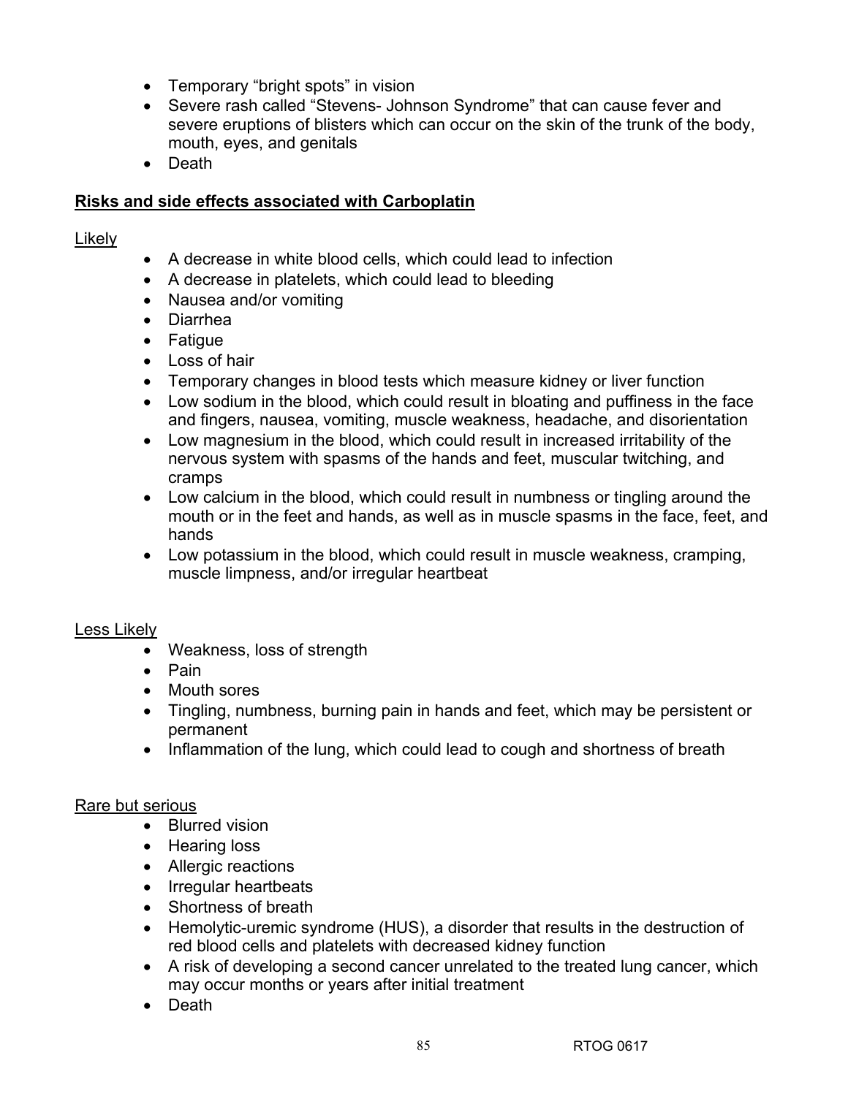- Temporary "bright spots" in vision
- Severe rash called "Stevens- Johnson Syndrome" that can cause fever and severe eruptions of blisters which can occur on the skin of the trunk of the body, mouth, eyes, and genitals
- Death

# **Risks and side effects associated with Carboplatin**

# Likely

- A decrease in white blood cells, which could lead to infection
- A decrease in platelets, which could lead to bleeding
- Nausea and/or vomiting
- Diarrhea
- Fatigue
- Loss of hair
- Temporary changes in blood tests which measure kidney or liver function
- Low sodium in the blood, which could result in bloating and puffiness in the face and fingers, nausea, vomiting, muscle weakness, headache, and disorientation
- Low magnesium in the blood, which could result in increased irritability of the nervous system with spasms of the hands and feet, muscular twitching, and cramps
- Low calcium in the blood, which could result in numbness or tingling around the mouth or in the feet and hands, as well as in muscle spasms in the face, feet, and hands
- Low potassium in the blood, which could result in muscle weakness, cramping, muscle limpness, and/or irregular heartbeat

# Less Likely

- Weakness, loss of strength
- Pain
- Mouth sores
- Tingling, numbness, burning pain in hands and feet, which may be persistent or permanent
- Inflammation of the lung, which could lead to cough and shortness of breath

# Rare but serious

- Blurred vision
- Hearing loss
- Allergic reactions
- Irregular heartbeats
- Shortness of breath
- Hemolytic-uremic syndrome (HUS), a disorder that results in the destruction of red blood cells and platelets with decreased kidney function
- A risk of developing a second cancer unrelated to the treated lung cancer, which may occur months or years after initial treatment
- Death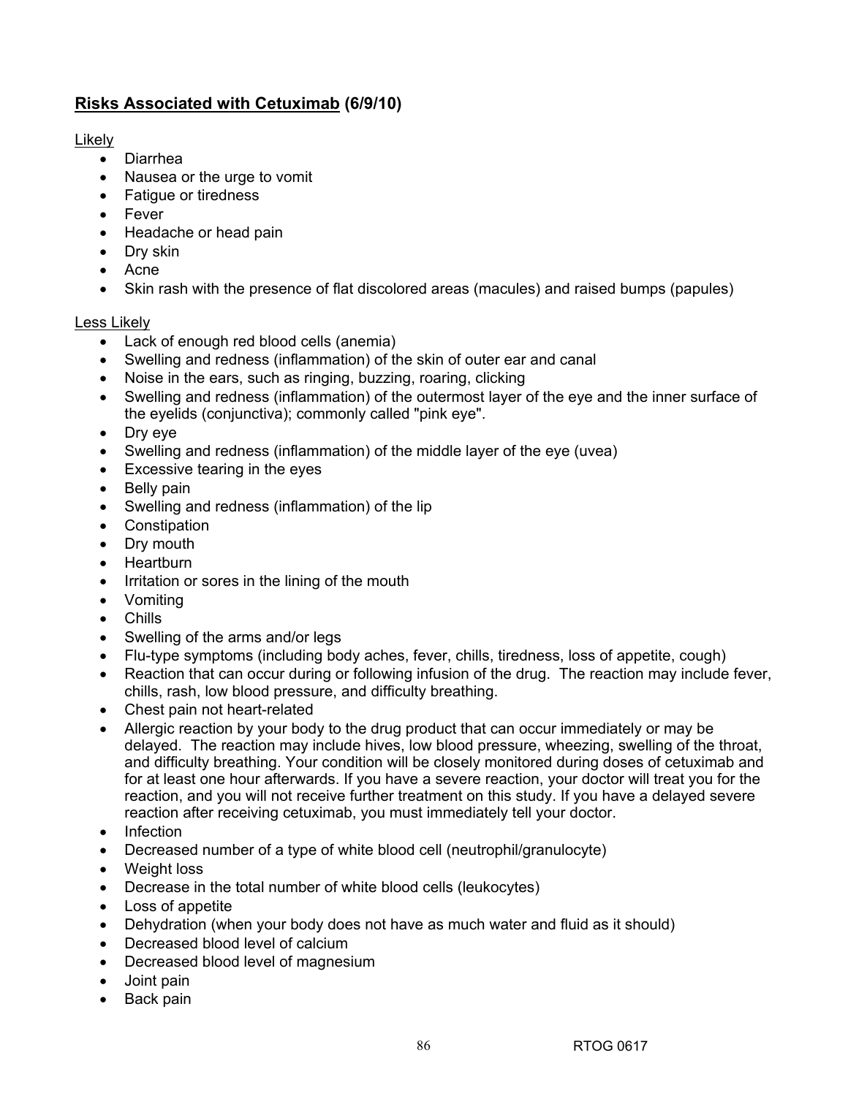# **Risks Associated with Cetuximab (6/9/10)**

Likely

- Diarrhea
- Nausea or the urge to vomit
- Fatigue or tiredness
- Fever
- Headache or head pain
- Dry skin
- Acne
- Skin rash with the presence of flat discolored areas (macules) and raised bumps (papules)

### Less Likely

- Lack of enough red blood cells (anemia)
- Swelling and redness (inflammation) of the skin of outer ear and canal
- Noise in the ears, such as ringing, buzzing, roaring, clicking
- Swelling and redness (inflammation) of the outermost layer of the eye and the inner surface of the eyelids (conjunctiva); commonly called "pink eye".
- Dry eye
- Swelling and redness (inflammation) of the middle layer of the eye (uvea)
- Excessive tearing in the eyes
- Belly pain
- Swelling and redness (inflammation) of the lip
- **Constipation**
- Dry mouth
- Heartburn
- Irritation or sores in the lining of the mouth
- Vomiting
- Chills
- Swelling of the arms and/or legs
- Flu-type symptoms (including body aches, fever, chills, tiredness, loss of appetite, cough)
- Reaction that can occur during or following infusion of the drug. The reaction may include fever, chills, rash, low blood pressure, and difficulty breathing.
- Chest pain not heart-related
- Allergic reaction by your body to the drug product that can occur immediately or may be delayed. The reaction may include hives, low blood pressure, wheezing, swelling of the throat, and difficulty breathing. Your condition will be closely monitored during doses of cetuximab and for at least one hour afterwards. If you have a severe reaction, your doctor will treat you for the reaction, and you will not receive further treatment on this study. If you have a delayed severe reaction after receiving cetuximab, you must immediately tell your doctor.
- Infection
- Decreased number of a type of white blood cell (neutrophil/granulocyte)
- Weight loss
- Decrease in the total number of white blood cells (leukocytes)
- Loss of appetite
- Dehydration (when your body does not have as much water and fluid as it should)
- Decreased blood level of calcium
- Decreased blood level of magnesium
- Joint pain
- Back pain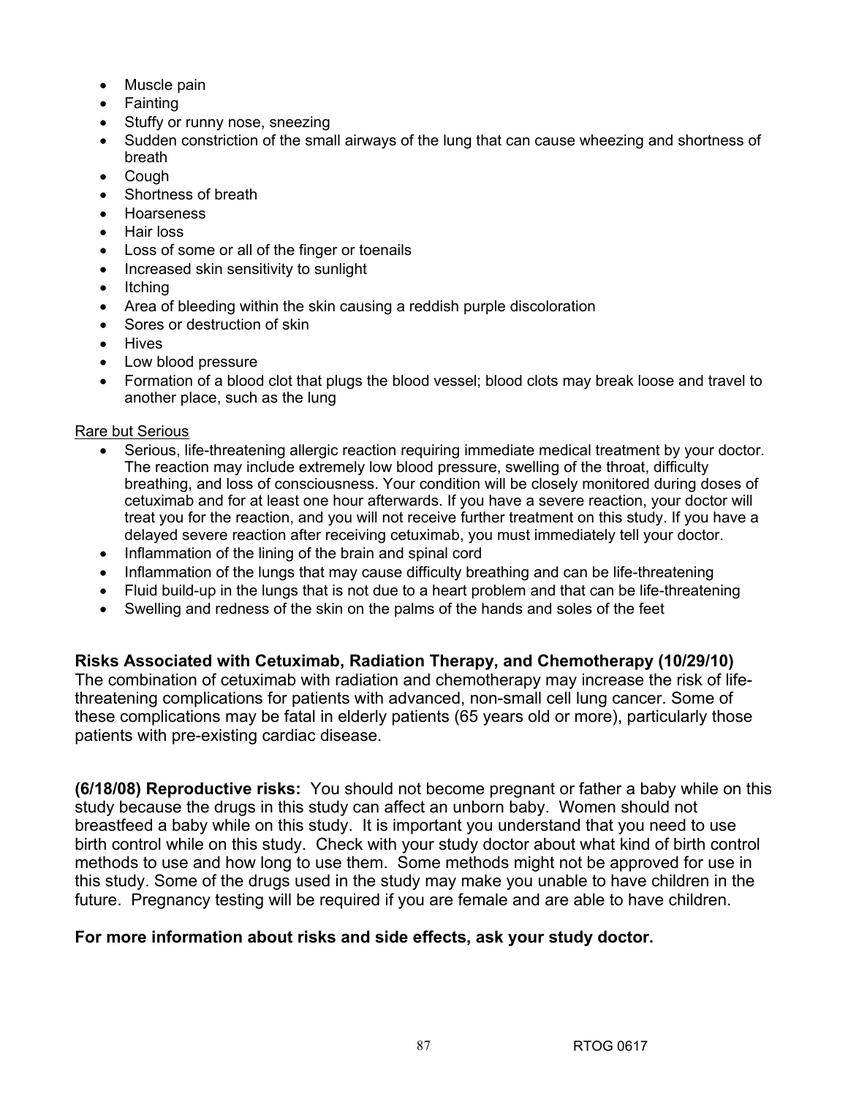- Muscle pain
- Fainting
- Stuffy or runny nose, sneezing
- Sudden constriction of the small airways of the lung that can cause wheezing and shortness of breath
- **Cough**
- Shortness of breath
- Hoarseness
- Hair loss
- Loss of some or all of the finger or toenails
- Increased skin sensitivity to sunlight
- Itching
- Area of bleeding within the skin causing a reddish purple discoloration
- Sores or destruction of skin
- Hives
- Low blood pressure
- Formation of a blood clot that plugs the blood vessel; blood clots may break loose and travel to another place, such as the lung

Rare but Serious

- Serious, life-threatening allergic reaction requiring immediate medical treatment by your doctor. The reaction may include extremely low blood pressure, swelling of the throat, difficulty breathing, and loss of consciousness. Your condition will be closely monitored during doses of cetuximab and for at least one hour afterwards. If you have a severe reaction, your doctor will treat you for the reaction, and you will not receive further treatment on this study. If you have a delayed severe reaction after receiving cetuximab, you must immediately tell your doctor.
- Inflammation of the lining of the brain and spinal cord
- Inflammation of the lungs that may cause difficulty breathing and can be life-threatening
- Fluid build-up in the lungs that is not due to a heart problem and that can be life-threatening
- Swelling and redness of the skin on the palms of the hands and soles of the feet

**Risks Associated with Cetuximab, Radiation Therapy, and Chemotherapy (10/29/10)**  The combination of cetuximab with radiation and chemotherapy may increase the risk of lifethreatening complications for patients with advanced, non-small cell lung cancer. Some of these complications may be fatal in elderly patients (65 years old or more), particularly those patients with pre-existing cardiac disease.

**(6/18/08) Reproductive risks:** You should not become pregnant or father a baby while on this study because the drugs in this study can affect an unborn baby. Women should not breastfeed a baby while on this study. It is important you understand that you need to use birth control while on this study. Check with your study doctor about what kind of birth control methods to use and how long to use them. Some methods might not be approved for use in this study. Some of the drugs used in the study may make you unable to have children in the future. Pregnancy testing will be required if you are female and are able to have children.

## **For more information about risks and side effects, ask your study doctor.**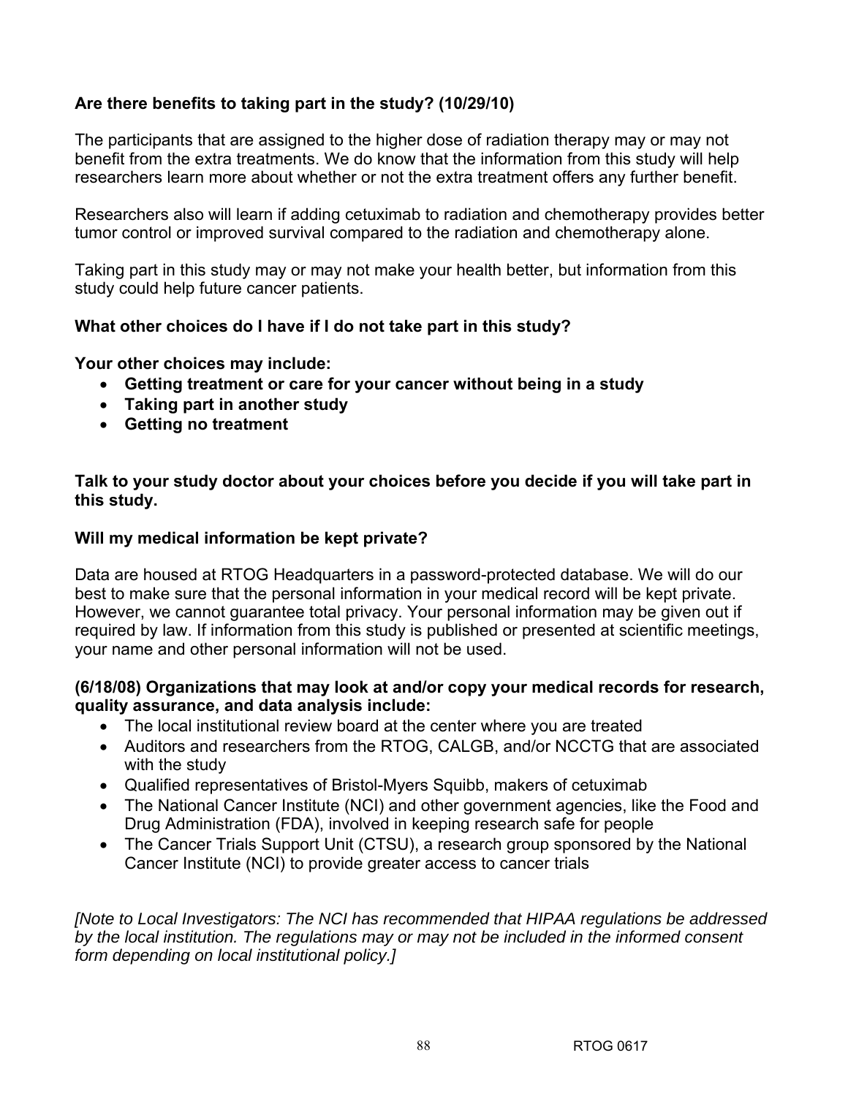# **Are there benefits to taking part in the study? (10/29/10)**

The participants that are assigned to the higher dose of radiation therapy may or may not benefit from the extra treatments. We do know that the information from this study will help researchers learn more about whether or not the extra treatment offers any further benefit.

Researchers also will learn if adding cetuximab to radiation and chemotherapy provides better tumor control or improved survival compared to the radiation and chemotherapy alone.

Taking part in this study may or may not make your health better, but information from this study could help future cancer patients.

## **What other choices do I have if I do not take part in this study?**

**Your other choices may include:** 

- **Getting treatment or care for your cancer without being in a study**
- **Taking part in another study**
- **Getting no treatment**

**Talk to your study doctor about your choices before you decide if you will take part in this study.** 

## **Will my medical information be kept private?**

Data are housed at RTOG Headquarters in a password-protected database. We will do our best to make sure that the personal information in your medical record will be kept private. However, we cannot guarantee total privacy. Your personal information may be given out if required by law. If information from this study is published or presented at scientific meetings, your name and other personal information will not be used.

## **(6/18/08) Organizations that may look at and/or copy your medical records for research, quality assurance, and data analysis include:**

- The local institutional review board at the center where you are treated
- Auditors and researchers from the RTOG, CALGB, and/or NCCTG that are associated with the study
- Qualified representatives of Bristol-Myers Squibb, makers of cetuximab
- The National Cancer Institute (NCI) and other government agencies, like the Food and Drug Administration (FDA), involved in keeping research safe for people
- The Cancer Trials Support Unit (CTSU), a research group sponsored by the National Cancer Institute (NCI) to provide greater access to cancer trials

*[Note to Local Investigators: The NCI has recommended that HIPAA regulations be addressed by the local institution. The regulations may or may not be included in the informed consent form depending on local institutional policy.]*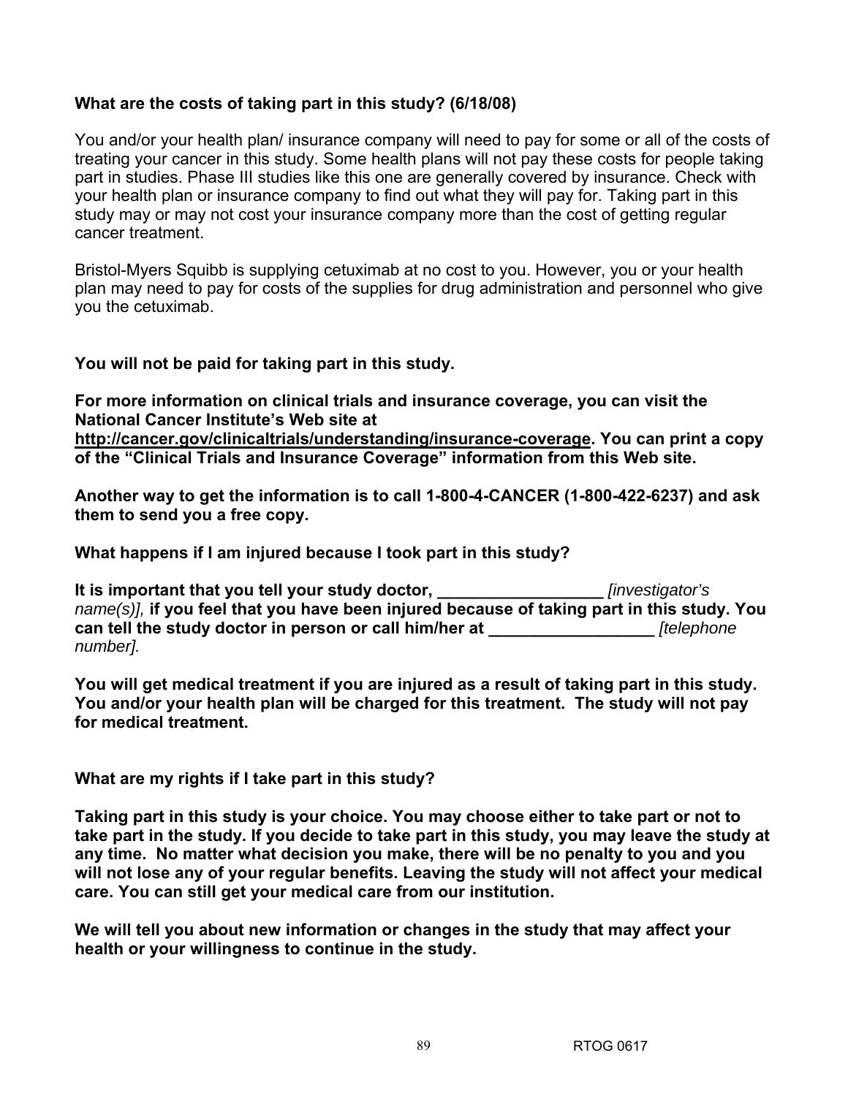## **What are the costs of taking part in this study? (6/18/08)**

You and/or your health plan/ insurance company will need to pay for some or all of the costs of treating your cancer in this study. Some health plans will not pay these costs for people taking part in studies. Phase III studies like this one are generally covered by insurance. Check with your health plan or insurance company to find out what they will pay for. Taking part in this study may or may not cost your insurance company more than the cost of getting regular cancer treatment.

Bristol-Myers Squibb is supplying cetuximab at no cost to you. However, you or your health plan may need to pay for costs of the supplies for drug administration and personnel who give you the cetuximab.

**You will not be paid for taking part in this study.** 

**For more information on clinical trials and insurance coverage, you can visit the National Cancer Institute's Web site at [http://cancer.gov/clinicaltrials/understanding/insurance-coverage.](http://cancer.gov/clinicaltrials/understanding/insurance-coverage) You can print a copy of the "Clinical Trials and Insurance Coverage" information from this Web site.** 

**Another way to get the information is to call 1-800-4-CANCER (1-800-422-6237) and ask them to send you a free copy.**

**What happens if I am injured because I took part in this study?** 

**It is important that you tell your study doctor, \_\_\_\_\_\_\_\_\_\_\_\_\_\_\_\_\_\_** *[investigator's name(s)],* **if you feel that you have been injured because of taking part in this study. You can tell the study doctor in person or call him/her at \_\_\_\_\_\_\_\_\_\_\_\_\_\_\_\_\_\_** *[telephone number].*

**You will get medical treatment if you are injured as a result of taking part in this study. You and/or your health plan will be charged for this treatment. The study will not pay for medical treatment.** 

**What are my rights if I take part in this study?** 

**Taking part in this study is your choice. You may choose either to take part or not to take part in the study. If you decide to take part in this study, you may leave the study at any time. No matter what decision you make, there will be no penalty to you and you will not lose any of your regular benefits. Leaving the study will not affect your medical care. You can still get your medical care from our institution.** 

**We will tell you about new information or changes in the study that may affect your health or your willingness to continue in the study.**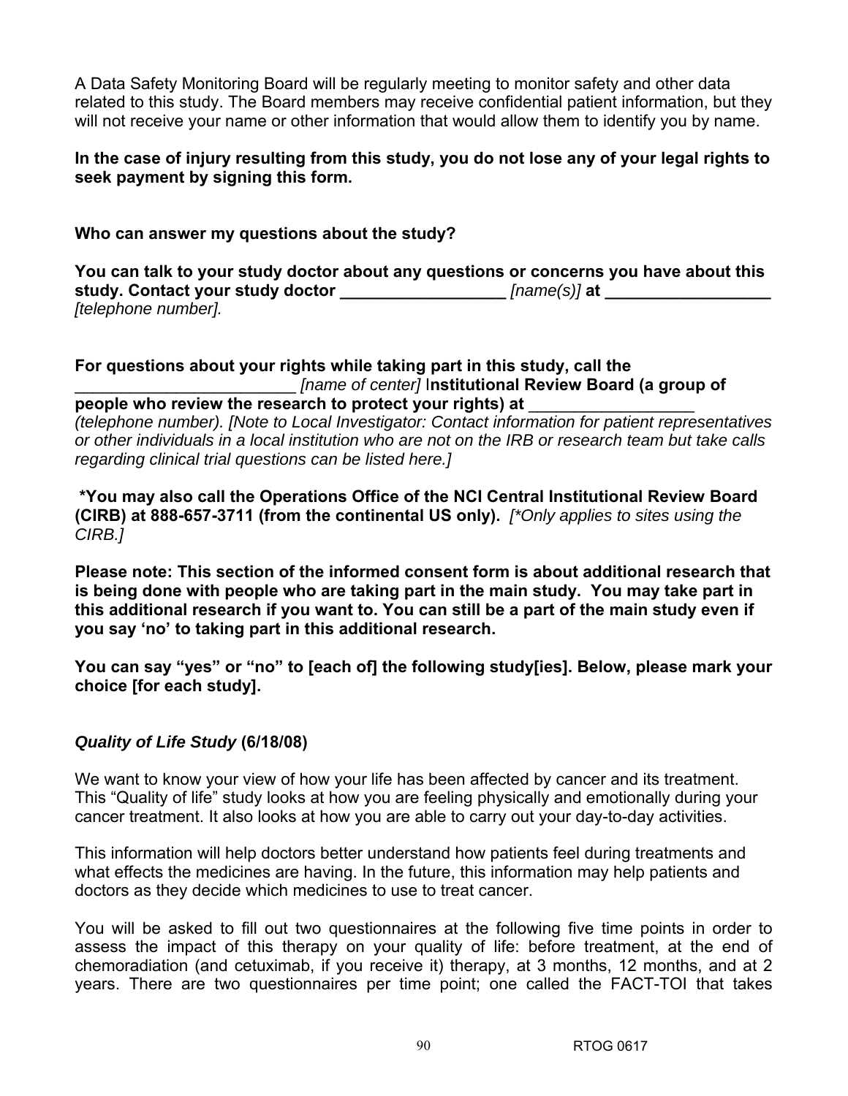A Data Safety Monitoring Board will be regularly meeting to monitor safety and other data related to this study. The Board members may receive confidential patient information, but they will not receive your name or other information that would allow them to identify you by name.

## **In the case of injury resulting from this study, you do not lose any of your legal rights to seek payment by signing this form.**

**Who can answer my questions about the study?** 

**You can talk to your study doctor about any questions or concerns you have about this study. Contact your study doctor** *[name(s)]* **at** *[name(s)] [telephone number].*

**For questions about your rights while taking part in this study, call the**  \_\_\_\_\_\_\_\_\_\_\_\_\_\_\_\_\_\_\_\_\_\_\_\_ *[name of center]* I**nstitutional Review Board (a group of people who review the research to protect your rights) at** \_\_\_\_\_\_\_\_\_\_\_\_\_\_\_\_\_\_

*(telephone number). [Note to Local Investigator: Contact information for patient representatives or other individuals in a local institution who are not on the IRB or research team but take calls regarding clinical trial questions can be listed here.]* 

**\*You may also call the Operations Office of the NCI Central Institutional Review Board (CIRB) at 888-657-3711 (from the continental US only).** *[\*Only applies to sites using the CIRB.]* 

**Please note: This section of the informed consent form is about additional research that is being done with people who are taking part in the main study. You may take part in this additional research if you want to. You can still be a part of the main study even if you say 'no' to taking part in this additional research.** 

**You can say "yes" or "no" to [each of] the following study[ies]. Below, please mark your choice [for each study].** 

## *Quality of Life Study* **(6/18/08)**

We want to know your view of how your life has been affected by cancer and its treatment. This "Quality of life" study looks at how you are feeling physically and emotionally during your cancer treatment. It also looks at how you are able to carry out your day-to-day activities.

This information will help doctors better understand how patients feel during treatments and what effects the medicines are having. In the future, this information may help patients and doctors as they decide which medicines to use to treat cancer.

You will be asked to fill out two questionnaires at the following five time points in order to assess the impact of this therapy on your quality of life: before treatment, at the end of chemoradiation (and cetuximab, if you receive it) therapy, at 3 months, 12 months, and at 2 years. There are two questionnaires per time point; one called the FACT-TOI that takes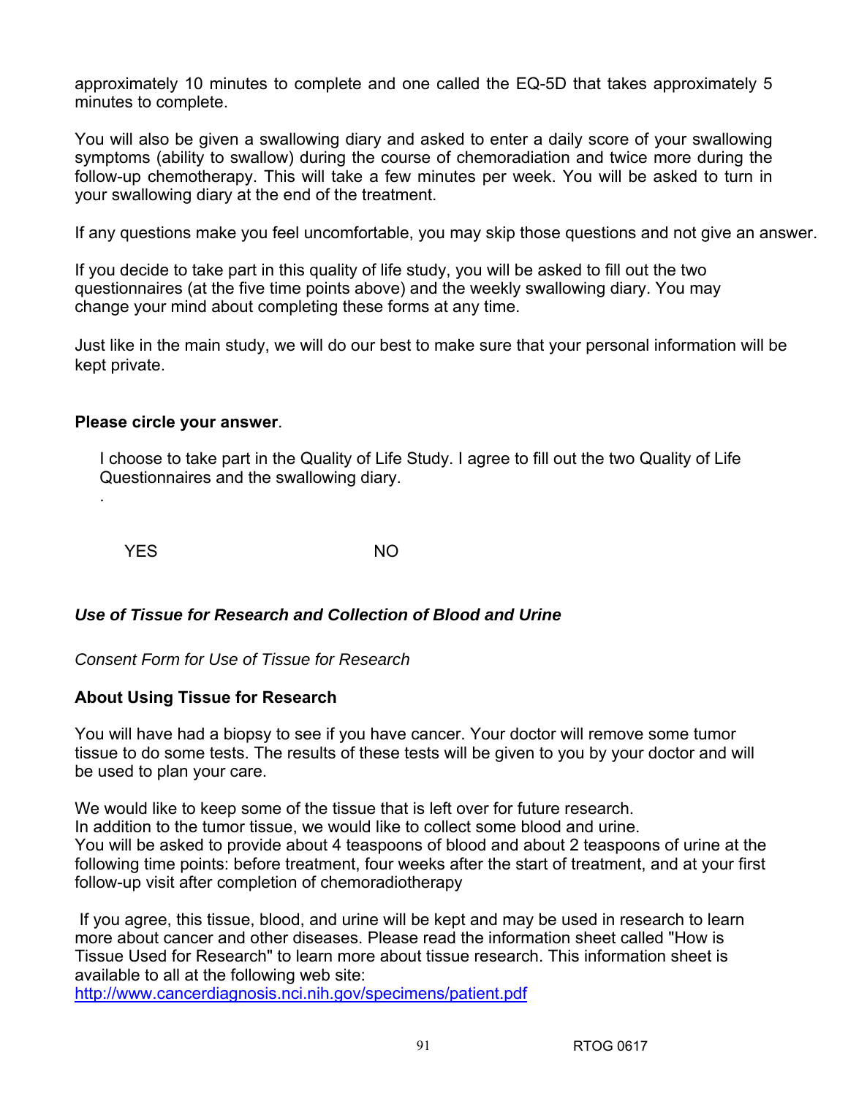approximately 10 minutes to complete and one called the EQ-5D that takes approximately 5 minutes to complete.

You will also be given a swallowing diary and asked to enter a daily score of your swallowing symptoms (ability to swallow) during the course of chemoradiation and twice more during the follow-up chemotherapy. This will take a few minutes per week. You will be asked to turn in your swallowing diary at the end of the treatment.

If any questions make you feel uncomfortable, you may skip those questions and not give an answer.

If you decide to take part in this quality of life study, you will be asked to fill out the two questionnaires (at the five time points above) and the weekly swallowing diary. You may change your mind about completing these forms at any time.

Just like in the main study, we will do our best to make sure that your personal information will be kept private.

### **Please circle your answer**.

I choose to take part in the Quality of Life Study. I agree to fill out the two Quality of Life Questionnaires and the swallowing diary.

**YES** NO

.

# *Use of Tissue for Research and Collection of Blood and Urine*

*Consent Form for Use of Tissue for Research* 

## **About Using Tissue for Research**

You will have had a biopsy to see if you have cancer. Your doctor will remove some tumor tissue to do some tests. The results of these tests will be given to you by your doctor and will be used to plan your care.

We would like to keep some of the tissue that is left over for future research. In addition to the tumor tissue, we would like to collect some blood and urine. You will be asked to provide about 4 teaspoons of blood and about 2 teaspoons of urine at the following time points: before treatment, four weeks after the start of treatment, and at your first follow-up visit after completion of chemoradiotherapy

 If you agree, this tissue, blood, and urine will be kept and may be used in research to learn more about cancer and other diseases. Please read the information sheet called "How is Tissue Used for Research" to learn more about tissue research. This information sheet is available to all at the following web site:

<http://www.cancerdiagnosis.nci.nih.gov/specimens/patient.pdf>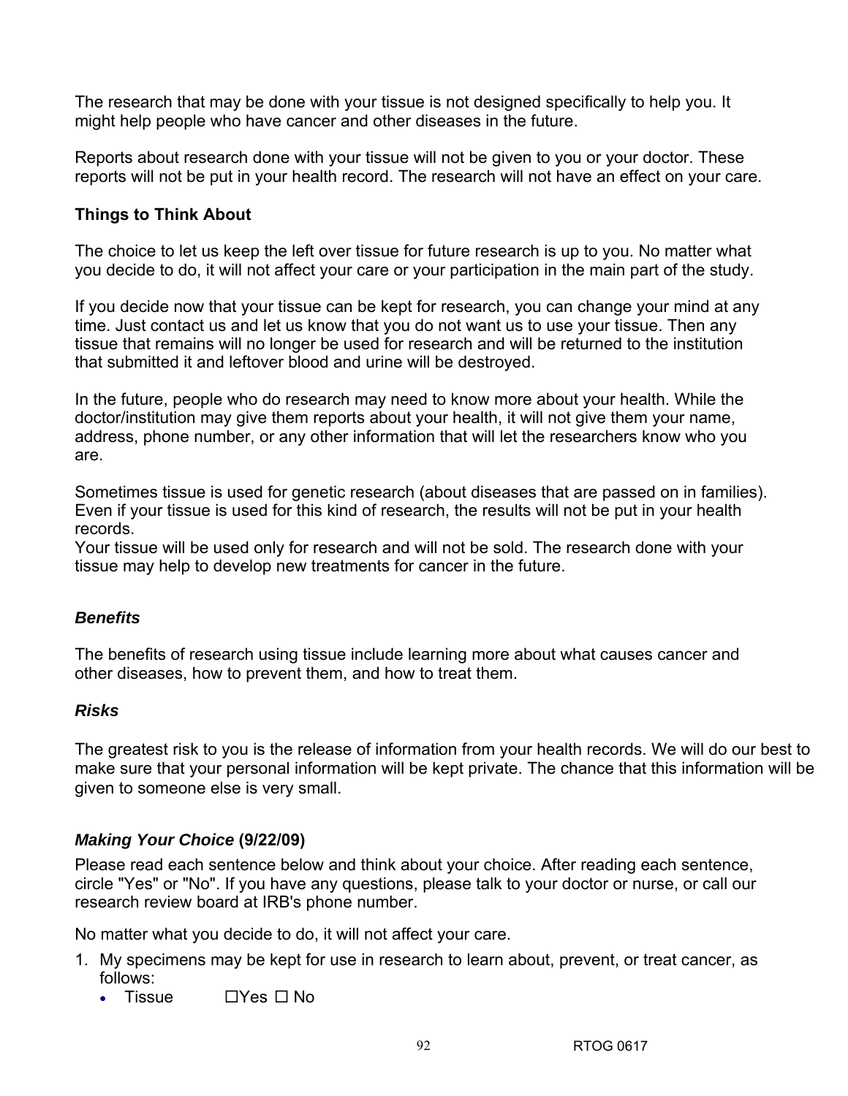The research that may be done with your tissue is not designed specifically to help you. It might help people who have cancer and other diseases in the future.

Reports about research done with your tissue will not be given to you or your doctor. These reports will not be put in your health record. The research will not have an effect on your care.

# **Things to Think About**

The choice to let us keep the left over tissue for future research is up to you. No matter what you decide to do, it will not affect your care or your participation in the main part of the study.

If you decide now that your tissue can be kept for research, you can change your mind at any time. Just contact us and let us know that you do not want us to use your tissue. Then any tissue that remains will no longer be used for research and will be returned to the institution that submitted it and leftover blood and urine will be destroyed.

In the future, people who do research may need to know more about your health. While the doctor/institution may give them reports about your health, it will not give them your name, address, phone number, or any other information that will let the researchers know who you are.

Sometimes tissue is used for genetic research (about diseases that are passed on in families). Even if your tissue is used for this kind of research, the results will not be put in your health records.

Your tissue will be used only for research and will not be sold. The research done with your tissue may help to develop new treatments for cancer in the future.

# *Benefits*

The benefits of research using tissue include learning more about what causes cancer and other diseases, how to prevent them, and how to treat them.

# *Risks*

The greatest risk to you is the release of information from your health records. We will do our best to make sure that your personal information will be kept private. The chance that this information will be given to someone else is very small.

# *Making Your Choice* **(9/22/09)**

Please read each sentence below and think about your choice. After reading each sentence, circle "Yes" or "No". If you have any questions, please talk to your doctor or nurse, or call our research review board at IRB's phone number.

No matter what you decide to do, it will not affect your care.

- 1. My specimens may be kept for use in research to learn about, prevent, or treat cancer, as follows:
	- $T$ issue  $\Box$  Yes  $\Box$  No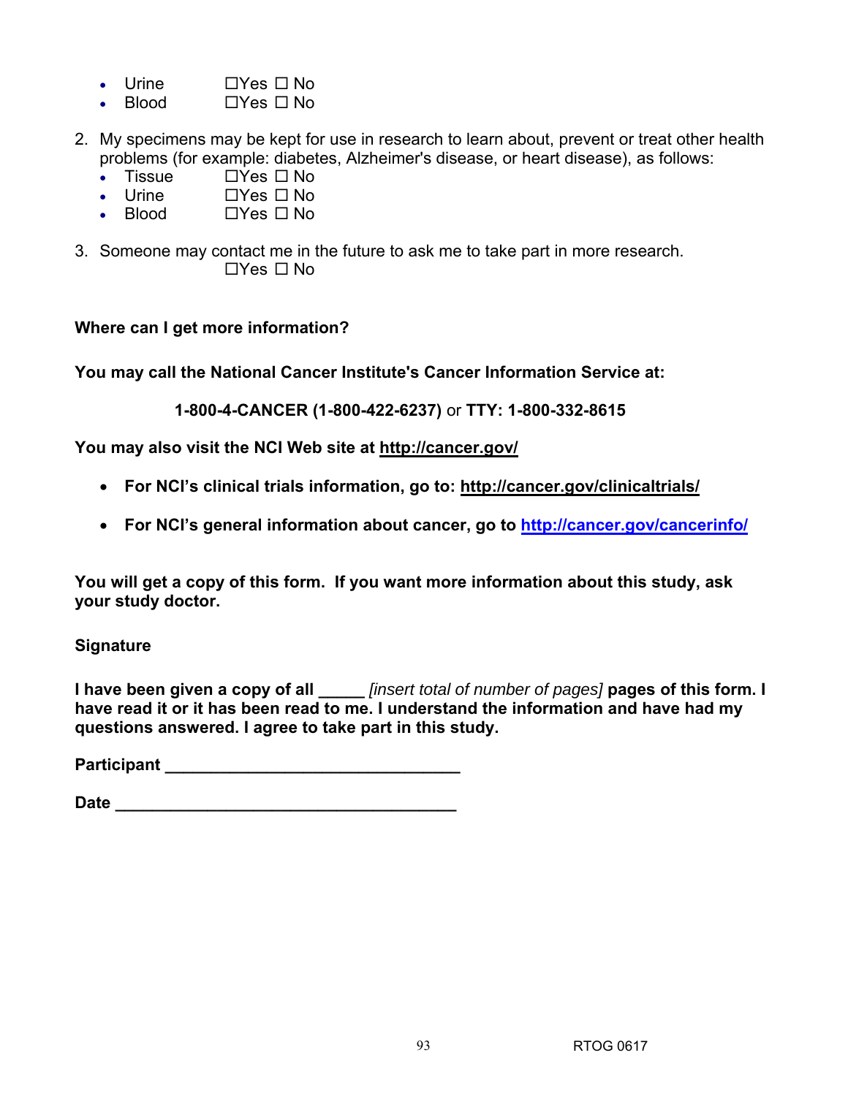- Urine Yes No
- $\Box$  Yes  $\Box$  No
- 2. My specimens may be kept for use in research to learn about, prevent or treat other health problems (for example: diabetes, Alzheimer's disease, or heart disease), as follows:
	- Tissue  $\Box$  Yes  $\Box$  No
	- Urine  $\Box$  Yes  $\Box$  No
	- Blood  $\Box$  Yes  $\Box$  No
- 3. Someone may contact me in the future to ask me to take part in more research.  $\Box$ Yes  $\Box$  No

**Where can I get more information?** 

**You may call the National Cancer Institute's Cancer Information Service at:** 

**1-800-4-CANCER (1-800-422-6237)** or **TTY: 1-800-332-8615**

**You may also visit the NCI Web site at [http://cancer.gov/](http://cancer.gov)**

- **For NCI's clinical trials information, go to: [http://cancer.gov/clinicaltrials/](http://cancer.gov/clinicaltrials)**
- **For NCI's general information about cancer, go to [http://cancer.gov/cancerinfo/](http://cancer.gov/cancerinfo)**

**You will get a copy of this form. If you want more information about this study, ask your study doctor.**

**Signature** 

**I have been given a copy of all \_\_\_\_\_** *[insert total of number of pages]* **pages of this form. I have read it or it has been read to me. I understand the information and have had my questions answered. I agree to take part in this study.** 

**Participant \_\_\_\_\_\_\_\_\_\_\_\_\_\_\_\_\_\_\_\_\_\_\_\_\_\_\_\_\_\_\_\_** 

**Date \_\_\_\_\_\_\_\_\_\_\_\_\_\_\_\_\_\_\_\_\_\_\_\_\_\_\_\_\_\_\_\_\_\_\_\_\_**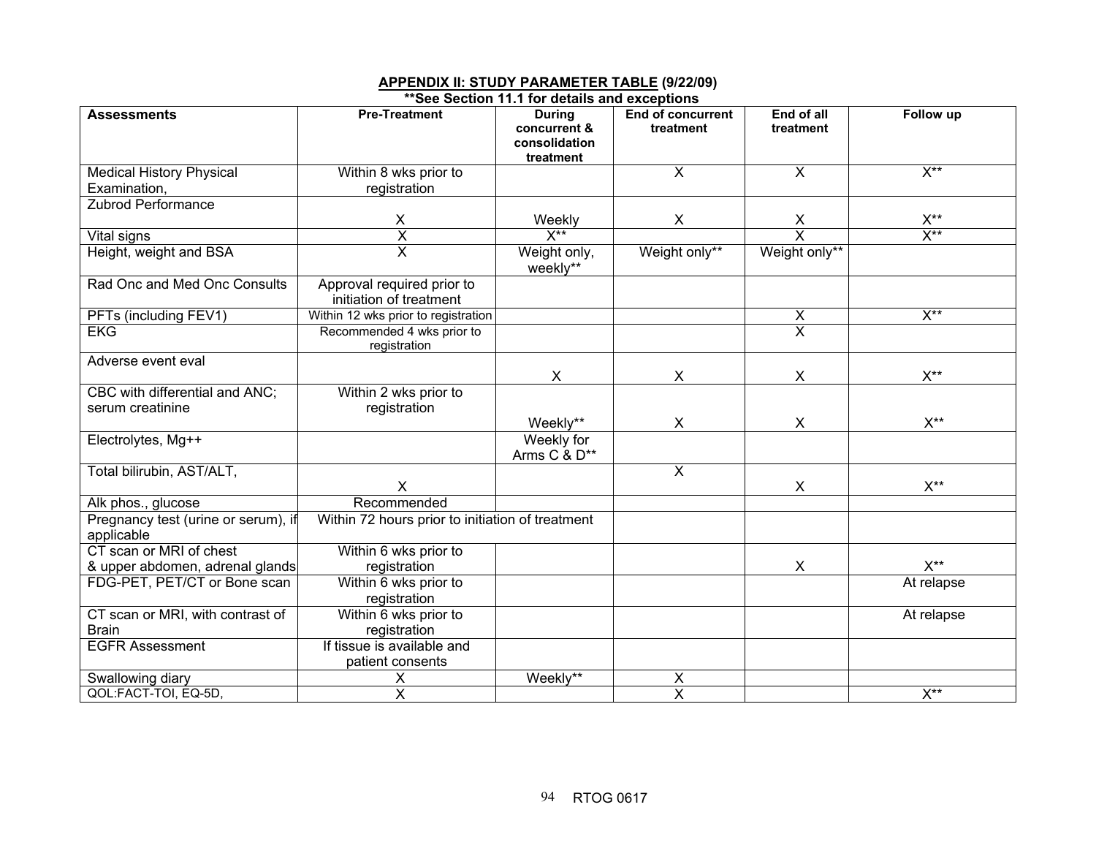### **APPENDIX II: STUDY PARAMETER TABLE (9/22/09)**

| **See Section 11.1 for details and exceptions     |                                                       |                                                             |                                       |                         |                           |
|---------------------------------------------------|-------------------------------------------------------|-------------------------------------------------------------|---------------------------------------|-------------------------|---------------------------|
| <b>Assessments</b>                                | <b>Pre-Treatment</b>                                  | <b>During</b><br>concurrent &<br>consolidation<br>treatment | <b>End of concurrent</b><br>treatment | End of all<br>treatment | Follow up                 |
| <b>Medical History Physical</b>                   | Within 8 wks prior to                                 |                                                             | $\overline{X}$                        | $\overline{X}$          | $X^{**}$                  |
| Examination,                                      | registration                                          |                                                             |                                       |                         |                           |
| <b>Zubrod Performance</b>                         |                                                       |                                                             |                                       |                         |                           |
|                                                   | X.                                                    | Weekly                                                      | X                                     | X                       | $\mathsf{X}^{\ast\ast}$   |
| Vital signs                                       | $\overline{\mathsf{x}}$                               | $X^{\ast\ast}$                                              |                                       | $\overline{\mathsf{x}}$ | $\overline{X^{**}}$       |
| Height, weight and BSA                            | $\overline{\mathsf{x}}$                               | Weight only,<br>weekly**                                    | Weight only**                         | Weight only**           |                           |
| Rad Onc and Med Onc Consults                      | Approval required prior to<br>initiation of treatment |                                                             |                                       |                         |                           |
| PFTs (including FEV1)                             | Within 12 wks prior to registration                   |                                                             |                                       | $\frac{x}{x}$           | $X^{**}$                  |
| <b>EKG</b>                                        | Recommended 4 wks prior to<br>registration            |                                                             |                                       |                         |                           |
| Adverse event eval                                |                                                       | X                                                           | X                                     | $\mathsf{X}$            | $X^{\star\star}$          |
| CBC with differential and ANC;                    | Within 2 wks prior to                                 |                                                             |                                       |                         |                           |
| serum creatinine                                  | registration                                          | Weekly**                                                    | X                                     | X                       | $\mathsf{X}^{\star\star}$ |
| Electrolytes, Mg++                                |                                                       | Weekly for<br>Arms C & D**                                  |                                       |                         |                           |
| Total bilirubin, AST/ALT,                         | X                                                     |                                                             | $\overline{\mathsf{x}}$               | X                       | $\mathsf{X}^{\star\star}$ |
| Alk phos., glucose                                | Recommended                                           |                                                             |                                       |                         |                           |
| Pregnancy test (urine or serum), if<br>applicable | Within 72 hours prior to initiation of treatment      |                                                             |                                       |                         |                           |
| CT scan or MRI of chest                           | Within 6 wks prior to                                 |                                                             |                                       |                         |                           |
| & upper abdomen, adrenal glands                   | registration                                          |                                                             |                                       | X                       | $X^{**}$                  |
| FDG-PET, PET/CT or Bone scan                      | Within 6 wks prior to<br>registration                 |                                                             |                                       |                         | At relapse                |
| CT scan or MRI, with contrast of<br><b>Brain</b>  | Within 6 wks prior to<br>registration                 |                                                             |                                       |                         | At relapse                |
| <b>EGFR Assessment</b>                            | If tissue is available and                            |                                                             |                                       |                         |                           |
|                                                   | patient consents                                      |                                                             |                                       |                         |                           |
| Swallowing diary                                  | Χ                                                     | Weekly**                                                    | X                                     |                         |                           |
| QOL:FACT-TOI, EQ-5D,                              | $\overline{\mathsf{x}}$                               |                                                             | $\overline{\mathsf{X}}$               |                         | $X^{**}$                  |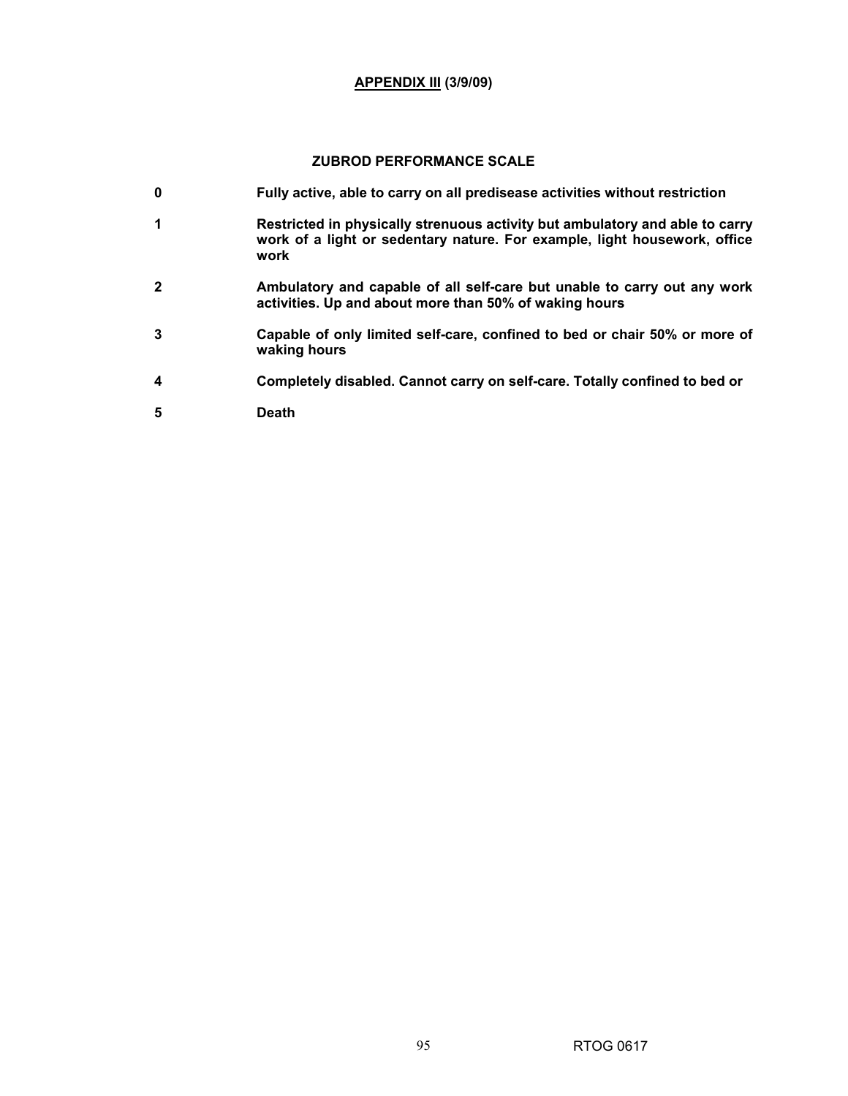### **APPENDIX III (3/9/09)**

### **ZUBROD PERFORMANCE SCALE**

- **0 Fully active, able to carry on all predisease activities without restriction**
- **1 Restricted in physically strenuous activity but ambulatory and able to carry work of a light or sedentary nature. For example, light housework, office work**
- **2 Ambulatory and capable of all self-care but unable to carry out any work activities. Up and about more than 50% of waking hours**
- **3 Capable of only limited self-care, confined to bed or chair 50% or more of waking hours**
- **4 Completely disabled. Cannot carry on self-care. Totally confined to bed or**
- **5 Death**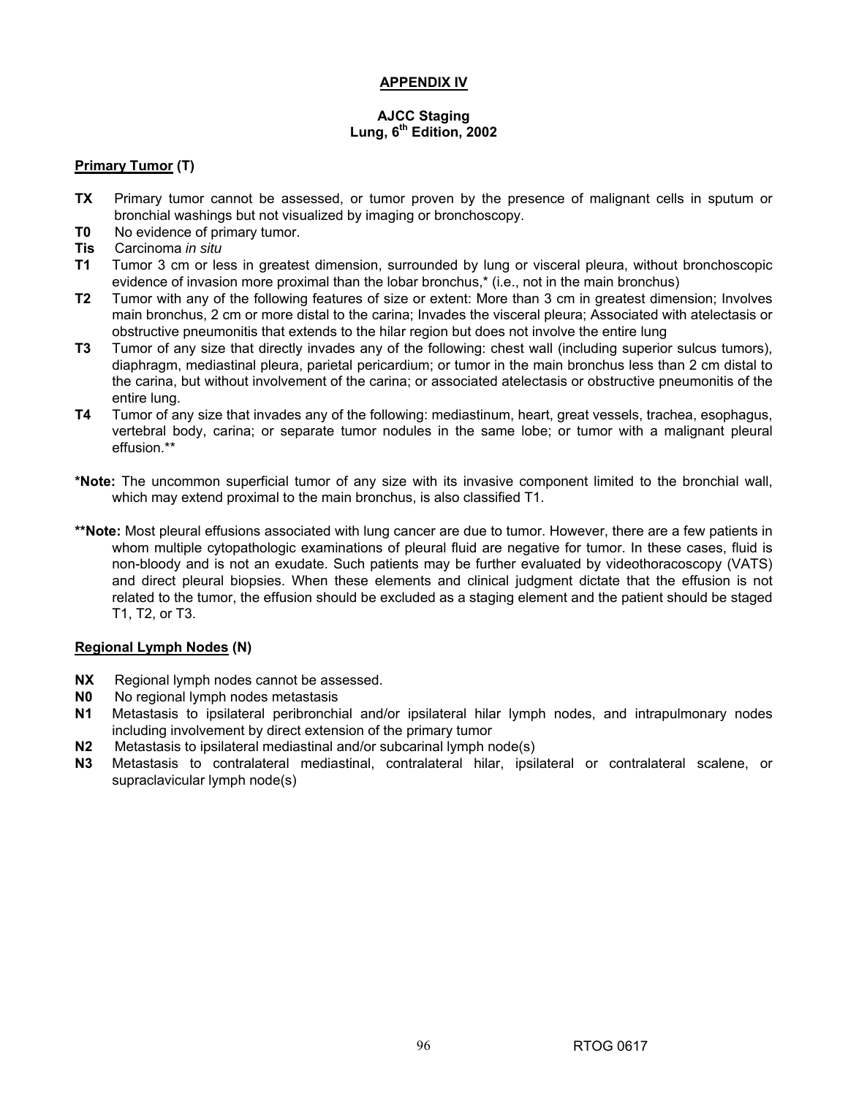### **APPENDIX IV**

### **AJCC Staging Lung, 6th Edition, 2002**

### **Primary Tumor (T)**

- **TX** Primary tumor cannot be assessed, or tumor proven by the presence of malignant cells in sputum or bronchial washings but not visualized by imaging or bronchoscopy.
- **T0** No evidence of primary tumor.
- **Tis** Carcinoma *in situ*
- **T1** Tumor 3 cm or less in greatest dimension, surrounded by lung or visceral pleura, without bronchoscopic evidence of invasion more proximal than the lobar bronchus,<sup>\*</sup> (i.e., not in the main bronchus)
- **T2** Tumor with any of the following features of size or extent: More than 3 cm in greatest dimension; Involves main bronchus, 2 cm or more distal to the carina; Invades the visceral pleura; Associated with atelectasis or obstructive pneumonitis that extends to the hilar region but does not involve the entire lung
- **T3** Tumor of any size that directly invades any of the following: chest wall (including superior sulcus tumors), diaphragm, mediastinal pleura, parietal pericardium; or tumor in the main bronchus less than 2 cm distal to the carina, but without involvement of the carina; or associated atelectasis or obstructive pneumonitis of the entire lung.
- **T4** Tumor of any size that invades any of the following: mediastinum, heart, great vessels, trachea, esophagus, vertebral body, carina; or separate tumor nodules in the same lobe; or tumor with a malignant pleural effusion.\*\*
- **\*Note:** The uncommon superficial tumor of any size with its invasive component limited to the bronchial wall, which may extend proximal to the main bronchus, is also classified T1.
- **\*\*Note:** Most pleural effusions associated with lung cancer are due to tumor. However, there are a few patients in whom multiple cytopathologic examinations of pleural fluid are negative for tumor. In these cases, fluid is non-bloody and is not an exudate. Such patients may be further evaluated by videothoracoscopy (VATS) and direct pleural biopsies. When these elements and clinical judgment dictate that the effusion is not related to the tumor, the effusion should be excluded as a staging element and the patient should be staged T1, T2, or T3.

### **Regional Lymph Nodes (N)**

- **NX** Regional lymph nodes cannot be assessed.
- **N0** No regional lymph nodes metastasis
- **N1** Metastasis to ipsilateral peribronchial and/or ipsilateral hilar lymph nodes, and intrapulmonary nodes including involvement by direct extension of the primary tumor
- **N2** Metastasis to ipsilateral mediastinal and/or subcarinal lymph node(s)
- **N3** Metastasis to contralateral mediastinal, contralateral hilar, ipsilateral or contralateral scalene, or supraclavicular lymph node(s)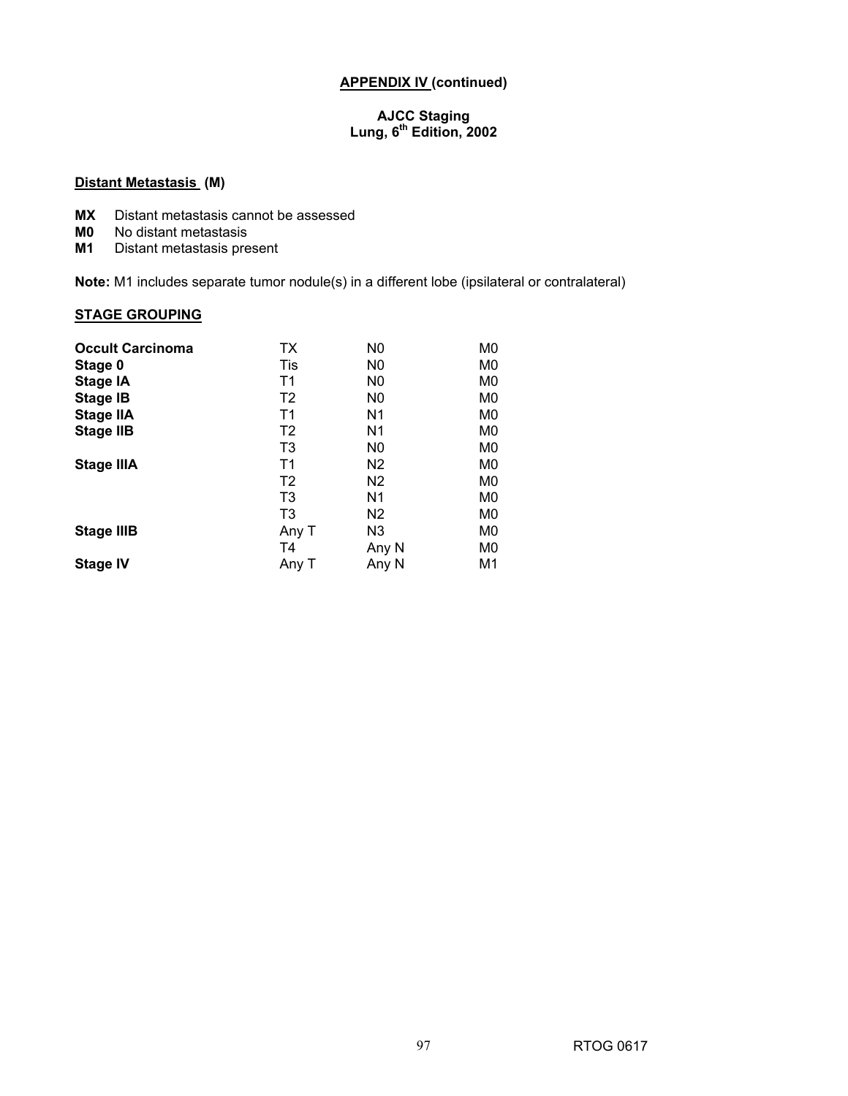### **APPENDIX IV (continued)**

### **AJCC Staging Lung, 6th Edition, 2002**

### **Distant Metastasis (M)**

- **MX** Distant metastasis cannot be assessed
- **M0** No distant metastasis
- **M1** Distant metastasis present

**Note:** M1 includes separate tumor nodule(s) in a different lobe (ipsilateral or contralateral)

### **STAGE GROUPING**

| <b>Occult Carcinoma</b> | ТX             | N <sub>0</sub> | M <sub>0</sub> |
|-------------------------|----------------|----------------|----------------|
| Stage 0                 | Tis            | N0             | M0             |
| <b>Stage IA</b>         | T1             | N0             | M0             |
| <b>Stage IB</b>         | T <sub>2</sub> | N0             | M0             |
| <b>Stage IIA</b>        | T <sub>1</sub> | N1             | M0             |
| <b>Stage IIB</b>        | T2             | N1             | M0             |
|                         | T3             | N <sub>0</sub> | M0             |
| <b>Stage IIIA</b>       | T <sub>1</sub> | N <sub>2</sub> | M0             |
|                         | T <sub>2</sub> | N <sub>2</sub> | M0             |
|                         | T3             | N1             | M0             |
|                         | T <sub>3</sub> | N <sub>2</sub> | M0             |
| <b>Stage IIIB</b>       | Any T          | N3             | M0             |
|                         | T4             | Any N          | M0             |
| <b>Stage IV</b>         | Any T          | Any N          | M1             |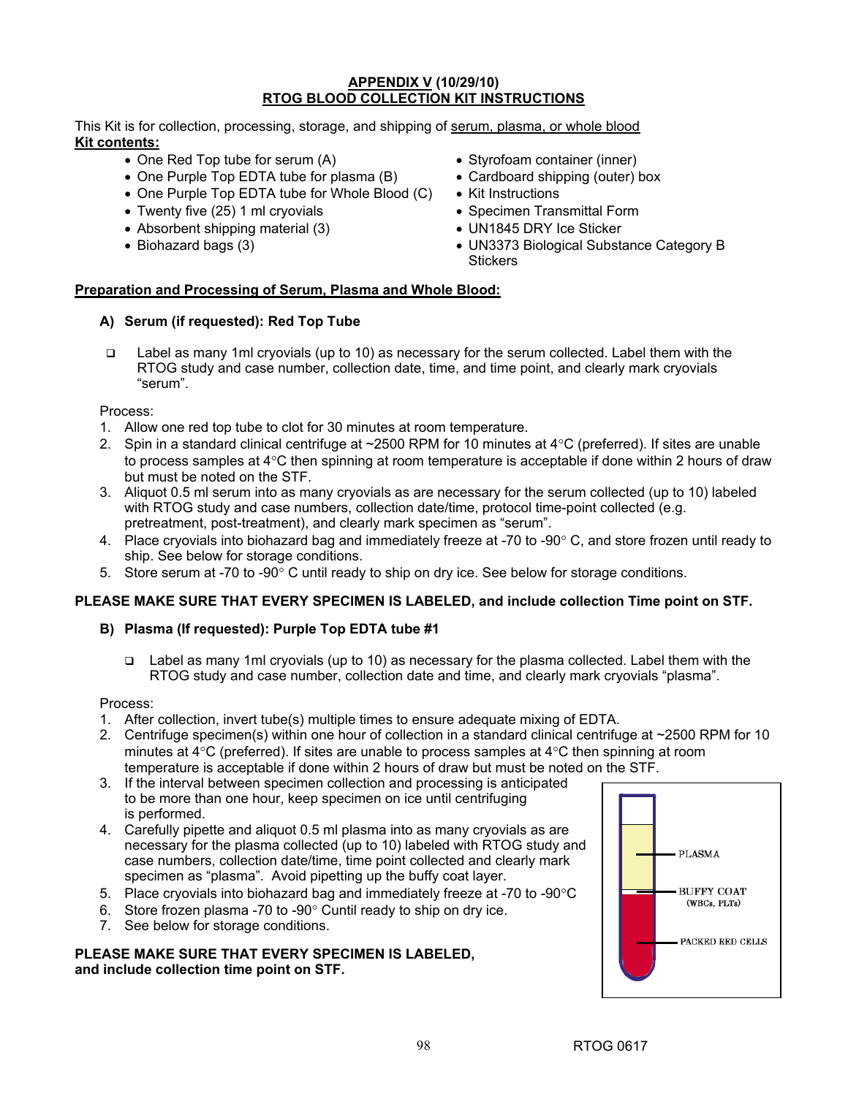### **APPENDIX V (10/29/10) RTOG BLOOD COLLECTION KIT INSTRUCTIONS**

This Kit is for collection, processing, storage, and shipping of serum, plasma, or whole blood **Kit contents:**

- One Red Top tube for serum (A)
- One Purple Top EDTA tube for plasma (B)
- One Purple Top EDTA tube for Whole Blood (C)
- Twenty five (25) 1 ml cryovials
- Absorbent shipping material (3)
- Biohazard bags (3)
- Styrofoam container (inner)
- Cardboard shipping (outer) box
- Kit Instructions
- Specimen Transmittal Form
- UN1845 DRY Ice Sticker
- UN3373 Biological Substance Category B **Stickers**

### **Preparation and Processing of Serum, Plasma and Whole Blood:**

### **A) Serum (if requested): Red Top Tube**

 Label as many 1ml cryovials (up to 10) as necessary for the serum collected. Label them with the RTOG study and case number, collection date, time, and time point, and clearly mark cryovials "serum".

### Process:

- 1. Allow one red top tube to clot for 30 minutes at room temperature.
- 2. Spin in a standard clinical centrifuge at ~2500 RPM for 10 minutes at 4°C (preferred). If sites are unable to process samples at 4°C then spinning at room temperature is acceptable if done within 2 hours of draw but must be noted on the STF.
- 3. Aliquot 0.5 ml serum into as many cryovials as are necessary for the serum collected (up to 10) labeled with RTOG study and case numbers, collection date/time, protocol time-point collected (e.g. pretreatment, post-treatment), and clearly mark specimen as "serum".
- 4. Place cryovials into biohazard bag and immediately freeze at -70 to -90° C, and store frozen until ready to ship. See below for storage conditions.
- 5. Store serum at -70 to -90° C until ready to ship on dry ice. See below for storage conditions.

### **PLEASE MAKE SURE THAT EVERY SPECIMEN IS LABELED, and include collection Time point on STF.**

### **B) Plasma (If requested): Purple Top EDTA tube #1**

 $\Box$  Label as many 1ml cryovials (up to 10) as necessary for the plasma collected. Label them with the RTOG study and case number, collection date and time, and clearly mark cryovials "plasma".

#### Process:

- 1. After collection, invert tube(s) multiple times to ensure adequate mixing of EDTA.
- 2. Centrifuge specimen(s) within one hour of collection in a standard clinical centrifuge at ~2500 RPM for 10 minutes at  $4^{\circ}$ C (preferred). If sites are unable to process samples at  $4^{\circ}$ C then spinning at room temperature is acceptable if done within 2 hours of draw but must be noted on the STF.
- 3. If the interval between specimen collection and processing is anticipated to be more than one hour, keep specimen on ice until centrifuging is performed.
- 4. Carefully pipette and aliquot 0.5 ml plasma into as many cryovials as are necessary for the plasma collected (up to 10) labeled with RTOG study and case numbers, collection date/time, time point collected and clearly mark specimen as "plasma". Avoid pipetting up the buffy coat layer.
- 5. Place cryovials into biohazard bag and immediately freeze at -70 to -90°C
- 6. Store frozen plasma -70 to -90° Cuntil ready to ship on dry ice.
- 7. See below for storage conditions.

### **PLEASE MAKE SURE THAT EVERY SPECIMEN IS LABELED, and include collection time point on STF.**

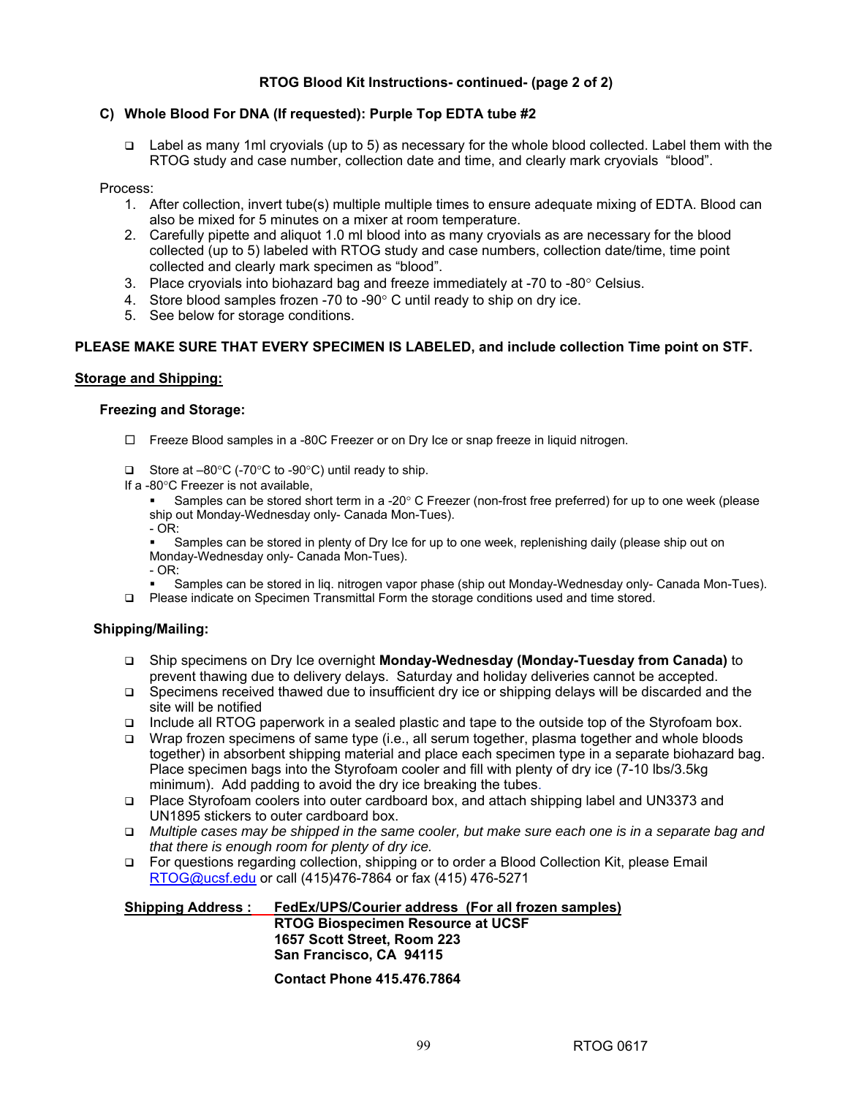### **RTOG Blood Kit Instructions- continued- (page 2 of 2)**

### **C) Whole Blood For DNA (If requested): Purple Top EDTA tube #2**

 $\Box$  Label as many 1ml cryovials (up to 5) as necessary for the whole blood collected. Label them with the RTOG study and case number, collection date and time, and clearly mark cryovials "blood".

#### Process:

- 1. After collection, invert tube(s) multiple multiple times to ensure adequate mixing of EDTA. Blood can also be mixed for 5 minutes on a mixer at room temperature.
- 2. Carefully pipette and aliquot 1.0 ml blood into as many cryovials as are necessary for the blood collected (up to 5) labeled with RTOG study and case numbers, collection date/time, time point collected and clearly mark specimen as "blood".
- 3. Place cryovials into biohazard bag and freeze immediately at  $-70$  to  $-80^\circ$  Celsius.
- 4. Store blood samples frozen -70 to -90 $\degree$  C until ready to ship on dry ice.
- 5. See below for storage conditions.

### **PLEASE MAKE SURE THAT EVERY SPECIMEN IS LABELED, and include collection Time point on STF.**

### **Storage and Shipping:**

#### **Freezing and Storage:**

- $\Box$  Freeze Blood samples in a -80C Freezer or on Dry Ice or snap freeze in liquid nitrogen.
- Store at –80°C (-70°C to -90°C) until ready to ship.
- If a -80°C Freezer is not available,

Samples can be stored short term in a -20° C Freezer (non-frost free preferred) for up to one week (please ship out Monday-Wednesday only- Canada Mon-Tues). - OR:

 Samples can be stored in plenty of Dry Ice for up to one week, replenishing daily (please ship out on Monday-Wednesday only- Canada Mon-Tues). - OR:

- Samples can be stored in liq. nitrogen vapor phase (ship out Monday-Wednesday only- Canada Mon-Tues).
- Please indicate on Specimen Transmittal Form the storage conditions used and time stored.

### **Shipping/Mailing:**

- Ship specimens on Dry Ice overnight **Monday-Wednesday (Monday-Tuesday from Canada)** to prevent thawing due to delivery delays. Saturday and holiday deliveries cannot be accepted.
- □ Specimens received thawed due to insufficient dry ice or shipping delays will be discarded and the site will be notified
- □ Include all RTOG paperwork in a sealed plastic and tape to the outside top of the Styrofoam box.
- $\Box$  Wrap frozen specimens of same type (i.e., all serum together, plasma together and whole bloods together) in absorbent shipping material and place each specimen type in a separate biohazard bag. Place specimen bags into the Styrofoam cooler and fill with plenty of dry ice (7-10 lbs/3.5kg minimum). Add padding to avoid the dry ice breaking the tubes.
- Place Styrofoam coolers into outer cardboard box, and attach shipping label and UN3373 and UN1895 stickers to outer cardboard box.
- *Multiple cases may be shipped in the same cooler, but make sure each one is in a separate bag and that there is enough room for plenty of dry ice.*
- For questions regarding collection, shipping or to order a Blood Collection Kit, please Email [RTOG@ucsf.edu or](mailto:RTOG@ucsf.edu) call (415)476-7864 or fax (415) 476-5271

| <b>Shipping Address:</b> | FedEx/UPS/Courier address (For all frozen samples) |
|--------------------------|----------------------------------------------------|
|                          | <b>RTOG Biospecimen Resource at UCSF</b>           |
|                          | 1657 Scott Street. Room 223                        |
|                          | San Francisco, CA 94115                            |
|                          |                                                    |

#### **Contact Phone 415.476.7864**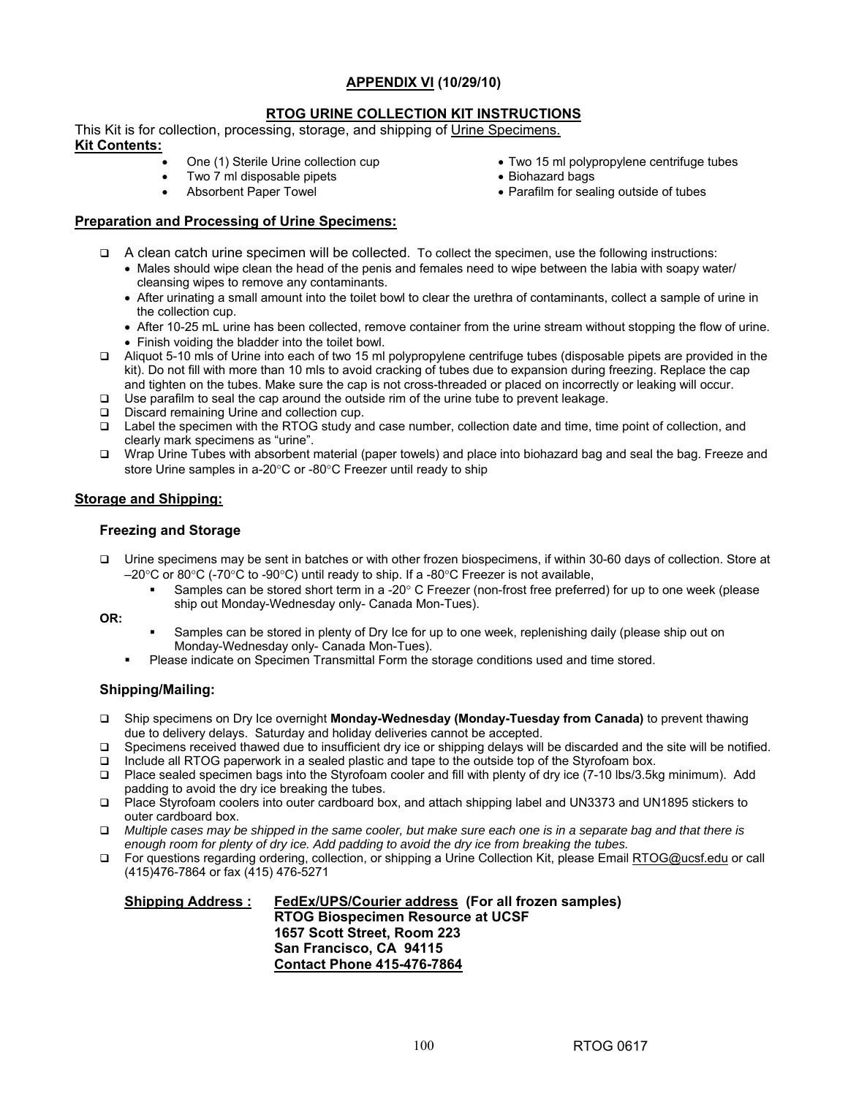### **APPENDIX VI (10/29/10)**

### **RTOG URINE COLLECTION KIT INSTRUCTIONS**

This Kit is for collection, processing, storage, and shipping of Urine Specimens. **Kit Contents:**

- 
- Two 7 ml disposable pipets Biohazard bags
- 

### **Preparation and Processing of Urine Specimens:**

- One (1) Sterile Urine collection cup Two 15 ml polypropylene centrifuge tubes
	-
- Absorbent Paper Towel Parafilm for sealing outside of tubes
- A clean catch urine specimen will be collected. To collect the specimen, use the following instructions: • Males should wipe clean the head of the penis and females need to wipe between the labia with soapy water/
	- cleansing wipes to remove any contaminants. • After urinating a small amount into the toilet bowl to clear the urethra of contaminants, collect a sample of urine in the collection cup.
	- After 10-25 mL urine has been collected, remove container from the urine stream without stopping the flow of urine. • Finish voiding the bladder into the toilet bowl.
- □ Aliquot 5-10 mls of Urine into each of two 15 ml polypropylene centrifuge tubes (disposable pipets are provided in the kit). Do not fill with more than 10 mls to avoid cracking of tubes due to expansion during freezing. Replace the cap and tighten on the tubes. Make sure the cap is not cross-threaded or placed on incorrectly or leaking will occur.
- $\Box$  Use parafilm to seal the cap around the outside rim of the urine tube to prevent leakage.
- Discard remaining Urine and collection cup.
- Label the specimen with the RTOG study and case number, collection date and time, time point of collection, and clearly mark specimens as "urine".
- Wrap Urine Tubes with absorbent material (paper towels) and place into biohazard bag and seal the bag. Freeze and store Urine samples in a-20°C or -80°C Freezer until ready to ship

### **Storage and Shipping:**

### **Freezing and Storage**

- Urine specimens may be sent in batches or with other frozen biospecimens, if within 30-60 days of collection. Store at  $-20^{\circ}$ C or 80°C (-70°C to -90°C) until ready to ship. If a -80°C Freezer is not available,
	- Samples can be stored short term in a -20 $^{\circ}$  C Freezer (non-frost free preferred) for up to one week (please ship out Monday-Wednesday only- Canada Mon-Tues).
- **OR:**
- Samples can be stored in plenty of Dry Ice for up to one week, replenishing daily (please ship out on Monday-Wednesday only- Canada Mon-Tues).
- Please indicate on Specimen Transmittal Form the storage conditions used and time stored.

### **Shipping/Mailing:**

- Ship specimens on Dry Ice overnight **Monday-Wednesday (Monday-Tuesday from Canada)** to prevent thawing due to delivery delays. Saturday and holiday deliveries cannot be accepted.
- Specimens received thawed due to insufficient dry ice or shipping delays will be discarded and the site will be notified.
- Include all RTOG paperwork in a sealed plastic and tape to the outside top of the Styrofoam box.
- Place sealed specimen bags into the Styrofoam cooler and fill with plenty of dry ice (7-10 lbs/3.5kg minimum). Add padding to avoid the dry ice breaking the tubes.
- Place Styrofoam coolers into outer cardboard box, and attach shipping label and UN3373 and UN1895 stickers to outer cardboard box.
- *Multiple cases may be shipped in the same cooler, but make sure each one is in a separate bag and that there is enough room for plenty of dry ice. Add padding to avoid the dry ice from breaking the tubes.*
- □ For questions regarding ordering, collection, or shipping a Urine Collection Kit, please Email [RTOG@ucsf.edu or](mailto:RTOG@ucsf.edu) call (415)476-7864 or fax (415) 476-5271

| <b>Shipping Address:</b> | FedEx/UPS/Courier address (For all frozen samples) |
|--------------------------|----------------------------------------------------|
|                          | RTOG Biospecimen Resource at UCSF                  |
|                          | 1657 Scott Street. Room 223                        |
|                          | San Francisco, CA 94115                            |
|                          | <b>Contact Phone 415-476-7864</b>                  |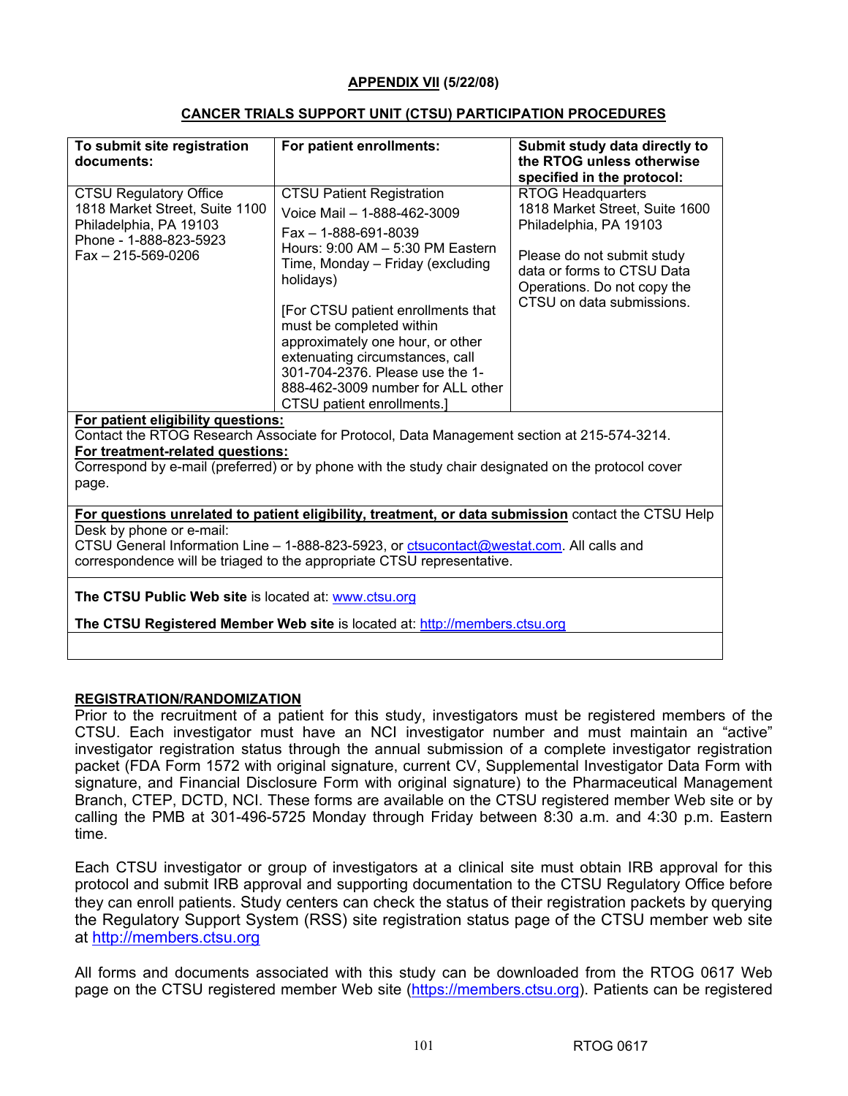#### **APPENDIX VII (5/22/08)**

#### **CANCER TRIALS SUPPORT UNIT (CTSU) PARTICIPATION PROCEDURES**

| To submit site registration<br>documents:                                                                                                                                                                                                                                                             | For patient enrollments:                                                                                                                                                                                                                                                                                                                                                                                                            | Submit study data directly to<br>the RTOG unless otherwise<br>specified in the protocol:                                                                                                                     |
|-------------------------------------------------------------------------------------------------------------------------------------------------------------------------------------------------------------------------------------------------------------------------------------------------------|-------------------------------------------------------------------------------------------------------------------------------------------------------------------------------------------------------------------------------------------------------------------------------------------------------------------------------------------------------------------------------------------------------------------------------------|--------------------------------------------------------------------------------------------------------------------------------------------------------------------------------------------------------------|
| <b>CTSU Regulatory Office</b><br>1818 Market Street, Suite 1100<br>Philadelphia, PA 19103<br>Phone - 1-888-823-5923<br>$Fax - 215 - 569 - 0206$                                                                                                                                                       | <b>CTSU Patient Registration</b><br>Voice Mail - 1-888-462-3009<br>$Fax - 1 - 888 - 691 - 8039$<br>Hours: 9:00 AM - 5:30 PM Eastern<br>Time, Monday - Friday (excluding<br>holidays)<br>[For CTSU patient enrollments that<br>must be completed within<br>approximately one hour, or other<br>extenuating circumstances, call<br>301-704-2376. Please use the 1-<br>888-462-3009 number for ALL other<br>CTSU patient enrollments.] | <b>RTOG Headquarters</b><br>1818 Market Street, Suite 1600<br>Philadelphia, PA 19103<br>Please do not submit study<br>data or forms to CTSU Data<br>Operations. Do not copy the<br>CTSU on data submissions. |
| For patient eligibility questions:<br>Contact the RTOG Research Associate for Protocol, Data Management section at 215-574-3214.<br>For treatment-related questions:<br>Correspond by e-mail (preferred) or by phone with the study chair designated on the protocol cover<br>page.                   |                                                                                                                                                                                                                                                                                                                                                                                                                                     |                                                                                                                                                                                                              |
| For questions unrelated to patient eligibility, treatment, or data submission contact the CTSU Help<br>Desk by phone or e-mail:<br>CTSU General Information Line - 1-888-823-5923, or ctsucontact@westat.com. All calls and<br>correspondence will be triaged to the appropriate CTSU representative. |                                                                                                                                                                                                                                                                                                                                                                                                                                     |                                                                                                                                                                                                              |
| The CTSU Public Web site is located at: www.ctsu.org<br>The CTSU Registered Member Web site is located at: http://members.ctsu.org                                                                                                                                                                    |                                                                                                                                                                                                                                                                                                                                                                                                                                     |                                                                                                                                                                                                              |

#### **REGISTRATION/RANDOMIZATION**

Prior to the recruitment of a patient for this study, investigators must be registered members of the CTSU. Each investigator must have an NCI investigator number and must maintain an "active" investigator registration status through the annual submission of a complete investigator registration packet (FDA Form 1572 with original signature, current CV, Supplemental Investigator Data Form with signature, and Financial Disclosure Form with original signature) to the Pharmaceutical Management Branch, CTEP, DCTD, NCI. These forms are available on the CTSU registered member Web site or by calling the PMB at 301-496-5725 Monday through Friday between 8:30 a.m. and 4:30 p.m. Eastern time.

Each CTSU investigator or group of investigators at a clinical site must obtain IRB approval for this protocol and submit IRB approval and supporting documentation to the CTSU Regulatory Office before they can enroll patients. Study centers can check the status of their registration packets by querying the Regulatory Support System (RSS) site registration status page of the CTSU member web site at <http://members.ctsu.org>

All forms and documents associated with this study can be downloaded from the RTOG 0617 Web page on the CTSU registered member Web site [\(https://members.ctsu.org](https://members.ctsu.org)). Patients can be registered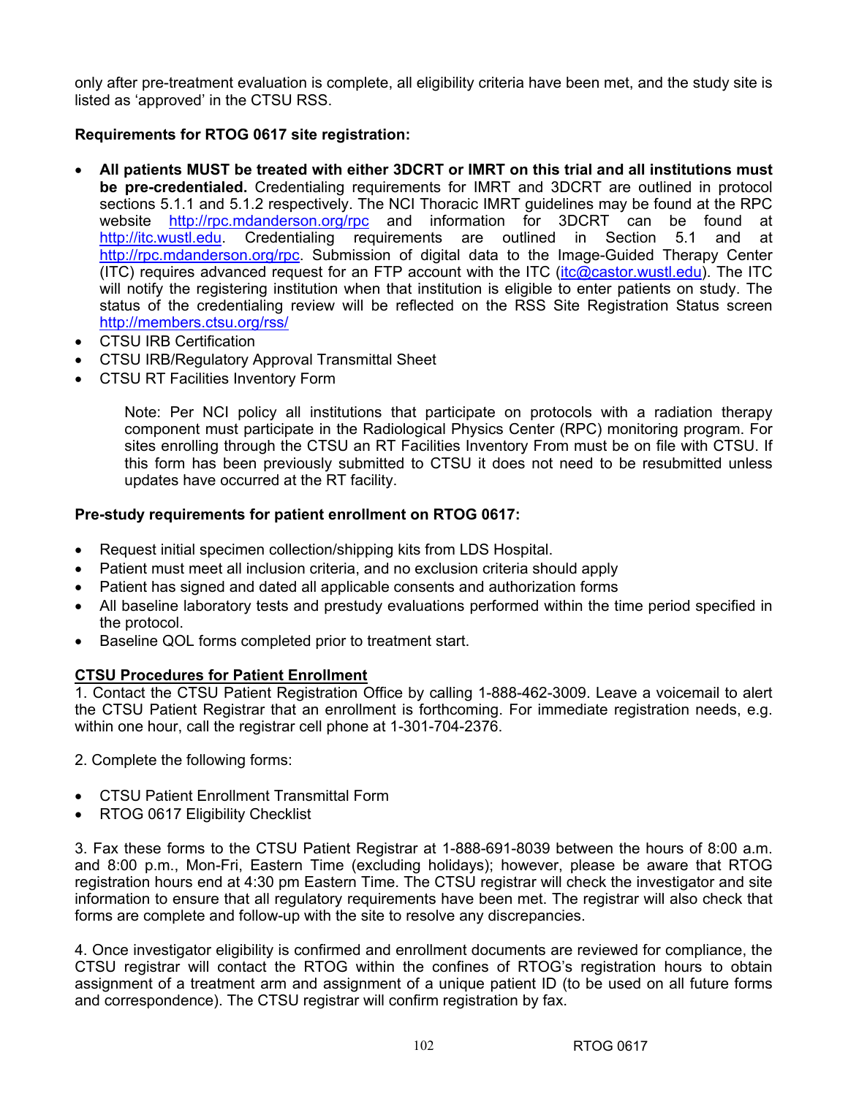only after pre-treatment evaluation is complete, all eligibility criteria have been met, and the study site is listed as 'approved' in the CTSU RSS.

# **Requirements for RTOG 0617 site registration:**

- **All patients MUST be treated with either 3DCRT or IMRT on this trial and all institutions must be pre-credentialed.** Credentialing requirements for IMRT and 3DCRT are outlined in protocol sections 5.1.1 and 5.1.2 respectively. The NCI Thoracic IMRT guidelines may be found at the RPC website <http://rpc.mdanderson.org/rpc>and information for 3DCRT can be found at [http://itc.wustl.edu.](http://itc.wustl.edu) Credentialing requirements are outlined in Section 5.1 and at [http://rpc.mdanderson.org/rpc.](http://rpc.mdanderson.org/rpc) Submission of digital data to the Image-Guided Therapy Center (ITC) requires advanced request for an FTP account with the ITC [\(itc@castor.wustl.edu\). Th](mailto:itc@castor.wustl.edu)e ITC will notify the registering institution when that institution is eligible to enter patients on study. The status of the credentialing review will be reflected on the RSS Site Registration Status screen [http://members.ctsu.org/rss/](http://members.ctsu.org/rss)
- CTSU IRB Certification
- CTSU IRB/Regulatory Approval Transmittal Sheet
- CTSU RT Facilities Inventory Form

Note: Per NCI policy all institutions that participate on protocols with a radiation therapy component must participate in the Radiological Physics Center (RPC) monitoring program. For sites enrolling through the CTSU an RT Facilities Inventory From must be on file with CTSU. If this form has been previously submitted to CTSU it does not need to be resubmitted unless updates have occurred at the RT facility.

# **Pre-study requirements for patient enrollment on RTOG 0617:**

- Request initial specimen collection/shipping kits from LDS Hospital.
- Patient must meet all inclusion criteria, and no exclusion criteria should apply
- Patient has signed and dated all applicable consents and authorization forms
- All baseline laboratory tests and prestudy evaluations performed within the time period specified in the protocol.
- Baseline QOL forms completed prior to treatment start.

# **CTSU Procedures for Patient Enrollment**

1. Contact the CTSU Patient Registration Office by calling 1-888-462-3009. Leave a voicemail to alert the CTSU Patient Registrar that an enrollment is forthcoming. For immediate registration needs, e.g. within one hour, call the registrar cell phone at 1-301-704-2376.

- 2. Complete the following forms:
- CTSU Patient Enrollment Transmittal Form
- RTOG 0617 Eligibility Checklist

3. Fax these forms to the CTSU Patient Registrar at 1-888-691-8039 between the hours of 8:00 a.m. and 8:00 p.m., Mon-Fri, Eastern Time (excluding holidays); however, please be aware that RTOG registration hours end at 4:30 pm Eastern Time. The CTSU registrar will check the investigator and site information to ensure that all regulatory requirements have been met. The registrar will also check that forms are complete and follow-up with the site to resolve any discrepancies.

4. Once investigator eligibility is confirmed and enrollment documents are reviewed for compliance, the CTSU registrar will contact the RTOG within the confines of RTOG's registration hours to obtain assignment of a treatment arm and assignment of a unique patient ID (to be used on all future forms and correspondence). The CTSU registrar will confirm registration by fax.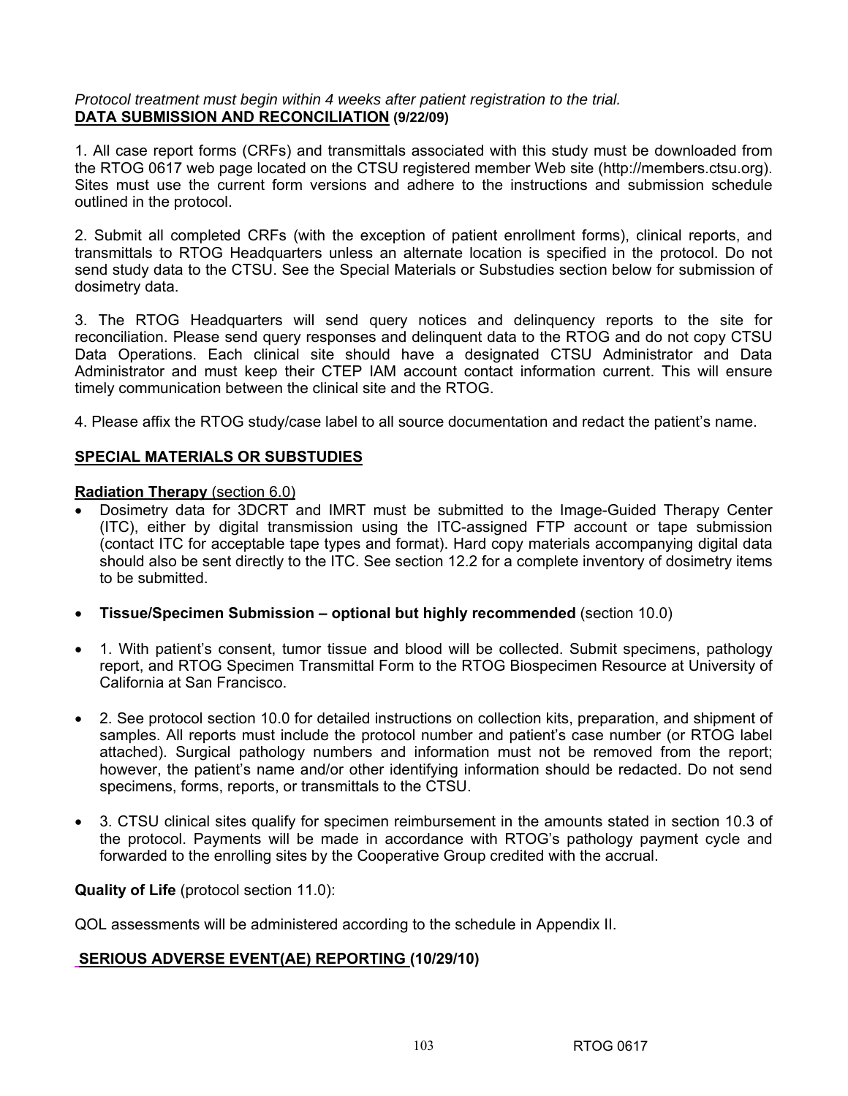### *Protocol treatment must begin within 4 weeks after patient registration to the trial.*  **DATA SUBMISSION AND RECONCILIATION (9/22/09)**

1. All case report forms (CRFs) and transmittals associated with this study must be downloaded from the RTOG 0617 web page located on the CTSU registered member Web site ([http://members.ctsu.org\).](http://members.ctsu.org)  Sites must use the current form versions and adhere to the instructions and submission schedule outlined in the protocol.

2. Submit all completed CRFs (with the exception of patient enrollment forms), clinical reports, and transmittals to RTOG Headquarters unless an alternate location is specified in the protocol. Do not send study data to the CTSU. See the Special Materials or Substudies section below for submission of dosimetry data.

3. The RTOG Headquarters will send query notices and delinquency reports to the site for reconciliation. Please send query responses and delinquent data to the RTOG and do not copy CTSU Data Operations. Each clinical site should have a designated CTSU Administrator and Data Administrator and must keep their CTEP IAM account contact information current. This will ensure timely communication between the clinical site and the RTOG.

4. Please affix the RTOG study/case label to all source documentation and redact the patient's name.

# **SPECIAL MATERIALS OR SUBSTUDIES**

# **Radiation Therapy** (section 6.0)

- Dosimetry data for 3DCRT and IMRT must be submitted to the Image-Guided Therapy Center (ITC), either by digital transmission using the ITC-assigned FTP account or tape submission (contact ITC for acceptable tape types and format). Hard copy materials accompanying digital data should also be sent directly to the ITC. See section 12.2 for a complete inventory of dosimetry items to be submitted.
- **Tissue/Specimen Submission optional but highly recommended** (section 10.0)
- 1. With patient's consent, tumor tissue and blood will be collected. Submit specimens, pathology report, and RTOG Specimen Transmittal Form to the RTOG Biospecimen Resource at University of California at San Francisco.
- 2. See protocol section 10.0 for detailed instructions on collection kits, preparation, and shipment of samples. All reports must include the protocol number and patient's case number (or RTOG label attached). Surgical pathology numbers and information must not be removed from the report; however, the patient's name and/or other identifying information should be redacted. Do not send specimens, forms, reports, or transmittals to the CTSU.
- 3. CTSU clinical sites qualify for specimen reimbursement in the amounts stated in section 10.3 of the protocol. Payments will be made in accordance with RTOG's pathology payment cycle and forwarded to the enrolling sites by the Cooperative Group credited with the accrual.

**Quality of Life** (protocol section 11.0):

QOL assessments will be administered according to the schedule in Appendix II.

# **SERIOUS ADVERSE EVENT(AE) REPORTING (10/29/10)**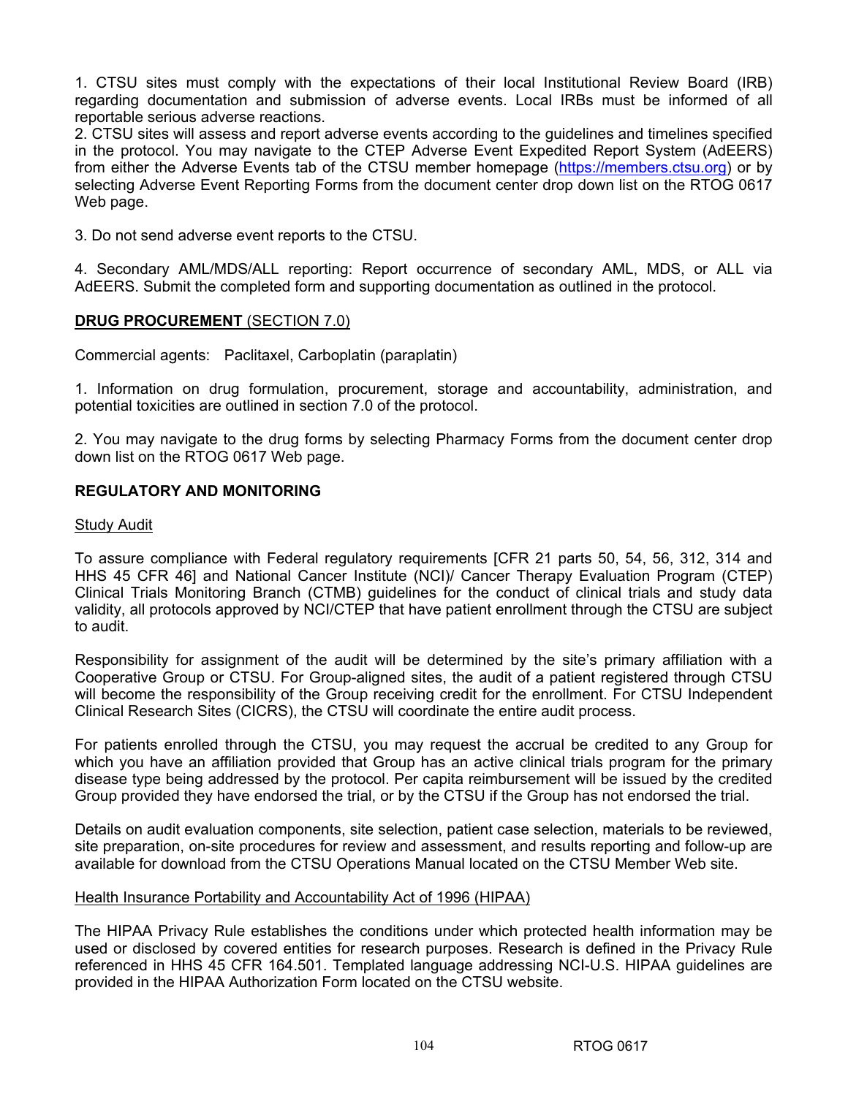1. CTSU sites must comply with the expectations of their local Institutional Review Board (IRB) regarding documentation and submission of adverse events. Local IRBs must be informed of all reportable serious adverse reactions.

2. CTSU sites will assess and report adverse events according to the guidelines and timelines specified in the protocol. You may navigate to the CTEP Adverse Event Expedited Report System (AdEERS) from either the Adverse Events tab of the CTSU member homepage ([https://members.ctsu.org\)](https://members.ctsu.org) or by selecting Adverse Event Reporting Forms from the document center drop down list on the RTOG 0617 Web page.

3. Do not send adverse event reports to the CTSU.

4. Secondary AML/MDS/ALL reporting: Report occurrence of secondary AML, MDS, or ALL via AdEERS. Submit the completed form and supporting documentation as outlined in the protocol.

### **DRUG PROCUREMENT** (SECTION 7.0)

Commercial agents: Paclitaxel, Carboplatin (paraplatin)

1. Information on drug formulation, procurement, storage and accountability, administration, and potential toxicities are outlined in section 7.0 of the protocol.

2. You may navigate to the drug forms by selecting Pharmacy Forms from the document center drop down list on the RTOG 0617 Web page.

### **REGULATORY AND MONITORING**

#### **Study Audit**

To assure compliance with Federal regulatory requirements [CFR 21 parts 50, 54, 56, 312, 314 and HHS 45 CFR 46] and National Cancer Institute (NCI)/ Cancer Therapy Evaluation Program (CTEP) Clinical Trials Monitoring Branch (CTMB) guidelines for the conduct of clinical trials and study data validity, all protocols approved by NCI/CTEP that have patient enrollment through the CTSU are subject to audit.

Responsibility for assignment of the audit will be determined by the site's primary affiliation with a Cooperative Group or CTSU. For Group-aligned sites, the audit of a patient registered through CTSU will become the responsibility of the Group receiving credit for the enrollment. For CTSU Independent Clinical Research Sites (CICRS), the CTSU will coordinate the entire audit process.

For patients enrolled through the CTSU, you may request the accrual be credited to any Group for which you have an affiliation provided that Group has an active clinical trials program for the primary disease type being addressed by the protocol. Per capita reimbursement will be issued by the credited Group provided they have endorsed the trial, or by the CTSU if the Group has not endorsed the trial.

Details on audit evaluation components, site selection, patient case selection, materials to be reviewed, site preparation, on-site procedures for review and assessment, and results reporting and follow-up are available for download from the CTSU Operations Manual located on the CTSU Member Web site.

#### Health Insurance Portability and Accountability Act of 1996 (HIPAA)

The HIPAA Privacy Rule establishes the conditions under which protected health information may be used or disclosed by covered entities for research purposes. Research is defined in the Privacy Rule referenced in HHS 45 CFR 164.501. Templated language addressing NCI-U.S. HIPAA guidelines are provided in the HIPAA Authorization Form located on the CTSU website.